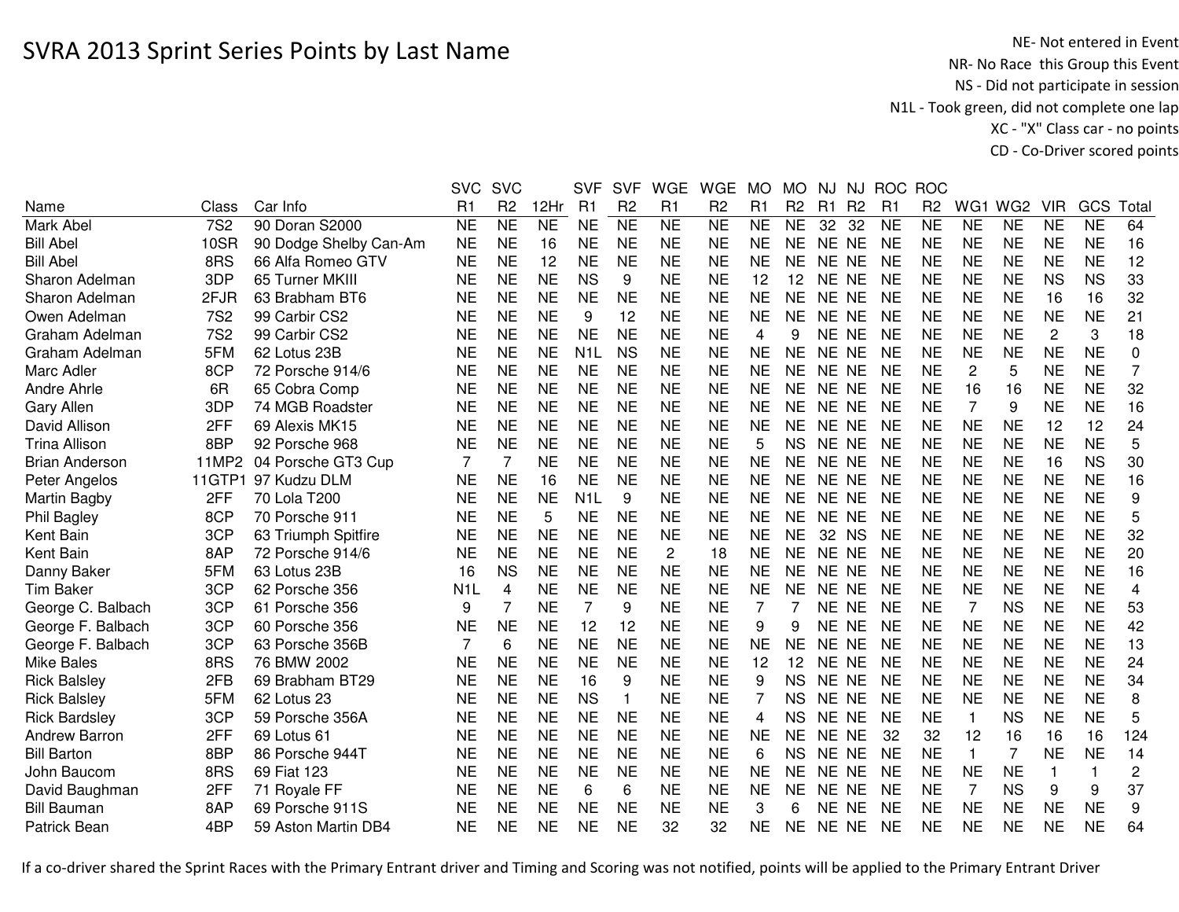NE- Not entered in Event<br>NR- No Race this Group this Event NS - Did not participate in session N1L - Took green, did not complete one lap XC - "X" Class car - no pointsCD - Co-Driver scored points

|                       |            |                        | <b>SVC</b>       | <b>SVC</b>      |                | <b>SVF</b>       | <b>SVF</b>     | <b>WGE</b>             | <b>WGE</b>     | <b>MO</b> | <b>MO</b>       | NJ              | NJ             | <b>ROC</b>     | <b>ROC</b>     |                |                 |                |                 |                |
|-----------------------|------------|------------------------|------------------|-----------------|----------------|------------------|----------------|------------------------|----------------|-----------|-----------------|-----------------|----------------|----------------|----------------|----------------|-----------------|----------------|-----------------|----------------|
| Name                  | Class      | Car Info               | R1               | R <sub>2</sub>  | 12Hr           | R1               | R <sub>2</sub> | R1                     | R <sub>2</sub> | R1        | R <sub>2</sub>  | R1              | R <sub>2</sub> | R <sub>1</sub> | R <sub>2</sub> | WG1            | WG <sub>2</sub> | <b>VIR</b>     | GCS             | Total          |
| Mark Abel             | <b>7S2</b> | 90 Doran S2000         | <b>NE</b>        | $\overline{NE}$ | N <sub>E</sub> | <b>NE</b>        | N <sub>E</sub> | $\overline{\text{NE}}$ | N <sub>E</sub> | <b>NE</b> | $\overline{NE}$ | $\overline{32}$ | 32             | <b>NE</b>      | <b>NE</b>      | <b>NE</b>      | <b>NE</b>       | <b>NE</b>      | $\overline{NE}$ | 64             |
| <b>Bill Abel</b>      | 10SR       | 90 Dodge Shelby Can-Am | <b>NE</b>        | <b>NE</b>       | 16             | <b>NE</b>        | <b>NE</b>      | <b>NE</b>              | <b>NE</b>      | <b>NE</b> | <b>NE</b>       | NE NE           |                | <b>NE</b>      | <b>NE</b>      | <b>NE</b>      | <b>NE</b>       | <b>NE</b>      | <b>NE</b>       | 16             |
| <b>Bill Abel</b>      | 8RS        | 66 Alfa Romeo GTV      | <b>NE</b>        | <b>NE</b>       | 12             | <b>NE</b>        | <b>NE</b>      | <b>NE</b>              | <b>NE</b>      | <b>NE</b> | <b>NE</b>       | NE NE           |                | <b>NE</b>      | <b>NE</b>      | <b>NE</b>      | <b>NE</b>       | <b>NE</b>      | <b>NE</b>       | 12             |
| Sharon Adelman        | 3DP        | 65 Turner MKIII        | <b>NE</b>        | <b>NE</b>       | <b>NE</b>      | <b>NS</b>        | 9              | <b>NE</b>              | <b>NE</b>      | 12        | 12              | NE NE           |                | <b>NE</b>      | <b>NE</b>      | <b>NE</b>      | <b>NE</b>       | <b>NS</b>      | <b>NS</b>       | 33             |
| Sharon Adelman        | 2FJR       | 63 Brabham BT6         | <b>NE</b>        | <b>NE</b>       | <b>NE</b>      | <b>NE</b>        | <b>NE</b>      | <b>NE</b>              | <b>NE</b>      | <b>NE</b> | <b>NE</b>       | NE NE           |                | <b>NE</b>      | <b>NE</b>      | <b>NE</b>      | <b>NE</b>       | 16             | 16              | 32             |
| Owen Adelman          | <b>7S2</b> | 99 Carbir CS2          | NE               | <b>NE</b>       | <b>NE</b>      | 9                | 12             | <b>NE</b>              | <b>NE</b>      | <b>NE</b> | <b>NE</b>       | NE NE           |                | NE             | <b>NE</b>      | <b>NE</b>      | <b>NE</b>       | <b>NE</b>      | <b>NE</b>       | 21             |
| Graham Adelman        | <b>7S2</b> | 99 Carbir CS2          | <b>NE</b>        | <b>NE</b>       | <b>NE</b>      | <b>NE</b>        | <b>NE</b>      | <b>NE</b>              | <b>NE</b>      | 4         | 9               | NE NE           |                | <b>NE</b>      | <b>NE</b>      | <b>NE</b>      | <b>NE</b>       | $\overline{c}$ | 3               | 18             |
| Graham Adelman        | 5FM        | 62 Lotus 23B           | <b>NE</b>        | <b>NE</b>       | <b>NE</b>      | N <sub>1</sub> L | <b>NS</b>      | <b>NE</b>              | <b>NE</b>      | <b>NE</b> | <b>NE</b>       | NE NE           |                | <b>NE</b>      | <b>NE</b>      | <b>NE</b>      | <b>NE</b>       | <b>NE</b>      | <b>NE</b>       | 0              |
| Marc Adler            | 8CP        | 72 Porsche 914/6       | <b>NE</b>        | <b>NE</b>       | <b>NE</b>      | <b>NE</b>        | <b>NE</b>      | <b>NE</b>              | <b>NE</b>      | <b>NE</b> | <b>NE</b>       | NE NE           |                | NE             | <b>NE</b>      | 2              | 5               | <b>NE</b>      | <b>NE</b>       | $\overline{7}$ |
| Andre Ahrle           | 6R         | 65 Cobra Comp          | <b>NE</b>        | <b>NE</b>       | <b>NE</b>      | <b>NE</b>        | <b>NE</b>      | <b>NE</b>              | <b>NE</b>      | <b>NE</b> | <b>NE</b>       | NE NE           |                | <b>NE</b>      | <b>NE</b>      | 16             | 16              | <b>NE</b>      | <b>NE</b>       | 32             |
| <b>Gary Allen</b>     | 3DP        | 74 MGB Roadster        | <b>NE</b>        | <b>NE</b>       | <b>NE</b>      | <b>NE</b>        | <b>NE</b>      | <b>NE</b>              | <b>NE</b>      | <b>NE</b> | <b>NE</b>       | NE NE           |                | <b>NE</b>      | <b>NE</b>      | $\overline{7}$ | 9               | <b>NE</b>      | <b>NE</b>       | 16             |
| David Allison         | 2FF        | 69 Alexis MK15         | <b>NE</b>        | <b>NE</b>       | <b>NE</b>      | <b>NE</b>        | <b>NE</b>      | <b>NE</b>              | <b>NE</b>      | <b>NE</b> | <b>NE</b>       | NE NE           |                | <b>NE</b>      | <b>NE</b>      | <b>NE</b>      | <b>NE</b>       | 12             | 12              | 24             |
| <b>Trina Allison</b>  | 8BP        | 92 Porsche 968         | <b>NE</b>        | <b>NE</b>       | <b>NE</b>      | <b>NE</b>        | <b>NE</b>      | <b>NE</b>              | <b>NE</b>      | 5         | <b>NS</b>       | NE NE           |                | <b>NE</b>      | <b>NE</b>      | <b>NE</b>      | <b>NE</b>       | <b>NE</b>      | <b>NE</b>       | 5              |
| <b>Brian Anderson</b> | 11MP2      | 04 Porsche GT3 Cup     | 7                | 7               | <b>NE</b>      | <b>NE</b>        | <b>NE</b>      | <b>NE</b>              | <b>NE</b>      | <b>NE</b> | <b>NE</b>       | NE NE           |                | NE             | <b>NE</b>      | <b>NE</b>      | <b>NE</b>       | 16             | <b>NS</b>       | 30             |
| Peter Angelos         | 11GTP1     | 97 Kudzu DLM           | <b>NE</b>        | <b>NE</b>       | 16             | <b>NE</b>        | <b>NE</b>      | <b>NE</b>              | <b>NE</b>      | <b>NE</b> | <b>NE</b>       | NE NE           |                | <b>NE</b>      | <b>NE</b>      | <b>NE</b>      | <b>NE</b>       | <b>NE</b>      | <b>NE</b>       | 16             |
| Martin Bagby          | 2FF        | 70 Lola T200           | <b>NE</b>        | <b>NE</b>       | <b>NE</b>      | N <sub>1</sub> L | 9              | <b>NE</b>              | <b>NE</b>      | <b>NE</b> | <b>NE</b>       | NE NE           |                | NE             | <b>NE</b>      | <b>NE</b>      | <b>NE</b>       | <b>NE</b>      | <b>NE</b>       | 9              |
| Phil Bagley           | 8CP        | 70 Porsche 911         | <b>NE</b>        | <b>NE</b>       | 5              | <b>NE</b>        | <b>NE</b>      | <b>NE</b>              | <b>NE</b>      | <b>NE</b> | <b>NE</b>       | NE NE           |                | <b>NE</b>      | <b>NE</b>      | <b>NE</b>      | <b>NE</b>       | <b>NE</b>      | <b>NE</b>       | 5              |
| Kent Bain             | 3CP        | 63 Triumph Spitfire    | <b>NE</b>        | <b>NE</b>       | <b>NE</b>      | <b>NE</b>        | <b>NE</b>      | <b>NE</b>              | <b>NE</b>      | <b>NE</b> | <b>NE</b>       | 32 NS           |                | <b>NE</b>      | <b>NE</b>      | <b>NE</b>      | <b>NE</b>       | <b>NE</b>      | <b>NE</b>       | 32             |
| Kent Bain             | 8AP        | 72 Porsche 914/6       | <b>NE</b>        | <b>NE</b>       | <b>NE</b>      | <b>NE</b>        | <b>NE</b>      | $\overline{c}$         | 18             | <b>NE</b> | <b>NE</b>       | NE NE           |                | <b>NE</b>      | <b>NE</b>      | <b>NE</b>      | <b>NE</b>       | <b>NE</b>      | <b>NE</b>       | 20             |
| Danny Baker           | 5FM        | 63 Lotus 23B           | 16               | <b>NS</b>       | <b>NE</b>      | <b>NE</b>        | <b>NE</b>      | <b>NE</b>              | <b>NE</b>      | <b>NE</b> | <b>NE</b>       | NE NE           |                | NE             | <b>NE</b>      | <b>NE</b>      | <b>NE</b>       | <b>NE</b>      | <b>NE</b>       | 16             |
| <b>Tim Baker</b>      | 3CP        | 62 Porsche 356         | N <sub>1</sub> L | 4               | <b>NE</b>      | <b>NE</b>        | <b>NE</b>      | <b>NE</b>              | <b>NE</b>      | <b>NE</b> | <b>NE</b>       | NE NE           |                | <b>NE</b>      | <b>NE</b>      | <b>NE</b>      | <b>NE</b>       | <b>NE</b>      | <b>NE</b>       | 4              |
| George C. Balbach     | 3CP        | 61 Porsche 356         | 9                | 7               | <b>NE</b>      | $\overline{7}$   | 9              | <b>NE</b>              | <b>NE</b>      | 7         |                 | NE NE           |                | <b>NE</b>      | <b>NE</b>      | 7              | <b>NS</b>       | <b>NE</b>      | <b>NE</b>       | 53             |
| George F. Balbach     | 3CP        | 60 Porsche 356         | <b>NE</b>        | <b>NE</b>       | <b>NE</b>      | 12               | 12             | <b>NE</b>              | <b>NE</b>      | 9         | 9               | NE NE           |                | <b>NE</b>      | <b>NE</b>      | <b>NE</b>      | <b>NE</b>       | <b>NE</b>      | <b>NE</b>       | 42             |
| George F. Balbach     | 3CP        | 63 Porsche 356B        | 7                | 6               | <b>NE</b>      | <b>NE</b>        | <b>NE</b>      | <b>NE</b>              | <b>NE</b>      | <b>NE</b> | <b>NE</b>       | NE NE           |                | <b>NE</b>      | <b>NE</b>      | <b>NE</b>      | <b>NE</b>       | <b>NE</b>      | <b>NE</b>       | 13             |
| <b>Mike Bales</b>     | 8RS        | 76 BMW 2002            | <b>NE</b>        | <b>NE</b>       | <b>NE</b>      | <b>NE</b>        | <b>NE</b>      | <b>NE</b>              | <b>NE</b>      | 12        | 12              | NE NE           |                | <b>NE</b>      | <b>NE</b>      | <b>NE</b>      | <b>NE</b>       | <b>NE</b>      | <b>NE</b>       | 24             |
| <b>Rick Balsley</b>   | 2FB        | 69 Brabham BT29        | <b>NE</b>        | <b>NE</b>       | <b>NE</b>      | 16               | 9              | <b>NE</b>              | <b>NE</b>      | 9         | <b>NS</b>       | <b>NE</b>       | <b>NE</b>      | <b>NE</b>      | <b>NE</b>      | <b>NE</b>      | <b>NE</b>       | <b>NE</b>      | <b>NE</b>       | 34             |
| <b>Rick Balsley</b>   | 5FM        | 62 Lotus 23            | <b>NE</b>        | <b>NE</b>       | <b>NE</b>      | <b>NS</b>        | $\mathbf 1$    | <b>NE</b>              | <b>NE</b>      | 7         | <b>NS</b>       | NE NE           |                | <b>NE</b>      | <b>NE</b>      | <b>NE</b>      | <b>NE</b>       | <b>NE</b>      | <b>NE</b>       | 8              |
| <b>Rick Bardsley</b>  | 3CP        | 59 Porsche 356A        | <b>NE</b>        | <b>NE</b>       | <b>NE</b>      | <b>NE</b>        | <b>NE</b>      | <b>NE</b>              | <b>NE</b>      | 4         | <b>NS</b>       | NE NE           |                | NE             | <b>NE</b>      | $\mathbf{1}$   | <b>NS</b>       | <b>NE</b>      | <b>NE</b>       | 5              |
| <b>Andrew Barron</b>  | 2FF        | 69 Lotus 61            | NE               | <b>NE</b>       | <b>NE</b>      | <b>NE</b>        | <b>NE</b>      | <b>NE</b>              | <b>NE</b>      | <b>NE</b> | <b>NE</b>       | NE NE           |                | 32             | 32             | 12             | 16              | 16             | 16              | 124            |
| <b>Bill Barton</b>    | 8BP        | 86 Porsche 944T        | <b>NE</b>        | <b>NE</b>       | <b>NE</b>      | <b>NE</b>        | <b>NE</b>      | <b>NE</b>              | <b>NE</b>      | 6         | <b>NS</b>       | NE NE           |                | NE             | <b>NE</b>      | $\mathbf{1}$   | $\overline{7}$  | <b>NE</b>      | <b>NE</b>       | 14             |
| John Baucom           | 8RS        | 69 Fiat 123            | <b>NE</b>        | <b>NE</b>       | <b>NE</b>      | <b>NE</b>        | <b>NE</b>      | <b>NE</b>              | <b>NE</b>      | <b>NE</b> | <b>NE</b>       | NE NE           |                | <b>NE</b>      | <b>NE</b>      | <b>NE</b>      | <b>NE</b>       | $\mathbf{1}$   | $\mathbf{1}$    | $\overline{c}$ |
| David Baughman        | 2FF        | 71 Royale FF           | <b>NE</b>        | <b>NE</b>       | <b>NE</b>      | 6                | 6              | <b>NE</b>              | <b>NE</b>      | <b>NE</b> | <b>NE</b>       | NE NE           |                | <b>NE</b>      | <b>NE</b>      | 7              | <b>NS</b>       | 9              | 9               | 37             |
| <b>Bill Bauman</b>    | 8AP        | 69 Porsche 911S        | <b>NE</b>        | <b>NE</b>       | <b>NE</b>      | <b>NE</b>        | <b>NE</b>      | <b>NE</b>              | <b>NE</b>      | 3         | հ               | NE NE           |                | <b>NE</b>      | <b>NE</b>      | <b>NE</b>      | <b>NE</b>       | <b>NE</b>      | <b>NE</b>       | 9              |
| Patrick Bean          | 4BP        | 59 Aston Martin DB4    | <b>NE</b>        | <b>NE</b>       | <b>NE</b>      | <b>NE</b>        | <b>NE</b>      | 32                     | 32             | <b>NE</b> | <b>NE</b>       | NE NE           |                | <b>NE</b>      | <b>NE</b>      | <b>NE</b>      | <b>NE</b>       | <b>NE</b>      | <b>NE</b>       | 64             |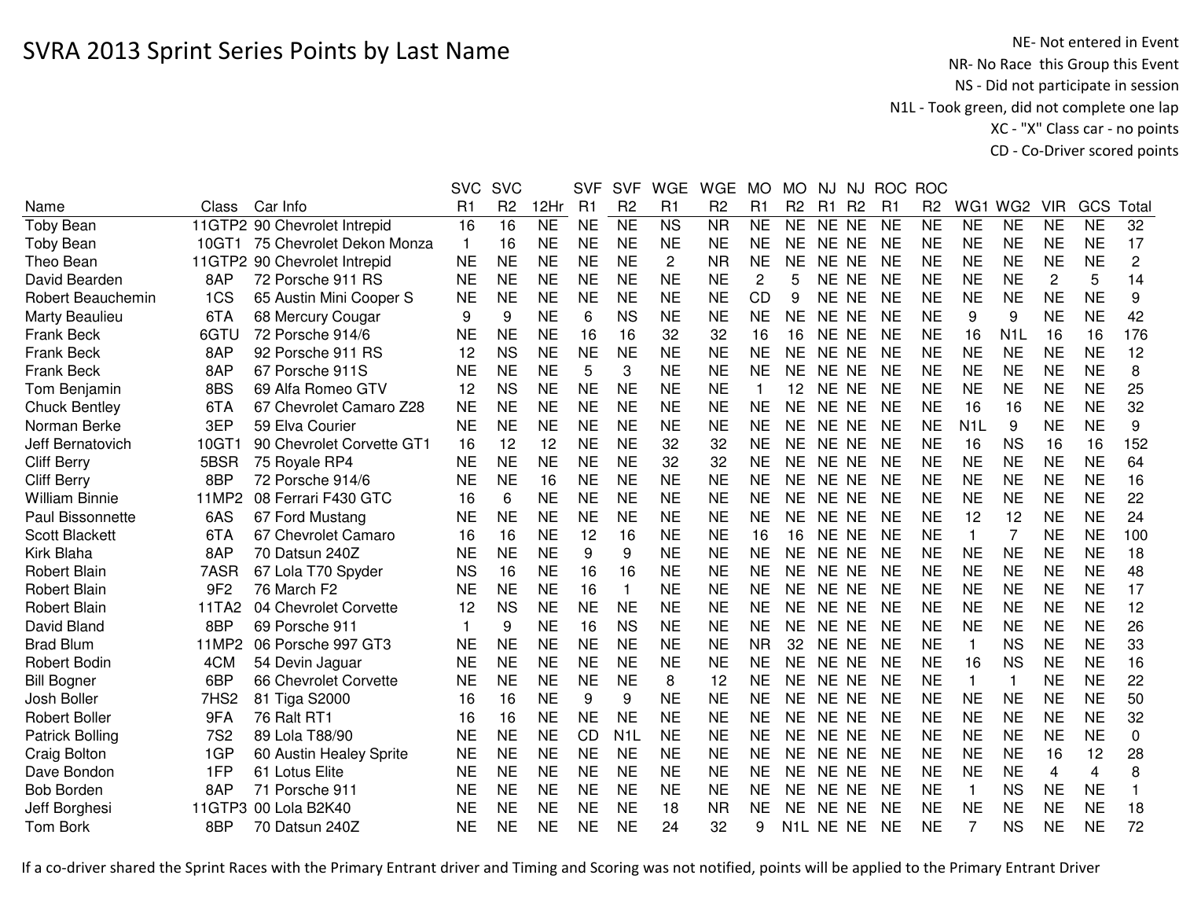NE- Not entered in Event<br>NR- No Race this Group this Event NS - Did not participate in session N1L - Took green, did not complete one lap XC - "X" Class car - no pointsCD - Co-Driver scored points

|                        |                  |                              | <b>SVC</b>     | <b>SVC</b>     |           | <b>SVF</b>     | <b>SVF</b>       | <b>WGE</b>     | <b>WGE</b>     | <b>MO</b> | MO             | NJ.       | NJ             | <b>ROC</b>     | <b>ROC</b>     |                  |                  |                |           |                  |
|------------------------|------------------|------------------------------|----------------|----------------|-----------|----------------|------------------|----------------|----------------|-----------|----------------|-----------|----------------|----------------|----------------|------------------|------------------|----------------|-----------|------------------|
| Name                   | <b>Class</b>     | Car Info                     | R <sub>1</sub> | R <sub>2</sub> | 12Hr      | R <sub>1</sub> | R <sub>2</sub>   | R1             | R <sub>2</sub> | R1        | R <sub>2</sub> | R1        | R <sub>2</sub> | R <sub>1</sub> | R <sub>2</sub> | WG1              | WG <sub>2</sub>  | <b>VIR</b>     | GCS       | Total            |
| <b>Toby Bean</b>       |                  | 11GTP2 90 Chevrolet Intrepid | 16             | 16             | <b>NE</b> | <b>NE</b>      | <b>NE</b>        | <b>NS</b>      | <b>NR</b>      | <b>NE</b> | <b>NE</b>      | NE NE     |                | <b>NE</b>      | <b>NE</b>      | <b>NE</b>        | <b>NE</b>        | <b>NE</b>      | <b>NE</b> | 32               |
| <b>Toby Bean</b>       | 10GT1            | 75 Chevrolet Dekon Monza     | $\mathbf{1}$   | 16             | <b>NE</b> | <b>NE</b>      | <b>NE</b>        | <b>NE</b>      | <b>NE</b>      | <b>NE</b> | <b>NE</b>      | NE NE     |                | <b>NE</b>      | <b>NE</b>      | <b>NE</b>        | <b>NE</b>        | <b>NE</b>      | <b>NE</b> | 17               |
| Theo Bean              |                  | 11GTP2 90 Chevrolet Intrepid | <b>NE</b>      | <b>NE</b>      | <b>NE</b> | <b>NE</b>      | <b>NE</b>        | $\overline{2}$ | <b>NR</b>      | <b>NE</b> | <b>NE</b>      | NE NE     |                | <b>NE</b>      | <b>NE</b>      | <b>NE</b>        | <b>NE</b>        | <b>NE</b>      | <b>NE</b> | $\overline{c}$   |
| David Bearden          | 8AP              | 72 Porsche 911 RS            | <b>NE</b>      | <b>NE</b>      | <b>NE</b> | <b>NE</b>      | <b>NE</b>        | <b>NE</b>      | <b>NE</b>      | 2         | 5              | NE NE     |                | <b>NE</b>      | <b>NE</b>      | <b>NE</b>        | <b>NE</b>        | $\overline{c}$ | 5         | 14               |
| Robert Beauchemin      | 1CS              | 65 Austin Mini Cooper S      | <b>NE</b>      | <b>NE</b>      | <b>NE</b> | <b>NE</b>      | <b>NE</b>        | <b>NE</b>      | <b>NE</b>      | CD        | 9              | NE NE     |                | <b>NE</b>      | <b>NE</b>      | <b>NE</b>        | <b>NE</b>        | <b>NE</b>      | <b>NE</b> | 9                |
| Marty Beaulieu         | 6TA              | 68 Mercury Cougar            | 9              | 9              | <b>NE</b> | 6              | <b>NS</b>        | <b>NE</b>      | <b>NE</b>      | <b>NE</b> | <b>NE</b>      | NE NE     |                | <b>NE</b>      | <b>NE</b>      | 9                | 9                | <b>NE</b>      | <b>NE</b> | 42               |
| <b>Frank Beck</b>      | 6GTU             | 72 Porsche 914/6             | <b>NE</b>      | <b>NE</b>      | <b>NE</b> | 16             | 16               | 32             | 32             | 16        | 16             | NE NE     |                | <b>NE</b>      | <b>NE</b>      | 16               | N <sub>1</sub> L | 16             | 16        | 176              |
| Frank Beck             | 8AP              | 92 Porsche 911 RS            | 12             | <b>NS</b>      | <b>NE</b> | <b>NE</b>      | <b>NE</b>        | <b>NE</b>      | <b>NE</b>      | <b>NE</b> | <b>NE</b>      | NE NE     |                | <b>NE</b>      | <b>NE</b>      | <b>NE</b>        | <b>NE</b>        | <b>NE</b>      | <b>NE</b> | 12               |
| <b>Frank Beck</b>      | 8AP              | 67 Porsche 911S              | <b>NE</b>      | <b>NE</b>      | <b>NE</b> | 5              | 3                | <b>NE</b>      | <b>NE</b>      | <b>NE</b> | <b>NE</b>      | NE NE     |                | <b>NE</b>      | <b>NE</b>      | <b>NE</b>        | <b>NE</b>        | <b>NE</b>      | <b>NE</b> | 8                |
| Tom Benjamin           | 8BS              | 69 Alfa Romeo GTV            | 12             | <b>NS</b>      | <b>NE</b> | <b>NE</b>      | <b>NE</b>        | <b>NE</b>      | <b>NE</b>      | 1         | 12             | NE NE     |                | <b>NE</b>      | <b>NE</b>      | <b>NE</b>        | <b>NE</b>        | <b>NE</b>      | <b>NE</b> | 25               |
| <b>Chuck Bentley</b>   | 6TA              | 67 Chevrolet Camaro Z28      | <b>NE</b>      | <b>NE</b>      | <b>NE</b> | <b>NE</b>      | <b>NE</b>        | <b>NE</b>      | <b>NE</b>      | <b>NE</b> | <b>NE</b>      | NE NE     |                | <b>NE</b>      | <b>NE</b>      | 16               | 16               | <b>NE</b>      | <b>NE</b> | 32               |
| Norman Berke           | 3EP              | 59 Elva Courier              | <b>NE</b>      | <b>NE</b>      | <b>NE</b> | <b>NE</b>      | <b>NE</b>        | <b>NE</b>      | <b>NE</b>      | <b>NE</b> | <b>NE</b>      | NE NE     |                | <b>NE</b>      | <b>NE</b>      | N <sub>1</sub> L | 9                | <b>NE</b>      | <b>NE</b> | 9                |
| Jeff Bernatovich       | 10GT1            | 90 Chevrolet Corvette GT1    | 16             | 12             | 12        | <b>NE</b>      | <b>NE</b>        | 32             | 32             | <b>NE</b> | <b>NE</b>      | NE NE     |                | <b>NE</b>      | <b>NE</b>      | 16               | <b>NS</b>        | 16             | 16        | 152              |
| <b>Cliff Berry</b>     | 5BSR             | 75 Royale RP4                | <b>NE</b>      | <b>NE</b>      | <b>NE</b> | <b>NE</b>      | <b>NE</b>        | 32             | 32             | <b>NE</b> | <b>NE</b>      | NE.       | <b>NE</b>      | <b>NE</b>      | <b>NE</b>      | <b>NE</b>        | <b>NE</b>        | <b>NE</b>      | <b>NE</b> | 64               |
| <b>Cliff Berry</b>     | 8BP              | 72 Porsche 914/6             | <b>NE</b>      | <b>NE</b>      | 16        | <b>NE</b>      | <b>NE</b>        | <b>NE</b>      | <b>NE</b>      | <b>NE</b> | <b>NE</b>      | <b>NE</b> | <b>NE</b>      | <b>NE</b>      | <b>NE</b>      | <b>NE</b>        | <b>NE</b>        | <b>NE</b>      | <b>NE</b> | 16               |
| <b>William Binnie</b>  | 11MP2            | 08 Ferrari F430 GTC          | 16             | 6              | <b>NE</b> | <b>NE</b>      | <b>NE</b>        | <b>NE</b>      | <b>NE</b>      | <b>NE</b> | NE             | NE.       | <b>NE</b>      | <b>NE</b>      | <b>NE</b>      | <b>NE</b>        | <b>NE</b>        | <b>NE</b>      | <b>NE</b> | 22               |
| Paul Bissonnette       | 6AS              | 67 Ford Mustang              | <b>NE</b>      | <b>NE</b>      | <b>NE</b> | <b>NE</b>      | <b>NE</b>        | <b>NE</b>      | <b>NE</b>      | <b>NE</b> | <b>NE</b>      | NE NE     |                | <b>NE</b>      | <b>NE</b>      | 12               | 12               | <b>NE</b>      | <b>NE</b> | 24               |
| <b>Scott Blackett</b>  | 6TA              | 67 Chevrolet Camaro          | 16             | 16             | <b>NE</b> | 12             | 16               | <b>NE</b>      | <b>NE</b>      | 16        | 16             | NE NE     |                | <b>NE</b>      | <b>NE</b>      | $\mathbf{1}$     | $\overline{7}$   | <b>NE</b>      | <b>NE</b> | 100              |
| Kirk Blaha             | 8AP              | 70 Datsun 240Z               | <b>NE</b>      | <b>NE</b>      | <b>NE</b> | 9              | 9                | <b>NE</b>      | <b>NE</b>      | <b>NE</b> | <b>NE</b>      | NE NE     |                | <b>NE</b>      | <b>NE</b>      | <b>NE</b>        | <b>NE</b>        | <b>NE</b>      | <b>NE</b> | 18               |
| Robert Blain           | 7ASR             | 67 Lola T70 Spyder           | <b>NS</b>      | 16             | <b>NE</b> | 16             | 16               | <b>NE</b>      | <b>NE</b>      | <b>NE</b> | <b>NE</b>      | NE NE     |                | <b>NE</b>      | <b>NE</b>      | <b>NE</b>        | <b>NE</b>        | <b>NE</b>      | <b>NE</b> | 48               |
| Robert Blain           | 9F <sub>2</sub>  | 76 March F2                  | <b>NE</b>      | <b>NE</b>      | <b>NE</b> | 16             | $\mathbf{1}$     | <b>NE</b>      | <b>NE</b>      | <b>NE</b> | <b>NE</b>      | NE NE     |                | <b>NE</b>      | <b>NE</b>      | <b>NE</b>        | <b>NE</b>        | <b>NE</b>      | <b>NE</b> | 17               |
| <b>Robert Blain</b>    | 11TA2            | 04 Chevrolet Corvette        | 12             | <b>NS</b>      | <b>NE</b> | <b>NE</b>      | <b>NE</b>        | <b>NE</b>      | ΝE             | <b>NE</b> | <b>NE</b>      | NE NE     |                | <b>NE</b>      | NE             | <b>NE</b>        | <b>NE</b>        | <b>NE</b>      | <b>NE</b> | 12               |
| David Bland            | 8BP              | 69 Porsche 911               | 1              | 9              | <b>NE</b> | 16             | <b>NS</b>        | <b>NE</b>      | <b>NE</b>      | <b>NE</b> | <b>NE</b>      | NE NE     |                | <b>NE</b>      | <b>NE</b>      | <b>NE</b>        | <b>NE</b>        | <b>NE</b>      | <b>NE</b> | 26               |
| <b>Brad Blum</b>       | 11MP2            | 06 Porsche 997 GT3           | <b>NE</b>      | <b>NE</b>      | <b>NE</b> | <b>NE</b>      | <b>NE</b>        | <b>NE</b>      | <b>NE</b>      | <b>NR</b> | 32             | NE NE     |                | <b>NE</b>      | <b>NE</b>      | -1               | <b>NS</b>        | <b>NE</b>      | <b>NE</b> | 33               |
| <b>Robert Bodin</b>    | 4CM              | 54 Devin Jaguar              | <b>NE</b>      | <b>NE</b>      | <b>NE</b> | <b>NE</b>      | <b>NE</b>        | <b>NE</b>      | <b>NE</b>      | <b>NE</b> | <b>NE</b>      | NE NE     |                | <b>NE</b>      | <b>NE</b>      | 16               | <b>NS</b>        | <b>NE</b>      | <b>NE</b> | 16               |
| <b>Bill Bogner</b>     | 6BP              | 66 Chevrolet Corvette        | <b>NE</b>      | <b>NE</b>      | <b>NE</b> | <b>NE</b>      | <b>NE</b>        | 8              | 12             | <b>NE</b> | <b>NE</b>      | NE NE     |                | <b>NE</b>      | <b>NE</b>      | $\mathbf{1}$     | $\mathbf{1}$     | <b>NE</b>      | <b>NE</b> | 22               |
| Josh Boller            | 7HS <sub>2</sub> | 81 Tiga S2000                | 16             | 16             | <b>NE</b> | 9              | 9                | <b>NE</b>      | <b>NE</b>      | <b>NE</b> | <b>NE</b>      | NE NE     |                | <b>NE</b>      | <b>NE</b>      | <b>NE</b>        | <b>NE</b>        | <b>NE</b>      | <b>NE</b> | 50               |
| <b>Robert Boller</b>   | 9FA              | 76 Ralt RT1                  | 16             | 16             | <b>NE</b> | <b>NE</b>      | <b>NE</b>        | <b>NE</b>      | <b>NE</b>      | <b>NE</b> | <b>NE</b>      | NE NE     |                | <b>NE</b>      | <b>NE</b>      | <b>NE</b>        | <b>NE</b>        | <b>NE</b>      | <b>NE</b> | 32               |
| <b>Patrick Bolling</b> | <b>7S2</b>       | 89 Lola T88/90               | <b>NE</b>      | <b>NE</b>      | <b>NE</b> | CD             | N <sub>1</sub> L | <b>NE</b>      | <b>NE</b>      | <b>NE</b> | <b>NE</b>      | NE.       | <b>NE</b>      | <b>NE</b>      | <b>NE</b>      | <b>NE</b>        | <b>NE</b>        | <b>NE</b>      | <b>NE</b> | $\boldsymbol{0}$ |
| Craig Bolton           | 1GP              | 60 Austin Healey Sprite      | <b>NE</b>      | <b>NE</b>      | <b>NE</b> | <b>NE</b>      | <b>NE</b>        | <b>NE</b>      | <b>NE</b>      | <b>NE</b> | <b>NE</b>      | <b>NE</b> | <b>NE</b>      | <b>NE</b>      | <b>NE</b>      | <b>NE</b>        | <b>NE</b>        | 16             | 12        | 28               |
| Dave Bondon            | 1FP              | 61 Lotus Elite               | <b>NE</b>      | <b>NE</b>      | <b>NE</b> | <b>NE</b>      | <b>NE</b>        | <b>NE</b>      | <b>NE</b>      | <b>NE</b> | <b>NE</b>      | NE.       | <b>NE</b>      | <b>NE</b>      | <b>NE</b>      | <b>NE</b>        | <b>NE</b>        | 4              | 4         | $\,8\,$          |
| <b>Bob Borden</b>      | 8AP              | 71 Porsche 911               | <b>NE</b>      | <b>NE</b>      | <b>NE</b> | <b>NE</b>      | <b>NE</b>        | <b>NE</b>      | <b>NE</b>      | <b>NE</b> | <b>NE</b>      | NE NE     |                | <b>NE</b>      | <b>NE</b>      | $\mathbf{1}$     | <b>NS</b>        | <b>NE</b>      | <b>NE</b> | $\mathbf{1}$     |
| Jeff Borghesi          |                  | 11GTP3 00 Lola B2K40         | <b>NE</b>      | <b>NE</b>      | <b>NE</b> | <b>NE</b>      | <b>NE</b>        | 18             | <b>NR</b>      | <b>NE</b> | <b>NE</b>      | <b>NE</b> | <b>NE</b>      | <b>NE</b>      | <b>NE</b>      | <b>NE</b>        | <b>NE</b>        | <b>NE</b>      | <b>NE</b> | 18               |
| <b>Tom Bork</b>        | 8BP              | 70 Datsun 240Z               | <b>NE</b>      | <b>NE</b>      | <b>NE</b> | <b>NE</b>      | <b>NE</b>        | 24             | 32             | 9         |                | N1L NE NE |                | <b>NE</b>      | <b>NE</b>      |                  | <b>NS</b>        | <b>NE</b>      | <b>NE</b> | 72               |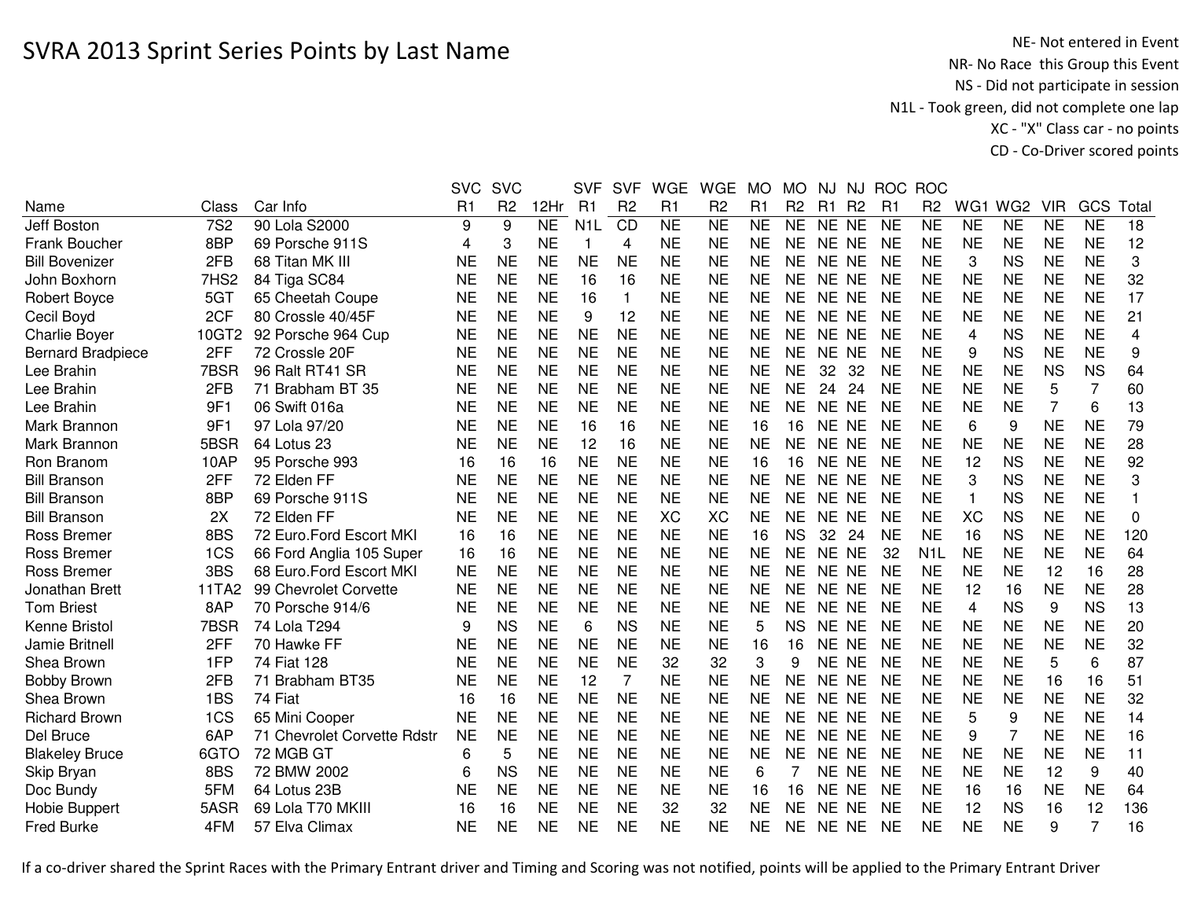|                          |            |                             | <b>SVC</b>     | <b>SVC</b>     |                     | <b>SVF</b>       | <b>SVF</b>     | <b>WGE</b>     | <b>WGE</b>     | <b>MO</b> | <b>MO</b>      | NJ.       | NJ             |                | ROC ROC        |                |                 |            |                |                |
|--------------------------|------------|-----------------------------|----------------|----------------|---------------------|------------------|----------------|----------------|----------------|-----------|----------------|-----------|----------------|----------------|----------------|----------------|-----------------|------------|----------------|----------------|
| Name                     | Class      | Car Info                    | R <sub>1</sub> | R <sub>2</sub> | 12Hr                | R <sub>1</sub>   | R <sub>2</sub> | R <sub>1</sub> | R <sub>2</sub> | R1        | R <sub>2</sub> | R1        | R <sub>2</sub> | R <sub>1</sub> | R <sub>2</sub> | WG1            | WG <sub>2</sub> | <b>VIR</b> | GCS            | Total          |
| Jeff Boston              | <b>7S2</b> | 90 Lola S2000               | 9              | 9              | $\overline{\sf NE}$ | N <sub>1</sub> L | CD             | <b>NE</b>      | <b>NE</b>      | <b>NE</b> | <b>NE</b>      | NE NE     |                | <b>NE</b>      | <b>NE</b>      | <b>NE</b>      | <b>NE</b>       | <b>NE</b>  | <b>NE</b>      | 18             |
| <b>Frank Boucher</b>     | 8BP        | 69 Porsche 911S             | 4              | 3              | <b>NE</b>           | 1                | 4              | <b>NE</b>      | <b>NE</b>      | <b>NE</b> | NE.            | NE NE     |                | <b>NE</b>      | <b>NE</b>      | <b>NE</b>      | <b>NE</b>       | <b>NE</b>  | <b>NE</b>      | 12             |
| <b>Bill Bovenizer</b>    | 2FB        | 68 Titan MK III             | NE             | <b>NE</b>      | NE                  | <b>NE</b>        | NE             | <b>NE</b>      | <b>NE</b>      | NE        | NE.            | NE NE     |                | <b>NE</b>      | NE             | 3              | <b>NS</b>       | <b>NE</b>  | <b>NE</b>      | 3              |
| John Boxhorn             | 7HS2       | 84 Tiga SC84                | <b>NE</b>      | <b>NE</b>      | <b>NE</b>           | 16               | 16             | <b>NE</b>      | <b>NE</b>      | <b>NE</b> | <b>NE</b>      | NE NE     |                | <b>NE</b>      | <b>NE</b>      | <b>NE</b>      | <b>NE</b>       | <b>NE</b>  | <b>NE</b>      | 32             |
| Robert Boyce             | 5GT        | 65 Cheetah Coupe            | <b>NE</b>      | <b>NE</b>      | <b>NE</b>           | 16               | $\mathbf{1}$   | <b>NE</b>      | <b>NE</b>      | <b>NE</b> | <b>NE</b>      | NE NE     |                | <b>NE</b>      | <b>NE</b>      | <b>NE</b>      | <b>NE</b>       | <b>NE</b>  | <b>NE</b>      | 17             |
| Cecil Boyd               | 2CF        | 80 Crossle 40/45F           | <b>NE</b>      | <b>NE</b>      | <b>NE</b>           | 9                | 12             | <b>NE</b>      | <b>NE</b>      | <b>NE</b> | <b>NE</b>      | NE NE     |                | <b>NE</b>      | <b>NE</b>      | <b>NE</b>      | <b>NE</b>       | <b>NE</b>  | <b>NE</b>      | 21             |
| <b>Charlie Boyer</b>     | 10GT2      | 92 Porsche 964 Cup          | <b>NE</b>      | <b>NE</b>      | <b>NE</b>           | <b>NE</b>        | <b>NE</b>      | <b>NE</b>      | <b>NE</b>      | <b>NE</b> | <b>NE</b>      | NE NE     |                | <b>NE</b>      | <b>NE</b>      | $\overline{4}$ | <b>NS</b>       | <b>NE</b>  | <b>NE</b>      | 4              |
| <b>Bernard Bradpiece</b> | 2FF        | 72 Crossle 20F              | <b>NE</b>      | <b>NE</b>      | <b>NE</b>           | <b>NE</b>        | <b>NE</b>      | <b>NE</b>      | <b>NE</b>      | <b>NE</b> | <b>NE</b>      | NE NE     |                | <b>NE</b>      | <b>NE</b>      | 9              | <b>NS</b>       | <b>NE</b>  | <b>NE</b>      | 9              |
| Lee Brahin               | 7BSR       | 96 Ralt RT41 SR             | <b>NE</b>      | <b>NE</b>      | <b>NE</b>           | <b>NE</b>        | <b>NE</b>      | <b>NE</b>      | <b>NE</b>      | <b>NE</b> | <b>NE</b>      | 32        | 32             | <b>NE</b>      | <b>NE</b>      | <b>NE</b>      | <b>NE</b>       | <b>NS</b>  | <b>NS</b>      | 64             |
| Lee Brahin               | 2FB        | 71 Brabham BT 35            | <b>NE</b>      | <b>NE</b>      | <b>NE</b>           | <b>NE</b>        | <b>NE</b>      | <b>NE</b>      | <b>NE</b>      | <b>NE</b> | <b>NE</b>      | 24        | 24             | <b>NE</b>      | <b>NE</b>      | <b>NE</b>      | <b>NE</b>       | 5          | $\overline{7}$ | 60             |
| Lee Brahin               | 9F1        | 06 Swift 016a               | <b>NE</b>      | <b>NE</b>      | <b>NE</b>           | <b>NE</b>        | <b>NE</b>      | <b>NE</b>      | <b>NE</b>      | <b>NE</b> | NE             | <b>NE</b> | <b>NE</b>      | <b>NE</b>      | <b>NE</b>      | <b>NE</b>      | <b>NE</b>       | 7          | 6              | 13             |
| Mark Brannon             | 9F1        | 97 Lola 97/20               | NE             | <b>NE</b>      | <b>NE</b>           | 16               | 16             | <b>NE</b>      | <b>NE</b>      | 16        | 16             | NE NE     |                | <b>NE</b>      | NE             | 6              | 9               | <b>NE</b>  | <b>NE</b>      | 79             |
| Mark Brannon             | 5BSR       | 64 Lotus 23                 | <b>NE</b>      | <b>NE</b>      | <b>NE</b>           | 12               | 16             | <b>NE</b>      | <b>NE</b>      | <b>NE</b> | <b>NE</b>      | NE NE     |                | <b>NE</b>      | <b>NE</b>      | <b>NE</b>      | <b>NE</b>       | <b>NE</b>  | <b>NE</b>      | 28             |
| Ron Branom               | 10AP       | 95 Porsche 993              | 16             | 16             | 16                  | <b>NE</b>        | <b>NE</b>      | <b>NE</b>      | <b>NE</b>      | 16        | 16             | NE NE     |                | <b>NE</b>      | <b>NE</b>      | 12             | <b>NS</b>       | <b>NE</b>  | <b>NE</b>      | 92             |
| <b>Bill Branson</b>      | 2FF        | 72 Elden FF                 | <b>NE</b>      | <b>NE</b>      | <b>NE</b>           | <b>NE</b>        | <b>NE</b>      | <b>NE</b>      | <b>NE</b>      | <b>NE</b> | <b>NE</b>      | NE NE     |                | <b>NE</b>      | <b>NE</b>      | 3              | <b>NS</b>       | <b>NE</b>  | <b>NE</b>      | 3              |
| <b>Bill Branson</b>      | 8BP        | 69 Porsche 911S             | <b>NE</b>      | <b>NE</b>      | <b>NE</b>           | <b>NE</b>        | <b>NE</b>      | <b>NE</b>      | <b>NE</b>      | <b>NE</b> | <b>NE</b>      | NE NE     |                | <b>NE</b>      | <b>NE</b>      | $\mathbf{1}$   | <b>NS</b>       | <b>NE</b>  | <b>NE</b>      | $\overline{1}$ |
| <b>Bill Branson</b>      | 2X         | 72 Elden FF                 | <b>NE</b>      | <b>NE</b>      | <b>NE</b>           | <b>NE</b>        | <b>NE</b>      | <b>XC</b>      | <b>XC</b>      | <b>NE</b> | <b>NE</b>      | NE NE     |                | <b>NE</b>      | <b>NE</b>      | <b>XC</b>      | <b>NS</b>       | <b>NE</b>  | <b>NE</b>      | $\mathbf 0$    |
| <b>Ross Bremer</b>       | 8BS        | 72 Euro.Ford Escort MKI     | 16             | 16             | <b>NE</b>           | <b>NE</b>        | <b>NE</b>      | <b>NE</b>      | <b>NE</b>      | 16        | <b>NS</b>      | 32        | 24             | <b>NE</b>      | <b>NE</b>      | 16             | <b>NS</b>       | <b>NE</b>  | <b>NE</b>      | 120            |
| Ross Bremer              | 1CS        | 66 Ford Anglia 105 Super    | 16             | 16             | <b>NE</b>           | <b>NE</b>        | <b>NE</b>      | <b>NE</b>      | <b>NE</b>      | <b>NE</b> | <b>NE</b>      | NE NE     |                | 32             | N <sub>1</sub> | <b>NE</b>      | <b>NE</b>       | <b>NE</b>  | <b>NE</b>      | 64             |
| Ross Bremer              | 3BS        | 68 Euro.Ford Escort MKI     | <b>NE</b>      | <b>NE</b>      | <b>NE</b>           | <b>NE</b>        | <b>NE</b>      | <b>NE</b>      | <b>NE</b>      | <b>NE</b> | NE             | NE NE     |                | <b>NE</b>      | <b>NE</b>      | <b>NE</b>      | <b>NE</b>       | 12         | 16             | 28             |
| Jonathan Brett           | 11TA2      | 99 Chevrolet Corvette       | <b>NE</b>      | <b>NE</b>      | <b>NE</b>           | <b>NE</b>        | <b>NE</b>      | <b>NE</b>      | <b>NE</b>      | <b>NE</b> | <b>NE</b>      | NE NE     |                | <b>NE</b>      | NE             | 12             | 16              | <b>NE</b>  | <b>NE</b>      | 28             |
| <b>Tom Briest</b>        | 8AP        | 70 Porsche 914/6            | <b>NE</b>      | <b>NE</b>      | <b>NE</b>           | <b>NE</b>        | <b>NE</b>      | <b>NE</b>      | <b>NE</b>      | <b>NE</b> | <b>NE</b>      | NE NE     |                | <b>NE</b>      | <b>NE</b>      | $\overline{4}$ | <b>NS</b>       | 9          | <b>NS</b>      | 13             |
| Kenne Bristol            | 7BSR       | 74 Lola T294                | 9              | <b>NS</b>      | <b>NE</b>           | 6                | <b>NS</b>      | <b>NE</b>      | <b>NE</b>      | 5         | <b>NS</b>      | NE NE     |                | <b>NE</b>      | <b>NE</b>      | <b>NE</b>      | <b>NE</b>       | <b>NE</b>  | <b>NE</b>      | 20             |
| Jamie Britnell           | 2FF        | 70 Hawke FF                 | <b>NE</b>      | <b>NE</b>      | <b>NE</b>           | <b>NE</b>        | <b>NE</b>      | <b>NE</b>      | <b>NE</b>      | 16        | 16             | NE NE     |                | <b>NE</b>      | <b>NE</b>      | <b>NE</b>      | <b>NE</b>       | <b>NE</b>  | <b>NE</b>      | 32             |
| Shea Brown               | 1FP        | 74 Fiat 128                 | <b>NE</b>      | <b>NE</b>      | <b>NE</b>           | <b>NE</b>        | <b>NE</b>      | 32             | 32             | 3         | 9              | NE NE     |                | <b>NE</b>      | <b>NE</b>      | <b>NE</b>      | <b>NE</b>       | 5          | 6              | 87             |
| <b>Bobby Brown</b>       | 2FB        | 71 Brabham BT35             | <b>NE</b>      | <b>NE</b>      | <b>NE</b>           | 12               | 7              | <b>NE</b>      | <b>NE</b>      | <b>NE</b> | <b>NE</b>      | NE NE     |                | <b>NE</b>      | <b>NE</b>      | <b>NE</b>      | <b>NE</b>       | 16         | 16             | 51             |
| Shea Brown               | 1BS        | 74 Fiat                     | 16             | 16             | <b>NE</b>           | <b>NE</b>        | <b>NE</b>      | <b>NE</b>      | <b>NE</b>      | <b>NE</b> | <b>NE</b>      | NE NE     |                | <b>NE</b>      | <b>NE</b>      | <b>NE</b>      | <b>NE</b>       | <b>NE</b>  | <b>NE</b>      | 32             |
| <b>Richard Brown</b>     | 1CS        | 65 Mini Cooper              | <b>NE</b>      | <b>NE</b>      | <b>NE</b>           | <b>NE</b>        | <b>NE</b>      | <b>NE</b>      | <b>NE</b>      | <b>NE</b> | <b>NE</b>      | NE NE     |                | <b>NE</b>      | <b>NE</b>      | 5              | 9               | <b>NE</b>  | <b>NE</b>      | 14             |
| Del Bruce                | 6AP        | 71 Chevrolet Corvette Rdstr | <b>NE</b>      | <b>NE</b>      | <b>NE</b>           | <b>NE</b>        | <b>NE</b>      | <b>NE</b>      | <b>NE</b>      | <b>NE</b> | <b>NE</b>      | NE NE     |                | <b>NE</b>      | <b>NE</b>      | 9              | $\overline{7}$  | <b>NE</b>  | <b>NE</b>      | 16             |
| <b>Blakeley Bruce</b>    | 6GTO       | 72 MGB GT                   | 6              | 5              | <b>NE</b>           | <b>NE</b>        | <b>NE</b>      | <b>NE</b>      | <b>NE</b>      | <b>NE</b> | <b>NE</b>      | NE NE     |                | <b>NE</b>      | <b>NE</b>      | <b>NE</b>      | <b>NE</b>       | <b>NE</b>  | <b>NE</b>      | 11             |
| Skip Bryan               | 8BS        | 72 BMW 2002                 | 6              | <b>NS</b>      | <b>NE</b>           | <b>NE</b>        | <b>NE</b>      | <b>NE</b>      | <b>NE</b>      | 6         |                | NE NE     |                | <b>NE</b>      | <b>NE</b>      | <b>NE</b>      | <b>NE</b>       | 12         | 9              | 40             |
| Doc Bundy                | 5FM        | 64 Lotus 23B                | <b>NE</b>      | <b>NE</b>      | <b>NE</b>           | <b>NE</b>        | <b>NE</b>      | <b>NE</b>      | <b>NE</b>      | 16        | 16             | <b>NE</b> | <b>NE</b>      | <b>NE</b>      | <b>NE</b>      | 16             | 16              | <b>NE</b>  | <b>NE</b>      | 64             |
| Hobie Buppert            | 5ASR       | 69 Lola T70 MKIII           | 16             | 16             | <b>NE</b>           | <b>NE</b>        | <b>NE</b>      | 32             | 32             | <b>NE</b> | <b>NE</b>      | NE        | <b>NE</b>      | <b>NE</b>      | <b>NE</b>      | 12             | <b>NS</b>       | 16         | 12             | 136            |
| <b>Fred Burke</b>        | 4FM        | 57 Elva Climax              | NE             | <b>NE</b>      | <b>NE</b>           | <b>NE</b>        | <b>NE</b>      | <b>NE</b>      | <b>NE</b>      | <b>NE</b> | <b>NE</b>      | NE NE     |                | <b>NE</b>      | <b>NE</b>      | <b>NE</b>      | <b>NE</b>       | 9          | 7              | 16             |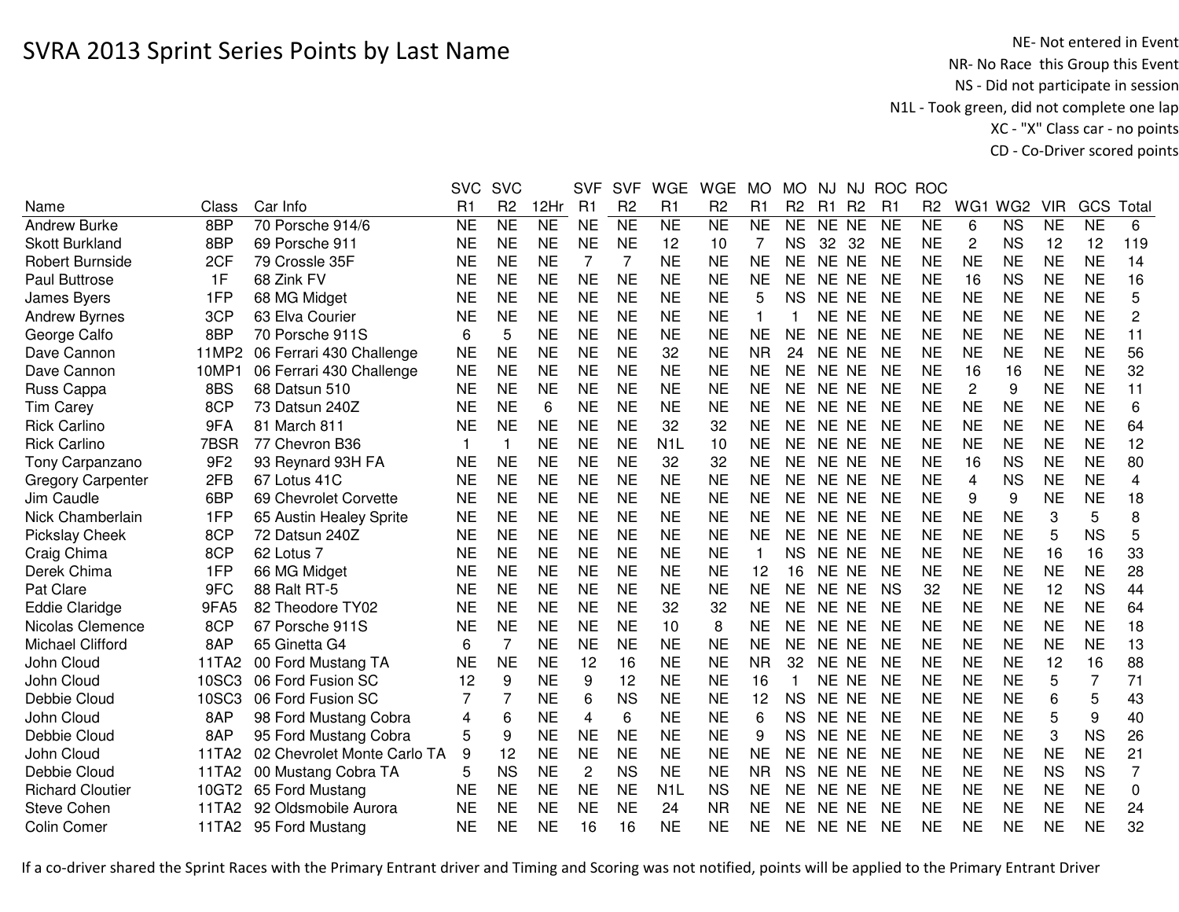NE- Not entered in Event<br>NR- No Race this Group this Event NS - Did not participate in session N1L - Took green, did not complete one lap XC - "X" Class car - no pointsCD - Co-Driver scored points

|                          |                 |                             | <b>SVC</b>     | <b>SVC</b>      |                 | <b>SVF</b>     | <b>SVF</b>     | <b>WGE</b>          | <b>WGE</b>     | <b>MO</b>      | <b>MO</b>      | NJ        | <b>NJ</b>      | <b>ROC</b> | <b>ROC</b>     |                |                 |            |                |                         |
|--------------------------|-----------------|-----------------------------|----------------|-----------------|-----------------|----------------|----------------|---------------------|----------------|----------------|----------------|-----------|----------------|------------|----------------|----------------|-----------------|------------|----------------|-------------------------|
| Name                     | Class           | Car Info                    | R <sub>1</sub> | R <sub>2</sub>  | 12Hr            | R1             | R <sub>2</sub> | R1                  | R <sub>2</sub> | R <sub>1</sub> | R <sub>2</sub> | R1        | R <sub>2</sub> | R1         | R <sub>2</sub> | WG1            | WG <sub>2</sub> | <b>VIR</b> | GCS            | Total                   |
| Andrew Burke             | 8 <sub>BP</sub> | 70 Porsche 914/6            | <b>NE</b>      | $\overline{NE}$ | $\overline{NE}$ | <b>NE</b>      | N <sub>E</sub> | $\overline{\sf NE}$ | N <sub>E</sub> | <b>NE</b>      | <b>NE</b>      | NE NE     |                | <b>NE</b>  | <b>NE</b>      | 6              | <b>NS</b>       | <b>NE</b>  | <b>NE</b>      | 6                       |
| <b>Skott Burkland</b>    | 8BP             | 69 Porsche 911              | <b>NE</b>      | <b>NE</b>       | <b>NE</b>       | <b>NE</b>      | <b>NE</b>      | 12                  | 10             | 7              | <b>NS</b>      | 32        | 32             | <b>NE</b>  | <b>NE</b>      | 2              | <b>NS</b>       | 12         | 12             | 119                     |
| <b>Robert Burnside</b>   | 2CF             | 79 Crossle 35F              | <b>NE</b>      | <b>NE</b>       | <b>NE</b>       | 7              | 7              | <b>NE</b>           | <b>NE</b>      | <b>NE</b>      | <b>NE</b>      | NE NE     |                | <b>NE</b>  | <b>NE</b>      | <b>NE</b>      | <b>NE</b>       | <b>NE</b>  | <b>NE</b>      | 14                      |
| <b>Paul Buttrose</b>     | 1F              | 68 Zink FV                  | <b>NE</b>      | <b>NE</b>       | <b>NE</b>       | <b>NE</b>      | <b>NE</b>      | <b>NE</b>           | <b>NE</b>      | <b>NE</b>      | <b>NE</b>      | NE NE     |                | <b>NE</b>  | <b>NE</b>      | 16             | <b>NS</b>       | <b>NE</b>  | <b>NE</b>      | 16                      |
| James Byers              | 1FP             | 68 MG Midget                | <b>NE</b>      | <b>NE</b>       | <b>NE</b>       | <b>NE</b>      | <b>NE</b>      | <b>NE</b>           | <b>NE</b>      | 5              | <b>NS</b>      | NE NE     |                | NE         | <b>NE</b>      | <b>NE</b>      | <b>NE</b>       | <b>NE</b>  | <b>NE</b>      | 5                       |
| <b>Andrew Byrnes</b>     | 3CP             | 63 Elva Courier             | <b>NE</b>      | <b>NE</b>       | <b>NE</b>       | <b>NE</b>      | <b>NE</b>      | <b>NE</b>           | <b>NE</b>      | 1              |                | NE NE     |                | <b>NE</b>  | <b>NE</b>      | <b>NE</b>      | <b>NE</b>       | <b>NE</b>  | <b>NE</b>      | 2                       |
| George Calfo             | 8BP             | 70 Porsche 911S             | 6              | 5               | <b>NE</b>       | <b>NE</b>      | <b>NE</b>      | <b>NE</b>           | <b>NE</b>      | <b>NE</b>      | <b>NE</b>      | NE NE     |                | <b>NE</b>  | <b>NE</b>      | <b>NE</b>      | <b>NE</b>       | <b>NE</b>  | <b>NE</b>      | 11                      |
| Dave Cannon              | 11MP2           | 06 Ferrari 430 Challenge    | <b>NE</b>      | <b>NE</b>       | <b>NE</b>       | <b>NE</b>      | <b>NE</b>      | 32                  | <b>NE</b>      | <b>NR</b>      | 24             | NE NE     |                | <b>NE</b>  | <b>NE</b>      | <b>NE</b>      | <b>NE</b>       | <b>NE</b>  | <b>NE</b>      | 56                      |
| Dave Cannon              | 10MP1           | 06 Ferrari 430 Challenge    | <b>NE</b>      | <b>NE</b>       | <b>NE</b>       | <b>NE</b>      | <b>NE</b>      | <b>NE</b>           | <b>NE</b>      | <b>NE</b>      | <b>NE</b>      | NE NE     |                | <b>NE</b>  | <b>NE</b>      | 16             | 16              | <b>NE</b>  | <b>NE</b>      | 32                      |
| Russ Cappa               | 8BS             | 68 Datsun 510               | <b>NE</b>      | <b>NE</b>       | <b>NE</b>       | <b>NE</b>      | <b>NE</b>      | <b>NE</b>           | <b>NE</b>      | <b>NE</b>      | <b>NE</b>      | NE NE     |                | <b>NE</b>  | <b>NE</b>      | $\overline{2}$ | 9               | <b>NE</b>  | <b>NE</b>      | 11                      |
| <b>Tim Carey</b>         | 8CP             | 73 Datsun 240Z              | <b>NE</b>      | <b>NE</b>       | 6               | <b>NE</b>      | <b>NE</b>      | <b>NE</b>           | <b>NE</b>      | <b>NE</b>      | <b>NE</b>      | NE NE     |                | <b>NE</b>  | <b>NE</b>      | <b>NE</b>      | <b>NE</b>       | <b>NE</b>  | <b>NE</b>      | 6                       |
| <b>Rick Carlino</b>      | 9FA             | 81 March 811                | <b>NE</b>      | <b>NE</b>       | <b>NE</b>       | <b>NE</b>      | <b>NE</b>      | 32                  | 32             | <b>NE</b>      | <b>NE</b>      | NE NE     |                | <b>NE</b>  | <b>NE</b>      | <b>NE</b>      | <b>NE</b>       | <b>NE</b>  | <b>NE</b>      | 64                      |
| <b>Rick Carlino</b>      | 7BSR            | 77 Chevron B36              | 1              |                 | <b>NE</b>       | <b>NE</b>      | <b>NE</b>      | N <sub>1</sub> L    | 10             | <b>NE</b>      | <b>NE</b>      | NE NE     |                | <b>NE</b>  | <b>NE</b>      | <b>NE</b>      | <b>NE</b>       | <b>NE</b>  | <b>NE</b>      | 12                      |
| Tony Carpanzano          | 9F <sub>2</sub> | 93 Reynard 93H FA           | <b>NE</b>      | <b>NE</b>       | <b>NE</b>       | <b>NE</b>      | <b>NE</b>      | 32                  | 32             | <b>NE</b>      | <b>NE</b>      | NE NE     |                | <b>NE</b>  | <b>NE</b>      | 16             | <b>NS</b>       | <b>NE</b>  | <b>NE</b>      | 80                      |
| <b>Gregory Carpenter</b> | 2FB             | 67 Lotus 41C                | <b>NE</b>      | <b>NE</b>       | <b>NE</b>       | <b>NE</b>      | <b>NE</b>      | <b>NE</b>           | <b>NE</b>      | <b>NE</b>      | <b>NE</b>      | NE NE     |                | <b>NE</b>  | <b>NE</b>      | $\overline{4}$ | <b>NS</b>       | <b>NE</b>  | <b>NE</b>      | $\overline{\mathbf{4}}$ |
| Jim Caudle               | 6BP             | 69 Chevrolet Corvette       | <b>NE</b>      | <b>NE</b>       | <b>NE</b>       | <b>NE</b>      | <b>NE</b>      | <b>NE</b>           | <b>NE</b>      | <b>NE</b>      | <b>NE</b>      | NE NE     |                | NE         | <b>NE</b>      | 9              | 9               | <b>NE</b>  | <b>NE</b>      | 18                      |
| Nick Chamberlain         | 1FP             | 65 Austin Healey Sprite     | <b>NE</b>      | <b>NE</b>       | <b>NE</b>       | <b>NE</b>      | <b>NE</b>      | <b>NE</b>           | <b>NE</b>      | <b>NE</b>      | <b>NE</b>      | NE NE     |                | <b>NE</b>  | <b>NE</b>      | <b>NE</b>      | <b>NE</b>       | 3          | 5              | 8                       |
| <b>Pickslay Cheek</b>    | 8CP             | 72 Datsun 240Z              | <b>NE</b>      | <b>NE</b>       | <b>NE</b>       | <b>NE</b>      | <b>NE</b>      | <b>NE</b>           | <b>NE</b>      | <b>NE</b>      | <b>NE</b>      | NE NE     |                | <b>NE</b>  | <b>NE</b>      | <b>NE</b>      | <b>NE</b>       | 5          | <b>NS</b>      | 5                       |
| Craig Chima              | 8CP             | 62 Lotus 7                  | <b>NE</b>      | <b>NE</b>       | <b>NE</b>       | <b>NE</b>      | <b>NE</b>      | <b>NE</b>           | <b>NE</b>      |                | <b>NS</b>      | NE NE     |                | <b>NE</b>  | <b>NE</b>      | <b>NE</b>      | <b>NE</b>       | 16         | 16             | 33                      |
| Derek Chima              | 1FP             | 66 MG Midget                | NE             | <b>NE</b>       | <b>NE</b>       | <b>NE</b>      | <b>NE</b>      | <b>NE</b>           | <b>NE</b>      | 12             | 16             | NE NE     |                | <b>NE</b>  | <b>NE</b>      | <b>NE</b>      | <b>NE</b>       | <b>NE</b>  | <b>NE</b>      | 28                      |
| Pat Clare                | 9FC             | 88 Ralt RT-5                | <b>NE</b>      | <b>NE</b>       | <b>NE</b>       | <b>NE</b>      | <b>NE</b>      | <b>NE</b>           | <b>NE</b>      | <b>NE</b>      | <b>NE</b>      | NE NE     |                | <b>NS</b>  | 32             | <b>NE</b>      | <b>NE</b>       | 12         | <b>NS</b>      | 44                      |
| <b>Eddie Claridge</b>    | 9FA5            | 82 Theodore TY02            | <b>NE</b>      | <b>NE</b>       | <b>NE</b>       | <b>NE</b>      | <b>NE</b>      | 32                  | 32             | <b>NE</b>      | <b>NE</b>      | NE NE     |                | <b>NE</b>  | <b>NE</b>      | <b>NE</b>      | <b>NE</b>       | <b>NE</b>  | <b>NE</b>      | 64                      |
| Nicolas Clemence         | 8CP             | 67 Porsche 911S             | <b>NE</b>      | <b>NE</b>       | <b>NE</b>       | <b>NE</b>      | <b>NE</b>      | 10                  | 8              | <b>NE</b>      | <b>NE</b>      | NE NE     |                | <b>NE</b>  | <b>NE</b>      | <b>NE</b>      | <b>NE</b>       | <b>NE</b>  | <b>NE</b>      | 18                      |
| <b>Michael Clifford</b>  | 8AP             | 65 Ginetta G4               | 6              | $\overline{7}$  | <b>NE</b>       | <b>NE</b>      | <b>NE</b>      | <b>NE</b>           | <b>NE</b>      | <b>NE</b>      | <b>NE</b>      | NE NE     |                | <b>NE</b>  | <b>NE</b>      | <b>NE</b>      | <b>NE</b>       | <b>NE</b>  | <b>NE</b>      | 13                      |
| John Cloud               | 11TA2           | 00 Ford Mustang TA          | <b>NE</b>      | <b>NE</b>       | <b>NE</b>       | 12             | 16             | <b>NE</b>           | <b>NE</b>      | <b>NR</b>      | 32             | NE NE     |                | <b>NE</b>  | <b>NE</b>      | <b>NE</b>      | <b>NE</b>       | 12         | 16             | 88                      |
| John Cloud               | 10SC3           | 06 Ford Fusion SC           | 12             | 9               | <b>NE</b>       | 9              | 12             | <b>NE</b>           | <b>NE</b>      | 16             |                | NE NE     |                | <b>NE</b>  | <b>NE</b>      | <b>NE</b>      | <b>NE</b>       | 5          | $\overline{7}$ | 71                      |
| Debbie Cloud             | 10SC3           | 06 Ford Fusion SC           |                |                 | <b>NE</b>       | 6              | <b>NS</b>      | <b>NE</b>           | <b>NE</b>      | 12             | <b>NS</b>      | NE NE     |                | <b>NE</b>  | <b>NE</b>      | <b>NE</b>      | <b>NE</b>       | 6          | 5              | 43                      |
| John Cloud               | 8AP             | 98 Ford Mustang Cobra       | 4              | 6               | <b>NE</b>       | $\overline{4}$ | 6              | <b>NE</b>           | <b>NE</b>      | 6              | <b>NS</b>      | <b>NE</b> | <b>NE</b>      | <b>NE</b>  | <b>NE</b>      | <b>NE</b>      | <b>NE</b>       | 5          | 9              | 40                      |
| Debbie Cloud             | 8AP             | 95 Ford Mustang Cobra       | 5              | 9               | <b>NE</b>       | <b>NE</b>      | <b>NE</b>      | <b>NE</b>           | <b>NE</b>      | 9              | <b>NS</b>      | NE NE     |                | <b>NE</b>  | <b>NE</b>      | <b>NE</b>      | <b>NE</b>       | 3          | <b>NS</b>      | 26                      |
| John Cloud               | 11TA2           | 02 Chevrolet Monte Carlo TA | 9              | 12              | <b>NE</b>       | <b>NE</b>      | <b>NE</b>      | <b>NE</b>           | <b>NE</b>      | <b>NE</b>      | <b>NE</b>      | NE NE     |                | <b>NE</b>  | <b>NE</b>      | <b>NE</b>      | <b>NE</b>       | <b>NE</b>  | <b>NE</b>      | 21                      |
| Debbie Cloud             | 11TA2           | 00 Mustang Cobra TA         | 5              | <b>NS</b>       | <b>NE</b>       | 2              | <b>NS</b>      | <b>NE</b>           | <b>NE</b>      | <b>NR</b>      | <b>NS</b>      | NE NE     |                | <b>NE</b>  | <b>NE</b>      | <b>NE</b>      | <b>NE</b>       | <b>NS</b>  | <b>NS</b>      | 7                       |
| <b>Richard Cloutier</b>  | 10GT2           | 65 Ford Mustang             | <b>NE</b>      | <b>NE</b>       | <b>NE</b>       | <b>NE</b>      | <b>NE</b>      | N <sub>1</sub> L    | <b>NS</b>      | <b>NE</b>      | <b>NE</b>      | NE NE     |                | <b>NE</b>  | <b>NE</b>      | <b>NE</b>      | <b>NE</b>       | <b>NE</b>  | <b>NE</b>      | 0                       |
| Steve Cohen              | 11TA2           | 92 Oldsmobile Aurora        | <b>NE</b>      | <b>NE</b>       | <b>NE</b>       | <b>NE</b>      | <b>NE</b>      | 24                  | <b>NR</b>      | <b>NE</b>      | <b>NE</b>      | NE.       | <b>NE</b>      | <b>NE</b>  | <b>NE</b>      | <b>NE</b>      | <b>NE</b>       | <b>NE</b>  | <b>NE</b>      | 24                      |
| <b>Colin Comer</b>       |                 | 11TA2 95 Ford Mustang       | <b>NE</b>      | <b>NE</b>       | <b>NE</b>       | 16             | 16             | <b>NE</b>           | <b>NE</b>      | <b>NE</b>      | <b>NE</b>      | NE NE     |                | NE         | <b>NE</b>      | <b>NE</b>      | <b>NE</b>       | <b>NE</b>  | <b>NE</b>      | 32                      |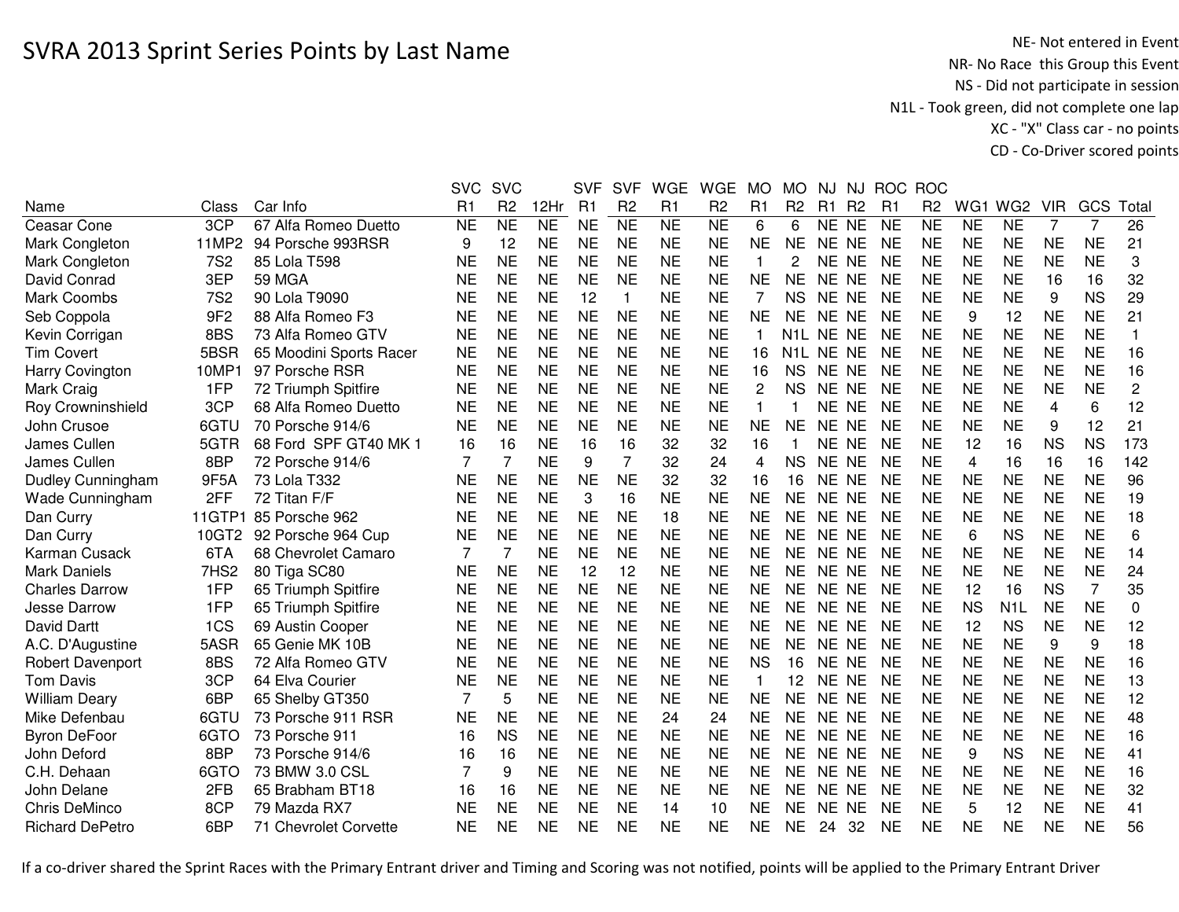NE- Not entered in Event<br>NR- No Race this Group this Event NS - Did not participate in session N1L - Took green, did not complete one lap XC - "X" Class car - no pointsCD - Co-Driver scored points

|                          |                  |                         | <b>SVC</b> | <b>SVC</b>             |                | <b>SVF</b> | <b>SVF</b>     | <b>WGE</b>             | WGE            | <b>MO</b>      | <b>MO</b>        | <b>NJ</b> | NJ             |           | ROC ROC        |                         |                  |                |           |                |
|--------------------------|------------------|-------------------------|------------|------------------------|----------------|------------|----------------|------------------------|----------------|----------------|------------------|-----------|----------------|-----------|----------------|-------------------------|------------------|----------------|-----------|----------------|
| Name                     | Class            | Car Info                | R1         | R <sub>2</sub>         | 12Hr           | R1         | R <sub>2</sub> | R1                     | R <sub>2</sub> | R <sub>1</sub> | R <sub>2</sub>   | R1        | R <sub>2</sub> | R1        | R <sub>2</sub> | WG1                     | WG <sub>2</sub>  | <b>VIR</b>     | GCS       | Total          |
| Ceasar Cone              | 3CP              | 67 Alfa Romeo Duetto    | <b>NE</b>  | $\overline{\text{NE}}$ | N <sub>E</sub> | <b>NE</b>  | N <sub>E</sub> | $\overline{\text{NE}}$ | N <sub>E</sub> | 6              | 6                | NE NE     |                | <b>NE</b> | N <sub>E</sub> | <b>NE</b>               | <b>NE</b>        | $\overline{7}$ | 7         | 26             |
| Mark Congleton           | 11MP2            | 94 Porsche 993RSR       | 9          | 12                     | <b>NE</b>      | <b>NE</b>  | <b>NE</b>      | <b>NE</b>              | <b>NE</b>      | <b>NE</b>      | <b>NE</b>        | NE NE     |                | <b>NE</b> | <b>NE</b>      | <b>NE</b>               | <b>NE</b>        | <b>NE</b>      | <b>NE</b> | 21             |
| Mark Congleton           | <b>7S2</b>       | 85 Lola T598            | <b>NE</b>  | <b>NE</b>              | <b>NE</b>      | <b>NE</b>  | <b>NE</b>      | <b>NE</b>              | <b>NE</b>      | 1              | 2                | NE NE     |                | <b>NE</b> | <b>NE</b>      | <b>NE</b>               | <b>NE</b>        | <b>NE</b>      | <b>NE</b> | 3              |
| David Conrad             | 3EP              | <b>59 MGA</b>           | <b>NE</b>  | <b>NE</b>              | <b>NE</b>      | <b>NE</b>  | <b>NE</b>      | <b>NE</b>              | <b>NE</b>      | <b>NE</b>      | <b>NE</b>        | NE NE     |                | <b>NE</b> | <b>NE</b>      | <b>NE</b>               | <b>NE</b>        | 16             | 16        | 32             |
| Mark Coombs              | <b>7S2</b>       | 90 Lola T9090           | <b>NE</b>  | <b>NE</b>              | <b>NE</b>      | 12         | 1              | <b>NE</b>              | <b>NE</b>      | 7              | <b>NS</b>        | NE NE     |                | <b>NE</b> | <b>NE</b>      | <b>NE</b>               | <b>NE</b>        | 9              | <b>NS</b> | 29             |
| Seb Coppola              | 9F <sub>2</sub>  | 88 Alfa Romeo F3        | <b>NE</b>  | <b>NE</b>              | <b>NE</b>      | <b>NE</b>  | <b>NE</b>      | <b>NE</b>              | <b>NE</b>      | <b>NE</b>      | <b>NE</b>        | NE NE     |                | <b>NE</b> | <b>NE</b>      | 9                       | 12               | <b>NE</b>      | <b>NE</b> | 21             |
| Kevin Corrigan           | 8BS              | 73 Alfa Romeo GTV       | <b>NE</b>  | <b>NE</b>              | <b>NE</b>      | <b>NE</b>  | <b>NE</b>      | <b>NE</b>              | <b>NE</b>      | 1              | N1L NE NE        |           |                | <b>NE</b> | <b>NE</b>      | <b>NE</b>               | <b>NE</b>        | <b>NE</b>      | <b>NE</b> | 1              |
| <b>Tim Covert</b>        | 5BSR             | 65 Moodini Sports Racer | <b>NE</b>  | <b>NE</b>              | <b>NE</b>      | <b>NE</b>  | <b>NE</b>      | <b>NE</b>              | <b>NE</b>      | 16             | N <sub>1</sub> L | NE NE     |                | <b>NE</b> | <b>NE</b>      | <b>NE</b>               | <b>NE</b>        | <b>NE</b>      | <b>NE</b> | 16             |
| <b>Harry Covington</b>   | 10MP1            | 97 Porsche RSR          | <b>NE</b>  | <b>NE</b>              | <b>NE</b>      | <b>NE</b>  | <b>NE</b>      | <b>NE</b>              | <b>NE</b>      | 16             | <b>NS</b>        | <b>NE</b> | <b>NE</b>      | <b>NE</b> | <b>NE</b>      | <b>NE</b>               | <b>NE</b>        | <b>NE</b>      | <b>NE</b> | 16             |
| Mark Craig               | 1FP              | 72 Triumph Spitfire     | <b>NE</b>  | <b>NE</b>              | <b>NE</b>      | <b>NE</b>  | <b>NE</b>      | <b>NE</b>              | <b>NE</b>      | $\overline{c}$ | <b>NS</b>        | <b>NE</b> | <b>NE</b>      | <b>NE</b> | <b>NE</b>      | <b>NE</b>               | <b>NE</b>        | <b>NE</b>      | <b>NE</b> | $\overline{c}$ |
| Roy Crowninshield        | 3CP              | 68 Alfa Romeo Duetto    | <b>NE</b>  | <b>NE</b>              | <b>NE</b>      | <b>NE</b>  | <b>NE</b>      | <b>NE</b>              | <b>NE</b>      | $\mathbf{1}$   |                  | <b>NE</b> | <b>NE</b>      | <b>NE</b> | <b>NE</b>      | <b>NE</b>               | <b>NE</b>        | 4              | 6         | 12             |
| John Crusoe              | 6GTU             | 70 Porsche 914/6        | <b>NE</b>  | <b>NE</b>              | <b>NE</b>      | <b>NE</b>  | <b>NE</b>      | <b>NE</b>              | <b>NE</b>      | <b>NE</b>      | <b>NE</b>        | <b>NE</b> | <b>NE</b>      | <b>NE</b> | <b>NE</b>      | <b>NE</b>               | <b>NE</b>        | 9              | 12        | 21             |
| James Cullen             | 5GTR             | 68 Ford SPF GT40 MK 1   | 16         | 16                     | <b>NE</b>      | 16         | 16             | 32                     | 32             | 16             |                  | NE.       | <b>NE</b>      | <b>NE</b> | <b>NE</b>      | 12                      | 16               | <b>NS</b>      | <b>NS</b> | 173            |
| James Cullen             | 8BP              | 72 Porsche 914/6        | 7          | $\overline{7}$         | <b>NE</b>      | 9          | $\overline{7}$ | 32                     | 24             | 4              | <b>NS</b>        | <b>NE</b> | <b>NE</b>      | <b>NE</b> | <b>NE</b>      | $\overline{\mathbf{4}}$ | 16               | 16             | 16        | 142            |
| <b>Dudley Cunningham</b> | 9F5A             | 73 Lola T332            | <b>NE</b>  | <b>NE</b>              | <b>NE</b>      | <b>NE</b>  | <b>NE</b>      | 32                     | 32             | 16             | 16               | <b>NE</b> | <b>NE</b>      | <b>NE</b> | <b>NE</b>      | <b>NE</b>               | <b>NE</b>        | <b>NE</b>      | <b>NE</b> | 96             |
| Wade Cunningham          | 2FF              | 72 Titan F/F            | <b>NE</b>  | <b>NE</b>              | <b>NE</b>      | 3          | 16             | <b>NE</b>              | <b>NE</b>      | <b>NE</b>      | <b>NE</b>        | <b>NE</b> | <b>NE</b>      | <b>NE</b> | <b>NE</b>      | <b>NE</b>               | <b>NE</b>        | <b>NE</b>      | <b>NE</b> | 19             |
| Dan Curry                | <b>11GTP1</b>    | 85 Porsche 962          | <b>NE</b>  | <b>NE</b>              | <b>NE</b>      | <b>NE</b>  | <b>NE</b>      | 18                     | <b>NE</b>      | <b>NE</b>      | <b>NE</b>        | NE NE     |                | <b>NE</b> | <b>NE</b>      | <b>NE</b>               | <b>NE</b>        | <b>NE</b>      | <b>NE</b> | 18             |
| Dan Curry                | 10GT2            | 92 Porsche 964 Cup      | <b>NE</b>  | <b>NE</b>              | <b>NE</b>      | <b>NE</b>  | <b>NE</b>      | <b>NE</b>              | <b>NE</b>      | <b>NE</b>      | <b>NE</b>        | NE NE     |                | <b>NE</b> | <b>NE</b>      | 6                       | <b>NS</b>        | <b>NE</b>      | <b>NE</b> | 6              |
| Karman Cusack            | 6TA              | 68 Chevrolet Camaro     | 7          |                        | <b>NE</b>      | <b>NE</b>  | <b>NE</b>      | <b>NE</b>              | <b>NE</b>      | <b>NE</b>      | <b>NE</b>        | NE NE     |                | <b>NE</b> | <b>NE</b>      | <b>NE</b>               | <b>NE</b>        | <b>NE</b>      | <b>NE</b> | 14             |
| <b>Mark Daniels</b>      | 7HS <sub>2</sub> | 80 Tiga SC80            | <b>NE</b>  | <b>NE</b>              | <b>NE</b>      | 12         | 12             | <b>NE</b>              | <b>NE</b>      | <b>NE</b>      | <b>NE</b>        | NE NE     |                | <b>NE</b> | <b>NE</b>      | <b>NE</b>               | <b>NE</b>        | <b>NE</b>      | <b>NE</b> | 24             |
| <b>Charles Darrow</b>    | 1FP              | 65 Triumph Spitfire     | <b>NE</b>  | <b>NE</b>              | <b>NE</b>      | <b>NE</b>  | <b>NE</b>      | <b>NE</b>              | <b>NE</b>      | <b>NE</b>      | <b>NE</b>        | NE NE     |                | <b>NE</b> | <b>NE</b>      | 12                      | 16               | <b>NS</b>      | 7         | 35             |
| Jesse Darrow             | 1FP              | 65 Triumph Spitfire     | <b>NE</b>  | <b>NE</b>              | <b>NE</b>      | <b>NE</b>  | <b>NE</b>      | <b>NE</b>              | <b>NE</b>      | <b>NE</b>      | <b>NE</b>        | NE NE     |                | <b>NE</b> | <b>NE</b>      | <b>NS</b>               | N <sub>1</sub> L | <b>NE</b>      | <b>NE</b> | $\mathbf 0$    |
| David Dartt              | 1CS              | 69 Austin Cooper        | <b>NE</b>  | <b>NE</b>              | <b>NE</b>      | <b>NE</b>  | <b>NE</b>      | <b>NE</b>              | <b>NE</b>      | <b>NE</b>      | <b>NE</b>        | NE NE     |                | <b>NE</b> | <b>NE</b>      | 12                      | <b>NS</b>        | <b>NE</b>      | <b>NE</b> | 12             |
| A.C. D'Augustine         | 5ASR             | 65 Genie MK 10B         | <b>NE</b>  | <b>NE</b>              | <b>NE</b>      | <b>NE</b>  | <b>NE</b>      | <b>NE</b>              | <b>NE</b>      | <b>NE</b>      | <b>NE</b>        | NE NE     |                | <b>NE</b> | <b>NE</b>      | <b>NE</b>               | <b>NE</b>        | 9              | 9         | 18             |
| Robert Davenport         | 8BS              | 72 Alfa Romeo GTV       | <b>NE</b>  | <b>NE</b>              | <b>NE</b>      | <b>NE</b>  | <b>NE</b>      | <b>NE</b>              | <b>NE</b>      | <b>NS</b>      | 16               | <b>NE</b> | <b>NE</b>      | <b>NE</b> | <b>NE</b>      | <b>NE</b>               | <b>NE</b>        | <b>NE</b>      | <b>NE</b> | 16             |
| <b>Tom Davis</b>         | 3CP              | 64 Elva Courier         | <b>NE</b>  | <b>NE</b>              | <b>NE</b>      | <b>NE</b>  | <b>NE</b>      | <b>NE</b>              | <b>NE</b>      | $\mathbf{1}$   | 12               | <b>NE</b> | <b>NE</b>      | <b>NE</b> | <b>NE</b>      | <b>NE</b>               | <b>NE</b>        | <b>NE</b>      | <b>NE</b> | 13             |
| <b>William Deary</b>     | 6BP              | 65 Shelby GT350         | 7          | 5                      | <b>NE</b>      | <b>NE</b>  | <b>NE</b>      | <b>NE</b>              | <b>NE</b>      | <b>NE</b>      | <b>NE</b>        | <b>NE</b> | <b>NE</b>      | <b>NE</b> | <b>NE</b>      | <b>NE</b>               | <b>NE</b>        | <b>NE</b>      | <b>NE</b> | 12             |
| Mike Defenbau            | 6GTU             | 73 Porsche 911 RSR      | <b>NE</b>  | <b>NE</b>              | <b>NE</b>      | <b>NE</b>  | <b>NE</b>      | 24                     | 24             | <b>NE</b>      | <b>NE</b>        | <b>NE</b> | <b>NE</b>      | <b>NE</b> | <b>NE</b>      | <b>NE</b>               | <b>NE</b>        | <b>NE</b>      | <b>NE</b> | 48             |
| <b>Byron DeFoor</b>      | 6GTO             | 73 Porsche 911          | 16         | <b>NS</b>              | <b>NE</b>      | <b>NE</b>  | <b>NE</b>      | <b>NE</b>              | <b>NE</b>      | <b>NE</b>      | <b>NE</b>        | <b>NE</b> | <b>NE</b>      | <b>NE</b> | <b>NE</b>      | <b>NE</b>               | <b>NE</b>        | <b>NE</b>      | <b>NE</b> | 16             |
| John Deford              | 8BP              | 73 Porsche 914/6        | 16         | 16                     | <b>NE</b>      | <b>NE</b>  | <b>NE</b>      | <b>NE</b>              | <b>NE</b>      | <b>NE</b>      | <b>NE</b>        | <b>NE</b> | <b>NE</b>      | <b>NE</b> | <b>NE</b>      | 9                       | <b>NS</b>        | <b>NE</b>      | <b>NE</b> | 41             |
| C.H. Dehaan              | 6GTO             | 73 BMW 3.0 CSL          | 7          | 9                      | <b>NE</b>      | <b>NE</b>  | <b>NE</b>      | <b>NE</b>              | <b>NE</b>      | <b>NE</b>      | <b>NE</b>        | <b>NE</b> | <b>NE</b>      | NE        | <b>NE</b>      | <b>NE</b>               | <b>NE</b>        | <b>NE</b>      | <b>NE</b> | 16             |
| John Delane              | 2FB              | 65 Brabham BT18         | 16         | 16                     | <b>NE</b>      | <b>NE</b>  | <b>NE</b>      | <b>NE</b>              | <b>NE</b>      | <b>NE</b>      | <b>NE</b>        | <b>NE</b> | <b>NE</b>      | <b>NE</b> | <b>NE</b>      | <b>NE</b>               | <b>NE</b>        | <b>NE</b>      | <b>NE</b> | 32             |
| Chris DeMinco            | 8CP              | 79 Mazda RX7            | <b>NE</b>  | <b>NE</b>              | <b>NE</b>      | <b>NE</b>  | <b>NE</b>      | 14                     | 10             | <b>NE</b>      | <b>NE</b>        | <b>NE</b> | <b>NE</b>      | <b>NE</b> | <b>NE</b>      | 5                       | 12               | <b>NE</b>      | <b>NE</b> | 41             |
| <b>Richard DePetro</b>   | 6BP              | 71 Chevrolet Corvette   | <b>NE</b>  | <b>NE</b>              | <b>NE</b>      | <b>NE</b>  | <b>NE</b>      | <b>NE</b>              | <b>NE</b>      | <b>NE</b>      | <b>NE</b>        | 24        | 32             | <b>NE</b> | <b>NE</b>      | <b>NE</b>               | <b>NE</b>        | <b>NE</b>      | <b>NE</b> | 56             |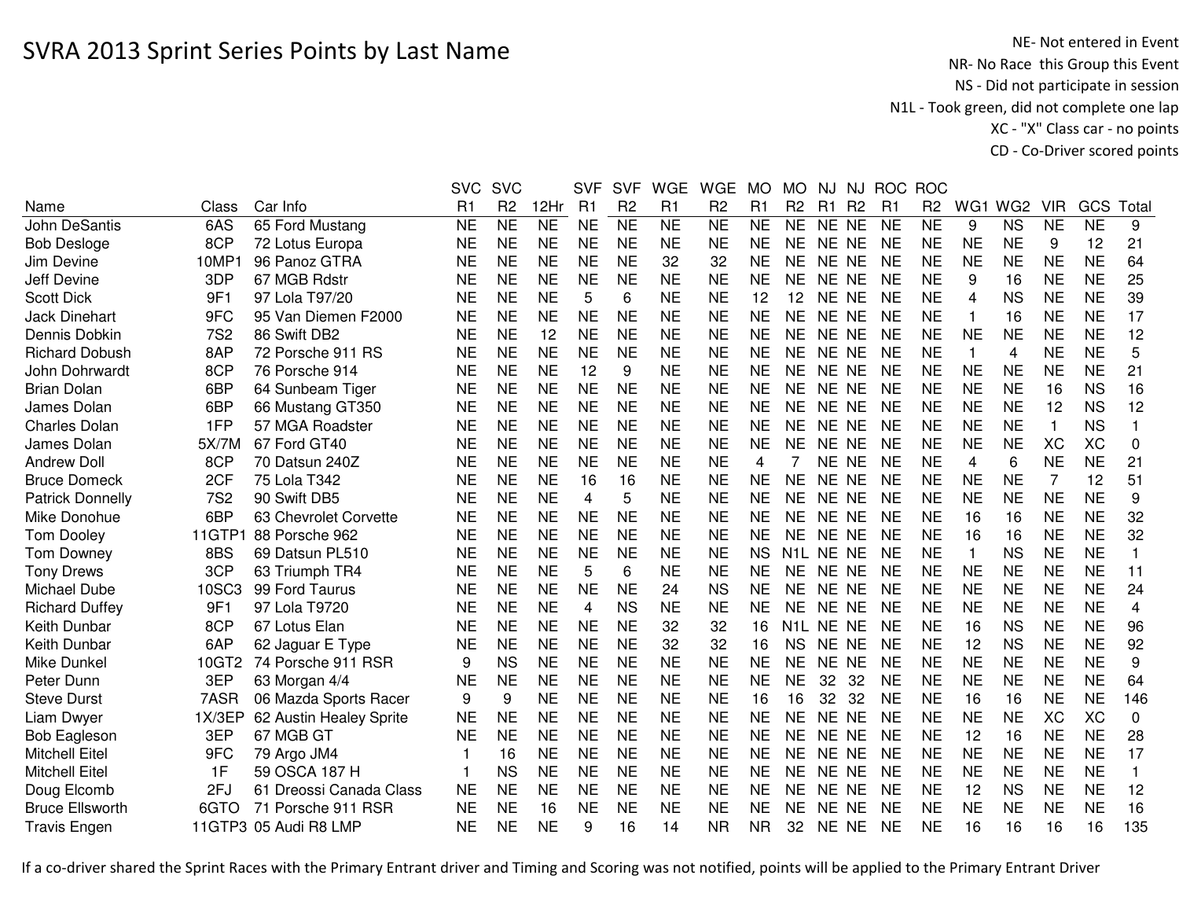|                         |            |                         | <b>SVC</b> | <b>SVC</b>     |           | <b>SVF</b>              | <b>SVF</b>     | <b>WGE</b> | <b>WGE</b>     | <b>MO</b> | <b>MO</b>              | NJ        | NJ             | <b>ROC</b> | <b>ROC</b>     |           |                 |              |           |             |
|-------------------------|------------|-------------------------|------------|----------------|-----------|-------------------------|----------------|------------|----------------|-----------|------------------------|-----------|----------------|------------|----------------|-----------|-----------------|--------------|-----------|-------------|
| Name                    | Class      | Car Info                | R1         | R <sub>2</sub> | 12Hr      | R1                      | R <sub>2</sub> | R1         | R <sub>2</sub> | R1        | R <sub>2</sub>         | R1        | R <sub>2</sub> | R1         | R <sub>2</sub> | WG1       | WG <sub>2</sub> | <b>VIR</b>   | GCS       | Total       |
| <b>John DeSantis</b>    | 6AS        | 65 Ford Mustang         | <b>NE</b>  | <b>NE</b>      | <b>NE</b> | <b>NE</b>               | <b>NE</b>      | <b>NE</b>  | <b>NE</b>      | <b>NE</b> | <b>NE</b>              | NE NE     |                | <b>NE</b>  | <b>NE</b>      | 9         | <b>NS</b>       | <b>NE</b>    | <b>NE</b> | 9           |
| <b>Bob Desloge</b>      | 8CP        | 72 Lotus Europa         | <b>NE</b>  | <b>NE</b>      | <b>NE</b> | <b>NE</b>               | <b>NE</b>      | <b>NE</b>  | <b>NE</b>      | <b>NE</b> | <b>NE</b>              | NE NE     |                | <b>NE</b>  | <b>NE</b>      | <b>NE</b> | <b>NE</b>       | 9            | 12        | 21          |
| Jim Devine              | 10MP1      | 96 Panoz GTRA           | <b>NE</b>  | <b>NE</b>      | <b>NE</b> | <b>NE</b>               | <b>NE</b>      | 32         | 32             | <b>NE</b> | <b>NE</b>              | NE NE     |                | <b>NE</b>  | <b>NE</b>      | <b>NE</b> | <b>NE</b>       | <b>NE</b>    | <b>NE</b> | 64          |
| Jeff Devine             | 3DP        | 67 MGB Rdstr            | <b>NE</b>  | <b>NE</b>      | <b>NE</b> | <b>NE</b>               | <b>NE</b>      | <b>NE</b>  | <b>NE</b>      | <b>NE</b> | <b>NE</b>              | NE NE     |                | <b>NE</b>  | <b>NE</b>      | 9         | 16              | <b>NE</b>    | <b>NE</b> | 25          |
| <b>Scott Dick</b>       | 9F1        | 97 Lola T97/20          | <b>NE</b>  | <b>NE</b>      | <b>NE</b> | 5                       | 6              | <b>NE</b>  | <b>NE</b>      | 12        | 12                     | NE NE     |                | <b>NE</b>  | <b>NE</b>      | 4         | <b>NS</b>       | <b>NE</b>    | <b>NE</b> | 39          |
| <b>Jack Dinehart</b>    | 9FC        | 95 Van Diemen F2000     | <b>NE</b>  | <b>NE</b>      | <b>NE</b> | <b>NE</b>               | <b>NE</b>      | <b>NE</b>  | <b>NE</b>      | <b>NE</b> | <b>NE</b>              | NE NE     |                | <b>NE</b>  | <b>NE</b>      | -1        | 16              | <b>NE</b>    | <b>NE</b> | 17          |
| Dennis Dobkin           | <b>7S2</b> | 86 Swift DB2            | <b>NE</b>  | <b>NE</b>      | 12        | <b>NE</b>               | <b>NE</b>      | <b>NE</b>  | <b>NE</b>      | <b>NE</b> | <b>NE</b>              | NE NE     |                | <b>NE</b>  | <b>NE</b>      | <b>NE</b> | <b>NE</b>       | <b>NE</b>    | <b>NE</b> | 12          |
| <b>Richard Dobush</b>   | 8AP        | 72 Porsche 911 RS       | <b>NE</b>  | <b>NE</b>      | <b>NE</b> | <b>NE</b>               | <b>NE</b>      | <b>NE</b>  | <b>NE</b>      | <b>NE</b> | <b>NE</b>              | NE NE     |                | <b>NE</b>  | <b>NE</b>      | 1         | 4               | <b>NE</b>    | <b>NE</b> | 5           |
| John Dohrwardt          | 8CP        | 76 Porsche 914          | NE         | <b>NE</b>      | <b>NE</b> | 12                      | 9              | <b>NE</b>  | <b>NE</b>      | <b>NE</b> | <b>NE</b>              | NE NE     |                | <b>NE</b>  | <b>NE</b>      | NE        | <b>NE</b>       | NE           | <b>NE</b> | 21          |
| <b>Brian Dolan</b>      | 6BP        | 64 Sunbeam Tiger        | <b>NE</b>  | <b>NE</b>      | <b>NE</b> | <b>NE</b>               | <b>NE</b>      | <b>NE</b>  | <b>NE</b>      | <b>NE</b> | <b>NE</b>              | NE NE     |                | <b>NE</b>  | <b>NE</b>      | <b>NE</b> | <b>NE</b>       | 16           | <b>NS</b> | 16          |
| James Dolan             | 6BP        | 66 Mustang GT350        | <b>NE</b>  | <b>NE</b>      | <b>NE</b> | <b>NE</b>               | <b>NE</b>      | <b>NE</b>  | <b>NE</b>      | <b>NE</b> | <b>NE</b>              | NE NE     |                | <b>NE</b>  | <b>NE</b>      | <b>NE</b> | <b>NE</b>       | 12           | <b>NS</b> | 12          |
| <b>Charles Dolan</b>    | 1FP        | 57 MGA Roadster         | <b>NE</b>  | <b>NE</b>      | <b>NE</b> | <b>NE</b>               | <b>NE</b>      | <b>NE</b>  | <b>NE</b>      | <b>NE</b> | <b>NE</b>              | NE NE     |                | <b>NE</b>  | <b>NE</b>      | <b>NE</b> | <b>NE</b>       | $\mathbf{1}$ | <b>NS</b> | 1           |
| James Dolan             | 5X/7M      | 67 Ford GT40            | <b>NE</b>  | <b>NE</b>      | <b>NE</b> | <b>NE</b>               | <b>NE</b>      | <b>NE</b>  | <b>NE</b>      | <b>NE</b> | <b>NE</b>              | NE NE     |                | <b>NE</b>  | <b>NE</b>      | <b>NE</b> | <b>NE</b>       | XC           | <b>XC</b> | 0           |
| <b>Andrew Doll</b>      | 8CP        | 70 Datsun 240Z          | <b>NE</b>  | <b>NE</b>      | <b>NE</b> | <b>NE</b>               | <b>NE</b>      | <b>NE</b>  | <b>NE</b>      | 4         | 7                      | NE NE     |                | <b>NE</b>  | <b>NE</b>      | 4         | 6               | <b>NE</b>    | <b>NE</b> | 21          |
| <b>Bruce Domeck</b>     | 2CF        | 75 Lola T342            | <b>NE</b>  | <b>NE</b>      | <b>NE</b> | 16                      | 16             | <b>NE</b>  | <b>NE</b>      | <b>NE</b> | <b>NE</b>              | NE NE     |                | <b>NE</b>  | <b>NE</b>      | <b>NE</b> | <b>NE</b>       | 7            | 12        | 51          |
| <b>Patrick Donnelly</b> | <b>7S2</b> | 90 Swift DB5            | <b>NE</b>  | <b>NE</b>      | <b>NE</b> | $\overline{\mathbf{4}}$ | 5              | <b>NE</b>  | <b>NE</b>      | <b>NE</b> | <b>NE</b>              | NE NE     |                | <b>NE</b>  | <b>NE</b>      | <b>NE</b> | <b>NE</b>       | <b>NE</b>    | <b>NE</b> | 9           |
| Mike Donohue            | 6BP        | 63 Chevrolet Corvette   | <b>NE</b>  | <b>NE</b>      | <b>NE</b> | <b>NE</b>               | <b>NE</b>      | <b>NE</b>  | <b>NE</b>      | <b>NE</b> | <b>NE</b>              | NE NE     |                | <b>NE</b>  | <b>NE</b>      | 16        | 16              | <b>NE</b>    | <b>NE</b> | 32          |
| <b>Tom Dooley</b>       | 11GTP1     | 88 Porsche 962          | <b>NE</b>  | <b>NE</b>      | <b>NE</b> | <b>NE</b>               | <b>NE</b>      | <b>NE</b>  | <b>NE</b>      | <b>NE</b> | <b>NE</b>              | NE NE     |                | <b>NE</b>  | <b>NE</b>      | 16        | 16              | <b>NE</b>    | <b>NE</b> | 32          |
| <b>Tom Downey</b>       | 8BS        | 69 Datsun PL510         | <b>NE</b>  | <b>NE</b>      | <b>NE</b> | <b>NE</b>               | <b>NE</b>      | <b>NE</b>  | <b>NE</b>      | <b>NS</b> | N <sub>1</sub> L NE NE |           |                | <b>NE</b>  | <b>NE</b>      | 1         | <b>NS</b>       | <b>NE</b>    | <b>NE</b> | 1           |
| <b>Tony Drews</b>       | 3CP        | 63 Triumph TR4          | <b>NE</b>  | <b>NE</b>      | <b>NE</b> | 5                       | 6              | <b>NE</b>  | <b>NE</b>      | <b>NE</b> | <b>NE</b>              | NE NE     |                | <b>NE</b>  | <b>NE</b>      | <b>NE</b> | <b>NE</b>       | <b>NE</b>    | <b>NE</b> | 11          |
| Michael Dube            | 10SC3      | 99 Ford Taurus          | <b>NE</b>  | <b>NE</b>      | <b>NE</b> | <b>NE</b>               | <b>NE</b>      | 24         | <b>NS</b>      | <b>NE</b> | <b>NE</b>              | NE NE     |                | <b>NE</b>  | <b>NE</b>      | <b>NE</b> | <b>NE</b>       | <b>NE</b>    | <b>NE</b> | 24          |
| <b>Richard Duffey</b>   | 9F1        | 97 Lola T9720           | NE         | <b>NE</b>      | <b>NE</b> | 4                       | <b>NS</b>      | <b>NE</b>  | ΝE             | <b>NE</b> | <b>NE</b>              | NE NE     |                | <b>NE</b>  | NE             | <b>NE</b> | <b>NE</b>       | NE           | <b>NE</b> | 4           |
| Keith Dunbar            | 8CP        | 67 Lotus Elan           | <b>NE</b>  | <b>NE</b>      | <b>NE</b> | <b>NE</b>               | <b>NE</b>      | 32         | 32             | 16        | N1L NE NE              |           |                | <b>NE</b>  | <b>NE</b>      | 16        | <b>NS</b>       | <b>NE</b>    | <b>NE</b> | 96          |
| Keith Dunbar            | 6AP        | 62 Jaguar E Type        | <b>NE</b>  | <b>NE</b>      | <b>NE</b> | <b>NE</b>               | <b>NE</b>      | 32         | 32             | 16        | <b>NS</b>              | NE NE     |                | <b>NE</b>  | <b>NE</b>      | 12        | <b>NS</b>       | <b>NE</b>    | <b>NE</b> | 92          |
| Mike Dunkel             | 10GT2      | 74 Porsche 911 RSR      | 9          | <b>NS</b>      | <b>NE</b> | <b>NE</b>               | <b>NE</b>      | <b>NE</b>  | <b>NE</b>      | <b>NE</b> | <b>NE</b>              | NE NE     |                | <b>NE</b>  | <b>NE</b>      | <b>NE</b> | <b>NE</b>       | <b>NE</b>    | <b>NE</b> | 9           |
| Peter Dunn              | 3EP        | 63 Morgan 4/4           | <b>NE</b>  | <b>NE</b>      | <b>NE</b> | <b>NE</b>               | <b>NE</b>      | <b>NE</b>  | <b>NE</b>      | <b>NE</b> | <b>NE</b>              | 32        | 32             | <b>NE</b>  | <b>NE</b>      | <b>NE</b> | <b>NE</b>       | <b>NE</b>    | <b>NE</b> | 64          |
| <b>Steve Durst</b>      | 7ASR       | 06 Mazda Sports Racer   | 9          | 9              | <b>NE</b> | <b>NE</b>               | <b>NE</b>      | <b>NE</b>  | <b>NE</b>      | 16        | 16                     | 32        | 32             | <b>NE</b>  | <b>NE</b>      | 16        | 16              | <b>NE</b>    | <b>NE</b> | 146         |
| Liam Dwyer              | 1X/3EP     | 62 Austin Healey Sprite | <b>NE</b>  | <b>NE</b>      | <b>NE</b> | <b>NE</b>               | <b>NE</b>      | <b>NE</b>  | <b>NE</b>      | <b>NE</b> | <b>NE</b>              | NE NE     |                | <b>NE</b>  | <b>NE</b>      | <b>NE</b> | <b>NE</b>       | <b>XC</b>    | <b>XC</b> | $\mathbf 0$ |
| <b>Bob Eagleson</b>     | 3EP        | 67 MGB GT               | <b>NE</b>  | <b>NE</b>      | <b>NE</b> | <b>NE</b>               | <b>NE</b>      | <b>NE</b>  | <b>NE</b>      | <b>NE</b> | <b>NE</b>              | NE NE     |                | <b>NE</b>  | <b>NE</b>      | 12        | 16              | <b>NE</b>    | <b>NE</b> | 28          |
| <b>Mitchell Eitel</b>   | 9FC        | 79 Argo JM4             |            | 16             | <b>NE</b> | <b>NE</b>               | <b>NE</b>      | <b>NE</b>  | <b>NE</b>      | <b>NE</b> | <b>NE</b>              | NE NE     |                | <b>NE</b>  | <b>NE</b>      | <b>NE</b> | <b>NE</b>       | <b>NE</b>    | <b>NE</b> | 17          |
| <b>Mitchell Eitel</b>   | 1F         | 59 OSCA 187 H           |            | <b>NS</b>      | <b>NE</b> | <b>NE</b>               | <b>NE</b>      | <b>NE</b>  | <b>NE</b>      | <b>NE</b> | <b>NE</b>              | NE NE     |                | <b>NE</b>  | <b>NE</b>      | <b>NE</b> | <b>NE</b>       | <b>NE</b>    | <b>NE</b> |             |
| Doug Elcomb             | 2FJ        | 61 Dreossi Canada Class | <b>NE</b>  | <b>NE</b>      | <b>NE</b> | <b>NE</b>               | <b>NE</b>      | <b>NE</b>  | <b>NE</b>      | <b>NE</b> | <b>NE</b>              | NE NE     |                | <b>NE</b>  | <b>NE</b>      | 12        | <b>NS</b>       | <b>NE</b>    | <b>NE</b> | 12          |
| <b>Bruce Ellsworth</b>  | 6GTO       | 71 Porsche 911 RSR      | <b>NE</b>  | <b>NE</b>      | 16        | <b>NE</b>               | <b>NE</b>      | <b>NE</b>  | <b>NE</b>      | <b>NE</b> | <b>NE</b>              | <b>NE</b> | <b>NE</b>      | <b>NE</b>  | <b>NE</b>      | <b>NE</b> | <b>NE</b>       | <b>NE</b>    | <b>NE</b> | 16          |
| <b>Travis Engen</b>     |            | 11GTP3 05 Audi R8 LMP   | <b>NE</b>  | <b>NE</b>      | <b>NE</b> | 9                       | 16             | 14         | <b>NR</b>      | <b>NR</b> | 32                     | NE NE     |                | <b>NE</b>  | <b>NE</b>      | 16        | 16              | 16           | 16        | 135         |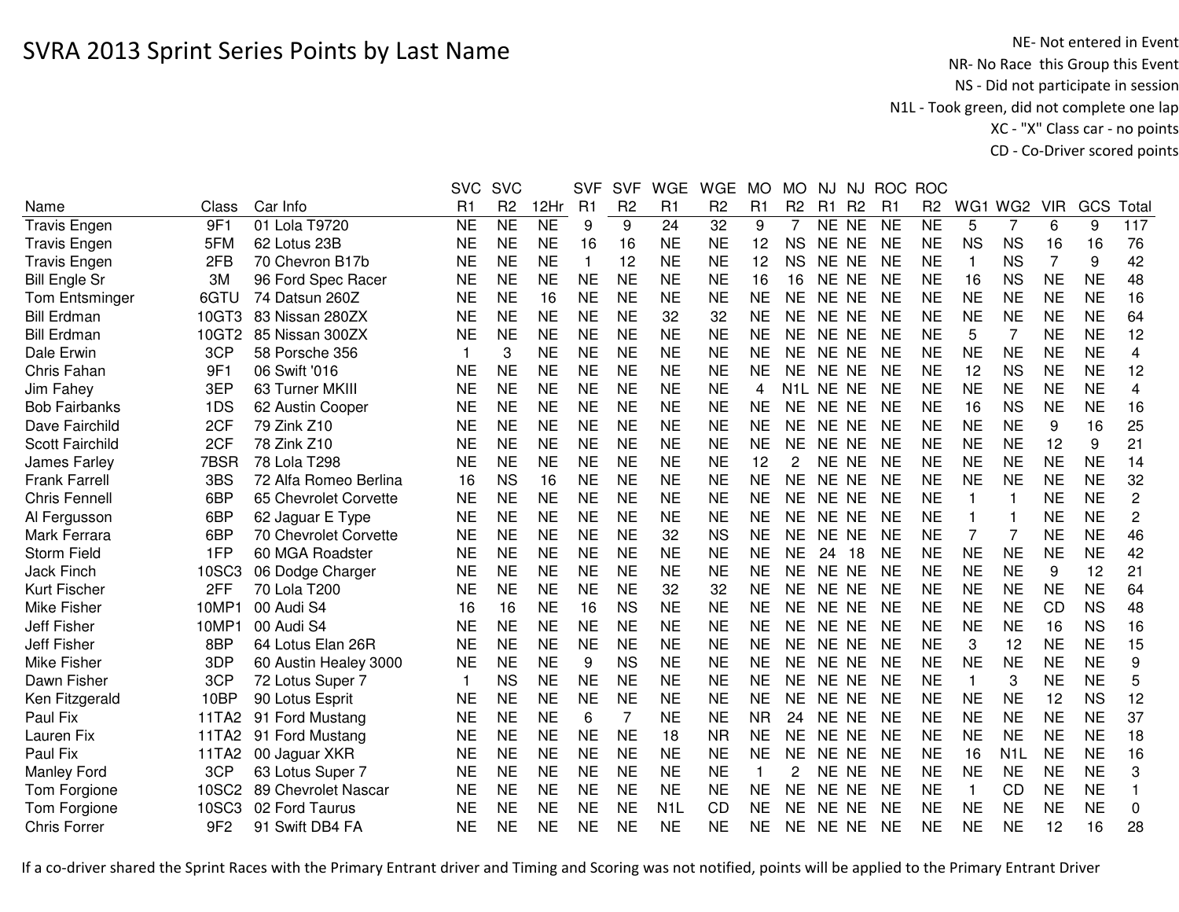|                        |                 |                       | <b>SVC</b>     | <b>SVC</b>     |           | <b>SVF</b>     | <b>SVF</b>     | <b>WGE</b>       | <b>WGE</b>     | <b>MO</b> | MO.            | <b>NJ</b> | <b>NJ</b>      |           | ROC ROC        |                         |                  |            |           |                |
|------------------------|-----------------|-----------------------|----------------|----------------|-----------|----------------|----------------|------------------|----------------|-----------|----------------|-----------|----------------|-----------|----------------|-------------------------|------------------|------------|-----------|----------------|
| Name                   | Class           | Car Info              | R <sub>1</sub> | R <sub>2</sub> | 12Hr      | R <sub>1</sub> | R <sub>2</sub> | R <sub>1</sub>   | R <sub>2</sub> | R1        | R <sub>2</sub> | R1        | R <sub>2</sub> | R1        | R <sub>2</sub> |                         | WG1 WG2          | <b>VIR</b> | GCS       | Total          |
| <b>Travis Engen</b>    | 9F1             | 01 Lola T9720         | <b>NE</b>      | <b>NE</b>      | <b>NE</b> | 9              | 9              | 24               | 32             | 9         | $\overline{7}$ | NE NE     |                | <b>NE</b> | <b>NE</b>      | 5                       | $\overline{7}$   | 6          | 9         | 117            |
| <b>Travis Engen</b>    | 5FM             | 62 Lotus 23B          | <b>NE</b>      | <b>NE</b>      | <b>NE</b> | 16             | 16             | <b>NE</b>        | <b>NE</b>      | 12        | <b>NS</b>      | NE NE     |                | <b>NE</b> | <b>NE</b>      | <b>NS</b>               | <b>NS</b>        | 16         | 16        | 76             |
| <b>Travis Engen</b>    | 2FB             | 70 Chevron B17b       | <b>NE</b>      | <b>NE</b>      | <b>NE</b> | 1              | 12             | <b>NE</b>        | <b>NE</b>      | 12        | <b>NS</b>      | NE NE     |                | NE        | <b>NE</b>      | $\mathbf 1$             | <b>NS</b>        | 7          | 9         | 42             |
| <b>Bill Engle Sr</b>   | 3M              | 96 Ford Spec Racer    | <b>NE</b>      | <b>NE</b>      | <b>NE</b> | <b>NE</b>      | <b>NE</b>      | <b>NE</b>        | <b>NE</b>      | 16        | 16             | NE NE     |                | <b>NE</b> | <b>NE</b>      | 16                      | <b>NS</b>        | <b>NE</b>  | <b>NE</b> | 48             |
| <b>Tom Entsminger</b>  | 6GTU            | 74 Datsun 260Z        | <b>NE</b>      | <b>NE</b>      | 16        | <b>NE</b>      | <b>NE</b>      | <b>NE</b>        | <b>NE</b>      | <b>NE</b> | <b>NE</b>      | NE NE     |                | <b>NE</b> | <b>NE</b>      | <b>NE</b>               | <b>NE</b>        | <b>NE</b>  | <b>NE</b> | 16             |
| <b>Bill Erdman</b>     | 10GT3           | 83 Nissan 280ZX       | <b>NE</b>      | <b>NE</b>      | <b>NE</b> | <b>NE</b>      | <b>NE</b>      | 32               | 32             | <b>NE</b> | <b>NE</b>      | NE NE     |                | <b>NE</b> | <b>NE</b>      | <b>NE</b>               | <b>NE</b>        | <b>NE</b>  | <b>NE</b> | 64             |
| <b>Bill Erdman</b>     | 10GT2           | 85 Nissan 300ZX       | <b>NE</b>      | <b>NE</b>      | <b>NE</b> | <b>NE</b>      | <b>NE</b>      | <b>NE</b>        | <b>NE</b>      | <b>NE</b> | <b>NE</b>      | NE NE     |                | <b>NE</b> | <b>NE</b>      | 5                       | $\overline{7}$   | <b>NE</b>  | <b>NE</b> | 12             |
| Dale Erwin             | 3CP             | 58 Porsche 356        | 1              | 3              | <b>NE</b> | <b>NE</b>      | <b>NE</b>      | <b>NE</b>        | <b>NE</b>      | <b>NE</b> | <b>NE</b>      | NE NE     |                | <b>NE</b> | <b>NE</b>      | <b>NE</b>               | <b>NE</b>        | <b>NE</b>  | <b>NE</b> | 4              |
| Chris Fahan            | 9F1             | 06 Swift '016         | <b>NE</b>      | <b>NE</b>      | <b>NE</b> | <b>NE</b>      | <b>NE</b>      | <b>NE</b>        | <b>NE</b>      | <b>NE</b> | <b>NE</b>      | NE NE     |                | <b>NE</b> | <b>NE</b>      | 12                      | <b>NS</b>        | <b>NE</b>  | <b>NE</b> | 12             |
| Jim Fahey              | 3EP             | 63 Turner MKIII       | <b>NE</b>      | <b>NE</b>      | <b>NE</b> | <b>NE</b>      | <b>NE</b>      | <b>NE</b>        | <b>NE</b>      | 4         | N1L.           | NE NE     |                | <b>NE</b> | <b>NE</b>      | <b>NE</b>               | <b>NE</b>        | <b>NE</b>  | <b>NE</b> | 4              |
| <b>Bob Fairbanks</b>   | 1DS             | 62 Austin Cooper      | <b>NE</b>      | <b>NE</b>      | <b>NE</b> | <b>NE</b>      | <b>NE</b>      | <b>NE</b>        | <b>NE</b>      | <b>NE</b> | <b>NE</b>      | NE NE     |                | <b>NE</b> | <b>NE</b>      | 16                      | <b>NS</b>        | <b>NE</b>  | <b>NE</b> | 16             |
| Dave Fairchild         | 2CF             | 79 Zink Z10           | <b>NE</b>      | <b>NE</b>      | <b>NE</b> | <b>NE</b>      | <b>NE</b>      | <b>NE</b>        | <b>NE</b>      | <b>NE</b> | <b>NE</b>      | NE NE     |                | <b>NE</b> | <b>NE</b>      | <b>NE</b>               | <b>NE</b>        | 9          | 16        | 25             |
| <b>Scott Fairchild</b> | 2CF             | 78 Zink Z10           | <b>NE</b>      | <b>NE</b>      | <b>NE</b> | <b>NE</b>      | <b>NE</b>      | <b>NE</b>        | <b>NE</b>      | <b>NE</b> | <b>NE</b>      | NE NE     |                | <b>NE</b> | <b>NE</b>      | <b>NE</b>               | <b>NE</b>        | 12         | 9         | 21             |
| James Farley           | 7BSR            | 78 Lola T298          | <b>NE</b>      | <b>NE</b>      | <b>NE</b> | <b>NE</b>      | <b>NE</b>      | <b>NE</b>        | <b>NE</b>      | 12        | 2              | NE NE     |                | <b>NE</b> | <b>NE</b>      | <b>NE</b>               | <b>NE</b>        | <b>NE</b>  | <b>NE</b> | 14             |
| <b>Frank Farrell</b>   | 3BS             | 72 Alfa Romeo Berlina | 16             | <b>NS</b>      | 16        | <b>NE</b>      | <b>NE</b>      | <b>NE</b>        | <b>NE</b>      | <b>NE</b> | <b>NE</b>      | NE NE     |                | <b>NE</b> | <b>NE</b>      | <b>NE</b>               | <b>NE</b>        | <b>NE</b>  | <b>NE</b> | 32             |
| <b>Chris Fennell</b>   | 6BP             | 65 Chevrolet Corvette | <b>NE</b>      | <b>NE</b>      | <b>NE</b> | <b>NE</b>      | <b>NE</b>      | <b>NE</b>        | <b>NE</b>      | <b>NE</b> | ΝE             | NE NE     |                | <b>NE</b> | <b>NE</b>      | 1                       | -1               | <b>NE</b>  | <b>NE</b> | $\overline{c}$ |
| Al Fergusson           | 6BP             | 62 Jaguar E Type      | <b>NE</b>      | <b>NE</b>      | <b>NE</b> | <b>NE</b>      | <b>NE</b>      | <b>NE</b>        | <b>NE</b>      | <b>NE</b> | <b>NE</b>      | NE NE     |                | <b>NE</b> | <b>NE</b>      | 1                       | $\mathbf{1}$     | <b>NE</b>  | <b>NE</b> | $\overline{c}$ |
| Mark Ferrara           | 6BP             | 70 Chevrolet Corvette | <b>NE</b>      | <b>NE</b>      | <b>NE</b> | <b>NE</b>      | <b>NE</b>      | 32               | <b>NS</b>      | <b>NE</b> | <b>NE</b>      | NE NE     |                | <b>NE</b> | <b>NE</b>      | 7                       | $\overline{7}$   | <b>NE</b>  | <b>NE</b> | 46             |
| <b>Storm Field</b>     | 1FP             | 60 MGA Roadster       | <b>NE</b>      | <b>NE</b>      | <b>NE</b> | <b>NE</b>      | <b>NE</b>      | <b>NE</b>        | <b>NE</b>      | <b>NE</b> | <b>NE</b>      | 24        | 18             | <b>NE</b> | <b>NE</b>      | <b>NE</b>               | <b>NE</b>        | <b>NE</b>  | <b>NE</b> | 42             |
| <b>Jack Finch</b>      | 10SC3           | 06 Dodge Charger      | <b>NE</b>      | <b>NE</b>      | <b>NE</b> | <b>NE</b>      | <b>NE</b>      | <b>NE</b>        | <b>NE</b>      | <b>NE</b> | <b>NE</b>      | NE NE     |                | <b>NE</b> | <b>NE</b>      | <b>NE</b>               | <b>NE</b>        | 9          | 12        | 21             |
| Kurt Fischer           | 2FF             | 70 Lola T200          | <b>NE</b>      | <b>NE</b>      | <b>NE</b> | <b>NE</b>      | <b>NE</b>      | 32               | 32             | <b>NE</b> | <b>NE</b>      | NE NE     |                | <b>NE</b> | <b>NE</b>      | <b>NE</b>               | <b>NE</b>        | <b>NE</b>  | <b>NE</b> | 64             |
| Mike Fisher            | 10MP1           | 00 Audi S4            | 16             | 16             | <b>NE</b> | 16             | <b>NS</b>      | <b>NE</b>        | <b>NE</b>      | <b>NE</b> | <b>NE</b>      | NE NE     |                | <b>NE</b> | <b>NE</b>      | <b>NE</b>               | <b>NE</b>        | <b>CD</b>  | <b>NS</b> | 48             |
| Jeff Fisher            | 10MP1           | 00 Audi S4            | <b>NE</b>      | <b>NE</b>      | <b>NE</b> | <b>NE</b>      | <b>NE</b>      | <b>NE</b>        | <b>NE</b>      | <b>NE</b> | <b>NE</b>      | NE NE     |                | <b>NE</b> | <b>NE</b>      | <b>NE</b>               | <b>NE</b>        | 16         | <b>NS</b> | 16             |
| <b>Jeff Fisher</b>     | 8BP             | 64 Lotus Elan 26R     | <b>NE</b>      | <b>NE</b>      | <b>NE</b> | <b>NE</b>      | <b>NE</b>      | <b>NE</b>        | <b>NE</b>      | <b>NE</b> | <b>NE</b>      | NE NE     |                | <b>NE</b> | <b>NE</b>      | 3                       | 12               | <b>NE</b>  | <b>NE</b> | 15             |
| <b>Mike Fisher</b>     | 3DP             | 60 Austin Healey 3000 | <b>NE</b>      | <b>NE</b>      | <b>NE</b> | 9              | <b>NS</b>      | <b>NE</b>        | <b>NE</b>      | <b>NE</b> | <b>NE</b>      | NE NE     |                | <b>NE</b> | <b>NE</b>      | <b>NE</b>               | <b>NE</b>        | <b>NE</b>  | <b>NE</b> | 9              |
| Dawn Fisher            | 3CP             | 72 Lotus Super 7      | 1              | <b>NS</b>      | <b>NE</b> | <b>NE</b>      | <b>NE</b>      | <b>NE</b>        | <b>NE</b>      | <b>NE</b> | <b>NE</b>      | NE NE     |                | <b>NE</b> | <b>NE</b>      | $\overline{\mathbf{1}}$ | 3                | <b>NE</b>  | <b>NE</b> | 5              |
| Ken Fitzgerald         | 10BP            | 90 Lotus Esprit       | <b>NE</b>      | <b>NE</b>      | <b>NE</b> | <b>NE</b>      | <b>NE</b>      | <b>NE</b>        | <b>NE</b>      | <b>NE</b> | <b>NE</b>      | NE NE     |                | <b>NE</b> | <b>NE</b>      | <b>NE</b>               | <b>NE</b>        | 12         | <b>NS</b> | 12             |
| Paul Fix               | 11TA2           | 91 Ford Mustang       | <b>NE</b>      | <b>NE</b>      | <b>NE</b> | 6              | $\overline{7}$ | <b>NE</b>        | <b>NE</b>      | <b>NR</b> | 24             | NE NE     |                | <b>NE</b> | <b>NE</b>      | <b>NE</b>               | <b>NE</b>        | <b>NE</b>  | <b>NE</b> | 37             |
| Lauren Fix             | 11TA2           | 91 Ford Mustang       | <b>NE</b>      | <b>NE</b>      | <b>NE</b> | <b>NE</b>      | <b>NE</b>      | 18               | <b>NR</b>      | <b>NE</b> | <b>NE</b>      | NE NE     |                | <b>NE</b> | <b>NE</b>      | <b>NE</b>               | <b>NE</b>        | <b>NE</b>  | <b>NE</b> | 18             |
| Paul Fix               | 11TA2           | 00 Jaguar XKR         | <b>NE</b>      | <b>NE</b>      | <b>NE</b> | <b>NE</b>      | <b>NE</b>      | <b>NE</b>        | <b>NE</b>      | <b>NE</b> | <b>NE</b>      | NE NE     |                | <b>NE</b> | <b>NE</b>      | 16                      | N <sub>1</sub> L | <b>NE</b>  | <b>NE</b> | 16             |
| <b>Manley Ford</b>     | 3CP             | 63 Lotus Super 7      | <b>NE</b>      | <b>NE</b>      | <b>NE</b> | <b>NE</b>      | <b>NE</b>      | <b>NE</b>        | <b>NE</b>      |           | 2              | NE NE     |                | <b>NE</b> | <b>NE</b>      | <b>NE</b>               | <b>NE</b>        | <b>NE</b>  | <b>NE</b> | 3              |
| Tom Forgione           | 10SC2           | 89 Chevrolet Nascar   | <b>NE</b>      | <b>NE</b>      | <b>NE</b> | <b>NE</b>      | <b>NE</b>      | <b>NE</b>        | <b>NE</b>      | <b>NE</b> | <b>NE</b>      | NE NE     |                | <b>NE</b> | <b>NE</b>      | $\mathbf{1}$            | CD               | <b>NE</b>  | <b>NE</b> | 1              |
| Tom Forgione           | 10SC3           | 02 Ford Taurus        | <b>NE</b>      | <b>NE</b>      | <b>NE</b> | <b>NE</b>      | <b>NE</b>      | N <sub>1</sub> L | <b>CD</b>      | <b>NE</b> | <b>NE</b>      | NE NE     |                | <b>NE</b> | <b>NE</b>      | <b>NE</b>               | <b>NE</b>        | <b>NE</b>  | <b>NE</b> | 0              |
| <b>Chris Forrer</b>    | 9F <sub>2</sub> | 91 Swift DB4 FA       | <b>NE</b>      | <b>NE</b>      | <b>NE</b> | <b>NE</b>      | <b>NE</b>      | <b>NE</b>        | <b>NE</b>      | <b>NE</b> | <b>NE</b>      | NE NE     |                | <b>NE</b> | <b>NE</b>      | <b>NE</b>               | <b>NE</b>        | 12         | 16        | 28             |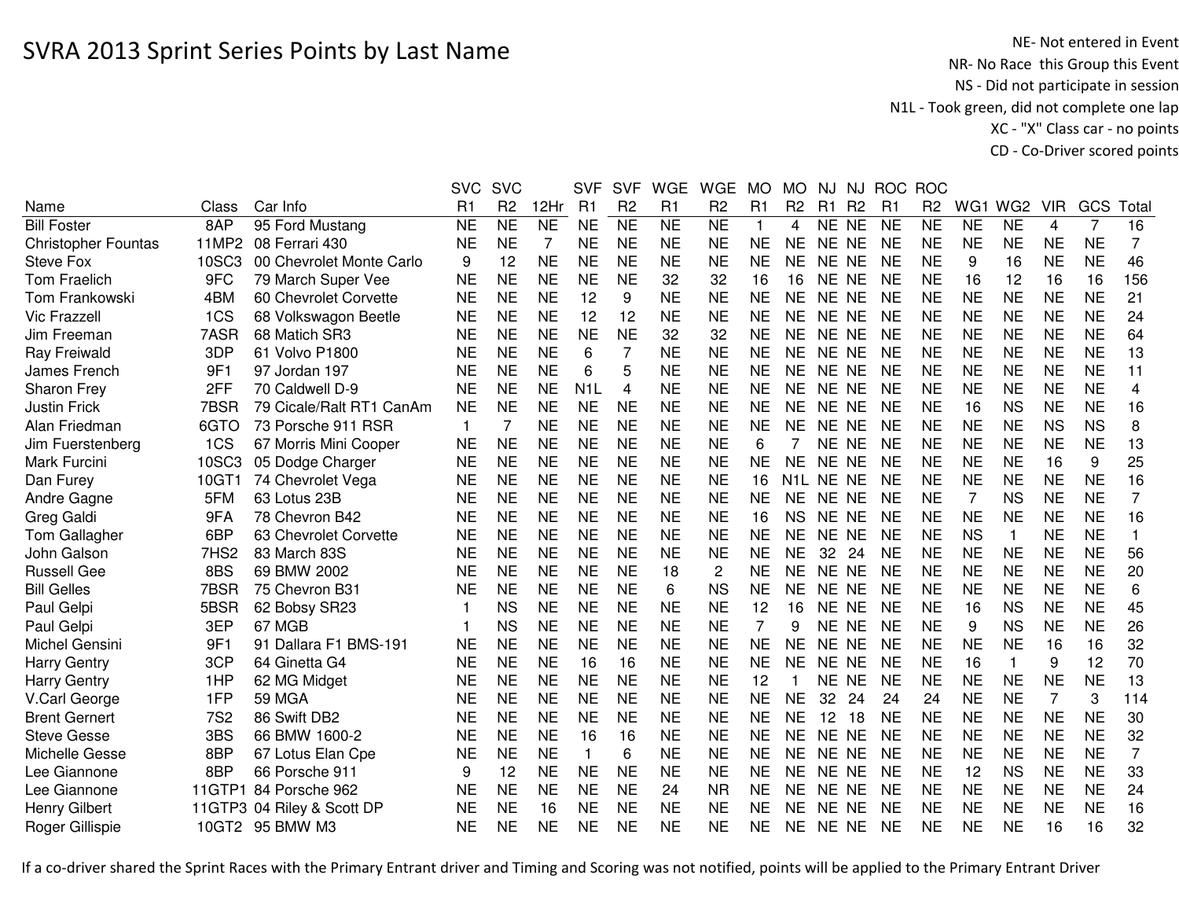NE- Not entered in Event<br>NR- No Race this Group this Event NS - Did not participate in session N1L - Took green, did not complete one lap XC - "X" Class car - no pointsCD - Co-Driver scored points

|                      |                  |                          | <b>SVC</b> | <b>SVC</b>     |           | <b>SVF</b>       | <b>SVF</b>          | <b>WGE</b>     | <b>WGE</b>      | <b>MO</b>               | <b>MO</b>                       | <b>NJ</b> |           | NJ ROC         | <b>ROC</b>          |           |                 |            |           |                |
|----------------------|------------------|--------------------------|------------|----------------|-----------|------------------|---------------------|----------------|-----------------|-------------------------|---------------------------------|-----------|-----------|----------------|---------------------|-----------|-----------------|------------|-----------|----------------|
| Name                 | Class            | Car Info                 | R1         | R <sub>2</sub> | 12Hr      | R <sub>1</sub>   | R <sub>2</sub>      | R <sub>1</sub> | R <sub>2</sub>  | R1                      | R <sub>2</sub>                  | R1 R2     |           | R <sub>1</sub> | R <sub>2</sub>      | WG1       | WG <sub>2</sub> | <b>VIR</b> | GCS       | Total          |
| <b>Bill Foster</b>   | 8AP              | 95 Ford Mustang          | <b>NE</b>  | N <sub>E</sub> | NE        | <b>NE</b>        | $\overline{\sf NE}$ | N <sub>E</sub> | $\overline{NE}$ | $\overline{\mathbf{1}}$ | 4                               | NE NE     |           | <b>NE</b>      | $\overline{\sf NE}$ | <b>NE</b> | <b>NE</b>       | 4          | 7         | 16             |
| Christopher Fountas  | 11MP2            | 08 Ferrari 430           | NE         | <b>NE</b>      | 7         | <b>NE</b>        | <b>NE</b>           | <b>NE</b>      | <b>NE</b>       | <b>NE</b>               | <b>NE</b>                       | NE.       | <b>NE</b> | <b>NE</b>      | <b>NE</b>           | <b>NE</b> | <b>NE</b>       | <b>NE</b>  | <b>NE</b> | 7              |
| <b>Steve Fox</b>     | 10SC3            | 00 Chevrolet Monte Carlo | 9          | 12             | <b>NE</b> | <b>NE</b>        | <b>NE</b>           | <b>NE</b>      | <b>NE</b>       | <b>NE</b>               | <b>NE</b>                       | NE.       | <b>NE</b> | <b>NE</b>      | <b>NE</b>           | 9         | 16              | <b>NE</b>  | <b>NE</b> | 46             |
| <b>Tom Fraelich</b>  | 9FC              | 79 March Super Vee       | <b>NE</b>  | <b>NE</b>      | <b>NE</b> | <b>NE</b>        | <b>NE</b>           | 32             | 32              | 16                      | 16                              | NE NE     |           | <b>NE</b>      | <b>NE</b>           | 16        | 12              | 16         | 16        | 156            |
| Tom Frankowski       | 4BM              | 60 Chevrolet Corvette    | NE         | <b>NE</b>      | <b>NE</b> | 12               | 9                   | <b>NE</b>      | <b>NE</b>       | <b>NE</b>               | <b>NE</b>                       | NE NE     |           | NE             | <b>NE</b>           | <b>NE</b> | <b>NE</b>       | <b>NE</b>  | <b>NE</b> | 21             |
| <b>Vic Frazzell</b>  | 1CS              | 68 Volkswagon Beetle     | NE         | <b>NE</b>      | <b>NE</b> | 12               | 12                  | <b>NE</b>      | <b>NE</b>       | <b>NE</b>               | <b>NE</b>                       | NE NE     |           | <b>NE</b>      | <b>NE</b>           | <b>NE</b> | <b>NE</b>       | <b>NE</b>  | <b>NE</b> | 24             |
| Jim Freeman          | 7ASR             | 68 Matich SR3            | <b>NE</b>  | <b>NE</b>      | <b>NE</b> | <b>NE</b>        | <b>NE</b>           | 32             | 32              | <b>NE</b>               | <b>NE</b>                       | <b>NE</b> | <b>NE</b> | <b>NE</b>      | <b>NE</b>           | <b>NE</b> | <b>NE</b>       | <b>NE</b>  | <b>NE</b> | 64             |
| Ray Freiwald         | 3DP              | 61 Volvo P1800           | <b>NE</b>  | <b>NE</b>      | <b>NE</b> | 6                | $\overline{7}$      | <b>NE</b>      | <b>NE</b>       | <b>NE</b>               | <b>NE</b>                       | <b>NE</b> | <b>NE</b> | <b>NE</b>      | <b>NE</b>           | <b>NE</b> | <b>NE</b>       | <b>NE</b>  | <b>NE</b> | 13             |
| James French         | 9F1              | 97 Jordan 197            | <b>NE</b>  | <b>NE</b>      | <b>NE</b> | 6                | 5                   | <b>NE</b>      | <b>NE</b>       | <b>NE</b>               | <b>NE</b>                       | <b>NE</b> | <b>NE</b> | <b>NE</b>      | <b>NE</b>           | <b>NE</b> | <b>NE</b>       | <b>NE</b>  | <b>NE</b> | 11             |
| Sharon Frey          | 2FF              | 70 Caldwell D-9          | <b>NE</b>  | <b>NE</b>      | <b>NE</b> | N <sub>1</sub> L | 4                   | <b>NE</b>      | <b>NE</b>       | <b>NE</b>               | <b>NE</b>                       | NE.       | <b>NE</b> | <b>NE</b>      | <b>NE</b>           | <b>NE</b> | <b>NE</b>       | <b>NE</b>  | <b>NE</b> | 4              |
| <b>Justin Frick</b>  | 7BSR             | 79 Cicale/Ralt RT1 CanAm | <b>NE</b>  | <b>NE</b>      | <b>NE</b> | <b>NE</b>        | <b>NE</b>           | <b>NE</b>      | <b>NE</b>       | <b>NE</b>               | <b>NE</b>                       | NE.       | <b>NE</b> | <b>NE</b>      | <b>NE</b>           | 16        | <b>NS</b>       | <b>NE</b>  | <b>NE</b> | 16             |
| Alan Friedman        | 6GTO             | 73 Porsche 911 RSR       |            | $\overline{7}$ | <b>NE</b> | <b>NE</b>        | <b>NE</b>           | <b>NE</b>      | <b>NE</b>       | <b>NE</b>               | <b>NE</b>                       | <b>NE</b> | <b>NE</b> | NE             | <b>NE</b>           | <b>NE</b> | <b>NE</b>       | <b>NS</b>  | <b>NS</b> | 8              |
| Jim Fuerstenberg     | 1CS              | 67 Morris Mini Cooper    | NE         | <b>NE</b>      | <b>NE</b> | <b>NE</b>        | <b>NE</b>           | <b>NE</b>      | <b>NE</b>       | 6                       |                                 | NE.       | <b>NE</b> | <b>NE</b>      | <b>NE</b>           | <b>NE</b> | <b>NE</b>       | <b>NE</b>  | <b>NE</b> | 13             |
| Mark Furcini         | 10SC3            | 05 Dodge Charger         | NE         | <b>NE</b>      | <b>NE</b> | <b>NE</b>        | <b>NE</b>           | <b>NE</b>      | <b>NE</b>       | <b>NE</b>               | <b>NE</b>                       | NE.       | <b>NE</b> | <b>NE</b>      | <b>NE</b>           | <b>NE</b> | <b>NE</b>       | 16         | 9         | 25             |
| Dan Furey            | 10GT1            | 74 Chevrolet Vega        | <b>NE</b>  | <b>NE</b>      | <b>NE</b> | <b>NE</b>        | <b>NE</b>           | <b>NE</b>      | <b>NE</b>       | 16                      | N <sub>1</sub> L N <sub>E</sub> |           | <b>NE</b> | NE             | <b>NE</b>           | <b>NE</b> | <b>NE</b>       | <b>NE</b>  | <b>NE</b> | 16             |
| Andre Gagne          | 5FM              | 63 Lotus 23B             | <b>NE</b>  | <b>NE</b>      | <b>NE</b> | <b>NE</b>        | <b>NE</b>           | <b>NE</b>      | <b>NE</b>       | <b>NE</b>               | <b>NE</b>                       | <b>NE</b> | <b>NE</b> | NE             | <b>NE</b>           | 7         | <b>NS</b>       | <b>NE</b>  | <b>NE</b> | $\overline{7}$ |
| Greg Galdi           | 9FA              | 78 Chevron B42           | <b>NE</b>  | <b>NE</b>      | <b>NE</b> | <b>NE</b>        | <b>NE</b>           | <b>NE</b>      | <b>NE</b>       | 16                      | <b>NS</b>                       | <b>NE</b> | <b>NE</b> | <b>NE</b>      | <b>NE</b>           | <b>NE</b> | <b>NE</b>       | <b>NE</b>  | <b>NE</b> | 16             |
| Tom Gallagher        | 6BP              | 63 Chevrolet Corvette    | <b>NE</b>  | <b>NE</b>      | <b>NE</b> | <b>NE</b>        | <b>NE</b>           | <b>NE</b>      | <b>NE</b>       | <b>NE</b>               | <b>NE</b>                       | <b>NE</b> | <b>NE</b> | <b>NE</b>      | <b>NE</b>           | <b>NS</b> | $\mathbf{1}$    | <b>NE</b>  | <b>NE</b> | 1              |
| John Galson          | 7HS <sub>2</sub> | 83 March 83S             | <b>NE</b>  | <b>NE</b>      | <b>NE</b> | <b>NE</b>        | <b>NE</b>           | <b>NE</b>      | <b>NE</b>       | <b>NE</b>               | <b>NE</b>                       | 32        | 24        | <b>NE</b>      | <b>NE</b>           | <b>NE</b> | <b>NE</b>       | <b>NE</b>  | <b>NE</b> | 56             |
| <b>Russell Gee</b>   | 8BS              | 69 BMW 2002              | <b>NE</b>  | <b>NE</b>      | <b>NE</b> | <b>NE</b>        | <b>NE</b>           | 18             | 2               | <b>NE</b>               | <b>NE</b>                       | <b>NE</b> | <b>NE</b> | <b>NE</b>      | <b>NE</b>           | <b>NE</b> | <b>NE</b>       | <b>NE</b>  | <b>NE</b> | 20             |
| <b>Bill Gelles</b>   | 7BSR             | 75 Chevron B31           | <b>NE</b>  | <b>NE</b>      | <b>NE</b> | <b>NE</b>        | <b>NE</b>           | 6              | <b>NS</b>       | <b>NE</b>               | <b>NE</b>                       | <b>NE</b> | <b>NE</b> | <b>NE</b>      | <b>NE</b>           | <b>NE</b> | <b>NE</b>       | <b>NE</b>  | <b>NE</b> | 6              |
| Paul Gelpi           | 5BSR             | 62 Bobsy SR23            |            | <b>NS</b>      | <b>NE</b> | <b>NE</b>        | <b>NE</b>           | <b>NE</b>      | <b>NE</b>       | 12                      | 16                              | NE.       | <b>NE</b> | <b>NE</b>      | <b>NE</b>           | 16        | <b>NS</b>       | <b>NE</b>  | <b>NE</b> | 45             |
| Paul Gelpi           | 3EP              | 67 MGB                   |            | <b>NS</b>      | <b>NE</b> | <b>NE</b>        | <b>NE</b>           | <b>NE</b>      | <b>NE</b>       | 7                       | 9                               | NE NE     |           | <b>NE</b>      | <b>NE</b>           | 9         | <b>NS</b>       | <b>NE</b>  | <b>NE</b> | 26             |
| Michel Gensini       | 9F1              | 91 Dallara F1 BMS-191    | NE         | <b>NE</b>      | <b>NE</b> | <b>NE</b>        | <b>NE</b>           | <b>NE</b>      | <b>NE</b>       | <b>NE</b>               | <b>NE</b>                       | NE.       | <b>NE</b> | <b>NE</b>      | <b>NE</b>           | <b>NE</b> | <b>NE</b>       | 16         | 16        | 32             |
| <b>Harry Gentry</b>  | 3CP              | 64 Ginetta G4            | <b>NE</b>  | <b>NE</b>      | <b>NE</b> | 16               | 16                  | <b>NE</b>      | <b>NE</b>       | <b>NE</b>               | <b>NE</b>                       | <b>NE</b> | <b>NE</b> | <b>NE</b>      | <b>NE</b>           | 16        | $\mathbf{1}$    | 9          | 12        | 70             |
| <b>Harry Gentry</b>  | 1HP              | 62 MG Midget             | <b>NE</b>  | <b>NE</b>      | <b>NE</b> | <b>NE</b>        | <b>NE</b>           | <b>NE</b>      | <b>NE</b>       | 12                      | -1                              | <b>NE</b> | <b>NE</b> | <b>NE</b>      | <b>NE</b>           | <b>NE</b> | <b>NE</b>       | <b>NE</b>  | <b>NE</b> | 13             |
| V.Carl George        | 1FP              | <b>59 MGA</b>            | <b>NE</b>  | <b>NE</b>      | <b>NE</b> | <b>NE</b>        | <b>NE</b>           | <b>NE</b>      | <b>NE</b>       | <b>NE</b>               | <b>NE</b>                       | 32        | 24        | 24             | 24                  | <b>NE</b> | <b>NE</b>       | 7          | 3         | 114            |
| <b>Brent Gernert</b> | <b>7S2</b>       | 86 Swift DB2             | <b>NE</b>  | <b>NE</b>      | <b>NE</b> | <b>NE</b>        | <b>NE</b>           | <b>NE</b>      | <b>NE</b>       | <b>NE</b>               | <b>NE</b>                       | 12        | 18        | <b>NE</b>      | <b>NE</b>           | <b>NE</b> | <b>NE</b>       | <b>NE</b>  | <b>NE</b> | 30             |
| <b>Steve Gesse</b>   | 3BS              | 66 BMW 1600-2            | <b>NE</b>  | <b>NE</b>      | <b>NE</b> | 16               | 16                  | <b>NE</b>      | <b>NE</b>       | <b>NE</b>               | <b>NE</b>                       | <b>NE</b> | <b>NE</b> | <b>NE</b>      | <b>NE</b>           | <b>NE</b> | <b>NE</b>       | <b>NE</b>  | <b>NE</b> | 32             |
| Michelle Gesse       | 8BP              | 67 Lotus Elan Cpe        | <b>NE</b>  | <b>NE</b>      | <b>NE</b> | $\mathbf{1}$     | 6                   | <b>NE</b>      | <b>NE</b>       | <b>NE</b>               | <b>NE</b>                       | <b>NE</b> | <b>NE</b> | <b>NE</b>      | <b>NE</b>           | <b>NE</b> | <b>NE</b>       | <b>NE</b>  | <b>NE</b> | $\overline{7}$ |
| Lee Giannone         | 8BP              | 66 Porsche 911           | 9          | 12             | <b>NE</b> | <b>NE</b>        | <b>NE</b>           | <b>NE</b>      | <b>NE</b>       | <b>NE</b>               | <b>NE</b>                       | NE.       | <b>NE</b> | <b>NE</b>      | <b>NE</b>           | 12        | <b>NS</b>       | <b>NE</b>  | <b>NE</b> | 33             |
| Lee Giannone         | 11GTP1           | 84 Porsche 962           | <b>NE</b>  | <b>NE</b>      | <b>NE</b> | <b>NE</b>        | <b>NE</b>           | 24             | <b>NR</b>       | <b>NE</b>               | <b>NE</b>                       | <b>NE</b> | <b>NE</b> | <b>NE</b>      | <b>NE</b>           | <b>NE</b> | <b>NE</b>       | <b>NE</b>  | <b>NE</b> | 24             |
| <b>Henry Gilbert</b> | 11GTP3           | 04 Riley & Scott DP      | NE         | <b>NE</b>      | 16        | <b>NE</b>        | <b>NE</b>           | <b>NE</b>      | <b>NE</b>       | <b>NE</b>               | <b>NE</b>                       | <b>NE</b> | <b>NE</b> | <b>NE</b>      | <b>NE</b>           | <b>NE</b> | <b>NE</b>       | <b>NE</b>  | <b>NE</b> | 16             |
| Roger Gillispie      |                  | 10GT2 95 BMW M3          | NE         | <b>NE</b>      | <b>NE</b> | <b>NE</b>        | <b>NE</b>           | <b>NE</b>      | <b>NE</b>       | <b>NE</b>               | <b>NE</b>                       | NE NE     |           | NE             | <b>NE</b>           | <b>NE</b> | <b>NE</b>       | 16         | 16        | 32             |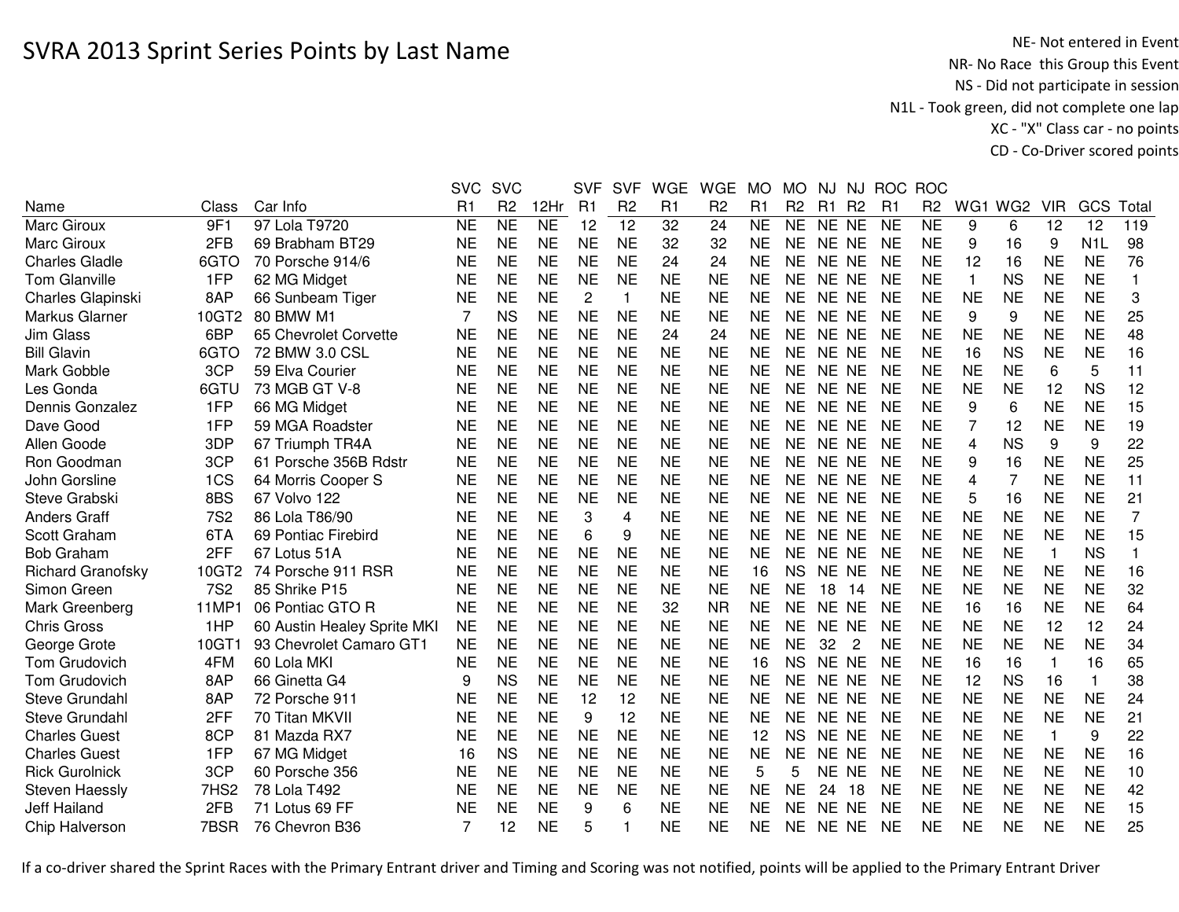NE- Not entered in Event<br>NR- No Race this Group this Event NS - Did not participate in session N1L - Took green, did not complete one lap XC - "X" Class car - no pointsCD - Co-Driver scored points

|                          |                  |                             | <b>SVC</b> | <b>SVC</b>          |                | <b>SVF</b>     | <b>SVF</b>     | <b>WGE</b> | <b>WGE</b>     | <b>MO</b> | <b>MO</b>      | NJ.       |                | NJ ROC         | <b>ROC</b>     |                         |                 |              |                  |                |
|--------------------------|------------------|-----------------------------|------------|---------------------|----------------|----------------|----------------|------------|----------------|-----------|----------------|-----------|----------------|----------------|----------------|-------------------------|-----------------|--------------|------------------|----------------|
| Name                     | Class            | Car Info                    | R1         | R <sub>2</sub>      | 12Hr           | R <sub>1</sub> | R <sub>2</sub> | R1         | R <sub>2</sub> | R1        | R <sub>2</sub> | R1        | R <sub>2</sub> | R <sub>1</sub> | R <sub>2</sub> | WG1                     | WG <sub>2</sub> | <b>VIR</b>   | GCS              | Total          |
| Marc Giroux              | 9F1              | 97 Lola T9720               | NE         | $\overline{\sf NE}$ | N <sub>E</sub> | 12             | 12             | 32         | 24             | <b>NE</b> | <b>NE</b>      | NE NE     |                | <b>NE</b>      | <b>NE</b>      | 9                       | 6               | 12           | 12               | 119            |
| <b>Marc Giroux</b>       | 2FB              | 69 Brabham BT29             | <b>NE</b>  | <b>NE</b>           | <b>NE</b>      | <b>NE</b>      | <b>NE</b>      | 32         | 32             | <b>NE</b> | <b>NE</b>      | NE NE     |                | <b>NE</b>      | <b>NE</b>      | 9                       | 16              | 9            | N <sub>1</sub> L | 98             |
| <b>Charles Gladle</b>    | 6GTO             | 70 Porsche 914/6            | <b>NE</b>  | <b>NE</b>           | <b>NE</b>      | <b>NE</b>      | <b>NE</b>      | 24         | 24             | <b>NE</b> | <b>NE</b>      | NE NE     |                | <b>NE</b>      | <b>NE</b>      | 12                      | 16              | <b>NE</b>    | <b>NE</b>        | 76             |
| <b>Tom Glanville</b>     | 1FP              | 62 MG Midget                | <b>NE</b>  | <b>NE</b>           | <b>NE</b>      | <b>NE</b>      | <b>NE</b>      | <b>NE</b>  | <b>NE</b>      | <b>NE</b> | <b>NE</b>      | NE NE     |                | <b>NE</b>      | <b>NE</b>      | 1                       | <b>NS</b>       | <b>NE</b>    | <b>NE</b>        | 1              |
| Charles Glapinski        | 8AP              | 66 Sunbeam Tiger            | NE         | <b>NE</b>           | <b>NE</b>      | $\overline{2}$ | 1              | <b>NE</b>  | <b>NE</b>      | <b>NE</b> | <b>NE</b>      | NE NE     |                | <b>NE</b>      | <b>NE</b>      | <b>NE</b>               | <b>NE</b>       | <b>NE</b>    | <b>NE</b>        | 3              |
| Markus Glarner           | 10GT2            | 80 BMW M1                   | 7          | <b>NS</b>           | <b>NE</b>      | <b>NE</b>      | <b>NE</b>      | <b>NE</b>  | <b>NE</b>      | <b>NE</b> | <b>NE</b>      | NE NE     |                | <b>NE</b>      | <b>NE</b>      | 9                       | 9               | <b>NE</b>    | <b>NE</b>        | 25             |
| <b>Jim Glass</b>         | 6BP              | 65 Chevrolet Corvette       | <b>NE</b>  | <b>NE</b>           | <b>NE</b>      | <b>NE</b>      | <b>NE</b>      | 24         | 24             | <b>NE</b> | <b>NE</b>      | NE NE     |                | NE             | <b>NE</b>      | <b>NE</b>               | <b>NE</b>       | <b>NE</b>    | <b>NE</b>        | 48             |
| <b>Bill Glavin</b>       | 6GTO             | 72 BMW 3.0 CSL              | <b>NE</b>  | <b>NE</b>           | <b>NE</b>      | <b>NE</b>      | <b>NE</b>      | <b>NE</b>  | <b>NE</b>      | <b>NE</b> | <b>NE</b>      | <b>NE</b> | <b>NE</b>      | <b>NE</b>      | <b>NE</b>      | 16                      | <b>NS</b>       | <b>NE</b>    | <b>NE</b>        | 16             |
| Mark Gobble              | 3CP              | 59 Elva Courier             | <b>NE</b>  | <b>NE</b>           | <b>NE</b>      | <b>NE</b>      | <b>NE</b>      | <b>NE</b>  | <b>NE</b>      | <b>NE</b> | <b>NE</b>      | <b>NE</b> | <b>NE</b>      | <b>NE</b>      | <b>NE</b>      | <b>NE</b>               | <b>NE</b>       | 6            | 5                | 11             |
| Les Gonda                | 6GTU             | 73 MGB GT V-8               | <b>NE</b>  | <b>NE</b>           | <b>NE</b>      | <b>NE</b>      | <b>NE</b>      | <b>NE</b>  | <b>NE</b>      | <b>NE</b> | <b>NE</b>      | <b>NE</b> | <b>NE</b>      | <b>NE</b>      | <b>NE</b>      | <b>NE</b>               | <b>NE</b>       | 12           | <b>NS</b>        | 12             |
| Dennis Gonzalez          | 1FP              | 66 MG Midget                | <b>NE</b>  | <b>NE</b>           | <b>NE</b>      | <b>NE</b>      | <b>NE</b>      | <b>NE</b>  | <b>NE</b>      | <b>NE</b> | <b>NE</b>      | <b>NE</b> | <b>NE</b>      | <b>NE</b>      | <b>NE</b>      | 9                       | 6               | <b>NE</b>    | <b>NE</b>        | 15             |
| Dave Good                | 1FP              | 59 MGA Roadster             | <b>NE</b>  | <b>NE</b>           | <b>NE</b>      | <b>NE</b>      | <b>NE</b>      | <b>NE</b>  | <b>NE</b>      | <b>NE</b> | <b>NE</b>      | NE.       | <b>NE</b>      | <b>NE</b>      | <b>NE</b>      | 7                       | 12              | <b>NE</b>    | <b>NE</b>        | 19             |
| Allen Goode              | 3DP              | 67 Triumph TR4A             | <b>NE</b>  | <b>NE</b>           | <b>NE</b>      | <b>NE</b>      | <b>NE</b>      | <b>NE</b>  | <b>NE</b>      | <b>NE</b> | <b>NE</b>      | <b>NE</b> | <b>NE</b>      | <b>NE</b>      | <b>NE</b>      | $\overline{\mathbf{4}}$ | <b>NS</b>       | 9            | 9                | 22             |
| Ron Goodman              | 3CP              | 61 Porsche 356B Rdstr       | NE         | <b>NE</b>           | <b>NE</b>      | <b>NE</b>      | <b>NE</b>      | <b>NE</b>  | <b>NE</b>      | <b>NE</b> | <b>NE</b>      | NE.       | <b>NE</b>      | <b>NE</b>      | <b>NE</b>      | 9                       | 16              | <b>NE</b>    | <b>NE</b>        | 25             |
| John Gorsline            | 1CS              | 64 Morris Cooper S          | NE         | <b>NE</b>           | <b>NE</b>      | <b>NE</b>      | <b>NE</b>      | <b>NE</b>  | <b>NE</b>      | <b>NE</b> | <b>NE</b>      | NE.       | <b>NE</b>      | <b>NE</b>      | <b>NE</b>      | 4                       | $\overline{7}$  | <b>NE</b>    | <b>NE</b>        | 11             |
| Steve Grabski            | 8BS              | 67 Volvo 122                | <b>NE</b>  | <b>NE</b>           | <b>NE</b>      | <b>NE</b>      | <b>NE</b>      | <b>NE</b>  | <b>NE</b>      | <b>NE</b> | <b>NE</b>      | <b>NE</b> | <b>NE</b>      | <b>NE</b>      | <b>NE</b>      | 5                       | 16              | <b>NE</b>    | <b>NE</b>        | 21             |
| <b>Anders Graff</b>      | <b>7S2</b>       | 86 Lola T86/90              | NE         | <b>NE</b>           | <b>NE</b>      | 3              | 4              | <b>NE</b>  | <b>NE</b>      | <b>NE</b> | <b>NE</b>      | <b>NE</b> | <b>NE</b>      | NE             | <b>NE</b>      | <b>NE</b>               | <b>NE</b>       | <b>NE</b>    | <b>NE</b>        | $\overline{7}$ |
| Scott Graham             | 6TA              | 69 Pontiac Firebird         | <b>NE</b>  | <b>NE</b>           | <b>NE</b>      | 6              | 9              | <b>NE</b>  | <b>NE</b>      | <b>NE</b> | <b>NE</b>      | NE NE     |                | <b>NE</b>      | <b>NE</b>      | <b>NE</b>               | <b>NE</b>       | <b>NE</b>    | <b>NE</b>        | 15             |
| <b>Bob Graham</b>        | 2FF              | 67 Lotus 51A                | <b>NE</b>  | <b>NE</b>           | <b>NE</b>      | <b>NE</b>      | <b>NE</b>      | <b>NE</b>  | <b>NE</b>      | <b>NE</b> | <b>NE</b>      | NE NE     |                | <b>NE</b>      | <b>NE</b>      | <b>NE</b>               | <b>NE</b>       |              | <b>NS</b>        | 1              |
| <b>Richard Granofsky</b> | 10GT2            | 74 Porsche 911 RSR          | <b>NE</b>  | <b>NE</b>           | <b>NE</b>      | <b>NE</b>      | <b>NE</b>      | <b>NE</b>  | <b>NE</b>      | 16        | <b>NS</b>      | <b>NE</b> | <b>NE</b>      | <b>NE</b>      | <b>NE</b>      | <b>NE</b>               | <b>NE</b>       | <b>NE</b>    | <b>NE</b>        | 16             |
| Simon Green              | 7S <sub>2</sub>  | 85 Shrike P15               | <b>NE</b>  | <b>NE</b>           | <b>NE</b>      | <b>NE</b>      | <b>NE</b>      | <b>NE</b>  | <b>NE</b>      | <b>NE</b> | <b>NE</b>      | 18        | -14            | <b>NE</b>      | <b>NE</b>      | <b>NE</b>               | <b>NE</b>       | <b>NE</b>    | <b>NE</b>        | 32             |
| Mark Greenberg           | 11MP1            | 06 Pontiac GTO R            | <b>NE</b>  | <b>NE</b>           | <b>NE</b>      | <b>NE</b>      | <b>NE</b>      | 32         | <b>NR</b>      | <b>NE</b> | <b>NE</b>      | NE NE     |                | <b>NE</b>      | <b>NE</b>      | 16                      | 16              | <b>NE</b>    | <b>NE</b>        | 64             |
| <b>Chris Gross</b>       | 1HP              | 60 Austin Healey Sprite MKI | <b>NE</b>  | <b>NE</b>           | <b>NE</b>      | <b>NE</b>      | <b>NE</b>      | <b>NE</b>  | <b>NE</b>      | <b>NE</b> | <b>NE</b>      | NE NE     |                | <b>NE</b>      | <b>NE</b>      | <b>NE</b>               | <b>NE</b>       | 12           | 12               | 24             |
| George Grote             | 10GT1            | 93 Chevrolet Camaro GT1     | <b>NE</b>  | <b>NE</b>           | <b>NE</b>      | <b>NE</b>      | <b>NE</b>      | <b>NE</b>  | <b>NE</b>      | <b>NE</b> | <b>NE</b>      | 32        | 2              | <b>NE</b>      | <b>NE</b>      | <b>NE</b>               | <b>NE</b>       | <b>NE</b>    | <b>NE</b>        | 34             |
| Tom Grudovich            | 4FM              | 60 Lola MKI                 | NE         | <b>NE</b>           | <b>NE</b>      | <b>NE</b>      | <b>NE</b>      | <b>NE</b>  | <b>NE</b>      | 16        | <b>NS</b>      | <b>NE</b> | <b>NE</b>      | <b>NE</b>      | <b>NE</b>      | 16                      | 16              | $\mathbf{1}$ | 16               | 65             |
| Tom Grudovich            | 8AP              | 66 Ginetta G4               | 9          | <b>NS</b>           | <b>NE</b>      | <b>NE</b>      | <b>NE</b>      | <b>NE</b>  | <b>NE</b>      | <b>NE</b> | <b>NE</b>      | <b>NE</b> | <b>NE</b>      | <b>NE</b>      | <b>NE</b>      | 12                      | <b>NS</b>       | 16           | 1                | 38             |
| Steve Grundahl           | 8AP              | 72 Porsche 911              | <b>NE</b>  | <b>NE</b>           | <b>NE</b>      | 12             | 12             | <b>NE</b>  | <b>NE</b>      | <b>NE</b> | <b>NE</b>      | <b>NE</b> | <b>NE</b>      | <b>NE</b>      | <b>NE</b>      | <b>NE</b>               | <b>NE</b>       | <b>NE</b>    | <b>NE</b>        | 24             |
| Steve Grundahl           | 2FF              | 70 Titan MKVII              | <b>NE</b>  | <b>NE</b>           | <b>NE</b>      | 9              | 12             | <b>NE</b>  | <b>NE</b>      | <b>NE</b> | <b>NE</b>      | NE.       | <b>NE</b>      | <b>NE</b>      | <b>NE</b>      | <b>NE</b>               | <b>NE</b>       | <b>NE</b>    | <b>NE</b>        | 21             |
| <b>Charles Guest</b>     | 8CP              | 81 Mazda RX7                | <b>NE</b>  | <b>NE</b>           | <b>NE</b>      | <b>NE</b>      | <b>NE</b>      | <b>NE</b>  | <b>NE</b>      | 12        | <b>NS</b>      | <b>NE</b> | <b>NE</b>      | <b>NE</b>      | <b>NE</b>      | <b>NE</b>               | <b>NE</b>       | $\mathbf{1}$ | 9                | 22             |
| <b>Charles Guest</b>     | 1FP              | 67 MG Midget                | 16         | <b>NS</b>           | <b>NE</b>      | <b>NE</b>      | <b>NE</b>      | <b>NE</b>  | <b>NE</b>      | <b>NE</b> | <b>NE</b>      | NE.       | <b>NE</b>      | <b>NE</b>      | <b>NE</b>      | <b>NE</b>               | <b>NE</b>       | <b>NE</b>    | <b>NE</b>        | 16             |
| <b>Rick Gurolnick</b>    | 3CP              | 60 Porsche 356              | NΕ         | <b>NE</b>           | <b>NE</b>      | <b>NE</b>      | <b>NE</b>      | <b>NE</b>  | <b>NE</b>      | 5         | 5              | <b>NE</b> | <b>NE</b>      | <b>NE</b>      | <b>NE</b>      | <b>NE</b>               | <b>NE</b>       | <b>NE</b>    | <b>NE</b>        | 10             |
| Steven Haessly           | 7HS <sub>2</sub> | 78 Lola T492                | <b>NE</b>  | <b>NE</b>           | <b>NE</b>      | <b>NE</b>      | <b>NE</b>      | <b>NE</b>  | <b>NE</b>      | <b>NE</b> | <b>NE</b>      | 24        | 18             | <b>NE</b>      | <b>NE</b>      | <b>NE</b>               | <b>NE</b>       | <b>NE</b>    | <b>NE</b>        | 42             |
| Jeff Hailand             | 2FB              | 71 Lotus 69 FF              | ΝE         | <b>NE</b>           | <b>NE</b>      | 9              | 6              | <b>NE</b>  | <b>NE</b>      | <b>NE</b> | <b>NE</b>      | <b>NE</b> | <b>NE</b>      | <b>NE</b>      | <b>NE</b>      | <b>NE</b>               | <b>NE</b>       | <b>NE</b>    | <b>NE</b>        | 15             |
| Chip Halverson           | 7BSR             | 76 Chevron B36              | 7          | 12                  | <b>NE</b>      | 5              | 1              | <b>NE</b>  | <b>NE</b>      | <b>NE</b> | <b>NE</b>      | NE NE     |                | NE             | <b>NE</b>      | <b>NE</b>               | <b>NE</b>       | <b>NE</b>    | <b>NE</b>        | 25             |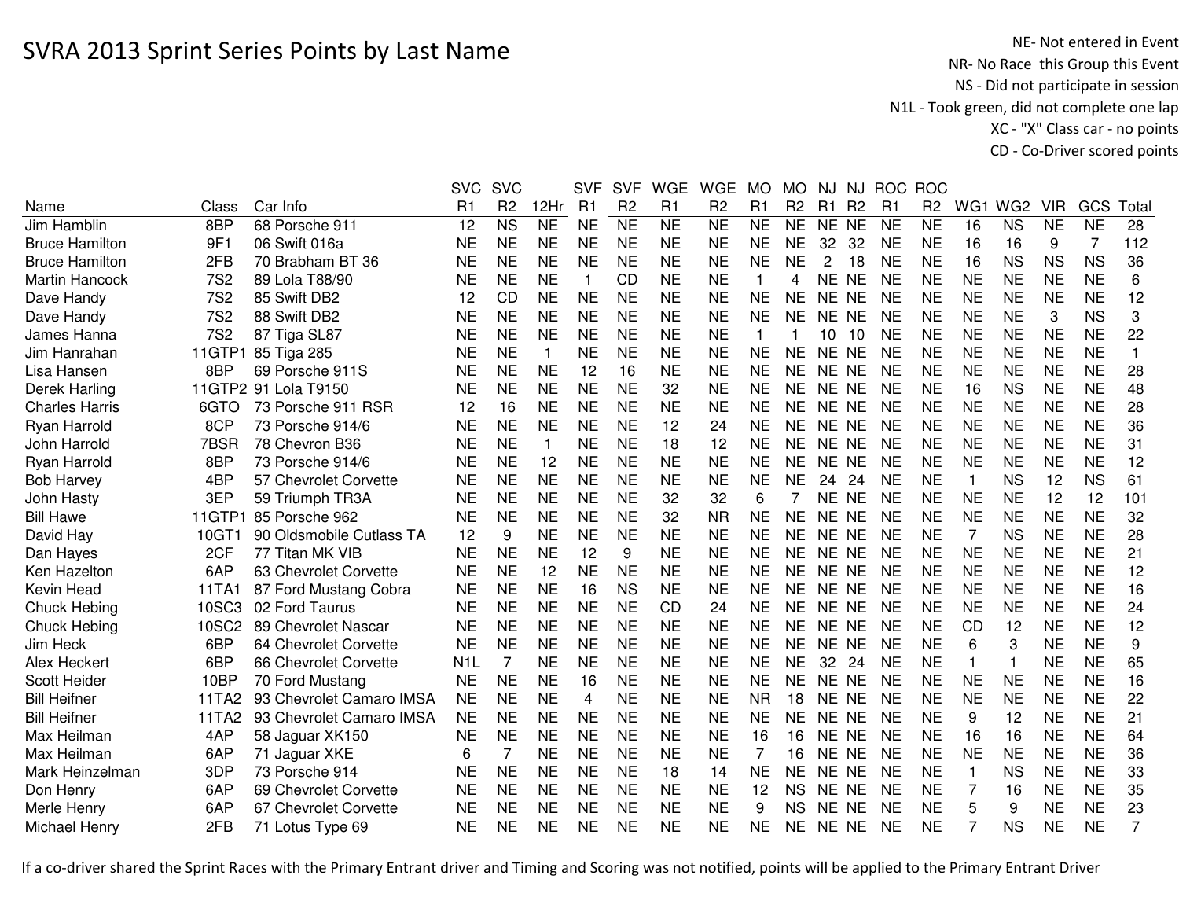NE- Not entered in Event<br>NR- No Race this Group this Event NS - Did not participate in session N1L - Took green, did not complete one lap XC - "X" Class car - no pointsCD - Co-Driver scored points

|                                                          | <b>SVC</b>       | <b>SVC</b>     |              | <b>SVF</b> | <b>SVF</b>     | <b>WGE</b> | <b>WGE</b>     | <b>MO</b> | <b>MO</b>      | NJ             | NJ             | <b>ROC</b>     | <b>ROC</b>     |              |                 |            |           |                  |
|----------------------------------------------------------|------------------|----------------|--------------|------------|----------------|------------|----------------|-----------|----------------|----------------|----------------|----------------|----------------|--------------|-----------------|------------|-----------|------------------|
| Car Info<br>Name<br>Class                                | R1               | R <sub>2</sub> | 12Hr         | R1         | R <sub>2</sub> | R1         | R <sub>2</sub> | R1        | R <sub>2</sub> | R <sub>1</sub> | R <sub>2</sub> | R <sub>1</sub> | R <sub>2</sub> | WG1          | WG <sub>2</sub> | <b>VIR</b> | GCS       | Total            |
| 68 Porsche 911<br>Jim Hamblin<br>8BP                     | 12               | <b>NS</b>      | <b>NE</b>    | <b>NE</b>  | <b>NE</b>      | <b>NE</b>  | <b>NE</b>      | <b>NE</b> | <b>NE</b>      | NE NE          |                | <b>NE</b>      | <b>NE</b>      | 16           | <b>NS</b>       | <b>NE</b>  | <b>NE</b> | 28               |
| 9F1<br>06 Swift 016a<br><b>Bruce Hamilton</b>            | <b>NE</b>        | <b>NE</b>      | <b>NE</b>    | <b>NE</b>  | <b>NE</b>      | <b>NE</b>  | <b>NE</b>      | <b>NE</b> | <b>NE</b>      | 32             | 32             | <b>NE</b>      | <b>NE</b>      | 16           | 16              | 9          | 7         | 112              |
| 2FB<br><b>Bruce Hamilton</b><br>70 Brabham BT 36         | <b>NE</b>        | <b>NE</b>      | <b>NE</b>    | <b>NE</b>  | <b>NE</b>      | <b>NE</b>  | <b>NE</b>      | <b>NE</b> | <b>NE</b>      | $\overline{2}$ | 18             | <b>NE</b>      | <b>NE</b>      | 16           | <b>NS</b>       | <b>NS</b>  | <b>NS</b> | 36               |
| <b>Martin Hancock</b><br><b>7S2</b><br>89 Lola T88/90    | <b>NE</b>        | <b>NE</b>      | <b>NE</b>    | 1          | CD             | <b>NE</b>  | <b>NE</b>      |           | 4              | NE NE          |                | <b>NE</b>      | <b>NE</b>      | <b>NE</b>    | <b>NE</b>       | <b>NE</b>  | <b>NE</b> | 6                |
| <b>7S2</b><br>Dave Handy<br>85 Swift DB2                 | 12               | <b>CD</b>      | <b>NE</b>    | <b>NE</b>  | <b>NE</b>      | <b>NE</b>  | <b>NE</b>      | <b>NE</b> | <b>NE</b>      | NE NE          |                | <b>NE</b>      | <b>NE</b>      | <b>NE</b>    | <b>NE</b>       | <b>NE</b>  | <b>NE</b> | 12               |
| <b>7S2</b><br>88 Swift DB2<br>Dave Handy                 | <b>NE</b>        | <b>NE</b>      | <b>NE</b>    | <b>NE</b>  | <b>NE</b>      | <b>NE</b>  | <b>NE</b>      | <b>NE</b> | NE             | NE NE          |                | <b>NE</b>      | <b>NE</b>      | <b>NE</b>    | <b>NE</b>       | 3          | <b>NS</b> | 3                |
| <b>7S2</b><br>87 Tiga SL87<br>James Hanna                | <b>NE</b>        | <b>NE</b>      | <b>NE</b>    | <b>NE</b>  | <b>NE</b>      | <b>NE</b>  | <b>NE</b>      | 1         |                | 10             | -10            | <b>NE</b>      | <b>NE</b>      | <b>NE</b>    | <b>NE</b>       | <b>NE</b>  | <b>NE</b> | 22               |
| 11GTP1<br>Jim Hanrahan<br>85 Tiga 285                    | <b>NE</b>        | <b>NE</b>      | $\mathbf{1}$ | <b>NE</b>  | <b>NE</b>      | <b>NE</b>  | <b>NE</b>      | <b>NE</b> | <b>NE</b>      | NE NE          |                | <b>NE</b>      | <b>NE</b>      | <b>NE</b>    | <b>NE</b>       | <b>NE</b>  | <b>NE</b> | $\mathbf{1}$     |
| Lisa Hansen<br>8BP<br>69 Porsche 911S                    | <b>NE</b>        | <b>NE</b>      | <b>NE</b>    | 12         | 16             | <b>NE</b>  | <b>NE</b>      | <b>NE</b> | <b>NE</b>      | NE NE          |                | <b>NE</b>      | <b>NE</b>      | <b>NE</b>    | <b>NE</b>       | <b>NE</b>  | <b>NE</b> | 28               |
| Derek Harling<br>11GTP2 91 Lola T9150                    | <b>NE</b>        | <b>NE</b>      | <b>NE</b>    | <b>NE</b>  | <b>NE</b>      | 32         | <b>NE</b>      | <b>NE</b> | <b>NE</b>      | NE NE          |                | <b>NE</b>      | <b>NE</b>      | 16           | <b>NS</b>       | <b>NE</b>  | <b>NE</b> | 48               |
| 73 Porsche 911 RSR<br>6GTO<br><b>Charles Harris</b>      | 12               | 16             | <b>NE</b>    | <b>NE</b>  | <b>NE</b>      | <b>NE</b>  | <b>NE</b>      | <b>NE</b> | <b>NE</b>      | NE NE          |                | <b>NE</b>      | <b>NE</b>      | <b>NE</b>    | <b>NE</b>       | <b>NE</b>  | <b>NE</b> | 28               |
| 8CP<br>Ryan Harrold<br>73 Porsche 914/6                  | <b>NE</b>        | <b>NE</b>      | <b>NE</b>    | <b>NE</b>  | <b>NE</b>      | 12         | 24             | <b>NE</b> | NE.            | NE NE          |                | <b>NE</b>      | <b>NE</b>      | <b>NE</b>    | <b>NE</b>       | <b>NE</b>  | <b>NE</b> | 36               |
| 7BSR<br>78 Chevron B36<br>John Harrold                   | <b>NE</b>        | <b>NE</b>      | $\mathbf{1}$ | <b>NE</b>  | <b>NE</b>      | 18         | 12             | <b>NE</b> | <b>NE</b>      | NE NE          |                | <b>NE</b>      | <b>NE</b>      | <b>NE</b>    | <b>NE</b>       | <b>NE</b>  | <b>NE</b> | 31               |
| 8BP<br>73 Porsche 914/6<br>Ryan Harrold                  | NE               | <b>NE</b>      | 12           | <b>NE</b>  | <b>NE</b>      | <b>NE</b>  | <b>NE</b>      | <b>NE</b> | <b>NE</b>      | <b>NE</b>      | <b>NE</b>      | <b>NE</b>      | <b>NE</b>      | <b>NE</b>    | <b>NE</b>       | <b>NE</b>  | <b>NE</b> | 12               |
| 4BP<br><b>Bob Harvey</b><br>57 Chevrolet Corvette        | <b>NE</b>        | <b>NE</b>      | <b>NE</b>    | <b>NE</b>  | <b>NE</b>      | <b>NE</b>  | <b>NE</b>      | <b>NE</b> | <b>NE</b>      | 24             | 24             | <b>NE</b>      | <b>NE</b>      | $\mathbf{1}$ | <b>NS</b>       | 12         | <b>NS</b> | 61               |
| 3EP<br>John Hasty<br>59 Triumph TR3A                     | <b>NE</b>        | <b>NE</b>      | <b>NE</b>    | <b>NE</b>  | <b>NE</b>      | 32         | 32             | 6         |                | NE NE          |                | <b>NE</b>      | <b>NE</b>      | <b>NE</b>    | <b>NE</b>       | 12         | 12        | 101              |
| <b>Bill Hawe</b><br>11GTP1<br>85 Porsche 962             | <b>NE</b>        | <b>NE</b>      | <b>NE</b>    | <b>NE</b>  | <b>NE</b>      | 32         | <b>NR</b>      | <b>NE</b> | <b>NE</b>      | NE NE          |                | <b>NE</b>      | <b>NE</b>      | <b>NE</b>    | <b>NE</b>       | <b>NE</b>  | <b>NE</b> | 32               |
| David Hay<br>10GT1<br>90 Oldsmobile Cutlass TA           | 12               | 9              | <b>NE</b>    | <b>NE</b>  | <b>NE</b>      | <b>NE</b>  | <b>NE</b>      | <b>NE</b> | <b>NE</b>      | NE NE          |                | <b>NE</b>      | <b>NE</b>      | 7            | <b>NS</b>       | <b>NE</b>  | <b>NE</b> | 28               |
| 2CF<br>77 Titan MK VIB<br>Dan Hayes                      | <b>NE</b>        | <b>NE</b>      | <b>NE</b>    | 12         | 9              | <b>NE</b>  | <b>NE</b>      | <b>NE</b> | <b>NE</b>      | NE NE          |                | <b>NE</b>      | <b>NE</b>      | <b>NE</b>    | <b>NE</b>       | <b>NE</b>  | <b>NE</b> | 21               |
| Ken Hazelton<br>6AP<br>63 Chevrolet Corvette             | <b>NE</b>        | <b>NE</b>      | 12           | <b>NE</b>  | <b>NE</b>      | <b>NE</b>  | <b>NE</b>      | <b>NE</b> | NE             | NE NE          |                | <b>NE</b>      | <b>NE</b>      | <b>NE</b>    | <b>NE</b>       | <b>NE</b>  | <b>NE</b> | 12               |
| Kevin Head<br>11TA1<br>87 Ford Mustang Cobra             | NE               | <b>NE</b>      | <b>NE</b>    | 16         | <b>NS</b>      | <b>NE</b>  | <b>NE</b>      | <b>NE</b> | <b>NE</b>      | NE NE          |                | <b>NE</b>      | NE             | <b>NE</b>    | <b>NE</b>       | <b>NE</b>  | <b>NE</b> | 16               |
| 02 Ford Taurus<br>Chuck Hebing<br>10SC3                  | <b>NE</b>        | <b>NE</b>      | <b>NE</b>    | <b>NE</b>  | <b>NE</b>      | <b>CD</b>  | 24             | <b>NE</b> | <b>NE</b>      | NE NE          |                | <b>NE</b>      | <b>NE</b>      | <b>NE</b>    | <b>NE</b>       | <b>NE</b>  | <b>NE</b> | 24               |
| 10SC2<br>89 Chevrolet Nascar<br>Chuck Hebing             | <b>NE</b>        | <b>NE</b>      | <b>NE</b>    | <b>NE</b>  | <b>NE</b>      | <b>NE</b>  | <b>NE</b>      | <b>NE</b> | <b>NE</b>      | NE NE          |                | <b>NE</b>      | <b>NE</b>      | CD           | 12              | <b>NE</b>  | <b>NE</b> | 12               |
| 6BP<br>64 Chevrolet Corvette<br>Jim Heck                 | <b>NE</b>        | <b>NE</b>      | <b>NE</b>    | <b>NE</b>  | <b>NE</b>      | <b>NE</b>  | <b>NE</b>      | <b>NE</b> | <b>NE</b>      | NE NE          |                | <b>NE</b>      | <b>NE</b>      | 6            | 3               | <b>NE</b>  | <b>NE</b> | $\boldsymbol{9}$ |
| 6BP<br>Alex Heckert<br>66 Chevrolet Corvette             | N <sub>1</sub> L | $\overline{7}$ | <b>NE</b>    | <b>NE</b>  | <b>NE</b>      | <b>NE</b>  | <b>NE</b>      | <b>NE</b> | <b>NE</b>      | 32             | 24             | <b>NE</b>      | <b>NE</b>      | $\mathbf{1}$ | 1               | <b>NE</b>  | <b>NE</b> | 65               |
| Scott Heider<br>10BP<br>70 Ford Mustang                  | <b>NE</b>        | <b>NE</b>      | <b>NE</b>    | 16         | <b>NE</b>      | <b>NE</b>  | <b>NE</b>      | <b>NE</b> | <b>NE</b>      | NE NE          |                | <b>NE</b>      | <b>NE</b>      | <b>NE</b>    | <b>NE</b>       | <b>NE</b>  | <b>NE</b> | 16               |
| <b>Bill Heifner</b><br>93 Chevrolet Camaro IMSA<br>11TA2 | <b>NE</b>        | <b>NE</b>      | <b>NE</b>    | 4          | <b>NE</b>      | <b>NE</b>  | <b>NE</b>      | <b>NR</b> | 18             | <b>NE</b>      | <b>NE</b>      | <b>NE</b>      | <b>NE</b>      | <b>NE</b>    | <b>NE</b>       | <b>NE</b>  | <b>NE</b> | 22               |
| <b>Bill Heifner</b><br>93 Chevrolet Camaro IMSA<br>11TA2 | <b>NE</b>        | <b>NE</b>      | <b>NE</b>    | <b>NE</b>  | <b>NE</b>      | <b>NE</b>  | <b>NE</b>      | <b>NE</b> | <b>NE</b>      | NE.            | NE.            | <b>NE</b>      | NE             | 9            | 12              | <b>NE</b>  | <b>NE</b> | 21               |
| Max Heilman<br>4AP<br>58 Jaguar XK150                    | <b>NE</b>        | <b>NE</b>      | <b>NE</b>    | <b>NE</b>  | <b>NE</b>      | <b>NE</b>  | <b>NE</b>      | 16        | 16             | <b>NE</b>      | <b>NE</b>      | <b>NE</b>      | <b>NE</b>      | 16           | 16              | <b>NE</b>  | <b>NE</b> | 64               |
| Max Heilman<br>6AP<br>71 Jaguar XKE                      | 6                | $\overline{7}$ | <b>NE</b>    | <b>NE</b>  | <b>NE</b>      | <b>NE</b>  | <b>NE</b>      | 7         | 16             | NE NE          |                | <b>NE</b>      | <b>NE</b>      | <b>NE</b>    | <b>NE</b>       | <b>NE</b>  | <b>NE</b> | 36               |
| Mark Heinzelman<br>3DP<br>73 Porsche 914                 | <b>NE</b>        | <b>NE</b>      | <b>NE</b>    | <b>NE</b>  | <b>NE</b>      | 18         | 14             | <b>NE</b> | <b>NE</b>      | NE NE          |                | <b>NE</b>      | <b>NE</b>      | $\mathbf{1}$ | <b>NS</b>       | <b>NE</b>  | <b>NE</b> | 33               |
| 6AP<br>69 Chevrolet Corvette<br>Don Henry                | <b>NE</b>        | <b>NE</b>      | <b>NE</b>    | <b>NE</b>  | <b>NE</b>      | <b>NE</b>  | <b>NE</b>      | 12        | <b>NS</b>      | NE NE          |                | <b>NE</b>      | <b>NE</b>      |              | 16              | <b>NE</b>  | <b>NE</b> | 35               |
| 6AP<br>67 Chevrolet Corvette<br>Merle Henry              | <b>NE</b>        | <b>NE</b>      | <b>NE</b>    | <b>NE</b>  | <b>NE</b>      | <b>NE</b>  | <b>NE</b>      | 9         | <b>NS</b>      | NE NE          |                | <b>NE</b>      | <b>NE</b>      | 5            | 9               | <b>NE</b>  | <b>NE</b> | 23               |
| 2FB<br>Michael Henry<br>71 Lotus Type 69                 | <b>NE</b>        | <b>NE</b>      | <b>NE</b>    | <b>NE</b>  | <b>NE</b>      | <b>NE</b>  | <b>NE</b>      | <b>NE</b> | NE             | NE NE          |                | <b>NE</b>      | <b>NE</b>      |              | <b>NS</b>       | <b>NE</b>  | <b>NE</b> | 7                |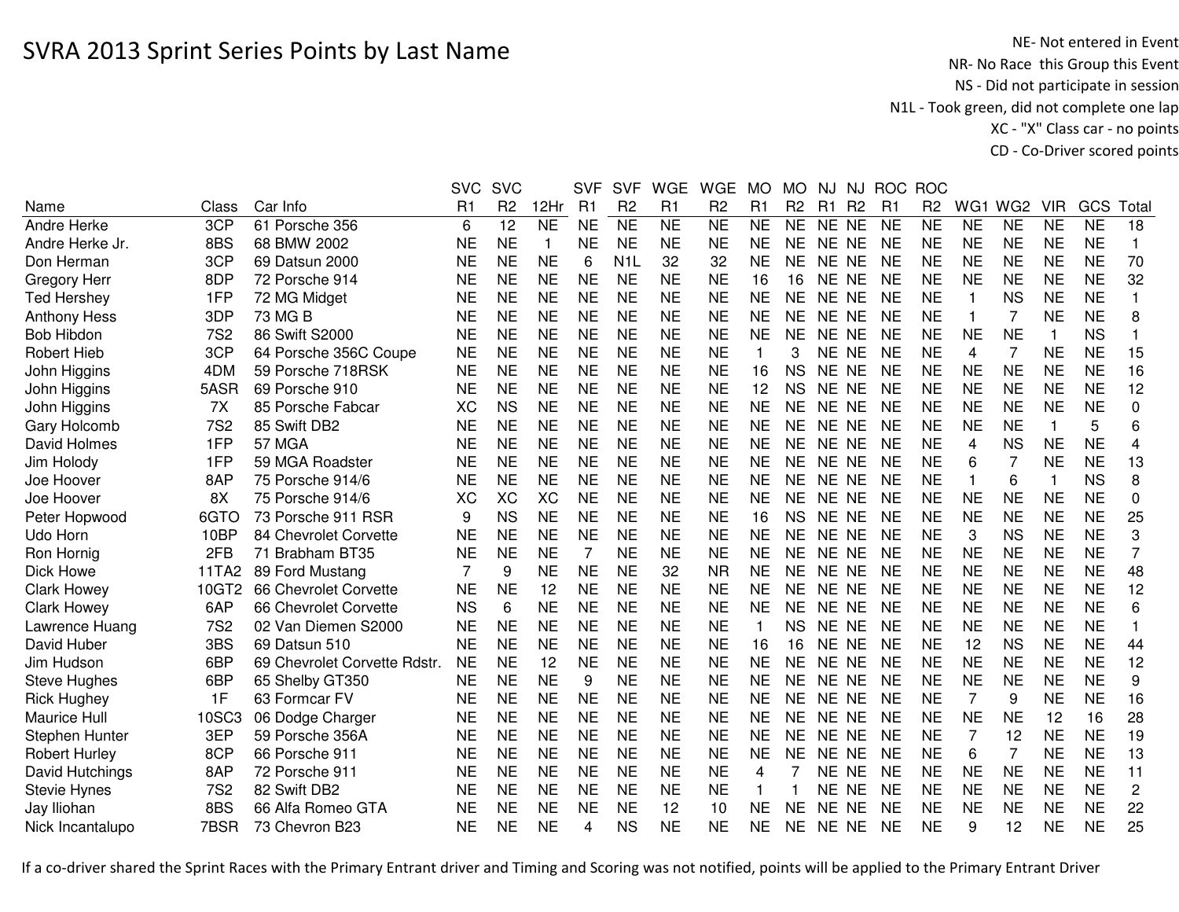NE- Not entered in Event<br>NR- No Race this Group this Event NS - Did not participate in session N1L - Took green, did not complete one lap XC - "X" Class car - no pointsCD - Co-Driver scored points

|                      |                 |                              | <b>SVC</b> | <b>SVC</b>     |           | <b>SVF</b> | <b>SVF</b>       | <b>WGE</b> | <b>WGE</b>     | MO.       | MO             | NJ             | NJ.            | <b>ROC</b>     | <b>ROC</b>     |              |                 |            |           |                |
|----------------------|-----------------|------------------------------|------------|----------------|-----------|------------|------------------|------------|----------------|-----------|----------------|----------------|----------------|----------------|----------------|--------------|-----------------|------------|-----------|----------------|
| Name                 | Class           | Car Info                     | R1         | R <sub>2</sub> | 12Hr      | R1         | R <sub>2</sub>   | R1         | R <sub>2</sub> | R1        | R <sub>2</sub> | R <sub>1</sub> | R <sub>2</sub> | R <sub>1</sub> | R <sub>2</sub> | WG1          | WG <sub>2</sub> | <b>VIR</b> | GCS       | Total          |
| Andre Herke          | 3CP             | 61 Porsche 356               | 6          | 12             | <b>NE</b> | <b>NE</b>  | <b>NE</b>        | <b>NE</b>  | <b>NE</b>      | <b>NE</b> | <b>NE</b>      | NE.            | <b>NE</b>      | <b>NE</b>      | <b>NE</b>      | <b>NE</b>    | <b>NE</b>       | <b>NE</b>  | <b>NE</b> | 18             |
| Andre Herke Jr.      | 8BS             | 68 BMW 2002                  | NE         | <b>NE</b>      | 1         | <b>NE</b>  | <b>NE</b>        | <b>NE</b>  | <b>NE</b>      | <b>NE</b> | <b>NE</b>      | NE NE          |                | <b>NE</b>      | <b>NE</b>      | <b>NE</b>    | <b>NE</b>       | <b>NE</b>  | <b>NE</b> | 1              |
| Don Herman           | 3CP             | 69 Datsun 2000               | NE         | <b>NE</b>      | <b>NE</b> | 6          | N <sub>1</sub> L | 32         | 32             | <b>NE</b> | <b>NE</b>      | NE.            | <b>NE</b>      | <b>NE</b>      | <b>NE</b>      | <b>NE</b>    | <b>NE</b>       | <b>NE</b>  | <b>NE</b> | 70             |
| <b>Gregory Herr</b>  | 8DP             | 72 Porsche 914               | <b>NE</b>  | <b>NE</b>      | <b>NE</b> | <b>NE</b>  | <b>NE</b>        | <b>NE</b>  | <b>NE</b>      | 16        | 16             | <b>NE</b>      | <b>NE</b>      | <b>NE</b>      | <b>NE</b>      | <b>NE</b>    | <b>NE</b>       | <b>NE</b>  | <b>NE</b> | 32             |
| <b>Ted Hershey</b>   | 1FP             | 72 MG Midget                 | <b>NE</b>  | <b>NE</b>      | <b>NE</b> | <b>NE</b>  | <b>NE</b>        | <b>NE</b>  | <b>NE</b>      | <b>NE</b> | <b>NE</b>      | <b>NE</b>      | <b>NE</b>      | <b>NE</b>      | <b>NE</b>      | 1            | <b>NS</b>       | <b>NE</b>  | <b>NE</b> | 1              |
| <b>Anthony Hess</b>  | 3DP             | 73 MG B                      | <b>NE</b>  | <b>NE</b>      | <b>NE</b> | <b>NE</b>  | <b>NE</b>        | <b>NE</b>  | <b>NE</b>      | <b>NE</b> | <b>NE</b>      | NE NE          |                | <b>NE</b>      | <b>NE</b>      | 1            | 7               | <b>NE</b>  | <b>NE</b> | 8              |
| <b>Bob Hibdon</b>    | <b>7S2</b>      | 86 Swift S2000               | <b>NE</b>  | <b>NE</b>      | <b>NE</b> | <b>NE</b>  | <b>NE</b>        | <b>NE</b>  | <b>NE</b>      | <b>NE</b> | <b>NE</b>      | NE NE          |                | <b>NE</b>      | <b>NE</b>      | <b>NE</b>    | <b>NE</b>       |            | <b>NS</b> |                |
| <b>Robert Hieb</b>   | 3CP             | 64 Porsche 356C Coupe        | <b>NE</b>  | <b>NE</b>      | <b>NE</b> | <b>NE</b>  | <b>NE</b>        | <b>NE</b>  | <b>NE</b>      | 1         | 3              | NE NE          |                | <b>NE</b>      | <b>NE</b>      | 4            | $\overline{7}$  | <b>NE</b>  | <b>NE</b> | 15             |
| John Higgins         | 4DM             | 59 Porsche 718RSK            | NE         | <b>NE</b>      | <b>NE</b> | <b>NE</b>  | <b>NE</b>        | <b>NE</b>  | <b>NE</b>      | 16        | <b>NS</b>      | NE NE          |                | <b>NE</b>      | <b>NE</b>      | <b>NE</b>    | <b>NE</b>       | <b>NE</b>  | <b>NE</b> | 16             |
| John Higgins         | 5ASR            | 69 Porsche 910               | NE         | <b>NE</b>      | <b>NE</b> | <b>NE</b>  | <b>NE</b>        | <b>NE</b>  | <b>NE</b>      | 12        | <b>NS</b>      | NE.            | <b>NE</b>      | <b>NE</b>      | <b>NE</b>      | <b>NE</b>    | <b>NE</b>       | <b>NE</b>  | <b>NE</b> | 12             |
| John Higgins         | 7X              | 85 Porsche Fabcar            | XC         | <b>NS</b>      | <b>NE</b> | <b>NE</b>  | <b>NE</b>        | <b>NE</b>  | <b>NE</b>      | <b>NE</b> | <b>NE</b>      | <b>NE</b>      | <b>NE</b>      | <b>NE</b>      | <b>NE</b>      | <b>NE</b>    | <b>NE</b>       | <b>NE</b>  | <b>NE</b> | 0              |
| Gary Holcomb         | <b>7S2</b>      | 85 Swift DB2                 | <b>NE</b>  | <b>NE</b>      | <b>NE</b> | <b>NE</b>  | <b>NE</b>        | <b>NE</b>  | <b>NE</b>      | <b>NE</b> | <b>NE</b>      | NE.            | <b>NE</b>      | <b>NE</b>      | <b>NE</b>      | <b>NE</b>    | <b>NE</b>       | 1          | 5         | 6              |
| David Holmes         | 1FP             | 57 MGA                       | <b>NE</b>  | <b>NE</b>      | <b>NE</b> | <b>NE</b>  | <b>NE</b>        | <b>NE</b>  | <b>NE</b>      | <b>NE</b> | <b>NE</b>      | <b>NE</b>      | <b>NE</b>      | <b>NE</b>      | <b>NE</b>      | 4            | <b>NS</b>       | <b>NE</b>  | <b>NE</b> | 4              |
| Jim Holody           | 1FP             | 59 MGA Roadster              | <b>NE</b>  | <b>NE</b>      | <b>NE</b> | <b>NE</b>  | <b>NE</b>        | <b>NE</b>  | <b>NE</b>      | <b>NE</b> | <b>NE</b>      | NE.            | <b>NE</b>      | <b>NE</b>      | <b>NE</b>      | 6            | $\overline{7}$  | <b>NE</b>  | <b>NE</b> | 13             |
| Joe Hoover           | 8AP             | 75 Porsche 914/6             | <b>NE</b>  | <b>NE</b>      | <b>NE</b> | <b>NE</b>  | <b>NE</b>        | <b>NE</b>  | <b>NE</b>      | <b>NE</b> | <b>NE</b>      | NE.            | <b>NE</b>      | <b>NE</b>      | <b>NE</b>      | $\mathbf{1}$ | 6               |            | <b>NS</b> | 8              |
| Joe Hoover           | 8X              | 75 Porsche 914/6             | XC         | <b>XC</b>      | XC        | <b>NE</b>  | <b>NE</b>        | <b>NE</b>  | <b>NE</b>      | <b>NE</b> | <b>NE</b>      | NE.            | <b>NE</b>      | <b>NE</b>      | <b>NE</b>      | <b>NE</b>    | <b>NE</b>       | <b>NE</b>  | <b>NE</b> | 0              |
| Peter Hopwood        | 6GTO            | 73 Porsche 911 RSR           | 9          | <b>NS</b>      | <b>NE</b> | <b>NE</b>  | <b>NE</b>        | <b>NE</b>  | <b>NE</b>      | 16        | <b>NS</b>      | NE.            | <b>NE</b>      | <b>NE</b>      | <b>NE</b>      | <b>NE</b>    | <b>NE</b>       | <b>NE</b>  | <b>NE</b> | 25             |
| Udo Horn             | 10BP            | 84 Chevrolet Corvette        | <b>NE</b>  | <b>NE</b>      | <b>NE</b> | <b>NE</b>  | <b>NE</b>        | <b>NE</b>  | <b>NE</b>      | <b>NE</b> | <b>NE</b>      | <b>NE</b>      | <b>NE</b>      | NE             | <b>NE</b>      | 3            | <b>NS</b>       | <b>NE</b>  | <b>NE</b> | 3              |
| Ron Hornig           | 2FB             | 71 Brabham BT35              | <b>NE</b>  | <b>NE</b>      | <b>NE</b> | 7          | <b>NE</b>        | <b>NE</b>  | <b>NE</b>      | <b>NE</b> | <b>NE</b>      | <b>NE</b>      | <b>NE</b>      | <b>NE</b>      | <b>NE</b>      | <b>NE</b>    | <b>NE</b>       | <b>NE</b>  | <b>NE</b> | 7              |
| Dick Howe            | 11TA2           | 89 Ford Mustang              |            | 9              | <b>NE</b> | <b>NE</b>  | <b>NE</b>        | 32         | <b>NR</b>      | <b>NE</b> | <b>NE</b>      | NE NE          |                | <b>NE</b>      | <b>NE</b>      | <b>NE</b>    | <b>NE</b>       | <b>NE</b>  | <b>NE</b> | 48             |
| <b>Clark Howey</b>   | 10GT2           | 66 Chevrolet Corvette        | <b>NE</b>  | <b>NE</b>      | 12        | <b>NE</b>  | <b>NE</b>        | <b>NE</b>  | <b>NE</b>      | <b>NE</b> | <b>NE</b>      | NE NE          |                | <b>NE</b>      | <b>NE</b>      | <b>NE</b>    | <b>NE</b>       | <b>NE</b>  | <b>NE</b> | 12             |
| <b>Clark Howey</b>   | 6AP             | 66 Chevrolet Corvette        | <b>NS</b>  | 6              | <b>NE</b> | <b>NE</b>  | <b>NE</b>        | <b>NE</b>  | <b>NE</b>      | <b>NE</b> | <b>NE</b>      | NE NE          |                | <b>NE</b>      | <b>NE</b>      | <b>NE</b>    | <b>NE</b>       | <b>NE</b>  | <b>NE</b> | 6              |
| Lawrence Huang       | <b>7S2</b>      | 02 Van Diemen S2000          | <b>NE</b>  | <b>NE</b>      | <b>NE</b> | <b>NE</b>  | <b>NE</b>        | <b>NE</b>  | <b>NE</b>      | 1         | <b>NS</b>      | NE NE          |                | <b>NE</b>      | <b>NE</b>      | <b>NE</b>    | <b>NE</b>       | <b>NE</b>  | <b>NE</b> |                |
| David Huber          | 3BS             | 69 Datsun 510                | <b>NE</b>  | <b>NE</b>      | <b>NE</b> | <b>NE</b>  | <b>NE</b>        | <b>NE</b>  | <b>NE</b>      | 16        | 16             | NE NE          |                | <b>NE</b>      | <b>NE</b>      | 12           | <b>NS</b>       | <b>NE</b>  | <b>NE</b> | 44             |
| Jim Hudson           | 6BP             | 69 Chevrolet Corvette Rdstr. | <b>NE</b>  | <b>NE</b>      | 12        | <b>NE</b>  | <b>NE</b>        | <b>NE</b>  | <b>NE</b>      | <b>NE</b> | <b>NE</b>      | NE NE          |                | <b>NE</b>      | <b>NE</b>      | <b>NE</b>    | <b>NE</b>       | <b>NE</b>  | <b>NE</b> | 12             |
| Steve Hughes         | 6BP             | 65 Shelby GT350              | NE         | <b>NE</b>      | <b>NE</b> | 9          | <b>NE</b>        | <b>NE</b>  | <b>NE</b>      | <b>NE</b> | <b>NE</b>      | NE.            | <b>NE</b>      | <b>NE</b>      | <b>NE</b>      | <b>NE</b>    | <b>NE</b>       | <b>NE</b>  | <b>NE</b> | 9              |
| <b>Rick Hughey</b>   | 1F              | 63 Formcar FV                | <b>NE</b>  | <b>NE</b>      | <b>NE</b> | <b>NE</b>  | <b>NE</b>        | <b>NE</b>  | <b>NE</b>      | <b>NE</b> | <b>NE</b>      | <b>NE</b>      | <b>NE</b>      | <b>NE</b>      | <b>NE</b>      | 7            | 9               | <b>NE</b>  | <b>NE</b> | 16             |
| <b>Maurice Hull</b>  | 10SC3           | 06 Dodge Charger             | <b>NE</b>  | <b>NE</b>      | <b>NE</b> | <b>NE</b>  | <b>NE</b>        | <b>NE</b>  | <b>NE</b>      | <b>NE</b> | <b>NE</b>      | <b>NE</b>      | <b>NE</b>      | <b>NE</b>      | <b>NE</b>      | <b>NE</b>    | <b>NE</b>       | 12         | 16        | 28             |
| Stephen Hunter       | 3EP             | 59 Porsche 356A              | <b>NE</b>  | <b>NE</b>      | <b>NE</b> | <b>NE</b>  | <b>NE</b>        | <b>NE</b>  | <b>NE</b>      | <b>NE</b> | <b>NE</b>      | <b>NE</b>      | <b>NE</b>      | <b>NE</b>      | <b>NE</b>      | 7            | 12              | <b>NE</b>  | <b>NE</b> | 19             |
| <b>Robert Hurley</b> | 8CP             | 66 Porsche 911               | <b>NE</b>  | <b>NE</b>      | <b>NE</b> | <b>NE</b>  | <b>NE</b>        | <b>NE</b>  | <b>NE</b>      | <b>NE</b> | <b>NE</b>      | NE             | <b>NE</b>      | <b>NE</b>      | <b>NE</b>      | 6            | $\overline{7}$  | <b>NE</b>  | <b>NE</b> | 13             |
| David Hutchings      | 8AP             | 72 Porsche 911               | NE         | <b>NE</b>      | <b>NE</b> | <b>NE</b>  | <b>NE</b>        | <b>NE</b>  | <b>NE</b>      | 4         |                | <b>NE</b>      | <b>NE</b>      | <b>NE</b>      | <b>NE</b>      | <b>NE</b>    | <b>NE</b>       | <b>NE</b>  | <b>NE</b> | 11             |
| <b>Stevie Hynes</b>  | 7S <sub>2</sub> | 82 Swift DB2                 | NE         | <b>NE</b>      | <b>NE</b> | <b>NE</b>  | <b>NE</b>        | <b>NE</b>  | <b>NE</b>      | 1         |                | <b>NE</b>      | <b>NE</b>      | <b>NE</b>      | <b>NE</b>      | <b>NE</b>    | <b>NE</b>       | <b>NE</b>  | <b>NE</b> | $\overline{c}$ |
| Jay Iliohan          | 8BS             | 66 Alfa Romeo GTA            | <b>NE</b>  | <b>NE</b>      | <b>NE</b> | <b>NE</b>  | <b>NE</b>        | 12         | 10             | <b>NE</b> | <b>NE</b>      | <b>NE</b>      | <b>NE</b>      | <b>NE</b>      | <b>NE</b>      | <b>NE</b>    | <b>NE</b>       | <b>NE</b>  | <b>NE</b> | 22             |
| Nick Incantalupo     | 7BSR            | 73 Chevron B23               | NE         | <b>NE</b>      | <b>NE</b> | 4          | <b>NS</b>        | <b>NE</b>  | <b>NE</b>      | <b>NE</b> | <b>NE</b>      | NE NE          |                | NE             | <b>NE</b>      | 9            | 12              | <b>NE</b>  | <b>NE</b> | 25             |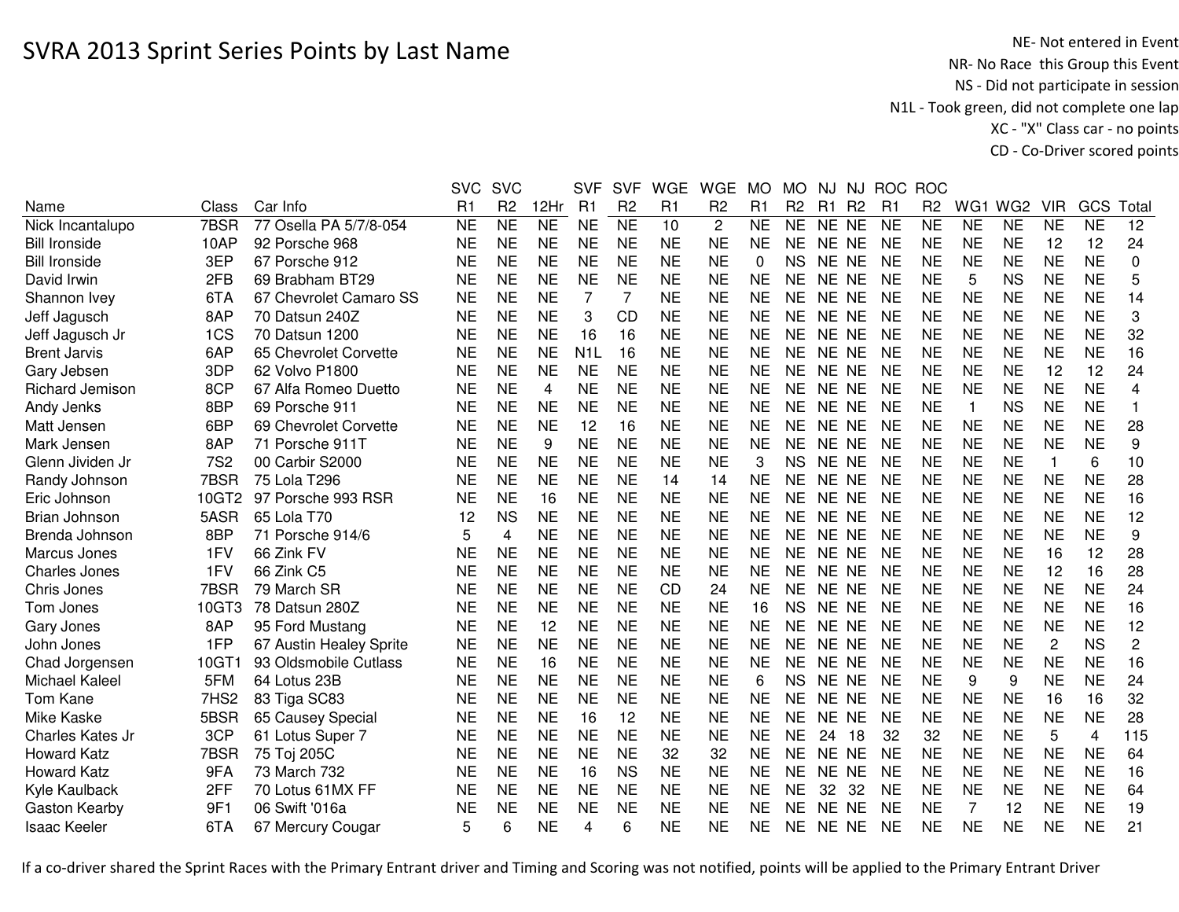NE- Not entered in Event<br>NR- No Race this Group this Event NS - Did not participate in session N1L - Took green, did not complete one lap XC - "X" Class car - no pointsCD - Co-Driver scored points

|                        |                  |                         | <b>SVC</b> | <b>SVC</b>      |                | <b>SVF</b>       | <b>SVF</b>      | <b>WGE</b> | <b>WGE</b>     | <b>MO</b> | MO             | NJ    | NJ        | <b>ROC</b> | <b>ROC</b>     |                 |                 |                |                 |                |
|------------------------|------------------|-------------------------|------------|-----------------|----------------|------------------|-----------------|------------|----------------|-----------|----------------|-------|-----------|------------|----------------|-----------------|-----------------|----------------|-----------------|----------------|
| Name                   | Class            | Car Info                | R1         | R <sub>2</sub>  | 12Hr           | R <sub>1</sub>   | R <sub>2</sub>  | R1         | R <sub>2</sub> | R1        | R <sub>2</sub> | R1    | <b>R2</b> | R1         | R <sub>2</sub> | WG <sub>1</sub> | WG <sub>2</sub> | <b>VIR</b>     | GCS             | Total          |
| Nick Incantalupo       | 7BSR             | 77 Osella PA 5/7/8-054  | <b>NE</b>  | $\overline{NE}$ | N <sub>E</sub> | <b>NE</b>        | $\overline{NE}$ | 10         | $\mathbf{2}$   | <b>NE</b> | <b>NE</b>      | NE NE |           | <b>NE</b>  | <b>NE</b>      | N <sub>E</sub>  | NE              | <b>NE</b>      | $\overline{NE}$ | 12             |
| <b>Bill Ironside</b>   | 10AP             | 92 Porsche 968          | NE         | <b>NE</b>       | <b>NE</b>      | <b>NE</b>        | <b>NE</b>       | <b>NE</b>  | <b>NE</b>      | <b>NE</b> | <b>NE</b>      | NE NE |           | <b>NE</b>  | <b>NE</b>      | <b>NE</b>       | <b>NE</b>       | 12             | 12              | 24             |
| <b>Bill Ironside</b>   | 3EP              | 67 Porsche 912          | <b>NE</b>  | <b>NE</b>       | <b>NE</b>      | <b>NE</b>        | <b>NE</b>       | <b>NE</b>  | <b>NE</b>      | 0         | <b>NS</b>      | NE NE |           | <b>NE</b>  | <b>NE</b>      | <b>NE</b>       | <b>NE</b>       | <b>NE</b>      | <b>NE</b>       | 0              |
| David Irwin            | 2FB              | 69 Brabham BT29         | <b>NE</b>  | <b>NE</b>       | <b>NE</b>      | <b>NE</b>        | <b>NE</b>       | <b>NE</b>  | <b>NE</b>      | <b>NE</b> | <b>NE</b>      | NE NE |           | <b>NE</b>  | <b>NE</b>      | 5               | <b>NS</b>       | <b>NE</b>      | <b>NE</b>       | 5              |
| Shannon Ivey           | 6TA              | 67 Chevrolet Camaro SS  | <b>NE</b>  | <b>NE</b>       | <b>NE</b>      | 7                | 7               | <b>NE</b>  | <b>NE</b>      | <b>NE</b> | <b>NE</b>      | NE NE |           | <b>NE</b>  | <b>NE</b>      | <b>NE</b>       | <b>NE</b>       | <b>NE</b>      | <b>NE</b>       | 14             |
| Jeff Jagusch           | 8AP              | 70 Datsun 240Z          | <b>NE</b>  | <b>NE</b>       | <b>NE</b>      | 3                | <b>CD</b>       | <b>NE</b>  | <b>NE</b>      | <b>NE</b> | <b>NE</b>      | NE NE |           | <b>NE</b>  | <b>NE</b>      | <b>NE</b>       | <b>NE</b>       | <b>NE</b>      | <b>NE</b>       | 3              |
| Jeff Jagusch Jr        | 1CS              | 70 Datsun 1200          | NE         | <b>NE</b>       | <b>NE</b>      | 16               | 16              | <b>NE</b>  | <b>NE</b>      | <b>NE</b> | <b>NE</b>      | NE NE |           | <b>NE</b>  | NE             | <b>NE</b>       | <b>NE</b>       | NE             | <b>NE</b>       | 32             |
| <b>Brent Jarvis</b>    | 6AP              | 65 Chevrolet Corvette   | <b>NE</b>  | <b>NE</b>       | <b>NE</b>      | N <sub>1</sub> L | 16              | <b>NE</b>  | <b>NE</b>      | <b>NE</b> | <b>NE</b>      | NE NE |           | NE         | <b>NE</b>      | <b>NE</b>       | <b>NE</b>       | <b>NE</b>      | <b>NE</b>       | 16             |
| Gary Jebsen            | 3DP              | 62 Volvo P1800          | <b>NE</b>  | <b>NE</b>       | <b>NE</b>      | <b>NE</b>        | <b>NE</b>       | <b>NE</b>  | <b>NE</b>      | <b>NE</b> | <b>NE</b>      | NE NE |           | <b>NE</b>  | <b>NE</b>      | <b>NE</b>       | <b>NE</b>       | 12             | 12              | 24             |
| <b>Richard Jemison</b> | 8CP              | 67 Alfa Romeo Duetto    | <b>NE</b>  | <b>NE</b>       | 4              | <b>NE</b>        | <b>NE</b>       | <b>NE</b>  | <b>NE</b>      | <b>NE</b> | <b>NE</b>      | NE NE |           | <b>NE</b>  | <b>NE</b>      | <b>NE</b>       | <b>NE</b>       | <b>NE</b>      | <b>NE</b>       | 4              |
| Andy Jenks             | 8BP              | 69 Porsche 911          | <b>NE</b>  | <b>NE</b>       | <b>NE</b>      | <b>NE</b>        | <b>NE</b>       | <b>NE</b>  | <b>NE</b>      | <b>NE</b> | <b>NE</b>      | NE NE |           | <b>NE</b>  | <b>NE</b>      | $\mathbf{1}$    | <b>NS</b>       | <b>NE</b>      | <b>NE</b>       |                |
| Matt Jensen            | 6BP              | 69 Chevrolet Corvette   | <b>NE</b>  | <b>NE</b>       | <b>NE</b>      | 12               | 16              | <b>NE</b>  | <b>NE</b>      | <b>NE</b> | <b>NE</b>      | NE NE |           | <b>NE</b>  | <b>NE</b>      | <b>NE</b>       | <b>NE</b>       | <b>NE</b>      | <b>NE</b>       | 28             |
| Mark Jensen            | 8AP              | 71 Porsche 911T         | NE         | <b>NE</b>       | 9              | <b>NE</b>        | <b>NE</b>       | <b>NE</b>  | <b>NE</b>      | <b>NE</b> | <b>NE</b>      | NE NE |           | <b>NE</b>  | <b>NE</b>      | <b>NE</b>       | <b>NE</b>       | <b>NE</b>      | <b>NE</b>       | 9              |
| Glenn Jividen Jr       | <b>7S2</b>       | 00 Carbir S2000         | <b>NE</b>  | <b>NE</b>       | <b>NE</b>      | <b>NE</b>        | <b>NE</b>       | <b>NE</b>  | <b>NE</b>      | 3         | <b>NS</b>      | NE NE |           | <b>NE</b>  | <b>NE</b>      | <b>NE</b>       | <b>NE</b>       | 1              | 6               | 10             |
| Randy Johnson          | 7BSR             | 75 Lola T296            | NE         | <b>NE</b>       | <b>NE</b>      | <b>NE</b>        | <b>NE</b>       | 14         | 14             | <b>NE</b> | <b>NE</b>      | NE NE |           | NE         | <b>NE</b>      | <b>NE</b>       | <b>NE</b>       | <b>NE</b>      | <b>NE</b>       | 28             |
| Eric Johnson           | 10GT2            | 97 Porsche 993 RSR      | <b>NE</b>  | <b>NE</b>       | 16             | <b>NE</b>        | <b>NE</b>       | <b>NE</b>  | <b>NE</b>      | <b>NE</b> | <b>NE</b>      | NE NE |           | <b>NE</b>  | <b>NE</b>      | <b>NE</b>       | <b>NE</b>       | <b>NE</b>      | <b>NE</b>       | 16             |
| Brian Johnson          | 5ASR             | 65 Lola T70             | 12         | <b>NS</b>       | <b>NE</b>      | <b>NE</b>        | <b>NE</b>       | <b>NE</b>  | <b>NE</b>      | <b>NE</b> | <b>NE</b>      | NE NE |           | <b>NE</b>  | <b>NE</b>      | <b>NE</b>       | <b>NE</b>       | <b>NE</b>      | <b>NE</b>       | 12             |
| Brenda Johnson         | 8BP              | 71 Porsche 914/6        | 5          | 4               | <b>NE</b>      | <b>NE</b>        | <b>NE</b>       | <b>NE</b>  | <b>NE</b>      | <b>NE</b> | <b>NE</b>      | NE NE |           | <b>NE</b>  | <b>NE</b>      | <b>NE</b>       | <b>NE</b>       | <b>NE</b>      | <b>NE</b>       | 9              |
| Marcus Jones           | 1FV              | 66 Zink FV              | <b>NE</b>  | <b>NE</b>       | <b>NE</b>      | <b>NE</b>        | <b>NE</b>       | <b>NE</b>  | <b>NE</b>      | <b>NE</b> | <b>NE</b>      | NE NE |           | <b>NE</b>  | <b>NE</b>      | <b>NE</b>       | <b>NE</b>       | 16             | 12              | 28             |
| <b>Charles Jones</b>   | 1FV              | 66 Zink C5              | NE         | <b>NE</b>       | <b>NE</b>      | <b>NE</b>        | <b>NE</b>       | <b>NE</b>  | <b>NE</b>      | <b>NE</b> | <b>NE</b>      | NE NE |           | NE         | NE             | <b>NE</b>       | <b>NE</b>       | 12             | 16              | 28             |
| Chris Jones            | 7BSR             | 79 March SR             | <b>NE</b>  | <b>NE</b>       | <b>NE</b>      | <b>NE</b>        | <b>NE</b>       | <b>CD</b>  | 24             | <b>NE</b> | <b>NE</b>      | NE NE |           | <b>NE</b>  | <b>NE</b>      | <b>NE</b>       | <b>NE</b>       | <b>NE</b>      | <b>NE</b>       | 24             |
| Tom Jones              | 10GT3            | 78 Datsun 280Z          | <b>NE</b>  | <b>NE</b>       | <b>NE</b>      | <b>NE</b>        | <b>NE</b>       | <b>NE</b>  | <b>NE</b>      | 16        | <b>NS</b>      | NE NE |           | <b>NE</b>  | <b>NE</b>      | <b>NE</b>       | <b>NE</b>       | <b>NE</b>      | <b>NE</b>       | 16             |
| Gary Jones             | 8AP              | 95 Ford Mustang         | <b>NE</b>  | <b>NE</b>       | 12             | <b>NE</b>        | <b>NE</b>       | <b>NE</b>  | <b>NE</b>      | <b>NE</b> | <b>NE</b>      | NE NE |           | <b>NE</b>  | <b>NE</b>      | <b>NE</b>       | <b>NE</b>       | <b>NE</b>      | <b>NE</b>       | 12             |
| John Jones             | 1FP              | 67 Austin Healey Sprite | <b>NE</b>  | <b>NE</b>       | <b>NE</b>      | <b>NE</b>        | <b>NE</b>       | <b>NE</b>  | <b>NE</b>      | <b>NE</b> | <b>NE</b>      | NE NE |           | <b>NE</b>  | <b>NE</b>      | <b>NE</b>       | <b>NE</b>       | $\overline{c}$ | <b>NS</b>       | $\overline{c}$ |
| Chad Jorgensen         | 10GT1            | 93 Oldsmobile Cutlass   | <b>NE</b>  | <b>NE</b>       | 16             | <b>NE</b>        | <b>NE</b>       | <b>NE</b>  | <b>NE</b>      | <b>NE</b> | <b>NE</b>      | NE NE |           | NE         | <b>NE</b>      | <b>NE</b>       | <b>NE</b>       | <b>NE</b>      | <b>NE</b>       | 16             |
| Michael Kaleel         | 5FM              | 64 Lotus 23B            | <b>NE</b>  | <b>NE</b>       | <b>NE</b>      | <b>NE</b>        | <b>NE</b>       | <b>NE</b>  | <b>NE</b>      | 6         | <b>NS</b>      | NE NE |           | <b>NE</b>  | <b>NE</b>      | 9               | 9               | <b>NE</b>      | <b>NE</b>       | 24             |
| Tom Kane               | 7HS <sub>2</sub> | 83 Tiga SC83            | <b>NE</b>  | <b>NE</b>       | <b>NE</b>      | <b>NE</b>        | <b>NE</b>       | <b>NE</b>  | <b>NE</b>      | <b>NE</b> | <b>NE</b>      | NE NE |           | <b>NE</b>  | <b>NE</b>      | <b>NE</b>       | <b>NE</b>       | 16             | 16              | 32             |
| Mike Kaske             | 5BSR             | 65 Causey Special       | <b>NE</b>  | <b>NE</b>       | <b>NE</b>      | 16               | 12              | <b>NE</b>  | <b>NE</b>      | <b>NE</b> | <b>NE</b>      | NE NE |           | <b>NE</b>  | <b>NE</b>      | <b>NE</b>       | <b>NE</b>       | <b>NE</b>      | <b>NE</b>       | 28             |
| Charles Kates Jr       | 3CP              | 61 Lotus Super 7        | <b>NE</b>  | <b>NE</b>       | <b>NE</b>      | <b>NE</b>        | <b>NE</b>       | <b>NE</b>  | <b>NE</b>      | <b>NE</b> | <b>NE</b>      | 24    | 18        | 32         | 32             | <b>NE</b>       | <b>NE</b>       | 5              | $\overline{4}$  | 115            |
| <b>Howard Katz</b>     | 7BSR             | 75 Toj 205C             | <b>NE</b>  | <b>NE</b>       | <b>NE</b>      | <b>NE</b>        | <b>NE</b>       | 32         | 32             | <b>NE</b> | <b>NE</b>      | NE NE |           | <b>NE</b>  | <b>NE</b>      | <b>NE</b>       | <b>NE</b>       | <b>NE</b>      | <b>NE</b>       | 64             |
| <b>Howard Katz</b>     | 9FA              | 73 March 732            | <b>NE</b>  | <b>NE</b>       | <b>NE</b>      | 16               | <b>NS</b>       | <b>NE</b>  | <b>NE</b>      | <b>NE</b> | <b>NE</b>      | NE NE |           | <b>NE</b>  | <b>NE</b>      | <b>NE</b>       | <b>NE</b>       | <b>NE</b>      | <b>NE</b>       | 16             |
| Kyle Kaulback          | 2FF              | 70 Lotus 61MX FF        | <b>NE</b>  | <b>NE</b>       | <b>NE</b>      | <b>NE</b>        | <b>NE</b>       | <b>NE</b>  | <b>NE</b>      | <b>NE</b> | <b>NE</b>      | 32    | 32        | <b>NE</b>  | <b>NE</b>      | <b>NE</b>       | <b>NE</b>       | <b>NE</b>      | <b>NE</b>       | 64             |
| Gaston Kearby          | 9F1              | 06 Swift '016a          | NE         | <b>NE</b>       | <b>NE</b>      | <b>NE</b>        | <b>NE</b>       | <b>NE</b>  | <b>NE</b>      | <b>NE</b> | <b>NE</b>      | NE NE |           | <b>NE</b>  | NE             | 7               | 12              | NE             | NE              | 19             |
| <b>Isaac Keeler</b>    | 6TA              | 67 Mercury Cougar       | 5          | 6               | <b>NE</b>      | 4                | 6               | <b>NE</b>  | <b>NE</b>      | <b>NE</b> | <b>NE</b>      | NE NE |           | <b>NE</b>  | <b>NE</b>      | <b>NE</b>       | <b>NE</b>       | <b>NE</b>      | <b>NE</b>       | 21             |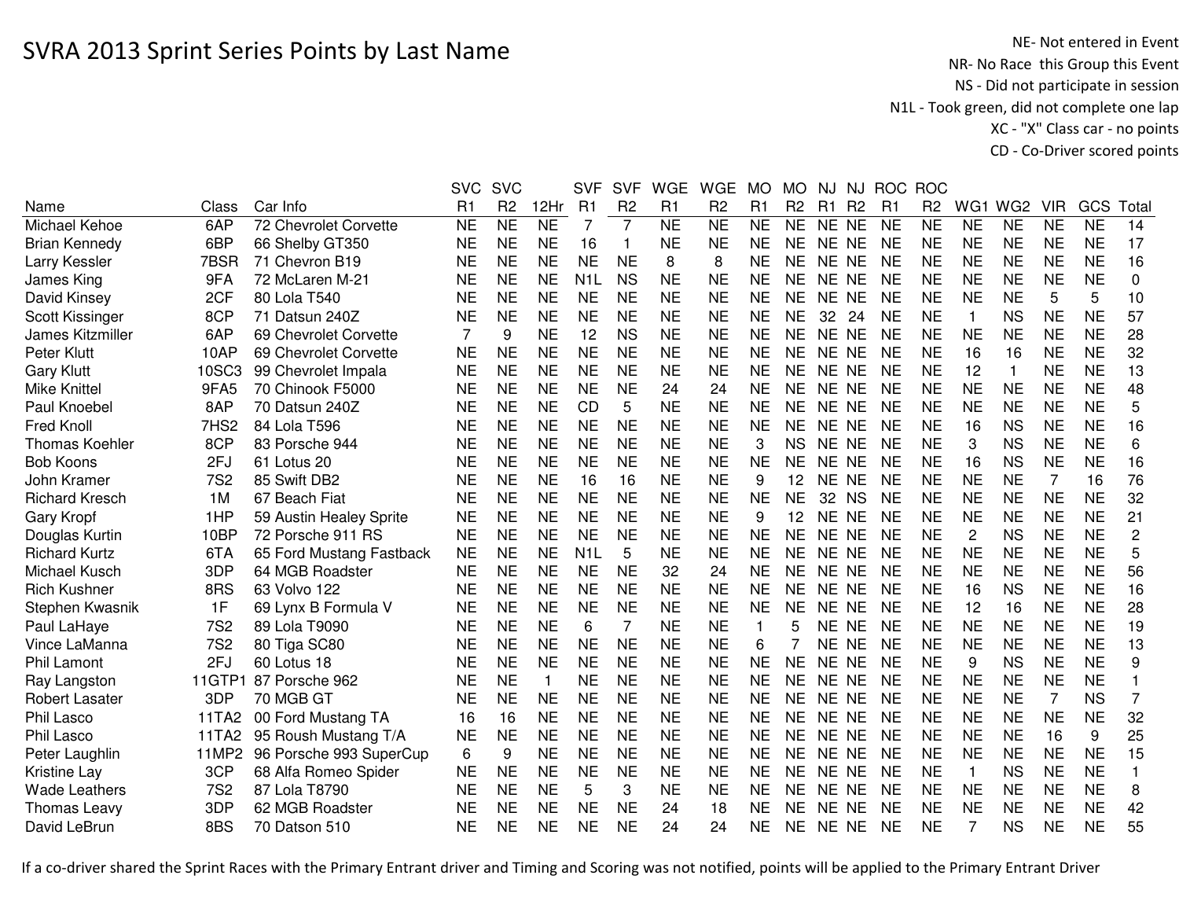NE- Not entered in Event<br>NR- No Race this Group this Event NS - Did not participate in session N1L - Took green, did not complete one lap XC - "X" Class car - no pointsCD - Co-Driver scored points

|                       |                  |                          | <b>SVC</b> | <b>SVC</b>     |              | <b>SVF</b>       | <b>SVF</b>     | <b>WGE</b> | <b>WGE</b>     | <b>MO</b>      | <b>MO</b>      | <b>NJ</b> |                |                | NJ ROC ROC     |                |                 |                |           |                |
|-----------------------|------------------|--------------------------|------------|----------------|--------------|------------------|----------------|------------|----------------|----------------|----------------|-----------|----------------|----------------|----------------|----------------|-----------------|----------------|-----------|----------------|
| Name                  | Class            | Car Info                 | R1         | R <sub>2</sub> | 12Hr         | R1               | R <sub>2</sub> | R1         | R <sub>2</sub> | R <sub>1</sub> | R <sub>2</sub> | R1        | R <sub>2</sub> | R <sub>1</sub> | R <sub>2</sub> | WG1            | WG <sub>2</sub> | <b>VIR</b>     | GCS       | Total          |
| Michael Kehoe         | 6AP              | 72 Chevrolet Corvette    | <b>NE</b>  | <b>NE</b>      | <b>NE</b>    | $\overline{7}$   | $\overline{7}$ | <b>NE</b>  | <b>NE</b>      | <b>NE</b>      | <b>NE</b>      | NE NE     |                | <b>NE</b>      | <b>NE</b>      | <b>NE</b>      | <b>NE</b>       | <b>NE</b>      | <b>NE</b> | 14             |
| <b>Brian Kennedy</b>  | 6BP              | 66 Shelby GT350          | <b>NE</b>  | <b>NE</b>      | <b>NE</b>    | 16               | -1             | <b>NE</b>  | <b>NE</b>      | <b>NE</b>      | <b>NE</b>      | NE NE     |                | <b>NE</b>      | <b>NE</b>      | <b>NE</b>      | <b>NE</b>       | <b>NE</b>      | <b>NE</b> | 17             |
| Larry Kessler         | 7BSR             | 71 Chevron B19           | NE         | <b>NE</b>      | <b>NE</b>    | <b>NE</b>        | <b>NE</b>      | 8          | 8              | <b>NE</b>      | NE.            | NE NE     |                | <b>NE</b>      | ΝE             | <b>NE</b>      | <b>NE</b>       | NE             | <b>NE</b> | 16             |
| James King            | 9FA              | 72 McLaren M-21          | <b>NE</b>  | <b>NE</b>      | <b>NE</b>    | N <sub>1</sub> L | <b>NS</b>      | <b>NE</b>  | <b>NE</b>      | <b>NE</b>      | <b>NE</b>      | NE NE     |                | <b>NE</b>      | <b>NE</b>      | <b>NE</b>      | <b>NE</b>       | <b>NE</b>      | <b>NE</b> | 0              |
| David Kinsey          | 2CF              | 80 Lola T540             | NE         | <b>NE</b>      | <b>NE</b>    | <b>NE</b>        | <b>NE</b>      | <b>NE</b>  | <b>NE</b>      | <b>NE</b>      | <b>NE</b>      | NE NE     |                | <b>NE</b>      | <b>NE</b>      | <b>NE</b>      | <b>NE</b>       | 5              | 5         | 10             |
| Scott Kissinger       | 8CP              | 71 Datsun 240Z           | <b>NE</b>  | <b>NE</b>      | <b>NE</b>    | <b>NE</b>        | <b>NE</b>      | <b>NE</b>  | <b>NE</b>      | <b>NE</b>      | <b>NE</b>      | 32        | 24             | <b>NE</b>      | <b>NE</b>      | 1              | <b>NS</b>       | <b>NE</b>      | <b>NE</b> | 57             |
| James Kitzmiller      | 6AP              | 69 Chevrolet Corvette    | 7          | 9              | <b>NE</b>    | 12               | <b>NS</b>      | <b>NE</b>  | <b>NE</b>      | <b>NE</b>      | <b>NE</b>      | <b>NE</b> | <b>NE</b>      | <b>NE</b>      | <b>NE</b>      | <b>NE</b>      | <b>NE</b>       | <b>NE</b>      | <b>NE</b> | 28             |
| Peter Klutt           | 10AP             | 69 Chevrolet Corvette    | <b>NE</b>  | <b>NE</b>      | <b>NE</b>    | <b>NE</b>        | <b>NE</b>      | <b>NE</b>  | <b>NE</b>      | <b>NE</b>      | <b>NE</b>      | <b>NE</b> | <b>NE</b>      | <b>NE</b>      | <b>NE</b>      | 16             | 16              | <b>NE</b>      | <b>NE</b> | 32             |
| <b>Gary Klutt</b>     | 10SC3            | 99 Chevrolet Impala      | <b>NE</b>  | <b>NE</b>      | <b>NE</b>    | <b>NE</b>        | <b>NE</b>      | <b>NE</b>  | <b>NE</b>      | <b>NE</b>      | <b>NE</b>      | <b>NE</b> | <b>NE</b>      | <b>NE</b>      | <b>NE</b>      | 12             | $\mathbf{1}$    | <b>NE</b>      | <b>NE</b> | 13             |
| <b>Mike Knittel</b>   | 9FA5             | 70 Chinook F5000         | NE         | <b>NE</b>      | <b>NE</b>    | <b>NE</b>        | <b>NE</b>      | 24         | 24             | <b>NE</b>      | <b>NE</b>      | NE.       | <b>NE</b>      | <b>NE</b>      | <b>NE</b>      | <b>NE</b>      | <b>NE</b>       | <b>NE</b>      | <b>NE</b> | 48             |
| Paul Knoebel          | 8AP              | 70 Datsun 240Z           | NE         | <b>NE</b>      | <b>NE</b>    | CD               | 5              | <b>NE</b>  | <b>NE</b>      | <b>NE</b>      | <b>NE</b>      | NE.       | <b>NE</b>      | NE             | <b>NE</b>      | <b>NE</b>      | <b>NE</b>       | <b>NE</b>      | <b>NE</b> | 5              |
| <b>Fred Knoll</b>     | 7HS <sub>2</sub> | 84 Lola T596             | NE         | <b>NE</b>      | <b>NE</b>    | <b>NE</b>        | <b>NE</b>      | <b>NE</b>  | <b>NE</b>      | <b>NE</b>      | <b>NE</b>      | <b>NE</b> | <b>NE</b>      | <b>NE</b>      | <b>NE</b>      | 16             | <b>NS</b>       | <b>NE</b>      | <b>NE</b> | 16             |
| <b>Thomas Koehler</b> | 8CP              | 83 Porsche 944           | <b>NE</b>  | <b>NE</b>      | <b>NE</b>    | <b>NE</b>        | <b>NE</b>      | <b>NE</b>  | <b>NE</b>      | 3              | <b>NS</b>      | <b>NE</b> | <b>NE</b>      | <b>NE</b>      | <b>NE</b>      | 3              | <b>NS</b>       | <b>NE</b>      | <b>NE</b> | 6              |
| <b>Bob Koons</b>      | 2FJ              | 61 Lotus 20              | <b>NE</b>  | <b>NE</b>      | <b>NE</b>    | <b>NE</b>        | <b>NE</b>      | <b>NE</b>  | <b>NE</b>      | <b>NE</b>      | <b>NE</b>      | <b>NE</b> | <b>NE</b>      | <b>NE</b>      | <b>NE</b>      | 16             | <b>NS</b>       | <b>NE</b>      | <b>NE</b> | 16             |
| John Kramer           | <b>7S2</b>       | 85 Swift DB2             | <b>NE</b>  | <b>NE</b>      | <b>NE</b>    | 16               | 16             | <b>NE</b>  | <b>NE</b>      | 9              | 12             | NE NE     |                | <b>NE</b>      | <b>NE</b>      | <b>NE</b>      | <b>NE</b>       | $\overline{7}$ | 16        | 76             |
| <b>Richard Kresch</b> | 1M               | 67 Beach Fiat            | <b>NE</b>  | <b>NE</b>      | <b>NE</b>    | <b>NE</b>        | <b>NE</b>      | <b>NE</b>  | <b>NE</b>      | <b>NE</b>      | <b>NE</b>      | 32 NS     |                | <b>NE</b>      | <b>NE</b>      | <b>NE</b>      | <b>NE</b>       | <b>NE</b>      | <b>NE</b> | 32             |
| Gary Kropf            | 1HP              | 59 Austin Healey Sprite  | <b>NE</b>  | <b>NE</b>      | <b>NE</b>    | <b>NE</b>        | <b>NE</b>      | <b>NE</b>  | <b>NE</b>      | 9              | 12             | <b>NE</b> | <b>NE</b>      | <b>NE</b>      | <b>NE</b>      | <b>NE</b>      | <b>NE</b>       | <b>NE</b>      | <b>NE</b> | 21             |
| Douglas Kurtin        | 10BP             | 72 Porsche 911 RS        | NE         | <b>NE</b>      | <b>NE</b>    | <b>NE</b>        | <b>NE</b>      | <b>NE</b>  | <b>NE</b>      | <b>NE</b>      | <b>NE</b>      | NE NE     |                | <b>NE</b>      | <b>NE</b>      | $\overline{c}$ | <b>NS</b>       | <b>NE</b>      | <b>NE</b> | $\overline{c}$ |
| <b>Richard Kurtz</b>  | 6TA              | 65 Ford Mustang Fastback | NE         | NE             | <b>NE</b>    | N1L              | 5              | <b>NE</b>  | <b>NE</b>      | <b>NE</b>      | <b>NE</b>      | NE NE     |                | <b>NE</b>      | <b>NE</b>      | <b>NE</b>      | <b>NE</b>       | NE             | <b>NE</b> | 5              |
| Michael Kusch         | 3DP              | 64 MGB Roadster          | <b>NE</b>  | <b>NE</b>      | <b>NE</b>    | <b>NE</b>        | <b>NE</b>      | 32         | 24             | <b>NE</b>      | <b>NE</b>      | NE NE     |                | <b>NE</b>      | <b>NE</b>      | <b>NE</b>      | <b>NE</b>       | <b>NE</b>      | <b>NE</b> | 56             |
| <b>Rich Kushner</b>   | 8RS              | 63 Volvo 122             | <b>NE</b>  | <b>NE</b>      | <b>NE</b>    | <b>NE</b>        | <b>NE</b>      | <b>NE</b>  | <b>NE</b>      | <b>NE</b>      | <b>NE</b>      | <b>NE</b> | <b>NE</b>      | <b>NE</b>      | <b>NE</b>      | 16             | <b>NS</b>       | <b>NE</b>      | <b>NE</b> | 16             |
| Stephen Kwasnik       | 1F               | 69 Lynx B Formula V      | <b>NE</b>  | <b>NE</b>      | <b>NE</b>    | <b>NE</b>        | <b>NE</b>      | <b>NE</b>  | <b>NE</b>      | <b>NE</b>      | <b>NE</b>      | <b>NE</b> | <b>NE</b>      | <b>NE</b>      | <b>NE</b>      | 12             | 16              | <b>NE</b>      | <b>NE</b> | 28             |
| Paul LaHaye           | <b>7S2</b>       | 89 Lola T9090            | <b>NE</b>  | <b>NE</b>      | <b>NE</b>    | 6                | $\overline{7}$ | <b>NE</b>  | <b>NE</b>      | $\mathbf{1}$   | 5              | <b>NE</b> | <b>NE</b>      | <b>NE</b>      | <b>NE</b>      | <b>NE</b>      | <b>NE</b>       | <b>NE</b>      | <b>NE</b> | 19             |
| Vince LaManna         | <b>7S2</b>       | 80 Tiga SC80             | <b>NE</b>  | <b>NE</b>      | <b>NE</b>    | <b>NE</b>        | <b>NE</b>      | <b>NE</b>  | <b>NE</b>      | 6              |                | <b>NE</b> | <b>NE</b>      | <b>NE</b>      | <b>NE</b>      | <b>NE</b>      | <b>NE</b>       | <b>NE</b>      | <b>NE</b> | 13             |
| <b>Phil Lamont</b>    | 2FJ              | 60 Lotus 18              | <b>NE</b>  | <b>NE</b>      | <b>NE</b>    | <b>NE</b>        | <b>NE</b>      | <b>NE</b>  | <b>NE</b>      | <b>NE</b>      | <b>NE</b>      | NE.       | <b>NE</b>      | <b>NE</b>      | <b>NE</b>      | 9              | <b>NS</b>       | <b>NE</b>      | <b>NE</b> | 9              |
| Ray Langston          | 11GTP1           | 87 Porsche 962           | <b>NE</b>  | <b>NE</b>      | $\mathbf{1}$ | <b>NE</b>        | <b>NE</b>      | <b>NE</b>  | <b>NE</b>      | <b>NE</b>      | <b>NE</b>      | <b>NE</b> | <b>NE</b>      | <b>NE</b>      | <b>NE</b>      | <b>NE</b>      | <b>NE</b>       | <b>NE</b>      | <b>NE</b> |                |
| <b>Robert Lasater</b> | 3DP              | 70 MGB GT                | <b>NE</b>  | <b>NE</b>      | <b>NE</b>    | <b>NE</b>        | <b>NE</b>      | <b>NE</b>  | <b>NE</b>      | <b>NE</b>      | <b>NE</b>      | <b>NE</b> | <b>NE</b>      | <b>NE</b>      | <b>NE</b>      | <b>NE</b>      | <b>NE</b>       | 7              | <b>NS</b> | 7              |
| Phil Lasco            | 11TA2            | 00 Ford Mustang TA       | 16         | 16             | <b>NE</b>    | <b>NE</b>        | <b>NE</b>      | <b>NE</b>  | <b>NE</b>      | <b>NE</b>      | <b>NE</b>      | NE.       | <b>NE</b>      | <b>NE</b>      | <b>NE</b>      | <b>NE</b>      | <b>NE</b>       | <b>NE</b>      | <b>NE</b> | 32             |
| Phil Lasco            | 11TA2            | 95 Roush Mustang T/A     | <b>NE</b>  | <b>NE</b>      | <b>NE</b>    | <b>NE</b>        | <b>NE</b>      | <b>NE</b>  | <b>NE</b>      | <b>NE</b>      | <b>NE</b>      | <b>NE</b> | <b>NE</b>      | <b>NE</b>      | <b>NE</b>      | <b>NE</b>      | <b>NE</b>       | 16             | 9         | 25             |
| Peter Laughlin        | 11MP2            | 96 Porsche 993 SuperCup  | 6          | 9              | <b>NE</b>    | <b>NE</b>        | <b>NE</b>      | <b>NE</b>  | <b>NE</b>      | <b>NE</b>      | <b>NE</b>      | NE NE     |                | <b>NE</b>      | <b>NE</b>      | <b>NE</b>      | <b>NE</b>       | <b>NE</b>      | <b>NE</b> | 15             |
| <b>Kristine Lay</b>   | 3CP              | 68 Alfa Romeo Spider     | <b>NE</b>  | <b>NE</b>      | <b>NE</b>    | <b>NE</b>        | <b>NE</b>      | <b>NE</b>  | <b>NE</b>      | <b>NE</b>      | <b>NE</b>      | NE NE     |                | <b>NE</b>      | <b>NE</b>      | $\mathbf{1}$   | <b>NS</b>       | <b>NE</b>      | <b>NE</b> | $\mathbf{1}$   |
| <b>Wade Leathers</b>  | <b>7S2</b>       | 87 Lola T8790            | <b>NE</b>  | <b>NE</b>      | <b>NE</b>    | 5                | 3              | <b>NE</b>  | <b>NE</b>      | <b>NE</b>      | <b>NE</b>      | NE NE     |                | <b>NE</b>      | <b>NE</b>      | NE             | <b>NE</b>       | <b>NE</b>      | <b>NE</b> | 8              |
| <b>Thomas Leavy</b>   | 3DP              | 62 MGB Roadster          | NE         | <b>NE</b>      | <b>NE</b>    | <b>NE</b>        | <b>NE</b>      | 24         | 18             | <b>NE</b>      | <b>NE</b>      | NE.       | <b>NE</b>      | <b>NE</b>      | <b>NE</b>      | <b>NE</b>      | <b>NE</b>       | <b>NE</b>      | <b>NE</b> | 42             |
| David LeBrun          | 8BS              | 70 Datson 510            | NE         | <b>NE</b>      | <b>NE</b>    | <b>NE</b>        | <b>NE</b>      | 24         | 24             | <b>NE</b>      | <b>NE</b>      | NE NE     |                | NE             | <b>NE</b>      | 7              | <b>NS</b>       | <b>NE</b>      | <b>NE</b> | 55             |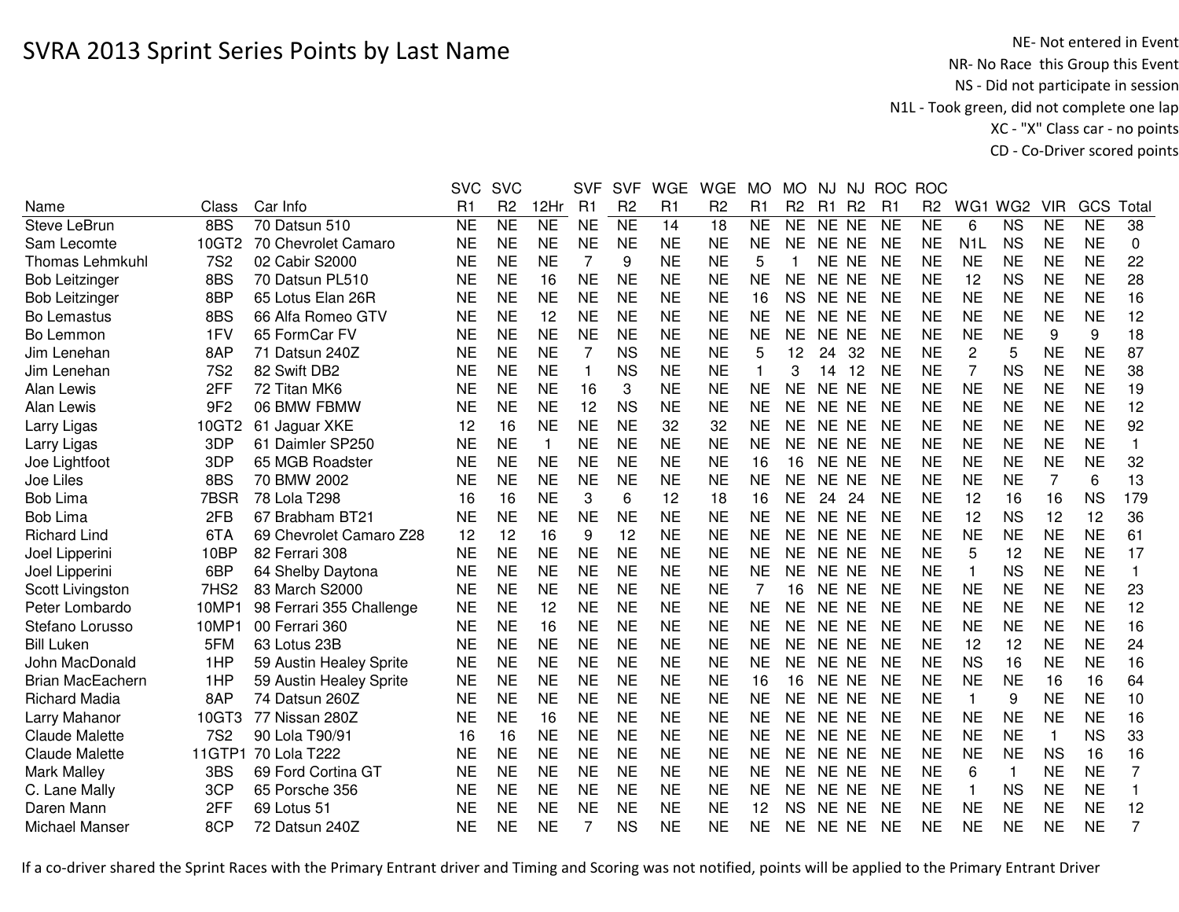NE- Not entered in Event<br>NR- No Race this Group this Event NS - Did not participate in session N1L - Took green, did not complete one lap XC - "X" Class car - no pointsCD - Co-Driver scored points

|                         |                  |                          | <b>SVC</b>     | <b>SVC</b>      |                | <b>SVF</b>     | <b>SVF</b>      | <b>WGE</b>     | <b>WGE</b>     | <b>MO</b>      | <b>MO</b>      | NJ        | <b>NJ</b>      | <b>ROC</b>     | <b>ROC</b>          |                |                 |            |           |                |
|-------------------------|------------------|--------------------------|----------------|-----------------|----------------|----------------|-----------------|----------------|----------------|----------------|----------------|-----------|----------------|----------------|---------------------|----------------|-----------------|------------|-----------|----------------|
| Name                    | Class            | Car Info                 | R <sub>1</sub> | R <sub>2</sub>  | 12Hr           | R <sub>1</sub> | R <sub>2</sub>  | R <sub>1</sub> | R <sub>2</sub> | R <sub>1</sub> | R <sub>2</sub> | R1        | R <sub>2</sub> | R <sub>1</sub> | R <sub>2</sub>      | WG1            | WG <sub>2</sub> | <b>VIR</b> | GCS       | Total          |
| <b>Steve LeBrun</b>     | 8BS              | 70 Datsun 510            | <b>NE</b>      | $\overline{NE}$ | N <sub>E</sub> | <b>NE</b>      | $\overline{NE}$ | 14             | 18             | <b>NE</b>      | <b>NE</b>      | NE NE     |                | <b>NE</b>      | $\overline{\sf NE}$ | 6              | <b>NS</b>       | <b>NE</b>  | <b>NE</b> | 38             |
| Sam Lecomte             | 10GT2            | 70 Chevrolet Camaro      | <b>NE</b>      | <b>NE</b>       | <b>NE</b>      | <b>NE</b>      | <b>NE</b>       | <b>NE</b>      | <b>NE</b>      | <b>NE</b>      | <b>NE</b>      | NE NE     |                | <b>NE</b>      | <b>NE</b>           | N <sub>1</sub> | <b>NS</b>       | <b>NE</b>  | <b>NE</b> | $\mathbf 0$    |
| <b>Thomas Lehmkuhl</b>  | <b>7S2</b>       | 02 Cabir S2000           | <b>NE</b>      | <b>NE</b>       | <b>NE</b>      | 7              | 9               | <b>NE</b>      | <b>NE</b>      | 5              |                | NE NE     |                | <b>NE</b>      | <b>NE</b>           | <b>NE</b>      | <b>NE</b>       | <b>NE</b>  | <b>NE</b> | 22             |
| <b>Bob Leitzinger</b>   | 8BS              | 70 Datsun PL510          | NE             | <b>NE</b>       | 16             | <b>NE</b>      | <b>NE</b>       | <b>NE</b>      | <b>NE</b>      | NE             | <b>NE</b>      | NE NE     |                | <b>NE</b>      | NE                  | 12             | <b>NS</b>       | <b>NE</b>  | <b>NE</b> | 28             |
| <b>Bob Leitzinger</b>   | 8BP              | 65 Lotus Elan 26R        | <b>NE</b>      | <b>NE</b>       | <b>NE</b>      | <b>NE</b>      | <b>NE</b>       | <b>NE</b>      | <b>NE</b>      | 16             | <b>NS</b>      | NE NE     |                | <b>NE</b>      | <b>NE</b>           | <b>NE</b>      | <b>NE</b>       | <b>NE</b>  | <b>NE</b> | 16             |
| Bo Lemastus             | 8BS              | 66 Alfa Romeo GTV        | <b>NE</b>      | <b>NE</b>       | 12             | <b>NE</b>      | <b>NE</b>       | <b>NE</b>      | <b>NE</b>      | <b>NE</b>      | <b>NE</b>      | NE NE     |                | <b>NE</b>      | <b>NE</b>           | <b>NE</b>      | <b>NE</b>       | <b>NE</b>  | <b>NE</b> | 12             |
| Bo Lemmon               | 1FV              | 65 FormCar FV            | <b>NE</b>      | <b>NE</b>       | <b>NE</b>      | <b>NE</b>      | <b>NE</b>       | <b>NE</b>      | <b>NE</b>      | <b>NE</b>      | <b>NE</b>      | NE NE     |                | <b>NE</b>      | <b>NE</b>           | <b>NE</b>      | <b>NE</b>       | 9          | 9         | 18             |
| Jim Lenehan             | 8AP              | 71 Datsun 240Z           | <b>NE</b>      | <b>NE</b>       | <b>NE</b>      | 7              | <b>NS</b>       | <b>NE</b>      | <b>NE</b>      | 5              | 12             | 24        | 32             | <b>NE</b>      | <b>NE</b>           | $\overline{2}$ | 5               | <b>NE</b>  | <b>NE</b> | 87             |
| Jim Lenehan             | <b>7S2</b>       | 82 Swift DB2             | <b>NE</b>      | <b>NE</b>       | <b>NE</b>      | $\mathbf{1}$   | <b>NS</b>       | <b>NE</b>      | <b>NE</b>      | 1              | 3              | 14        | 12             | <b>NE</b>      | <b>NE</b>           | 7              | <b>NS</b>       | <b>NE</b>  | <b>NE</b> | 38             |
| Alan Lewis              | 2FF              | 72 Titan MK6             | NE             | <b>NE</b>       | <b>NE</b>      | 16             | 3               | <b>NE</b>      | <b>NE</b>      | NE             | <b>NE</b>      | NE.       | <b>NE</b>      | <b>NE</b>      | <b>NE</b>           | <b>NE</b>      | <b>NE</b>       | <b>NE</b>  | <b>NE</b> | 19             |
| Alan Lewis              | 9F <sub>2</sub>  | 06 BMW FBMW              | <b>NE</b>      | <b>NE</b>       | <b>NE</b>      | 12             | <b>NS</b>       | <b>NE</b>      | <b>NE</b>      | <b>NE</b>      | NE             | <b>NE</b> | <b>NE</b>      | <b>NE</b>      | <b>NE</b>           | <b>NE</b>      | <b>NE</b>       | <b>NE</b>  | <b>NE</b> | 12             |
| Larry Ligas             | 10GT2            | 61 Jaguar XKE            | 12             | 16              | <b>NE</b>      | <b>NE</b>      | <b>NE</b>       | 32             | 32             | <b>NE</b>      | <b>NE</b>      | NE.       | <b>NE</b>      | <b>NE</b>      | NE                  | <b>NE</b>      | <b>NE</b>       | <b>NE</b>  | <b>NE</b> | 92             |
| Larry Ligas             | 3DP              | 61 Daimler SP250         | <b>NE</b>      | <b>NE</b>       | $\mathbf{1}$   | <b>NE</b>      | <b>NE</b>       | <b>NE</b>      | <b>NE</b>      | <b>NE</b>      | <b>NE</b>      | NE.       | <b>NE</b>      | <b>NE</b>      | <b>NE</b>           | <b>NE</b>      | <b>NE</b>       | <b>NE</b>  | <b>NE</b> | $\mathbf{1}$   |
| Joe Lightfoot           | 3DP              | 65 MGB Roadster          | NE             | <b>NE</b>       | <b>NE</b>      | <b>NE</b>      | <b>NE</b>       | <b>NE</b>      | <b>NE</b>      | 16             | 16             | NE NE     |                | <b>NE</b>      | NE                  | <b>NE</b>      | <b>NE</b>       | <b>NE</b>  | <b>NE</b> | 32             |
| Joe Liles               | 8BS              | 70 BMW 2002              | <b>NE</b>      | <b>NE</b>       | <b>NE</b>      | <b>NE</b>      | <b>NE</b>       | <b>NE</b>      | <b>NE</b>      | <b>NE</b>      | <b>NE</b>      | NE NE     |                | <b>NE</b>      | <b>NE</b>           | <b>NE</b>      | <b>NE</b>       | 7          | 6         | 13             |
| <b>Bob Lima</b>         | 7BSR             | 78 Lola T298             | 16             | 16              | <b>NE</b>      | 3              | 6               | 12             | 18             | 16             | <b>NE</b>      | 24        | 24             | <b>NE</b>      | <b>NE</b>           | 12             | 16              | 16         | <b>NS</b> | 179            |
| <b>Bob Lima</b>         | 2FB              | 67 Brabham BT21          | <b>NE</b>      | <b>NE</b>       | <b>NE</b>      | <b>NE</b>      | <b>NE</b>       | <b>NE</b>      | <b>NE</b>      | <b>NE</b>      | <b>NE</b>      | NE NE     |                | <b>NE</b>      | <b>NE</b>           | 12             | <b>NS</b>       | 12         | 12        | 36             |
| <b>Richard Lind</b>     | 6TA              | 69 Chevrolet Camaro Z28  | 12             | 12              | 16             | 9              | 12              | <b>NE</b>      | <b>NE</b>      | <b>NE</b>      | <b>NE</b>      | NE NE     |                | <b>NE</b>      | <b>NE</b>           | <b>NE</b>      | <b>NE</b>       | <b>NE</b>  | <b>NE</b> | 61             |
| Joel Lipperini          | 10BP             | 82 Ferrari 308           | <b>NE</b>      | <b>NE</b>       | <b>NE</b>      | <b>NE</b>      | <b>NE</b>       | <b>NE</b>      | <b>NE</b>      | <b>NE</b>      | NE             | NE NE     |                | <b>NE</b>      | <b>NE</b>           | 5              | 12              | <b>NE</b>  | <b>NE</b> | 17             |
| Joel Lipperini          | 6BP              | 64 Shelby Daytona        | <b>NE</b>      | <b>NE</b>       | <b>NE</b>      | <b>NE</b>      | <b>NE</b>       | <b>NE</b>      | <b>NE</b>      | <b>NE</b>      | <b>NE</b>      | NE NE     |                | <b>NE</b>      | <b>NE</b>           | -1             | <b>NS</b>       | <b>NE</b>  | <b>NE</b> | $\mathbf{1}$   |
| Scott Livingston        | 7HS <sub>2</sub> | 83 March S2000           | <b>NE</b>      | <b>NE</b>       | <b>NE</b>      | <b>NE</b>      | <b>NE</b>       | <b>NE</b>      | <b>NE</b>      | 7              | 16             | NE NE     |                | <b>NE</b>      | <b>NE</b>           | <b>NE</b>      | <b>NE</b>       | <b>NE</b>  | <b>NE</b> | 23             |
| Peter Lombardo          | 10MP1            | 98 Ferrari 355 Challenge | <b>NE</b>      | <b>NE</b>       | 12             | <b>NE</b>      | <b>NE</b>       | <b>NE</b>      | <b>NE</b>      | <b>NE</b>      | <b>NE</b>      | NE NE     |                | <b>NE</b>      | <b>NE</b>           | <b>NE</b>      | <b>NE</b>       | <b>NE</b>  | <b>NE</b> | 12             |
| Stefano Lorusso         | 10MP1            | 00 Ferrari 360           | <b>NE</b>      | <b>NE</b>       | 16             | <b>NE</b>      | <b>NE</b>       | <b>NE</b>      | <b>NE</b>      | <b>NE</b>      | <b>NE</b>      | NE NE     |                | <b>NE</b>      | <b>NE</b>           | <b>NE</b>      | <b>NE</b>       | <b>NE</b>  | <b>NE</b> | 16             |
| <b>Bill Luken</b>       | 5FM              | 63 Lotus 23B             | <b>NE</b>      | <b>NE</b>       | <b>NE</b>      | <b>NE</b>      | <b>NE</b>       | <b>NE</b>      | <b>NE</b>      | <b>NE</b>      | <b>NE</b>      | NE NE     |                | <b>NE</b>      | <b>NE</b>           | 12             | 12              | <b>NE</b>  | <b>NE</b> | 24             |
| John MacDonald          | 1HP              | 59 Austin Healey Sprite  | <b>NE</b>      | <b>NE</b>       | <b>NE</b>      | <b>NE</b>      | <b>NE</b>       | <b>NE</b>      | <b>NE</b>      | <b>NE</b>      | NE.            | NE NE     |                | <b>NE</b>      | <b>NE</b>           | <b>NS</b>      | 16              | <b>NE</b>  | <b>NE</b> | 16             |
| <b>Brian MacEachern</b> | 1HP              | 59 Austin Healey Sprite  | <b>NE</b>      | <b>NE</b>       | <b>NE</b>      | <b>NE</b>      | <b>NE</b>       | <b>NE</b>      | <b>NE</b>      | 16             | 16             | NE NE     |                | <b>NE</b>      | <b>NE</b>           | <b>NE</b>      | <b>NE</b>       | 16         | 16        | 64             |
| <b>Richard Madia</b>    | 8AP              | 74 Datsun 260Z           | <b>NE</b>      | <b>NE</b>       | <b>NE</b>      | <b>NE</b>      | <b>NE</b>       | <b>NE</b>      | <b>NE</b>      | <b>NE</b>      | <b>NE</b>      | NE NE     |                | <b>NE</b>      | <b>NE</b>           | $\mathbf{1}$   | 9               | <b>NE</b>  | <b>NE</b> | 10             |
| Larry Mahanor           | 10GT3            | 77 Nissan 280Z           | <b>NE</b>      | <b>NE</b>       | 16             | <b>NE</b>      | <b>NE</b>       | <b>NE</b>      | <b>NE</b>      | <b>NE</b>      | <b>NE</b>      | NE NE     |                | <b>NE</b>      | <b>NE</b>           | <b>NE</b>      | <b>NE</b>       | <b>NE</b>  | <b>NE</b> | 16             |
| <b>Claude Malette</b>   | <b>7S2</b>       | 90 Lola T90/91           | 16             | 16              | <b>NE</b>      | <b>NE</b>      | <b>NE</b>       | <b>NE</b>      | <b>NE</b>      | <b>NE</b>      | <b>NE</b>      | NE NE     |                | <b>NE</b>      | <b>NE</b>           | <b>NE</b>      | <b>NE</b>       | 1          | <b>NS</b> | 33             |
| <b>Claude Malette</b>   | 11GTP1           | 70 Lola T222             | <b>NE</b>      | <b>NE</b>       | <b>NE</b>      | <b>NE</b>      | <b>NE</b>       | <b>NE</b>      | <b>NE</b>      | <b>NE</b>      | <b>NE</b>      | NE NE     |                | <b>NE</b>      | <b>NE</b>           | <b>NE</b>      | <b>NE</b>       | <b>NS</b>  | 16        | 16             |
| <b>Mark Malley</b>      | 3BS              | 69 Ford Cortina GT       | NE             | <b>NE</b>       | <b>NE</b>      | <b>NE</b>      | <b>NE</b>       | <b>NE</b>      | <b>NE</b>      | <b>NE</b>      | <b>NE</b>      | NE NE     |                | <b>NE</b>      | NE                  | 6              | $\mathbf 1$     | <b>NE</b>  | <b>NE</b> | $\overline{7}$ |
| C. Lane Mally           | 3CP              | 65 Porsche 356           | NE             | <b>NE</b>       | <b>NE</b>      | <b>NE</b>      | <b>NE</b>       | <b>NE</b>      | <b>NE</b>      | NE             | NE.            | NE NE     |                | <b>NE</b>      | NE                  | -1             | <b>NS</b>       | <b>NE</b>  | <b>NE</b> | 1              |
| Daren Mann              | 2FF              | 69 Lotus 51              | NE             | <b>NE</b>       | NE             | <b>NE</b>      | <b>NE</b>       | <b>NE</b>      | <b>NE</b>      | 12             | <b>NS</b>      | NE NE     |                | <b>NE</b>      | NE                  | NE             | NE              | <b>NE</b>  | <b>NE</b> | 12             |
| Michael Manser          | 8CP              | 72 Datsun 240Z           | <b>NE</b>      | <b>NE</b>       | <b>NE</b>      | 7              | <b>NS</b>       | <b>NE</b>      | <b>NE</b>      | <b>NE</b>      | <b>NE</b>      | NE NE     |                | <b>NE</b>      | <b>NE</b>           | <b>NE</b>      | <b>NE</b>       | <b>NE</b>  | <b>NE</b> | 7              |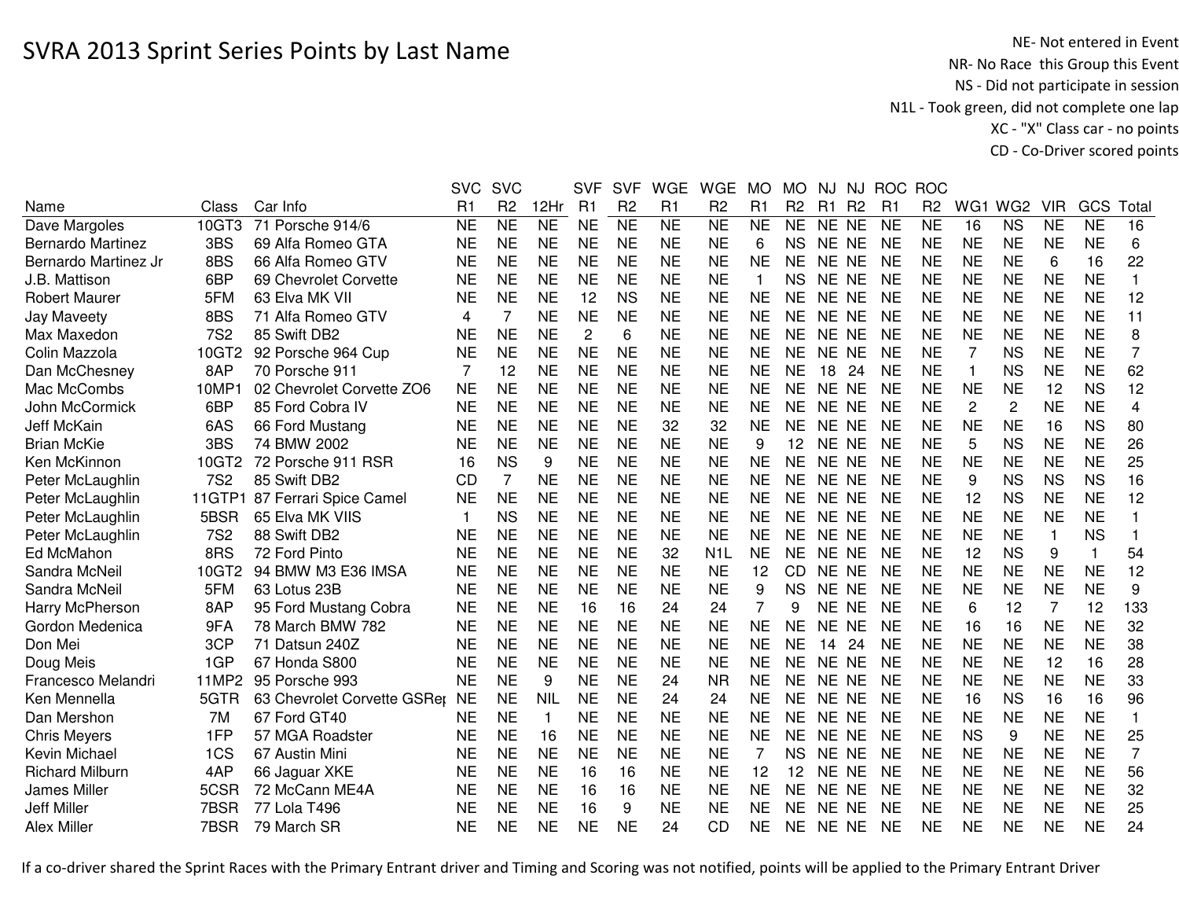NE- Not entered in Event<br>NR- No Race this Group this Event NS - Did not participate in session N1L - Took green, did not complete one lap XC - "X" Class car - no pointsCD - Co-Driver scored points

|                        |            |                             | <b>SVC</b>     | <b>SVC</b>     |                | <b>SVF</b>     | <b>SVF</b>          | <b>WGE</b>      | <b>WGE</b>     | <b>MO</b>      | <b>MO</b>      | NJ        | NJ             | <b>ROC</b> | <b>ROC</b>     |                |                 |                |           |                |
|------------------------|------------|-----------------------------|----------------|----------------|----------------|----------------|---------------------|-----------------|----------------|----------------|----------------|-----------|----------------|------------|----------------|----------------|-----------------|----------------|-----------|----------------|
| Name                   | Class      | Car Info                    | R <sub>1</sub> | R <sub>2</sub> | 12Hr           | R <sub>1</sub> | R <sub>2</sub>      | R1              | R <sub>2</sub> | R1             | R <sub>2</sub> | R1        | R <sub>2</sub> | R1         | R <sub>2</sub> | WG1            | WG <sub>2</sub> | <b>VIR</b>     | GCS       | Total          |
| Dave Margoles          | 10GT3      | 71 Porsche 914/6            | <b>NE</b>      | N <sub>E</sub> | N <sub>E</sub> | <b>NE</b>      | $\overline{\sf NE}$ | $\overline{NE}$ | N <sub>E</sub> | <b>NE</b>      | <b>NE</b>      | NE NE     |                | <b>NE</b>  | <b>NE</b>      | 16             | <b>NS</b>       | <b>NE</b>      | <b>NE</b> | 16             |
| Bernardo Martinez      | 3BS        | 69 Alfa Romeo GTA           | <b>NE</b>      | <b>NE</b>      | <b>NE</b>      | <b>NE</b>      | <b>NE</b>           | <b>NE</b>       | <b>NE</b>      | 6              | <b>NS</b>      | NE NE     |                | <b>NE</b>  | <b>NE</b>      | <b>NE</b>      | <b>NE</b>       | <b>NE</b>      | <b>NE</b> | 6              |
| Bernardo Martinez Jr   | 8BS        | 66 Alfa Romeo GTV           | <b>NE</b>      | <b>NE</b>      | <b>NE</b>      | <b>NE</b>      | <b>NE</b>           | <b>NE</b>       | <b>NE</b>      | <b>NE</b>      | <b>NE</b>      | NE NE     |                | <b>NE</b>  | <b>NE</b>      | <b>NE</b>      | <b>NE</b>       | 6              | 16        | 22             |
| J.B. Mattison          | 6BP        | 69 Chevrolet Corvette       | <b>NE</b>      | <b>NE</b>      | <b>NE</b>      | <b>NE</b>      | <b>NE</b>           | <b>NE</b>       | <b>NE</b>      | 1              | <b>NS</b>      | NE NE     |                | <b>NE</b>  | <b>NE</b>      | <b>NE</b>      | <b>NE</b>       | <b>NE</b>      | <b>NE</b> | 1              |
| <b>Robert Maurer</b>   | 5FM        | 63 Elva MK VII              | <b>NE</b>      | <b>NE</b>      | <b>NE</b>      | 12             | <b>NS</b>           | <b>NE</b>       | <b>NE</b>      | <b>NE</b>      | <b>NE</b>      | NE NE     |                | <b>NE</b>  | NE             | <b>NE</b>      | <b>NE</b>       | NE             | <b>NE</b> | 12             |
| <b>Jay Maveety</b>     | 8BS        | 71 Alfa Romeo GTV           | 4              | 7              | <b>NE</b>      | <b>NE</b>      | <b>NE</b>           | <b>NE</b>       | <b>NE</b>      | <b>NE</b>      | <b>NE</b>      | NE NE     |                | <b>NE</b>  | <b>NE</b>      | <b>NE</b>      | <b>NE</b>       | <b>NE</b>      | <b>NE</b> | 11             |
| Max Maxedon            | <b>7S2</b> | 85 Swift DB2                | <b>NE</b>      | <b>NE</b>      | <b>NE</b>      | $\overline{2}$ | 6                   | <b>NE</b>       | <b>NE</b>      | <b>NE</b>      | <b>NE</b>      | NE NE     |                | <b>NE</b>  | <b>NE</b>      | <b>NE</b>      | <b>NE</b>       | <b>NE</b>      | <b>NE</b> | 8              |
| Colin Mazzola          | 10GT2      | 92 Porsche 964 Cup          | <b>NE</b>      | <b>NE</b>      | <b>NE</b>      | <b>NE</b>      | <b>NE</b>           | <b>NE</b>       | <b>NE</b>      | <b>NE</b>      | <b>NE</b>      | <b>NE</b> | <b>NE</b>      | <b>NE</b>  | <b>NE</b>      | 7              | <b>NS</b>       | <b>NE</b>      | <b>NE</b> | $\overline{7}$ |
| Dan McChesney          | 8AP        | 70 Porsche 911              | 7              | 12             | <b>NE</b>      | <b>NE</b>      | <b>NE</b>           | <b>NE</b>       | <b>NE</b>      | <b>NE</b>      | <b>NE</b>      | 18        | 24             | <b>NE</b>  | <b>NE</b>      | 1              | <b>NS</b>       | <b>NE</b>      | <b>NE</b> | 62             |
| Mac McCombs            | 10MP1      | 02 Chevrolet Corvette ZO6   | <b>NE</b>      | <b>NE</b>      | <b>NE</b>      | <b>NE</b>      | <b>NE</b>           | <b>NE</b>       | <b>NE</b>      | <b>NE</b>      | <b>NE</b>      | <b>NE</b> | <b>NE</b>      | <b>NE</b>  | <b>NE</b>      | <b>NE</b>      | <b>NE</b>       | 12             | <b>NS</b> | 12             |
| John McCormick         | 6BP        | 85 Ford Cobra IV            | <b>NE</b>      | <b>NE</b>      | <b>NE</b>      | <b>NE</b>      | <b>NE</b>           | <b>NE</b>       | <b>NE</b>      | <b>NE</b>      | <b>NE</b>      | NE.       | <b>NE</b>      | <b>NE</b>  | <b>NE</b>      | $\overline{c}$ | $\overline{c}$  | <b>NE</b>      | <b>NE</b> | 4              |
| <b>Jeff McKain</b>     | 6AS        | 66 Ford Mustang             | <b>NE</b>      | <b>NE</b>      | <b>NE</b>      | <b>NE</b>      | <b>NE</b>           | 32              | 32             | <b>NE</b>      | <b>NE</b>      | <b>NE</b> | <b>NE</b>      | <b>NE</b>  | <b>NE</b>      | <b>NE</b>      | <b>NE</b>       | 16             | <b>NS</b> | 80             |
| <b>Brian McKie</b>     | 3BS        | 74 BMW 2002                 | NE             | <b>NE</b>      | <b>NE</b>      | <b>NE</b>      | <b>NE</b>           | <b>NE</b>       | <b>NE</b>      | 9              | 12             | NE NE     |                | NE         | <b>NE</b>      | 5              | <b>NS</b>       | <b>NE</b>      | <b>NE</b> | 26             |
| Ken McKinnon           | 10GT2      | 72 Porsche 911 RSR          | 16             | <b>NS</b>      | 9              | <b>NE</b>      | <b>NE</b>           | <b>NE</b>       | <b>NE</b>      | <b>NE</b>      | <b>NE</b>      | NE NE     |                | <b>NE</b>  | <b>NE</b>      | <b>NE</b>      | <b>NE</b>       | <b>NE</b>      | <b>NE</b> | 25             |
| Peter McLaughlin       | <b>7S2</b> | 85 Swift DB2                | <b>CD</b>      | 7              | <b>NE</b>      | <b>NE</b>      | <b>NE</b>           | <b>NE</b>       | <b>NE</b>      | <b>NE</b>      | <b>NE</b>      | NE NE     |                | <b>NE</b>  | <b>NE</b>      | 9              | <b>NS</b>       | <b>NS</b>      | <b>NS</b> | 16             |
| Peter McLaughlin       | 11GTP1     | 87 Ferrari Spice Camel      | <b>NE</b>      | <b>NE</b>      | <b>NE</b>      | <b>NE</b>      | <b>NE</b>           | <b>NE</b>       | <b>NE</b>      | <b>NE</b>      | <b>NE</b>      | NE NE     |                | <b>NE</b>  | <b>NE</b>      | 12             | <b>NS</b>       | <b>NE</b>      | <b>NE</b> | 12             |
| Peter McLaughlin       | 5BSR       | 65 Elva MK VIIS             | 1              | <b>NS</b>      | <b>NE</b>      | <b>NE</b>      | <b>NE</b>           | <b>NE</b>       | <b>NE</b>      | <b>NE</b>      | <b>NE</b>      | NE NE     |                | <b>NE</b>  | <b>NE</b>      | <b>NE</b>      | <b>NE</b>       | <b>NE</b>      | <b>NE</b> |                |
| Peter McLaughlin       | <b>7S2</b> | 88 Swift DB2                | <b>NE</b>      | <b>NE</b>      | <b>NE</b>      | <b>NE</b>      | <b>NE</b>           | <b>NE</b>       | <b>NE</b>      | <b>NE</b>      | <b>NE</b>      | NE NE     |                | <b>NE</b>  | <b>NE</b>      | <b>NE</b>      | <b>NE</b>       | $\mathbf{1}$   | <b>NS</b> |                |
| Ed McMahon             | 8RS        | 72 Ford Pinto               | <b>NE</b>      | <b>NE</b>      | <b>NE</b>      | <b>NE</b>      | <b>NE</b>           | 32              | N <sub>1</sub> | <b>NE</b>      | <b>NE</b>      | NE NE     |                | <b>NE</b>  | <b>NE</b>      | 12             | <b>NS</b>       | 9              |           | 54             |
| Sandra McNeil          | 10GT2      | 94 BMW M3 E36 IMSA          | <b>NE</b>      | <b>NE</b>      | <b>NE</b>      | <b>NE</b>      | <b>NE</b>           | <b>NE</b>       | <b>NE</b>      | 12             | CD.            | NE NE     |                | NE         | NE             | <b>NE</b>      | <b>NE</b>       | NE             | <b>NE</b> | 12             |
| Sandra McNeil          | 5FM        | 63 Lotus 23B                | <b>NE</b>      | <b>NE</b>      | <b>NE</b>      | <b>NE</b>      | <b>NE</b>           | <b>NE</b>       | <b>NE</b>      | 9              | <b>NS</b>      | NE NE     |                | <b>NE</b>  | <b>NE</b>      | <b>NE</b>      | <b>NE</b>       | <b>NE</b>      | <b>NE</b> | 9              |
| <b>Harry McPherson</b> | 8AP        | 95 Ford Mustang Cobra       | <b>NE</b>      | <b>NE</b>      | <b>NE</b>      | 16             | 16                  | 24              | 24             | $\overline{7}$ | 9              | NE NE     |                | <b>NE</b>  | <b>NE</b>      | 6              | 12              | $\overline{7}$ | 12        | 133            |
| Gordon Medenica        | 9FA        | 78 March BMW 782            | <b>NE</b>      | <b>NE</b>      | <b>NE</b>      | <b>NE</b>      | <b>NE</b>           | <b>NE</b>       | <b>NE</b>      | <b>NE</b>      | <b>NE</b>      | <b>NE</b> | <b>NE</b>      | <b>NE</b>  | <b>NE</b>      | 16             | 16              | <b>NE</b>      | <b>NE</b> | 32             |
| Don Mei                | 3CP        | 71 Datsun 240Z              | <b>NE</b>      | <b>NE</b>      | <b>NE</b>      | <b>NE</b>      | <b>NE</b>           | <b>NE</b>       | <b>NE</b>      | <b>NE</b>      | <b>NE</b>      | 14        | 24             | <b>NE</b>  | <b>NE</b>      | <b>NE</b>      | <b>NE</b>       | <b>NE</b>      | <b>NE</b> | 38             |
| Doug Meis              | 1GP        | 67 Honda S800               | <b>NE</b>      | <b>NE</b>      | <b>NE</b>      | <b>NE</b>      | <b>NE</b>           | <b>NE</b>       | <b>NE</b>      | <b>NE</b>      | <b>NE</b>      | <b>NE</b> | <b>NE</b>      | <b>NE</b>  | <b>NE</b>      | <b>NE</b>      | <b>NE</b>       | 12             | 16        | 28             |
| Francesco Melandri     | 11MP2      | 95 Porsche 993              | <b>NE</b>      | <b>NE</b>      | 9              | <b>NE</b>      | <b>NE</b>           | 24              | <b>NR</b>      | <b>NE</b>      | <b>NE</b>      | NE NE     |                | <b>NE</b>  | <b>NE</b>      | <b>NE</b>      | <b>NE</b>       | <b>NE</b>      | <b>NE</b> | 33             |
| Ken Mennella           | 5GTR       | 63 Chevrolet Corvette GSRer | <b>NE</b>      | <b>NE</b>      | <b>NIL</b>     | <b>NE</b>      | <b>NE</b>           | 24              | 24             | <b>NE</b>      | <b>NE</b>      | NE NE     |                | <b>NE</b>  | <b>NE</b>      | 16             | <b>NS</b>       | 16             | 16        | 96             |
| Dan Mershon            | 7M         | 67 Ford GT40                | NE             | <b>NE</b>      | 1              | <b>NE</b>      | <b>NE</b>           | <b>NE</b>       | <b>NE</b>      | <b>NE</b>      | <b>NE</b>      | NE NE     |                | NE         | <b>NE</b>      | <b>NE</b>      | <b>NE</b>       | <b>NE</b>      | <b>NE</b> | $\mathbf{1}$   |
| <b>Chris Meyers</b>    | 1FP        | 57 MGA Roadster             | <b>NE</b>      | <b>NE</b>      | 16             | <b>NE</b>      | <b>NE</b>           | <b>NE</b>       | <b>NE</b>      | <b>NE</b>      | <b>NE</b>      | NE NE     |                | <b>NE</b>  | <b>NE</b>      | <b>NS</b>      | 9               | <b>NE</b>      | <b>NE</b> | 25             |
| Kevin Michael          | 1CS        | 67 Austin Mini              | <b>NE</b>      | <b>NE</b>      | <b>NE</b>      | <b>NE</b>      | <b>NE</b>           | <b>NE</b>       | <b>NE</b>      | 7              | <b>NS</b>      | NE NE     |                | <b>NE</b>  | <b>NE</b>      | <b>NE</b>      | <b>NE</b>       | <b>NE</b>      | <b>NE</b> | $\overline{7}$ |
| <b>Richard Milburn</b> | 4AP        | 66 Jaguar XKE               | <b>NE</b>      | <b>NE</b>      | <b>NE</b>      | 16             | 16                  | <b>NE</b>       | <b>NE</b>      | 12             | 12             | NE NE     |                | <b>NE</b>  | <b>NE</b>      | <b>NE</b>      | <b>NE</b>       | <b>NE</b>      | <b>NE</b> | 56             |
| James Miller           | 5CSR       | 72 McCann ME4A              | <b>NE</b>      | <b>NE</b>      | <b>NE</b>      | 16             | 16                  | <b>NE</b>       | <b>NE</b>      | <b>NE</b>      | <b>NE</b>      | NE NE     |                | <b>NE</b>  | <b>NE</b>      | <b>NE</b>      | <b>NE</b>       | <b>NE</b>      | <b>NE</b> | 32             |
| <b>Jeff Miller</b>     | 7BSR       | 77 Lola T496                | <b>NE</b>      | <b>NE</b>      | <b>NE</b>      | 16             | 9                   | <b>NE</b>       | <b>NE</b>      | <b>NE</b>      | <b>NE</b>      | NE.       | <b>NE</b>      | <b>NE</b>  | <b>NE</b>      | <b>NE</b>      | <b>NE</b>       | <b>NE</b>      | <b>NE</b> | 25             |
| <b>Alex Miller</b>     | 7BSR       | 79 March SR                 | NE             | <b>NE</b>      | <b>NE</b>      | <b>NE</b>      | <b>NE</b>           | 24              | <b>CD</b>      | <b>NE</b>      | <b>NE</b>      | NE NE     |                | <b>NE</b>  | NE             | NE             | <b>NE</b>       | NE             | <b>NE</b> | 24             |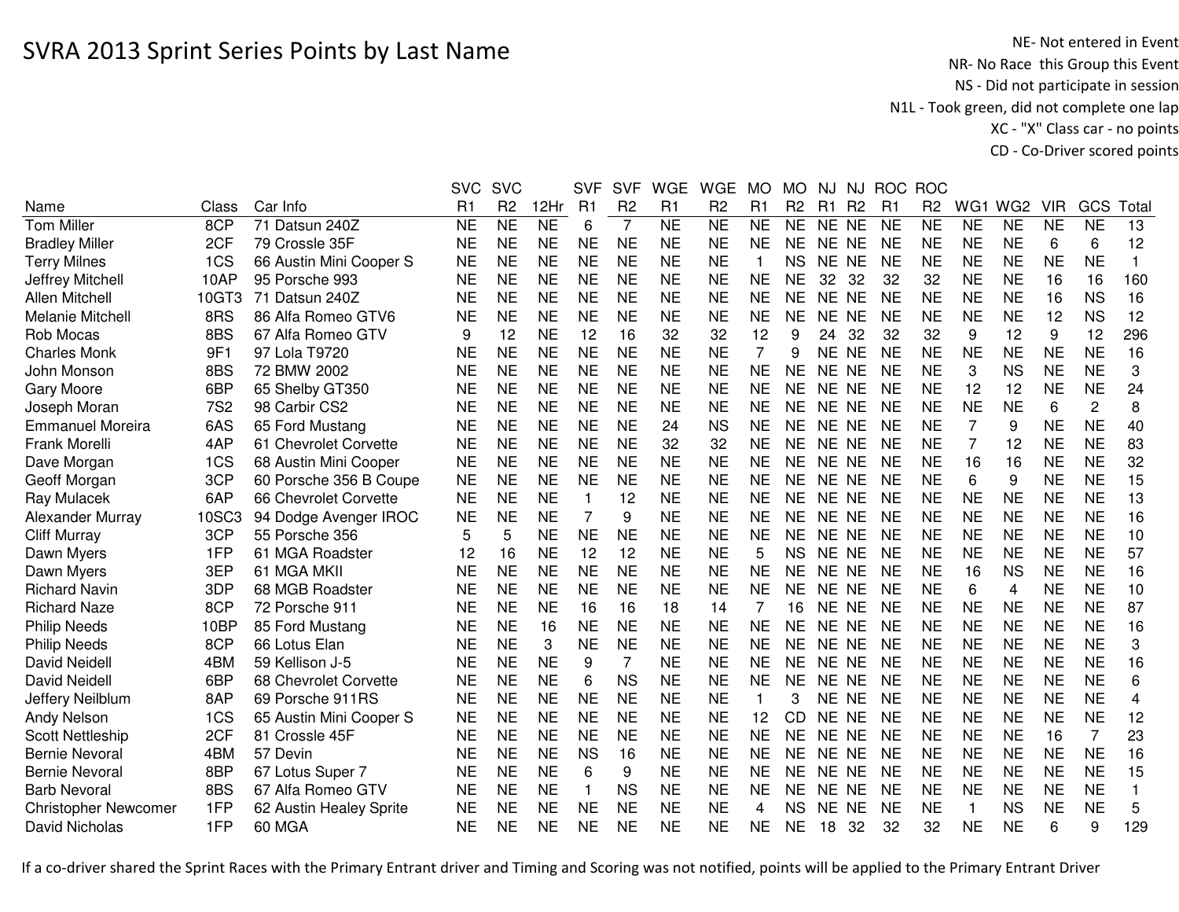NE- Not entered in Event<br>NR- No Race this Group this Event NS - Did not participate in session N1L - Took green, did not complete one lap XC - "X" Class car - no pointsCD - Co-Driver scored points

|                             |            |                         | <b>SVC</b> | <b>SVC</b>      |                | <b>SVF</b>   | <b>SVF</b>     | <b>WGE</b>             | <b>WGE</b>      | <b>MO</b>      | <b>MO</b>       | NJ             | NJ.            | <b>ROC</b> | <b>ROC</b>     |           |                 |            |                |              |
|-----------------------------|------------|-------------------------|------------|-----------------|----------------|--------------|----------------|------------------------|-----------------|----------------|-----------------|----------------|----------------|------------|----------------|-----------|-----------------|------------|----------------|--------------|
| Name                        | Class      | Car Info                | R1         | R <sub>2</sub>  | 12Hr           | R1           | R <sub>2</sub> | R1                     | R <sub>2</sub>  | R1             | R <sub>2</sub>  | R <sub>1</sub> | R <sub>2</sub> | R1         | R <sub>2</sub> | WG1       | WG <sub>2</sub> | <b>VIR</b> | GCS            | Total        |
| <b>Tom Miller</b>           | 8CP        | 71 Datsun 240Z          | <b>NE</b>  | $\overline{NE}$ | N <sub>E</sub> | 6            | 7              | $\overline{\text{NE}}$ | $\overline{NE}$ | <b>NE</b>      | $\overline{NE}$ | NE NE          |                | <b>NE</b>  | <b>NE</b>      | <b>NE</b> | <b>NE</b>       | <b>NE</b>  | N <sub>E</sub> | 13           |
| <b>Bradley Miller</b>       | 2CF        | 79 Crossle 35F          | <b>NE</b>  | <b>NE</b>       | <b>NE</b>      | <b>NE</b>    | <b>NE</b>      | <b>NE</b>              | <b>NE</b>       | <b>NE</b>      | <b>NE</b>       | <b>NE</b>      | <b>NE</b>      | <b>NE</b>  | <b>NE</b>      | <b>NE</b> | <b>NE</b>       | 6          | 6              | 12           |
| <b>Terry Milnes</b>         | 1CS        | 66 Austin Mini Cooper S | <b>NE</b>  | <b>NE</b>       | <b>NE</b>      | <b>NE</b>    | <b>NE</b>      | <b>NE</b>              | <b>NE</b>       | 1              | <b>NS</b>       | <b>NE</b>      | <b>NE</b>      | <b>NE</b>  | <b>NE</b>      | <b>NE</b> | <b>NE</b>       | <b>NE</b>  | <b>NE</b>      | $\mathbf{1}$ |
| Jeffrey Mitchell            | 10AP       | 95 Porsche 993          | <b>NE</b>  | <b>NE</b>       | <b>NE</b>      | <b>NE</b>    | <b>NE</b>      | <b>NE</b>              | <b>NE</b>       | <b>NE</b>      | <b>NE</b>       | 32             | 32             | 32         | 32             | <b>NE</b> | <b>NE</b>       | 16         | 16             | 160          |
| Allen Mitchell              | 10GT3      | 71 Datsun 240Z          | <b>NE</b>  | <b>NE</b>       | <b>NE</b>      | <b>NE</b>    | <b>NE</b>      | <b>NE</b>              | <b>NE</b>       | <b>NE</b>      | <b>NE</b>       | <b>NE</b>      | <b>NE</b>      | <b>NE</b>  | <b>NE</b>      | <b>NE</b> | <b>NE</b>       | 16         | <b>NS</b>      | 16           |
| Melanie Mitchell            | 8RS        | 86 Alfa Romeo GTV6      | NE         | <b>NE</b>       | <b>NE</b>      | <b>NE</b>    | <b>NE</b>      | <b>NE</b>              | <b>NE</b>       | <b>NE</b>      | <b>NE</b>       | NE NE          |                | NE         | <b>NE</b>      | <b>NE</b> | <b>NE</b>       | 12         | <b>NS</b>      | 12           |
| Rob Mocas                   | 8BS        | 67 Alfa Romeo GTV       | 9          | 12              | <b>NE</b>      | 12           | 16             | 32                     | 32              | 12             | 9               | 24             | 32             | 32         | 32             | 9         | 12              | 9          | 12             | 296          |
| <b>Charles Monk</b>         | 9F1        | 97 Lola T9720           | <b>NE</b>  | <b>NE</b>       | <b>NE</b>      | <b>NE</b>    | <b>NE</b>      | <b>NE</b>              | <b>NE</b>       | $\overline{7}$ | 9               | NE NE          |                | <b>NE</b>  | <b>NE</b>      | <b>NE</b> | <b>NE</b>       | <b>NE</b>  | <b>NE</b>      | 16           |
| John Monson                 | 8BS        | 72 BMW 2002             | <b>NE</b>  | <b>NE</b>       | <b>NE</b>      | <b>NE</b>    | <b>NE</b>      | <b>NE</b>              | <b>NE</b>       | <b>NE</b>      | <b>NE</b>       | <b>NE</b>      | <b>NE</b>      | <b>NE</b>  | <b>NE</b>      | 3         | <b>NS</b>       | <b>NE</b>  | <b>NE</b>      | 3            |
| <b>Gary Moore</b>           | 6BP        | 65 Shelby GT350         | <b>NE</b>  | <b>NE</b>       | <b>NE</b>      | <b>NE</b>    | <b>NE</b>      | <b>NE</b>              | <b>NE</b>       | <b>NE</b>      | <b>NE</b>       | <b>NE</b>      | <b>NE</b>      | <b>NE</b>  | <b>NE</b>      | 12        | 12              | <b>NE</b>  | <b>NE</b>      | 24           |
| Joseph Moran                | <b>7S2</b> | 98 Carbir CS2           | <b>NE</b>  | <b>NE</b>       | <b>NE</b>      | <b>NE</b>    | <b>NE</b>      | <b>NE</b>              | <b>NE</b>       | <b>NE</b>      | <b>NE</b>       | NE.            | <b>NE</b>      | <b>NE</b>  | <b>NE</b>      | <b>NE</b> | <b>NE</b>       | 6          | $\overline{c}$ | 8            |
| <b>Emmanuel Moreira</b>     | 6AS        | 65 Ford Mustang         | <b>NE</b>  | <b>NE</b>       | <b>NE</b>      | <b>NE</b>    | <b>NE</b>      | 24                     | <b>NS</b>       | <b>NE</b>      | <b>NE</b>       | NE.            | <b>NE</b>      | <b>NE</b>  | <b>NE</b>      | 7         | 9               | <b>NE</b>  | <b>NE</b>      | 40           |
| Frank Morelli               | 4AP        | 61 Chevrolet Corvette   | <b>NE</b>  | <b>NE</b>       | <b>NE</b>      | <b>NE</b>    | <b>NE</b>      | 32                     | 32              | <b>NE</b>      | <b>NE</b>       | <b>NE</b>      | <b>NE</b>      | <b>NE</b>  | <b>NE</b>      | 7         | 12              | <b>NE</b>  | <b>NE</b>      | 83           |
| Dave Morgan                 | 1CS        | 68 Austin Mini Cooper   | <b>NE</b>  | <b>NE</b>       | <b>NE</b>      | <b>NE</b>    | <b>NE</b>      | <b>NE</b>              | <b>NE</b>       | <b>NE</b>      | <b>NE</b>       | NE.            | <b>NE</b>      | <b>NE</b>  | <b>NE</b>      | 16        | 16              | <b>NE</b>  | <b>NE</b>      | 32           |
| Geoff Morgan                | 3CP        | 60 Porsche 356 B Coupe  | <b>NE</b>  | <b>NE</b>       | <b>NE</b>      | <b>NE</b>    | <b>NE</b>      | <b>NE</b>              | <b>NE</b>       | <b>NE</b>      | <b>NE</b>       | <b>NE</b>      | <b>NE</b>      | <b>NE</b>  | <b>NE</b>      | 6         | 9               | <b>NE</b>  | <b>NE</b>      | 15           |
| Ray Mulacek                 | 6AP        | 66 Chevrolet Corvette   | <b>NE</b>  | <b>NE</b>       | <b>NE</b>      | $\mathbf{1}$ | 12             | <b>NE</b>              | <b>NE</b>       | <b>NE</b>      | <b>NE</b>       | <b>NE</b>      | <b>NE</b>      | <b>NE</b>  | <b>NE</b>      | <b>NE</b> | <b>NE</b>       | <b>NE</b>  | <b>NE</b>      | 13           |
| Alexander Murray            | 10SC3      | 94 Dodge Avenger IROC   | <b>NE</b>  | <b>NE</b>       | <b>NE</b>      | 7            | 9              | <b>NE</b>              | <b>NE</b>       | <b>NE</b>      | <b>NE</b>       | NE NE          |                | <b>NE</b>  | <b>NE</b>      | <b>NE</b> | <b>NE</b>       | <b>NE</b>  | <b>NE</b>      | 16           |
| <b>Cliff Murray</b>         | 3CP        | 55 Porsche 356          | 5          | 5               | <b>NE</b>      | <b>NE</b>    | <b>NE</b>      | <b>NE</b>              | <b>NE</b>       | <b>NE</b>      | <b>NE</b>       | NE NE          |                | <b>NE</b>  | <b>NE</b>      | <b>NE</b> | <b>NE</b>       | <b>NE</b>  | <b>NE</b>      | 10           |
| Dawn Myers                  | 1FP        | 61 MGA Roadster         | 12         | 16              | <b>NE</b>      | 12           | 12             | <b>NE</b>              | <b>NE</b>       | 5              | <b>NS</b>       | NE NE          |                | <b>NE</b>  | <b>NE</b>      | <b>NE</b> | <b>NE</b>       | <b>NE</b>  | <b>NE</b>      | 57           |
| Dawn Myers                  | 3EP        | 61 MGA MKII             | <b>NE</b>  | <b>NE</b>       | <b>NE</b>      | <b>NE</b>    | <b>NE</b>      | <b>NE</b>              | <b>NE</b>       | <b>NE</b>      | <b>NE</b>       | NE NE          |                | <b>NE</b>  | <b>NE</b>      | 16        | <b>NS</b>       | <b>NE</b>  | <b>NE</b>      | 16           |
| <b>Richard Navin</b>        | 3DP        | 68 MGB Roadster         | <b>NE</b>  | <b>NE</b>       | <b>NE</b>      | <b>NE</b>    | <b>NE</b>      | <b>NE</b>              | <b>NE</b>       | <b>NE</b>      | <b>NE</b>       | NE NE          |                | <b>NE</b>  | <b>NE</b>      | 6         | 4               | <b>NE</b>  | <b>NE</b>      | 10           |
| <b>Richard Naze</b>         | 8CP        | 72 Porsche 911          | <b>NE</b>  | <b>NE</b>       | <b>NE</b>      | 16           | 16             | 18                     | 14              | 7              | 16              | NE NE          |                | <b>NE</b>  | <b>NE</b>      | <b>NE</b> | <b>NE</b>       | <b>NE</b>  | <b>NE</b>      | 87           |
| <b>Philip Needs</b>         | 10BP       | 85 Ford Mustang         | <b>NE</b>  | <b>NE</b>       | 16             | <b>NE</b>    | <b>NE</b>      | <b>NE</b>              | <b>NE</b>       | <b>NE</b>      | <b>NE</b>       | <b>NE</b>      | <b>NE</b>      | <b>NE</b>  | <b>NE</b>      | <b>NE</b> | <b>NE</b>       | <b>NE</b>  | <b>NE</b>      | 16           |
| <b>Philip Needs</b>         | 8CP        | 66 Lotus Elan           | <b>NE</b>  | <b>NE</b>       | 3              | <b>NE</b>    | <b>NE</b>      | <b>NE</b>              | <b>NE</b>       | <b>NE</b>      | <b>NE</b>       | <b>NE</b>      | <b>NE</b>      | <b>NE</b>  | <b>NE</b>      | <b>NE</b> | <b>NE</b>       | <b>NE</b>  | <b>NE</b>      | 3            |
| <b>David Neidell</b>        | 4BM        | 59 Kellison J-5         | <b>NE</b>  | <b>NE</b>       | <b>NE</b>      | 9            | $\overline{7}$ | <b>NE</b>              | <b>NE</b>       | <b>NE</b>      | <b>NE</b>       | <b>NE</b>      | <b>NE</b>      | <b>NE</b>  | <b>NE</b>      | <b>NE</b> | <b>NE</b>       | <b>NE</b>  | <b>NE</b>      | 16           |
| <b>David Neidell</b>        | 6BP        | 68 Chevrolet Corvette   | <b>NE</b>  | <b>NE</b>       | <b>NE</b>      | 6            | <b>NS</b>      | <b>NE</b>              | <b>NE</b>       | <b>NE</b>      | <b>NE</b>       | <b>NE</b>      | <b>NE</b>      | <b>NE</b>  | <b>NE</b>      | <b>NE</b> | <b>NE</b>       | <b>NE</b>  | <b>NE</b>      | 6            |
| Jeffery Neilblum            | 8AP        | 69 Porsche 911RS        | <b>NE</b>  | <b>NE</b>       | <b>NE</b>      | <b>NE</b>    | <b>NE</b>      | <b>NE</b>              | <b>NE</b>       | 1              | 3               | NE.            | <b>NE</b>      | NE         | <b>NE</b>      | <b>NE</b> | <b>NE</b>       | <b>NE</b>  | <b>NE</b>      | 4            |
| Andy Nelson                 | 1CS        | 65 Austin Mini Cooper S | <b>NE</b>  | <b>NE</b>       | <b>NE</b>      | <b>NE</b>    | <b>NE</b>      | <b>NE</b>              | <b>NE</b>       | 12             | CD              | <b>NE</b>      | <b>NE</b>      | <b>NE</b>  | <b>NE</b>      | <b>NE</b> | <b>NE</b>       | <b>NE</b>  | <b>NE</b>      | 12           |
| <b>Scott Nettleship</b>     | 2CF        | 81 Crossle 45F          | NE         | <b>NE</b>       | <b>NE</b>      | <b>NE</b>    | <b>NE</b>      | <b>NE</b>              | <b>NE</b>       | <b>NE</b>      | <b>NE</b>       | NE.            | <b>NE</b>      | <b>NE</b>  | <b>NE</b>      | <b>NE</b> | <b>NE</b>       | 16         | 7              | 23           |
| <b>Bernie Nevoral</b>       | 4BM        | 57 Devin                | <b>NE</b>  | <b>NE</b>       | <b>NE</b>      | <b>NS</b>    | 16             | <b>NE</b>              | <b>NE</b>       | <b>NE</b>      | <b>NE</b>       | <b>NE</b>      | <b>NE</b>      | <b>NE</b>  | <b>NE</b>      | <b>NE</b> | <b>NE</b>       | <b>NE</b>  | <b>NE</b>      | 16           |
| <b>Bernie Nevoral</b>       | 8BP        | 67 Lotus Super 7        | <b>NE</b>  | <b>NE</b>       | <b>NE</b>      | 6            | 9              | <b>NE</b>              | <b>NE</b>       | <b>NE</b>      | <b>NE</b>       | NE NE          |                | <b>NE</b>  | <b>NE</b>      | <b>NE</b> | <b>NE</b>       | <b>NE</b>  | <b>NE</b>      | 15           |
| <b>Barb Nevoral</b>         | 8BS        | 67 Alfa Romeo GTV       | <b>NE</b>  | <b>NE</b>       | <b>NE</b>      | $\mathbf{1}$ | <b>NS</b>      | <b>NE</b>              | <b>NE</b>       | <b>NE</b>      | <b>NE</b>       | NE NE          |                | <b>NE</b>  | <b>NE</b>      | <b>NE</b> | <b>NE</b>       | <b>NE</b>  | <b>NE</b>      | 1            |
| <b>Christopher Newcomer</b> | 1FP        | 62 Austin Healey Sprite | <b>NE</b>  | <b>NE</b>       | <b>NE</b>      | <b>NE</b>    | <b>NE</b>      | <b>NE</b>              | <b>NE</b>       | 4              | <b>NS</b>       | NE.            | <b>NE</b>      | <b>NE</b>  | <b>NE</b>      | -1        | <b>NS</b>       | <b>NE</b>  | <b>NE</b>      | 5            |
| David Nicholas              | 1FP        | 60 MGA                  | <b>NE</b>  | <b>NE</b>       | <b>NE</b>      | <b>NE</b>    | <b>NE</b>      | <b>NE</b>              | <b>NE</b>       | <b>NE</b>      | <b>NE</b>       | 18             | 32             | 32         | 32             | <b>NE</b> | <b>NE</b>       | 6          | 9              | 129          |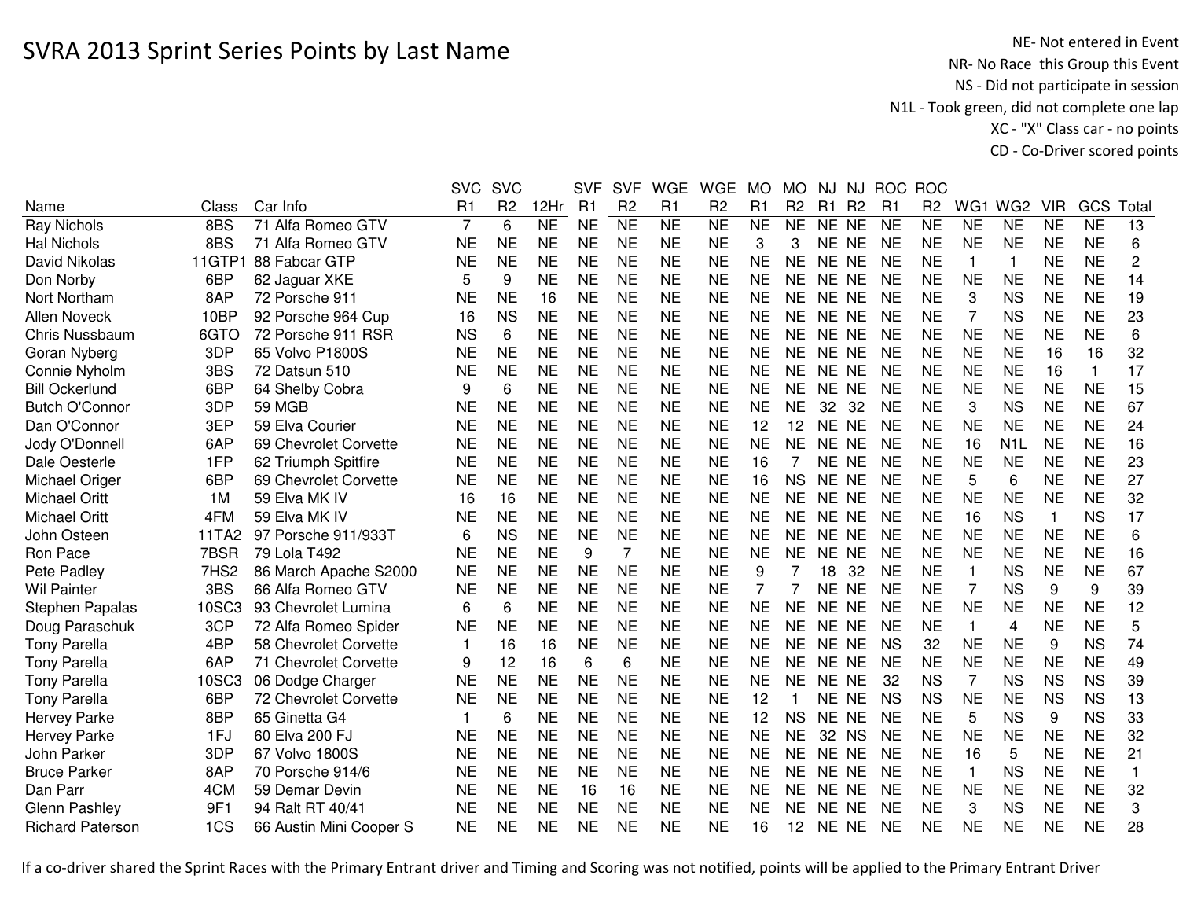NE- Not entered in Event<br>NR- No Race this Group this Event NS - Did not participate in session N1L - Took green, did not complete one lap XC - "X" Class car - no pointsCD - Co-Driver scored points

|                         |                  |                         | <b>SVC</b>     | <b>SVC</b>     |                | <b>SVF</b> | <b>SVF</b>      | <b>WGE</b>     | <b>WGE</b>      | MO                  | <b>MO</b>      | <b>NJ</b> | NJ             |           | ROC ROC         |                 |                  |              |                 |              |
|-------------------------|------------------|-------------------------|----------------|----------------|----------------|------------|-----------------|----------------|-----------------|---------------------|----------------|-----------|----------------|-----------|-----------------|-----------------|------------------|--------------|-----------------|--------------|
| Name                    | Class            | Car Info                | R <sub>1</sub> | R <sub>2</sub> | 12Hr           | R1         | R <sub>2</sub>  | R <sub>1</sub> | R <sub>2</sub>  | R <sub>1</sub>      | R <sub>2</sub> | R1        | R <sub>2</sub> | R1        | R <sub>2</sub>  | WG1             | WG <sub>2</sub>  | <b>VIR</b>   | GCS             | Total        |
| <b>Ray Nichols</b>      | 8BS              | 71 Alfa Romeo GTV       | $\overline{7}$ | 6              | N <sub>E</sub> | <b>NE</b>  | $\overline{NE}$ | N <sub>E</sub> | $\overline{NE}$ | $\overline{\sf NE}$ | N <sub>E</sub> | NE NE     |                | <b>NE</b> | $\overline{NE}$ | $\overline{NE}$ | N <sub>E</sub>   | <b>NE</b>    | $\overline{NE}$ | 13           |
| <b>Hal Nichols</b>      | 8BS              | 71 Alfa Romeo GTV       | <b>NE</b>      | <b>NE</b>      | <b>NE</b>      | <b>NE</b>  | <b>NE</b>       | <b>NE</b>      | <b>NE</b>       | 3                   | 3              | NE NE     |                | <b>NE</b> | <b>NE</b>       | <b>NE</b>       | <b>NE</b>        | <b>NE</b>    | <b>NE</b>       | 6            |
| David Nikolas           | 11GTP            | 88 Fabcar GTP           | <b>NE</b>      | <b>NE</b>      | <b>NE</b>      | <b>NE</b>  | <b>NE</b>       | <b>NE</b>      | <b>NE</b>       | <b>NE</b>           | <b>NE</b>      | NE NE     |                | <b>NE</b> | <b>NE</b>       | $\mathbf{1}$    | 1                | <b>NE</b>    | <b>NE</b>       | $\sqrt{2}$   |
| Don Norby               | 6BP              | 62 Jaguar XKE           | 5              | 9              | <b>NE</b>      | <b>NE</b>  | <b>NE</b>       | <b>NE</b>      | <b>NE</b>       | <b>NE</b>           | <b>NE</b>      | NE NE     |                | <b>NE</b> | <b>NE</b>       | <b>NE</b>       | <b>NE</b>        | <b>NE</b>    | <b>NE</b>       | 14           |
| Nort Northam            | 8AP              | 72 Porsche 911          | <b>NE</b>      | <b>NE</b>      | 16             | <b>NE</b>  | <b>NE</b>       | <b>NE</b>      | <b>NE</b>       | <b>NE</b>           | NE.            | NE NE     |                | <b>NE</b> | <b>NE</b>       | 3               | <b>NS</b>        | <b>NE</b>    | <b>NE</b>       | 19           |
| <b>Allen Noveck</b>     | 10BP             | 92 Porsche 964 Cup      | 16             | <b>NS</b>      | <b>NE</b>      | <b>NE</b>  | <b>NE</b>       | <b>NE</b>      | <b>NE</b>       | <b>NE</b>           | <b>NE</b>      | NE NE     |                | <b>NE</b> | <b>NE</b>       | 7               | <b>NS</b>        | <b>NE</b>    | <b>NE</b>       | 23           |
| Chris Nussbaum          | 6GTO             | 72 Porsche 911 RSR      | <b>NS</b>      | 6              | <b>NE</b>      | <b>NE</b>  | <b>NE</b>       | <b>NE</b>      | <b>NE</b>       | <b>NE</b>           | <b>NE</b>      | NE NE     |                | <b>NE</b> | <b>NE</b>       | <b>NE</b>       | <b>NE</b>        | <b>NE</b>    | <b>NE</b>       | 6            |
| Goran Nyberg            | 3DP              | 65 Volvo P1800S         | <b>NE</b>      | <b>NE</b>      | <b>NE</b>      | <b>NE</b>  | <b>NE</b>       | <b>NE</b>      | <b>NE</b>       | <b>NE</b>           | <b>NE</b>      | NE NE     |                | <b>NE</b> | <b>NE</b>       | <b>NE</b>       | <b>NE</b>        | 16           | 16              | 32           |
| Connie Nyholm           | 3BS              | 72 Datsun 510           | <b>NE</b>      | <b>NE</b>      | <b>NE</b>      | <b>NE</b>  | <b>NE</b>       | <b>NE</b>      | <b>NE</b>       | <b>NE</b>           | <b>NE</b>      | NE NE     |                | <b>NE</b> | <b>NE</b>       | <b>NE</b>       | <b>NE</b>        | 16           | $\mathbf{1}$    | 17           |
| <b>Bill Ockerlund</b>   | 6BP              | 64 Shelby Cobra         | 9              | 6              | <b>NE</b>      | <b>NE</b>  | <b>NE</b>       | <b>NE</b>      | <b>NE</b>       | <b>NE</b>           | <b>NE</b>      | NE NE     |                | <b>NE</b> | <b>NE</b>       | <b>NE</b>       | <b>NE</b>        | <b>NE</b>    | <b>NE</b>       | 15           |
| <b>Butch O'Connor</b>   | 3DP              | <b>59 MGB</b>           | <b>NE</b>      | <b>NE</b>      | <b>NE</b>      | <b>NE</b>  | <b>NE</b>       | <b>NE</b>      | <b>NE</b>       | <b>NE</b>           | <b>NE</b>      | 32        | 32             | <b>NE</b> | <b>NE</b>       | 3               | <b>NS</b>        | <b>NE</b>    | <b>NE</b>       | 67           |
| Dan O'Connor            | 3EP              | 59 Elva Courier         | <b>NE</b>      | <b>NE</b>      | <b>NE</b>      | <b>NE</b>  | <b>NE</b>       | <b>NE</b>      | <b>NE</b>       | 12                  | 12             | <b>NE</b> | <b>NE</b>      | <b>NE</b> | <b>NE</b>       | <b>NE</b>       | <b>NE</b>        | <b>NE</b>    | <b>NE</b>       | 24           |
| Jody O'Donnell          | 6AP              | 69 Chevrolet Corvette   | <b>NE</b>      | <b>NE</b>      | <b>NE</b>      | <b>NE</b>  | <b>NE</b>       | <b>NE</b>      | <b>NE</b>       | <b>NE</b>           | <b>NE</b>      | NE        | <b>NE</b>      | <b>NE</b> | <b>NE</b>       | 16              | N <sub>1</sub> L | <b>NE</b>    | <b>NE</b>       | 16           |
| Dale Oesterle           | 1FP              | 62 Triumph Spitfire     | <b>NE</b>      | <b>NE</b>      | <b>NE</b>      | <b>NE</b>  | <b>NE</b>       | <b>NE</b>      | <b>NE</b>       | 16                  | 7              | <b>NE</b> | <b>NE</b>      | <b>NE</b> | <b>NE</b>       | <b>NE</b>       | <b>NE</b>        | <b>NE</b>    | <b>NE</b>       | 23           |
| Michael Origer          | 6BP              | 69 Chevrolet Corvette   | <b>NE</b>      | <b>NE</b>      | <b>NE</b>      | <b>NE</b>  | <b>NE</b>       | <b>NE</b>      | <b>NE</b>       | 16                  | <b>NS</b>      | NE        | <b>NE</b>      | <b>NE</b> | <b>NE</b>       | 5               | 6                | <b>NE</b>    | <b>NE</b>       | 27           |
| <b>Michael Oritt</b>    | 1M               | 59 Elva MK IV           | 16             | 16             | <b>NE</b>      | <b>NE</b>  | <b>NE</b>       | <b>NE</b>      | <b>NE</b>       | <b>NE</b>           | <b>NE</b>      | NE.       | NE             | <b>NE</b> | <b>NE</b>       | <b>NE</b>       | <b>NE</b>        | <b>NE</b>    | <b>NE</b>       | 32           |
| <b>Michael Oritt</b>    | 4FM              | 59 Elva MK IV           | <b>NE</b>      | <b>NE</b>      | <b>NE</b>      | <b>NE</b>  | <b>NE</b>       | <b>NE</b>      | <b>NE</b>       | <b>NE</b>           | <b>NE</b>      | NE NE     |                | <b>NE</b> | <b>NE</b>       | 16              | <b>NS</b>        | $\mathbf{1}$ | <b>NS</b>       | 17           |
| John Osteen             | 11TA2            | 97 Porsche 911/933T     | 6              | <b>NS</b>      | <b>NE</b>      | <b>NE</b>  | <b>NE</b>       | <b>NE</b>      | <b>NE</b>       | <b>NE</b>           | <b>NE</b>      | NE NE     |                | <b>NE</b> | <b>NE</b>       | <b>NE</b>       | <b>NE</b>        | <b>NE</b>    | <b>NE</b>       | 6            |
| Ron Pace                | 7BSR             | 79 Lola T492            | <b>NE</b>      | <b>NE</b>      | <b>NE</b>      | 9          | 7               | <b>NE</b>      | <b>NE</b>       | <b>NE</b>           | <b>NE</b>      | NE NE     |                | <b>NE</b> | <b>NE</b>       | <b>NE</b>       | <b>NE</b>        | <b>NE</b>    | <b>NE</b>       | 16           |
| Pete Padley             | 7HS <sub>2</sub> | 86 March Apache S2000   | NE             | NE             | <b>NE</b>      | <b>NE</b>  | <b>NE</b>       | <b>NE</b>      | <b>NE</b>       | 9                   |                | 18        | 32             | <b>NE</b> | <b>NE</b>       | -1              | <b>NS</b>        | <b>NE</b>    | <b>NE</b>       | 67           |
| <b>Wil Painter</b>      | 3BS              | 66 Alfa Romeo GTV       | <b>NE</b>      | <b>NE</b>      | <b>NE</b>      | <b>NE</b>  | <b>NE</b>       | <b>NE</b>      | <b>NE</b>       | 7                   | 7              | NE NE     |                | <b>NE</b> | <b>NE</b>       | 7               | <b>NS</b>        | 9            | 9               | 39           |
| <b>Stephen Papalas</b>  | 10SC3            | 93 Chevrolet Lumina     | 6              | 6              | <b>NE</b>      | <b>NE</b>  | <b>NE</b>       | <b>NE</b>      | <b>NE</b>       | <b>NE</b>           | <b>NE</b>      | NE NE     |                | <b>NE</b> | <b>NE</b>       | <b>NE</b>       | <b>NE</b>        | <b>NE</b>    | <b>NE</b>       | 12           |
| Doug Paraschuk          | 3CP              | 72 Alfa Romeo Spider    | <b>NE</b>      | <b>NE</b>      | <b>NE</b>      | <b>NE</b>  | <b>NE</b>       | <b>NE</b>      | <b>NE</b>       | <b>NE</b>           | <b>NE</b>      | NE NE     |                | <b>NE</b> | <b>NE</b>       | $\mathbf{1}$    | 4                | <b>NE</b>    | <b>NE</b>       | 5            |
| <b>Tony Parella</b>     | 4BP              | 58 Chevrolet Corvette   | $\overline{1}$ | 16             | 16             | <b>NE</b>  | <b>NE</b>       | <b>NE</b>      | <b>NE</b>       | <b>NE</b>           | <b>NE</b>      | NE NE     |                | <b>NS</b> | 32              | <b>NE</b>       | <b>NE</b>        | 9            | <b>NS</b>       | 74           |
| <b>Tony Parella</b>     | 6AP              | 71 Chevrolet Corvette   | 9              | 12             | 16             | 6          | 6               | <b>NE</b>      | <b>NE</b>       | <b>NE</b>           | <b>NE</b>      | NE NE     |                | <b>NE</b> | <b>NE</b>       | <b>NE</b>       | <b>NE</b>        | <b>NE</b>    | <b>NE</b>       | 49           |
| <b>Tony Parella</b>     | 10SC3            | 06 Dodge Charger        | <b>NE</b>      | <b>NE</b>      | <b>NE</b>      | <b>NE</b>  | <b>NE</b>       | <b>NE</b>      | <b>NE</b>       | <b>NE</b>           | <b>NE</b>      | NE.       | <b>NE</b>      | 32        | <b>NS</b>       | 7               | <b>NS</b>        | <b>NS</b>    | <b>NS</b>       | 39           |
| <b>Tony Parella</b>     | 6BP              | 72 Chevrolet Corvette   | <b>NE</b>      | <b>NE</b>      | <b>NE</b>      | <b>NE</b>  | <b>NE</b>       | <b>NE</b>      | <b>NE</b>       | 12                  |                | <b>NE</b> | <b>NE</b>      | <b>NS</b> | <b>NS</b>       | <b>NE</b>       | <b>NE</b>        | <b>NS</b>    | <b>NS</b>       | 13           |
| <b>Hervey Parke</b>     | 8BP              | 65 Ginetta G4           | $\mathbf 1$    | 6              | <b>NE</b>      | <b>NE</b>  | <b>NE</b>       | <b>NE</b>      | <b>NE</b>       | 12                  | <b>NS</b>      | NE NE     |                | <b>NE</b> | <b>NE</b>       | 5               | <b>NS</b>        | 9            | <b>NS</b>       | 33           |
| Hervey Parke            | 1FJ              | 60 Elva 200 FJ          | <b>NE</b>      | <b>NE</b>      | <b>NE</b>      | <b>NE</b>  | <b>NE</b>       | <b>NE</b>      | <b>NE</b>       | <b>NE</b>           | <b>NE</b>      | 32        | <b>NS</b>      | <b>NE</b> | <b>NE</b>       | <b>NE</b>       | <b>NE</b>        | <b>NE</b>    | <b>NE</b>       | 32           |
| John Parker             | 3DP              | 67 Volvo 1800S          | <b>NE</b>      | <b>NE</b>      | <b>NE</b>      | <b>NE</b>  | <b>NE</b>       | <b>NE</b>      | <b>NE</b>       | <b>NE</b>           | <b>NE</b>      | <b>NE</b> | <b>NE</b>      | <b>NE</b> | <b>NE</b>       | 16              | 5                | <b>NE</b>    | <b>NE</b>       | 21           |
| <b>Bruce Parker</b>     | 8AP              | 70 Porsche 914/6        | <b>NE</b>      | <b>NE</b>      | <b>NE</b>      | <b>NE</b>  | <b>NE</b>       | <b>NE</b>      | <b>NE</b>       | <b>NE</b>           | <b>NE</b>      | NE NE     |                | <b>NE</b> | <b>NE</b>       | $\mathbf{1}$    | <b>NS</b>        | <b>NE</b>    | <b>NE</b>       | $\mathbf{1}$ |
| Dan Parr                | 4CM              | 59 Demar Devin          | <b>NE</b>      | <b>NE</b>      | <b>NE</b>      | 16         | 16              | <b>NE</b>      | <b>NE</b>       | <b>NE</b>           | <b>NE</b>      | NE NE     |                | <b>NE</b> | <b>NE</b>       | <b>NE</b>       | <b>NE</b>        | <b>NE</b>    | <b>NE</b>       | 32           |
| <b>Glenn Pashley</b>    | 9F1              | 94 Ralt RT 40/41        | <b>NE</b>      | <b>NE</b>      | <b>NE</b>      | <b>NE</b>  | <b>NE</b>       | <b>NE</b>      | <b>NE</b>       | <b>NE</b>           | <b>NE</b>      | NE NE     |                | <b>NE</b> | <b>NE</b>       | 3               | <b>NS</b>        | <b>NE</b>    | <b>NE</b>       | 3            |
| <b>Richard Paterson</b> | 1CS              | 66 Austin Mini Cooper S | <b>NE</b>      | <b>NE</b>      | <b>NE</b>      | <b>NE</b>  | <b>NE</b>       | <b>NE</b>      | <b>NE</b>       | 16                  | 12             | NE NE     |                | <b>NE</b> | <b>NE</b>       | <b>NE</b>       | <b>NE</b>        | <b>NE</b>    | <b>NE</b>       | 28           |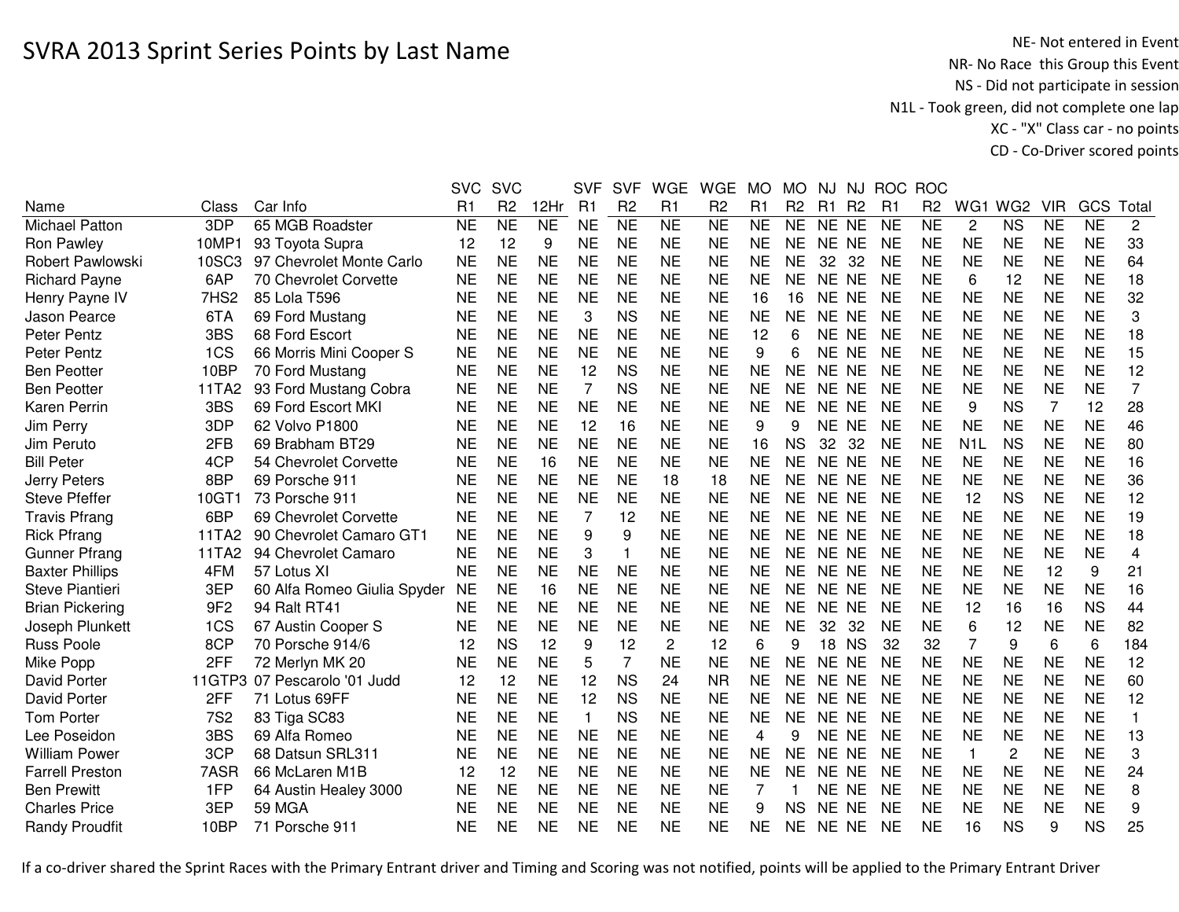NE- Not entered in Event<br>NR- No Race this Group this Event NS - Did not participate in session N1L - Took green, did not complete one lap XC - "X" Class car - no pointsCD - Co-Driver scored points

|                        |                  |                              | <b>SVC</b>     | <b>SVC</b>     |                | <b>SVF</b>     | <b>SVF</b>     | <b>WGE</b>     | <b>WGE</b>      | <b>MO</b> | <b>MO</b>      | NJ    | NJ             |                | ROC ROC        |                  |                        |            |                 |                         |
|------------------------|------------------|------------------------------|----------------|----------------|----------------|----------------|----------------|----------------|-----------------|-----------|----------------|-------|----------------|----------------|----------------|------------------|------------------------|------------|-----------------|-------------------------|
| Name                   | Class            | Car Info                     | R <sub>1</sub> | R <sub>2</sub> | 12Hr           | R1             | R <sub>2</sub> | R1             | R <sub>2</sub>  | R1        | R <sub>2</sub> | R1    | R <sub>2</sub> | R <sub>1</sub> | R <sub>2</sub> | WG1              | WG <sub>2</sub>        | <b>VIR</b> | GCS             | Total                   |
| <b>Michael Patton</b>  | 3DP              | 65 MGB Roadster              | <b>NE</b>      | N <sub>E</sub> | N <sub>E</sub> | <b>NE</b>      | N <sub>E</sub> | <b>NE</b>      | $\overline{NE}$ | <b>NE</b> | <b>NE</b>      | NE NE |                | <b>NE</b>      | <b>NE</b>      | $\overline{2}$   | $\overline{\text{NS}}$ | <b>NE</b>  | $\overline{NE}$ | $\overline{c}$          |
| Ron Pawley             | 10MP1            | 93 Toyota Supra              | 12             | 12             | 9              | <b>NE</b>      | <b>NE</b>      | <b>NE</b>      | <b>NE</b>       | <b>NE</b> | <b>NE</b>      | NE NE |                | <b>NE</b>      | <b>NE</b>      | <b>NE</b>        | <b>NE</b>              | <b>NE</b>  | <b>NE</b>       | 33                      |
| Robert Pawlowski       | 10SC3            | 97 Chevrolet Monte Carlo     | <b>NE</b>      | <b>NE</b>      | <b>NE</b>      | <b>NE</b>      | <b>NE</b>      | <b>NE</b>      | <b>NE</b>       | <b>NE</b> | <b>NE</b>      | 32    | 32             | <b>NE</b>      | <b>NE</b>      | <b>NE</b>        | <b>NE</b>              | <b>NE</b>  | <b>NE</b>       | 64                      |
| <b>Richard Payne</b>   | 6AP              | 70 Chevrolet Corvette        | <b>NE</b>      | <b>NE</b>      | <b>NE</b>      | <b>NE</b>      | <b>NE</b>      | <b>NE</b>      | <b>NE</b>       | <b>NE</b> | <b>NE</b>      | NE NE |                | <b>NE</b>      | <b>NE</b>      | 6                | 12                     | <b>NE</b>  | <b>NE</b>       | 18                      |
| Henry Payne IV         | 7HS <sub>2</sub> | 85 Lola T596                 | <b>NE</b>      | <b>NE</b>      | <b>NE</b>      | <b>NE</b>      | <b>NE</b>      | <b>NE</b>      | <b>NE</b>       | 16        | 16             | NE NE |                | <b>NE</b>      | <b>NE</b>      | <b>NE</b>        | <b>NE</b>              | <b>NE</b>  | <b>NE</b>       | 32                      |
| Jason Pearce           | 6TA              | 69 Ford Mustang              | <b>NE</b>      | <b>NE</b>      | <b>NE</b>      | 3              | <b>NS</b>      | <b>NE</b>      | <b>NE</b>       | <b>NE</b> | <b>NE</b>      | NE NE |                | <b>NE</b>      | <b>NE</b>      | <b>NE</b>        | <b>NE</b>              | <b>NE</b>  | <b>NE</b>       | 3                       |
| Peter Pentz            | 3BS              | 68 Ford Escort               | NE             | <b>NE</b>      | <b>NE</b>      | <b>NE</b>      | <b>NE</b>      | <b>NE</b>      | <b>NE</b>       | 12        | 6              | NE NE |                | <b>NE</b>      | <b>NE</b>      | <b>NE</b>        | <b>NE</b>              | <b>NE</b>  | <b>NE</b>       | 18                      |
| Peter Pentz            | 1CS              | 66 Morris Mini Cooper S      | <b>NE</b>      | <b>NE</b>      | <b>NE</b>      | <b>NE</b>      | <b>NE</b>      | <b>NE</b>      | <b>NE</b>       | 9         | 6              | NE NE |                | <b>NE</b>      | <b>NE</b>      | <b>NE</b>        | <b>NE</b>              | <b>NE</b>  | <b>NE</b>       | 15                      |
| <b>Ben Peotter</b>     | 10BP             | 70 Ford Mustang              | <b>NE</b>      | <b>NE</b>      | <b>NE</b>      | 12             | <b>NS</b>      | <b>NE</b>      | <b>NE</b>       | <b>NE</b> | <b>NE</b>      | NE NE |                | <b>NE</b>      | <b>NE</b>      | <b>NE</b>        | <b>NE</b>              | <b>NE</b>  | <b>NE</b>       | 12                      |
| <b>Ben Peotter</b>     | 11TA2            | 93 Ford Mustang Cobra        | <b>NE</b>      | <b>NE</b>      | <b>NE</b>      | 7              | <b>NS</b>      | <b>NE</b>      | <b>NE</b>       | <b>NE</b> | <b>NE</b>      | NE NE |                | <b>NE</b>      | <b>NE</b>      | <b>NE</b>        | <b>NE</b>              | <b>NE</b>  | <b>NE</b>       | $\overline{7}$          |
| Karen Perrin           | 3BS              | 69 Ford Escort MKI           | <b>NE</b>      | <b>NE</b>      | <b>NE</b>      | <b>NE</b>      | <b>NE</b>      | <b>NE</b>      | <b>NE</b>       | <b>NE</b> | <b>NE</b>      | NE NE |                | <b>NE</b>      | <b>NE</b>      | 9                | <b>NS</b>              | 7          | 12              | 28                      |
| Jim Perry              | 3DP              | 62 Volvo P1800               | NE             | <b>NE</b>      | <b>NE</b>      | 12             | 16             | <b>NE</b>      | <b>NE</b>       | 9         | 9              | NE NE |                | <b>NE</b>      | <b>NE</b>      | <b>NE</b>        | <b>NE</b>              | <b>NE</b>  | <b>NE</b>       | 46                      |
| Jim Peruto             | 2FB              | 69 Brabham BT29              | NE             | <b>NE</b>      | <b>NE</b>      | <b>NE</b>      | <b>NE</b>      | <b>NE</b>      | <b>NE</b>       | 16        | <b>NS</b>      | 32    | 32             | <b>NE</b>      | <b>NE</b>      | N <sub>1</sub> L | <b>NS</b>              | <b>NE</b>  | <b>NE</b>       | 80                      |
| <b>Bill Peter</b>      | 4CP              | 54 Chevrolet Corvette        | NE             | <b>NE</b>      | 16             | <b>NE</b>      | <b>NE</b>      | <b>NE</b>      | <b>NE</b>       | <b>NE</b> | <b>NE</b>      | NE NE |                | <b>NE</b>      | <b>NE</b>      | <b>NE</b>        | <b>NE</b>              | <b>NE</b>  | <b>NE</b>       | 16                      |
| Jerry Peters           | 8BP              | 69 Porsche 911               | <b>NE</b>      | <b>NE</b>      | <b>NE</b>      | <b>NE</b>      | <b>NE</b>      | 18             | 18              | <b>NE</b> | <b>NE</b>      | NE NE |                | <b>NE</b>      | <b>NE</b>      | <b>NE</b>        | <b>NE</b>              | <b>NE</b>  | <b>NE</b>       | 36                      |
| <b>Steve Pfeffer</b>   | 10GT1            | 73 Porsche 911               | <b>NE</b>      | <b>NE</b>      | <b>NE</b>      | <b>NE</b>      | <b>NE</b>      | <b>NE</b>      | <b>NE</b>       | <b>NE</b> | <b>NE</b>      | NE NE |                | <b>NE</b>      | <b>NE</b>      | 12               | <b>NS</b>              | <b>NE</b>  | <b>NE</b>       | 12                      |
| <b>Travis Pfrang</b>   | 6BP              | 69 Chevrolet Corvette        | <b>NE</b>      | <b>NE</b>      | <b>NE</b>      | $\overline{7}$ | 12             | <b>NE</b>      | <b>NE</b>       | <b>NE</b> | <b>NE</b>      | NE NE |                | <b>NE</b>      | <b>NE</b>      | <b>NE</b>        | <b>NE</b>              | <b>NE</b>  | <b>NE</b>       | 19                      |
| <b>Rick Pfrang</b>     | 11TA2            | 90 Chevrolet Camaro GT1      | <b>NE</b>      | <b>NE</b>      | <b>NE</b>      | 9              | 9              | <b>NE</b>      | <b>NE</b>       | <b>NE</b> | <b>NE</b>      | NE NE |                | <b>NE</b>      | <b>NE</b>      | <b>NE</b>        | <b>NE</b>              | <b>NE</b>  | <b>NE</b>       | 18                      |
| <b>Gunner Pfrang</b>   | 11TA2            | 94 Chevrolet Camaro          | <b>NE</b>      | <b>NE</b>      | <b>NE</b>      | 3              | 1              | <b>NE</b>      | <b>NE</b>       | <b>NE</b> | <b>NE</b>      | NE NE |                | <b>NE</b>      | <b>NE</b>      | <b>NE</b>        | <b>NE</b>              | <b>NE</b>  | <b>NE</b>       | $\overline{\mathbf{4}}$ |
| <b>Baxter Phillips</b> | 4FM              | 57 Lotus XI                  | <b>NE</b>      | <b>NE</b>      | <b>NE</b>      | <b>NE</b>      | <b>NE</b>      | <b>NE</b>      | <b>NE</b>       | <b>NE</b> | <b>NE</b>      | NE NE |                | <b>NE</b>      | <b>NE</b>      | <b>NE</b>        | <b>NE</b>              | 12         | 9               | 21                      |
| <b>Steve Piantieri</b> | 3EP              | 60 Alfa Romeo Giulia Spyder  | NE             | <b>NE</b>      | 16             | <b>NE</b>      | <b>NE</b>      | <b>NE</b>      | <b>NE</b>       | <b>NE</b> | <b>NE</b>      | NE NE |                | <b>NE</b>      | <b>NE</b>      | <b>NE</b>        | <b>NE</b>              | <b>NE</b>  | <b>NE</b>       | 16                      |
| <b>Brian Pickering</b> | 9F <sub>2</sub>  | 94 Ralt RT41                 | <b>NE</b>      | <b>NE</b>      | <b>NE</b>      | <b>NE</b>      | <b>NE</b>      | <b>NE</b>      | <b>NE</b>       | <b>NE</b> | <b>NE</b>      | NE NE |                | <b>NE</b>      | <b>NE</b>      | 12               | 16                     | 16         | <b>NS</b>       | 44                      |
| Joseph Plunkett        | 1CS              | 67 Austin Cooper S           | <b>NE</b>      | <b>NE</b>      | <b>NE</b>      | <b>NE</b>      | <b>NE</b>      | <b>NE</b>      | <b>NE</b>       | <b>NE</b> | <b>NE</b>      | 32    | 32             | <b>NE</b>      | <b>NE</b>      | 6                | 12                     | <b>NE</b>  | <b>NE</b>       | 82                      |
| Russ Poole             | 8CP              | 70 Porsche 914/6             | 12             | <b>NS</b>      | 12             | 9              | 12             | $\overline{2}$ | 12              | 6         | 9              | 18    | <b>NS</b>      | 32             | 32             | $\overline{7}$   | 9                      | 6          | 6               | 184                     |
| Mike Popp              | 2FF              | 72 Merlyn MK 20              | <b>NE</b>      | <b>NE</b>      | <b>NE</b>      | 5              | $\overline{7}$ | <b>NE</b>      | <b>NE</b>       | <b>NE</b> | <b>NE</b>      | NE NE |                | <b>NE</b>      | <b>NE</b>      | <b>NE</b>        | <b>NE</b>              | <b>NE</b>  | <b>NE</b>       | 12                      |
| David Porter           |                  | 11GTP3 07 Pescarolo '01 Judd | 12             | 12             | <b>NE</b>      | 12             | <b>NS</b>      | 24             | <b>NR</b>       | <b>NE</b> | <b>NE</b>      | NE NE |                | <b>NE</b>      | <b>NE</b>      | <b>NE</b>        | <b>NE</b>              | <b>NE</b>  | <b>NE</b>       | 60                      |
| David Porter           | 2FF              | 71 Lotus 69FF                | <b>NE</b>      | <b>NE</b>      | <b>NE</b>      | 12             | <b>NS</b>      | <b>NE</b>      | <b>NE</b>       | <b>NE</b> | NE             | NE NE |                | <b>NE</b>      | <b>NE</b>      | <b>NE</b>        | <b>NE</b>              | <b>NE</b>  | <b>NE</b>       | 12                      |
| <b>Tom Porter</b>      | <b>7S2</b>       | 83 Tiga SC83                 | <b>NE</b>      | <b>NE</b>      | <b>NE</b>      | $\mathbf{1}$   | <b>NS</b>      | <b>NE</b>      | <b>NE</b>       | <b>NE</b> | <b>NE</b>      | NE NE |                | <b>NE</b>      | <b>NE</b>      | <b>NE</b>        | <b>NE</b>              | <b>NE</b>  | <b>NE</b>       | $\mathbf{1}$            |
| Lee Poseidon           | 3BS              | 69 Alfa Romeo                | <b>NE</b>      | <b>NE</b>      | <b>NE</b>      | <b>NE</b>      | <b>NE</b>      | <b>NE</b>      | <b>NE</b>       | 4         | 9              | NE NE |                | <b>NE</b>      | <b>NE</b>      | <b>NE</b>        | <b>NE</b>              | <b>NE</b>  | <b>NE</b>       | 13                      |
| <b>William Power</b>   | 3CP              | 68 Datsun SRL311             | <b>NE</b>      | <b>NE</b>      | <b>NE</b>      | <b>NE</b>      | <b>NE</b>      | <b>NE</b>      | <b>NE</b>       | <b>NE</b> | <b>NE</b>      | NE NE |                | <b>NE</b>      | <b>NE</b>      | $\mathbf{1}$     | 2                      | <b>NE</b>  | <b>NE</b>       | 3                       |
| <b>Farrell Preston</b> | 7ASR             | 66 McLaren M1B               | 12             | 12             | <b>NE</b>      | <b>NE</b>      | <b>NE</b>      | <b>NE</b>      | <b>NE</b>       | <b>NE</b> | <b>NE</b>      | NE NE |                | <b>NE</b>      | <b>NE</b>      | <b>NE</b>        | <b>NE</b>              | <b>NE</b>  | <b>NE</b>       | 24                      |
| <b>Ben Prewitt</b>     | 1FP              | 64 Austin Healey 3000        | <b>NE</b>      | <b>NE</b>      | <b>NE</b>      | <b>NE</b>      | <b>NE</b>      | <b>NE</b>      | <b>NE</b>       | 7         |                | NE NE |                | <b>NE</b>      | <b>NE</b>      | <b>NE</b>        | <b>NE</b>              | <b>NE</b>  | <b>NE</b>       | 8                       |
| <b>Charles Price</b>   | 3EP              | <b>59 MGA</b>                | NE             | <b>NE</b>      | <b>NE</b>      | <b>NE</b>      | <b>NE</b>      | <b>NE</b>      | <b>NE</b>       | 9         | <b>NS</b>      | NE NE |                | <b>NE</b>      | <b>NE</b>      | <b>NE</b>        | <b>NE</b>              | <b>NE</b>  | <b>NE</b>       | 9                       |
| <b>Randy Proudfit</b>  | 10BP             | 71 Porsche 911               | NE             | <b>NE</b>      | <b>NE</b>      | <b>NE</b>      | <b>NE</b>      | <b>NE</b>      | <b>NE</b>       | <b>NE</b> | NE             | NE NE |                | <b>NE</b>      | <b>NE</b>      | 16               | <b>NS</b>              | 9          | <b>NS</b>       | 25                      |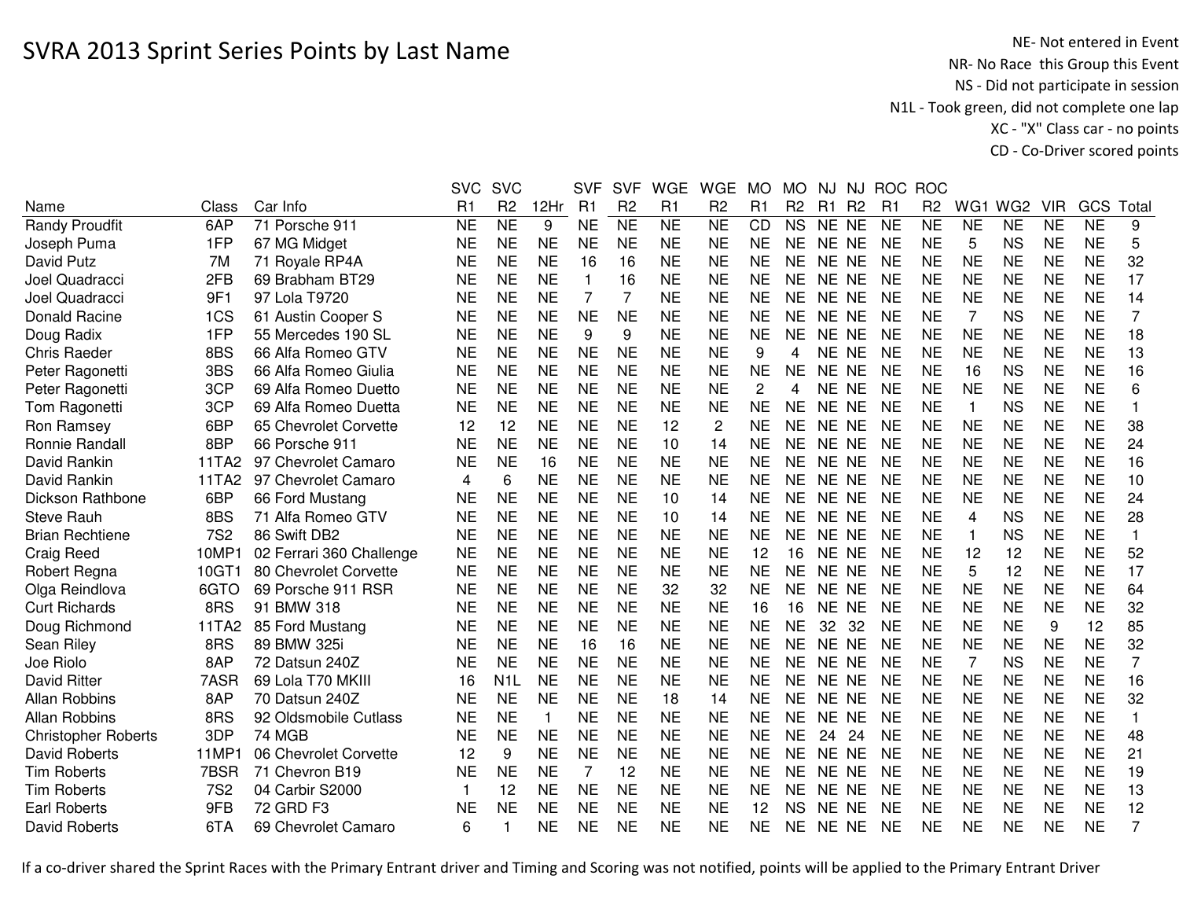|                            |            |                          | <b>SVC</b> | <b>SVC</b>          |                | <b>SVF</b> | <b>SVF</b>     | <b>WGE</b>     | <b>WGE</b>     | <b>MO</b>      | <b>MO</b>      | NJ        | NJ             |                | ROC ROC        |                |                 |            |           |              |
|----------------------------|------------|--------------------------|------------|---------------------|----------------|------------|----------------|----------------|----------------|----------------|----------------|-----------|----------------|----------------|----------------|----------------|-----------------|------------|-----------|--------------|
| Name                       | Class      | Car Info                 | R1         | R <sub>2</sub>      | 12Hr           | R1         | R <sub>2</sub> | R1             | R <sub>2</sub> | R1             | R <sub>2</sub> | R1        | R <sub>2</sub> | R <sub>1</sub> | R <sub>2</sub> | WG1            | WG <sub>2</sub> | <b>VIR</b> | GCS       | Total        |
| <b>Randy Proudfit</b>      | 6AP        | 71 Porsche 911           | <b>NE</b>  | $\overline{\sf NE}$ | 9              | <b>NE</b>  | N <sub>E</sub> | N <sub>E</sub> | <b>NE</b>      | CD             | <b>NS</b>      | NE NE     |                | <b>NE</b>      | <b>NE</b>      | <b>NE</b>      | <b>NE</b>       | <b>NE</b>  | <b>NE</b> | 9            |
| Joseph Puma                | 1FP        | 67 MG Midget             | <b>NE</b>  | <b>NE</b>           | <b>NE</b>      | <b>NE</b>  | <b>NE</b>      | <b>NE</b>      | <b>NE</b>      | <b>NE</b>      | <b>NE</b>      | NE NE     |                | <b>NE</b>      | <b>NE</b>      | 5              | <b>NS</b>       | <b>NE</b>  | <b>NE</b> | 5            |
| David Putz                 | 7M         | 71 Royale RP4A           | <b>NE</b>  | <b>NE</b>           | <b>NE</b>      | 16         | 16             | <b>NE</b>      | <b>NE</b>      | <b>NE</b>      | <b>NE</b>      | NE NE     |                | <b>NE</b>      | <b>NE</b>      | <b>NE</b>      | <b>NE</b>       | <b>NE</b>  | <b>NE</b> | 32           |
| Joel Quadracci             | 2FB        | 69 Brabham BT29          | <b>NE</b>  | <b>NE</b>           | <b>NE</b>      | 1          | 16             | <b>NE</b>      | <b>NE</b>      | <b>NE</b>      | NE.            | NE NE     |                | <b>NE</b>      | <b>NE</b>      | <b>NE</b>      | <b>NE</b>       | <b>NE</b>  | <b>NE</b> | 17           |
| Joel Quadracci             | 9F1        | 97 Lola T9720            | <b>NE</b>  | <b>NE</b>           | <b>NE</b>      | 7          | 7              | <b>NE</b>      | NE             | <b>NE</b>      | NE.            | NE NE     |                | <b>NE</b>      | <b>NE</b>      | <b>NE</b>      | <b>NE</b>       | <b>NE</b>  | <b>NE</b> | 14           |
| <b>Donald Racine</b>       | 1CS        | 61 Austin Cooper S       | <b>NE</b>  | <b>NE</b>           | <b>NE</b>      | <b>NE</b>  | <b>NE</b>      | <b>NE</b>      | <b>NE</b>      | <b>NE</b>      | <b>NE</b>      | NE NE     |                | <b>NE</b>      | <b>NE</b>      | 7              | <b>NS</b>       | <b>NE</b>  | <b>NE</b> | 7            |
| Doug Radix                 | 1FP        | 55 Mercedes 190 SL       | <b>NE</b>  | <b>NE</b>           | <b>NE</b>      | 9          | 9              | <b>NE</b>      | <b>NE</b>      | <b>NE</b>      | <b>NE</b>      | NE NE     |                | <b>NE</b>      | <b>NE</b>      | <b>NE</b>      | <b>NE</b>       | <b>NE</b>  | <b>NE</b> | 18           |
| <b>Chris Raeder</b>        | 8BS        | 66 Alfa Romeo GTV        | <b>NE</b>  | <b>NE</b>           | <b>NE</b>      | <b>NE</b>  | <b>NE</b>      | <b>NE</b>      | <b>NE</b>      | 9              | 4              | NE NE     |                | <b>NE</b>      | <b>NE</b>      | <b>NE</b>      | <b>NE</b>       | <b>NE</b>  | <b>NE</b> | 13           |
| Peter Ragonetti            | 3BS        | 66 Alfa Romeo Giulia     | <b>NE</b>  | <b>NE</b>           | <b>NE</b>      | <b>NE</b>  | <b>NE</b>      | <b>NE</b>      | <b>NE</b>      | <b>NE</b>      | <b>NE</b>      | NE NE     |                | <b>NE</b>      | <b>NE</b>      | 16             | <b>NS</b>       | <b>NE</b>  | <b>NE</b> | 16           |
| Peter Ragonetti            | 3CP        | 69 Alfa Romeo Duetto     | <b>NE</b>  | <b>NE</b>           | <b>NE</b>      | <b>NE</b>  | <b>NE</b>      | <b>NE</b>      | <b>NE</b>      | $\overline{c}$ | 4              | NE NE     |                | <b>NE</b>      | <b>NE</b>      | <b>NE</b>      | <b>NE</b>       | <b>NE</b>  | <b>NE</b> | 6            |
| Tom Ragonetti              | 3CP        | 69 Alfa Romeo Duetta     | <b>NE</b>  | <b>NE</b>           | <b>NE</b>      | <b>NE</b>  | <b>NE</b>      | <b>NE</b>      | <b>NE</b>      | <b>NE</b>      | <b>NE</b>      | NE NE     |                | <b>NE</b>      | <b>NE</b>      | $\mathbf{1}$   | <b>NS</b>       | <b>NE</b>  | <b>NE</b> |              |
| Ron Ramsey                 | 6BP        | 65 Chevrolet Corvette    | 12         | 12                  | <b>NE</b>      | <b>NE</b>  | <b>NE</b>      | 12             | $\overline{c}$ | <b>NE</b>      | <b>NE</b>      | <b>NE</b> | <b>NE</b>      | <b>NE</b>      | <b>NE</b>      | <b>NE</b>      | <b>NE</b>       | <b>NE</b>  | <b>NE</b> | 38           |
| Ronnie Randall             | 8BP        | 66 Porsche 911           | <b>NE</b>  | <b>NE</b>           | <b>NE</b>      | <b>NE</b>  | <b>NE</b>      | 10             | 14             | <b>NE</b>      | <b>NE</b>      | <b>NE</b> | <b>NE</b>      | <b>NE</b>      | <b>NE</b>      | <b>NE</b>      | <b>NE</b>       | <b>NE</b>  | <b>NE</b> | 24           |
| David Rankin               | 11TA2      | 97 Chevrolet Camaro      | <b>NE</b>  | <b>NE</b>           | 16             | <b>NE</b>  | <b>NE</b>      | <b>NE</b>      | <b>NE</b>      | <b>NE</b>      | <b>NE</b>      | <b>NE</b> | <b>NE</b>      | <b>NE</b>      | <b>NE</b>      | <b>NE</b>      | <b>NE</b>       | <b>NE</b>  | <b>NE</b> | 16           |
| David Rankin               | 11TA2      | 97 Chevrolet Camaro      | 4          | 6                   | <b>NE</b>      | <b>NE</b>  | <b>NE</b>      | <b>NE</b>      | <b>NE</b>      | <b>NE</b>      | <b>NE</b>      | NE        | <b>NE</b>      | <b>NE</b>      | <b>NE</b>      | <b>NE</b>      | <b>NE</b>       | <b>NE</b>  | <b>NE</b> | 10           |
| Dickson Rathbone           | 6BP        | 66 Ford Mustang          | <b>NE</b>  | <b>NE</b>           | <b>NE</b>      | <b>NE</b>  | <b>NE</b>      | 10             | 14             | <b>NE</b>      | <b>NE</b>      | <b>NE</b> | <b>NE</b>      | <b>NE</b>      | <b>NE</b>      | <b>NE</b>      | <b>NE</b>       | <b>NE</b>  | <b>NE</b> | 24           |
| <b>Steve Rauh</b>          | 8BS        | 71 Alfa Romeo GTV        | <b>NE</b>  | <b>NE</b>           | <b>NE</b>      | <b>NE</b>  | <b>NE</b>      | 10             | 14             | <b>NE</b>      | <b>NE</b>      | NE NE     |                | <b>NE</b>      | <b>NE</b>      | $\overline{4}$ | <b>NS</b>       | <b>NE</b>  | <b>NE</b> | 28           |
| <b>Brian Rechtiene</b>     | <b>7S2</b> | 86 Swift DB2             | <b>NE</b>  | <b>NE</b>           | <b>NE</b>      | <b>NE</b>  | <b>NE</b>      | <b>NE</b>      | <b>NE</b>      | <b>NE</b>      | <b>NE</b>      | NE NE     |                | <b>NE</b>      | <b>NE</b>      | $\mathbf{1}$   | <b>NS</b>       | <b>NE</b>  | <b>NE</b> | $\mathbf{1}$ |
| <b>Craig Reed</b>          | 10MP1      | 02 Ferrari 360 Challenge | <b>NE</b>  | <b>NE</b>           | <b>NE</b>      | <b>NE</b>  | <b>NE</b>      | <b>NE</b>      | <b>NE</b>      | 12             | 16             | NE NE     |                | <b>NE</b>      | <b>NE</b>      | 12             | 12              | <b>NE</b>  | <b>NE</b> | 52           |
| Robert Regna               | 10GT1      | 80 Chevrolet Corvette    | <b>NE</b>  | <b>NE</b>           | <b>NE</b>      | <b>NE</b>  | <b>NE</b>      | <b>NE</b>      | <b>NE</b>      | <b>NE</b>      | <b>NE</b>      | NE NE     |                | <b>NE</b>      | <b>NE</b>      | 5              | 12              | <b>NE</b>  | <b>NE</b> | 17           |
| Olga Reindlova             | 6GTO       | 69 Porsche 911 RSR       | <b>NE</b>  | <b>NE</b>           | <b>NE</b>      | <b>NE</b>  | <b>NE</b>      | 32             | 32             | <b>NE</b>      | <b>NE</b>      | NE NE     |                | <b>NE</b>      | <b>NE</b>      | <b>NE</b>      | <b>NE</b>       | <b>NE</b>  | <b>NE</b> | 64           |
| <b>Curt Richards</b>       | 8RS        | 91 BMW 318               | <b>NE</b>  | <b>NE</b>           | <b>NE</b>      | <b>NE</b>  | <b>NE</b>      | <b>NE</b>      | <b>NE</b>      | 16             | 16             | NE NE     |                | <b>NE</b>      | <b>NE</b>      | <b>NE</b>      | <b>NE</b>       | <b>NE</b>  | <b>NE</b> | 32           |
| Doug Richmond              | 11TA2      | 85 Ford Mustang          | <b>NE</b>  | <b>NE</b>           | <b>NE</b>      | <b>NE</b>  | <b>NE</b>      | <b>NE</b>      | <b>NE</b>      | <b>NE</b>      | <b>NE</b>      | 32        | 32             | <b>NE</b>      | <b>NE</b>      | <b>NE</b>      | <b>NE</b>       | 9          | 12        | 85           |
| Sean Riley                 | 8RS        | 89 BMW 325i              | <b>NE</b>  | <b>NE</b>           | <b>NE</b>      | 16         | 16             | <b>NE</b>      | <b>NE</b>      | <b>NE</b>      | <b>NE</b>      | NE NE     |                | <b>NE</b>      | <b>NE</b>      | <b>NE</b>      | <b>NE</b>       | <b>NE</b>  | <b>NE</b> | 32           |
| Joe Riolo                  | 8AP        | 72 Datsun 240Z           | <b>NE</b>  | <b>NE</b>           | <b>NE</b>      | <b>NE</b>  | <b>NE</b>      | <b>NE</b>      | <b>NE</b>      | <b>NE</b>      | <b>NE</b>      | NE NE     |                | <b>NE</b>      | NE             | 7              | <b>NS</b>       | <b>NE</b>  | <b>NE</b> | 7            |
| <b>David Ritter</b>        | 7ASR       | 69 Lola T70 MKIII        | 16         | N <sub>1</sub> L    | <b>NE</b>      | <b>NE</b>  | <b>NE</b>      | <b>NE</b>      | <b>NE</b>      | <b>NE</b>      | <b>NE</b>      | NE NE     |                | <b>NE</b>      | <b>NE</b>      | <b>NE</b>      | <b>NE</b>       | <b>NE</b>  | <b>NE</b> | 16           |
| <b>Allan Robbins</b>       | 8AP        | 70 Datsun 240Z           | <b>NE</b>  | <b>NE</b>           | <b>NE</b>      | <b>NE</b>  | <b>NE</b>      | 18             | 14             | <b>NE</b>      | <b>NE</b>      | NE NE     |                | <b>NE</b>      | <b>NE</b>      | <b>NE</b>      | <b>NE</b>       | <b>NE</b>  | <b>NE</b> | 32           |
| <b>Allan Robbins</b>       | 8RS        | 92 Oldsmobile Cutlass    | <b>NE</b>  | <b>NE</b>           | $\overline{1}$ | <b>NE</b>  | <b>NE</b>      | <b>NE</b>      | <b>NE</b>      | <b>NE</b>      | <b>NE</b>      | NE NE     |                | <b>NE</b>      | <b>NE</b>      | <b>NE</b>      | <b>NE</b>       | <b>NE</b>  | <b>NE</b> | $\mathbf{1}$ |
| <b>Christopher Roberts</b> | 3DP        | 74 MGB                   | <b>NE</b>  | <b>NE</b>           | <b>NE</b>      | <b>NE</b>  | <b>NE</b>      | <b>NE</b>      | <b>NE</b>      | <b>NE</b>      | <b>NE</b>      | 24        | 24             | <b>NE</b>      | <b>NE</b>      | <b>NE</b>      | <b>NE</b>       | <b>NE</b>  | <b>NE</b> | 48           |
| <b>David Roberts</b>       | 11MP1      | 06 Chevrolet Corvette    | 12         | 9                   | <b>NE</b>      | <b>NE</b>  | <b>NE</b>      | <b>NE</b>      | <b>NE</b>      | <b>NE</b>      | <b>NE</b>      | <b>NE</b> | <b>NE</b>      | <b>NE</b>      | <b>NE</b>      | <b>NE</b>      | <b>NE</b>       | <b>NE</b>  | <b>NE</b> | 21           |
| <b>Tim Roberts</b>         | 7BSR       | 71 Chevron B19           | <b>NE</b>  | <b>NE</b>           | <b>NE</b>      | 7          | 12             | <b>NE</b>      | <b>NE</b>      | <b>NE</b>      | <b>NE</b>      | NE        | NE             | <b>NE</b>      | <b>NE</b>      | <b>NE</b>      | <b>NE</b>       | <b>NE</b>  | <b>NE</b> | 19           |
| <b>Tim Roberts</b>         | <b>7S2</b> | 04 Carbir S2000          | 1          | 12                  | <b>NE</b>      | <b>NE</b>  | <b>NE</b>      | <b>NE</b>      | <b>NE</b>      | <b>NE</b>      | <b>NE</b>      | <b>NE</b> | <b>NE</b>      | <b>NE</b>      | <b>NE</b>      | <b>NE</b>      | <b>NE</b>       | <b>NE</b>  | <b>NE</b> | 13           |
| <b>Earl Roberts</b>        | 9FB        | 72 GRD F3                | <b>NE</b>  | <b>NE</b>           | <b>NE</b>      | <b>NE</b>  | <b>NE</b>      | <b>NE</b>      | <b>NE</b>      | 12             | <b>NS</b>      | <b>NE</b> | <b>NE</b>      | <b>NE</b>      | <b>NE</b>      | <b>NE</b>      | <b>NE</b>       | <b>NE</b>  | <b>NE</b> | 12           |
| <b>David Roberts</b>       | 6TA        | 69 Chevrolet Camaro      | 6          |                     | <b>NE</b>      | <b>NE</b>  | <b>NE</b>      | <b>NE</b>      | <b>NE</b>      | <b>NE</b>      | <b>NE</b>      | NE NE     |                | <b>NE</b>      | <b>NE</b>      | <b>NE</b>      | <b>NE</b>       | <b>NE</b>  | <b>NE</b> | 7            |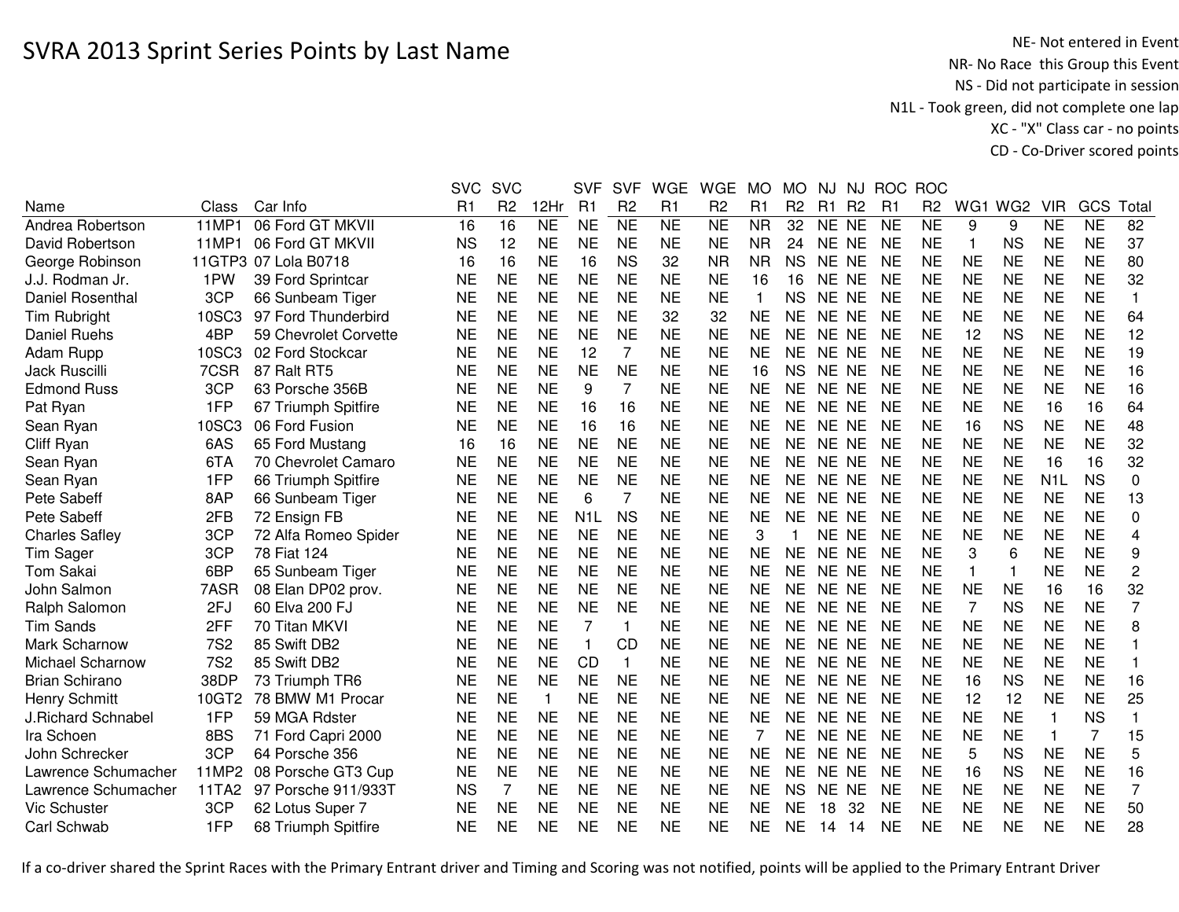NE- Not entered in Event<br>NR- No Race this Group this Event NS - Did not participate in session N1L - Took green, did not complete one lap XC - "X" Class car - no pointsCD - Co-Driver scored points

|                       |            |                       | <b>SVC</b> | <b>SVC</b>     |           | <b>SVF</b>       | <b>SVF</b>     | <b>WGE</b>     | <b>WGE</b>     | <b>MO</b> | <b>MO</b>      | NJ    | <b>NJ</b>      | <b>ROC</b>     | <b>ROC</b>     |                |           |                  |           |                         |
|-----------------------|------------|-----------------------|------------|----------------|-----------|------------------|----------------|----------------|----------------|-----------|----------------|-------|----------------|----------------|----------------|----------------|-----------|------------------|-----------|-------------------------|
| Name                  | Class      | Car Info              | R1         | R <sub>2</sub> | 12Hr      | R <sub>1</sub>   | R <sub>2</sub> | R <sub>1</sub> | R <sub>2</sub> | R1        | R <sub>2</sub> | R1    | R <sub>2</sub> | R <sub>1</sub> | R <sub>2</sub> |                | WG1 WG2   | <b>VIR</b>       | GCS       | Tota                    |
| Andrea Robertson      | 11MP1      | 06 Ford GT MKVII      | 16         | 16             | <b>NE</b> | <b>NE</b>        | <b>NE</b>      | <b>NE</b>      | <b>NE</b>      | <b>NR</b> | 32             | NE NE |                | <b>NE</b>      | <b>NE</b>      | 9              | 9         | <b>NE</b>        | <b>NE</b> | 82                      |
| David Robertson       | 11MP1      | 06 Ford GT MKVII      | <b>NS</b>  | 12             | <b>NE</b> | <b>NE</b>        | <b>NE</b>      | <b>NE</b>      | <b>NE</b>      | <b>NR</b> | 24             | NE NE |                | <b>NE</b>      | <b>NE</b>      | -1             | <b>NS</b> | <b>NE</b>        | <b>NE</b> | 37                      |
| George Robinson       |            | 11GTP3 07 Lola B0718  | 16         | 16             | <b>NE</b> | 16               | <b>NS</b>      | 32             | <b>NR</b>      | <b>NR</b> | <b>NS</b>      | NE NE |                | <b>NE</b>      | <b>NE</b>      | <b>NE</b>      | <b>NE</b> | <b>NE</b>        | <b>NE</b> | 80                      |
| J.J. Rodman Jr.       | 1PW        | 39 Ford Sprintcar     | <b>NE</b>  | <b>NE</b>      | <b>NE</b> | <b>NE</b>        | <b>NE</b>      | <b>NE</b>      | <b>NE</b>      | 16        | 16             | NE NE |                | <b>NE</b>      | <b>NE</b>      | <b>NE</b>      | <b>NE</b> | <b>NE</b>        | <b>NE</b> | 32                      |
| Daniel Rosenthal      | 3CP        | 66 Sunbeam Tiger      | <b>NE</b>  | <b>NE</b>      | <b>NE</b> | <b>NE</b>        | <b>NE</b>      | <b>NE</b>      | <b>NE</b>      |           | <b>NS</b>      | NE NE |                | <b>NE</b>      | <b>NE</b>      | <b>NE</b>      | <b>NE</b> | <b>NE</b>        | <b>NE</b> | $\mathbf{1}$            |
| <b>Tim Rubright</b>   | 10SC3      | 97 Ford Thunderbird   | <b>NE</b>  | <b>NE</b>      | <b>NE</b> | <b>NE</b>        | <b>NE</b>      | 32             | 32             | <b>NE</b> | NE             | NE NE |                | <b>NE</b>      | <b>NE</b>      | <b>NE</b>      | <b>NE</b> | <b>NE</b>        | <b>NE</b> | 64                      |
| <b>Daniel Ruehs</b>   | 4BP        | 59 Chevrolet Corvette | <b>NE</b>  | <b>NE</b>      | <b>NE</b> | <b>NE</b>        | <b>NE</b>      | <b>NE</b>      | <b>NE</b>      | <b>NE</b> | <b>NE</b>      | NE NE |                | <b>NE</b>      | <b>NE</b>      | 12             | <b>NS</b> | <b>NE</b>        | <b>NE</b> | 12                      |
| Adam Rupp             | 10SC3      | 02 Ford Stockcar      | <b>NE</b>  | <b>NE</b>      | <b>NE</b> | 12               | 7              | <b>NE</b>      | <b>NE</b>      | <b>NE</b> | <b>NE</b>      | NE NE |                | <b>NE</b>      | <b>NE</b>      | <b>NE</b>      | <b>NE</b> | <b>NE</b>        | <b>NE</b> | 19                      |
| <b>Jack Ruscilli</b>  | 7CSR       | 87 Ralt RT5           | <b>NE</b>  | <b>NE</b>      | <b>NE</b> | <b>NE</b>        | <b>NE</b>      | <b>NE</b>      | <b>NE</b>      | 16        | NS.            | NE NE |                | NE             | <b>NE</b>      | <b>NE</b>      | <b>NE</b> | <b>NE</b>        | <b>NE</b> | 16                      |
| <b>Edmond Russ</b>    | 3CP        | 63 Porsche 356B       | <b>NE</b>  | <b>NE</b>      | <b>NE</b> | 9                | $\overline{7}$ | <b>NE</b>      | <b>NE</b>      | <b>NE</b> | <b>NE</b>      | NE NE |                | <b>NE</b>      | <b>NE</b>      | <b>NE</b>      | <b>NE</b> | <b>NE</b>        | <b>NE</b> | 16                      |
| Pat Ryan              | 1FP        | 67 Triumph Spitfire   | <b>NE</b>  | <b>NE</b>      | <b>NE</b> | 16               | 16             | <b>NE</b>      | <b>NE</b>      | <b>NE</b> | <b>NE</b>      | NE NE |                | <b>NE</b>      | <b>NE</b>      | <b>NE</b>      | <b>NE</b> | 16               | 16        | 64                      |
| Sean Ryan             | 10SC3      | 06 Ford Fusion        | <b>NE</b>  | <b>NE</b>      | <b>NE</b> | 16               | 16             | <b>NE</b>      | <b>NE</b>      | <b>NE</b> | <b>NE</b>      | NE NE |                | <b>NE</b>      | <b>NE</b>      | 16             | <b>NS</b> | <b>NE</b>        | <b>NE</b> | 48                      |
| Cliff Ryan            | 6AS        | 65 Ford Mustang       | 16         | 16             | <b>NE</b> | <b>NE</b>        | <b>NE</b>      | <b>NE</b>      | <b>NE</b>      | <b>NE</b> | <b>NE</b>      | NE NE |                | <b>NE</b>      | <b>NE</b>      | <b>NE</b>      | <b>NE</b> | <b>NE</b>        | <b>NE</b> | 32                      |
| Sean Ryan             | 6TA        | 70 Chevrolet Camaro   | <b>NE</b>  | <b>NE</b>      | <b>NE</b> | <b>NE</b>        | <b>NE</b>      | <b>NE</b>      | <b>NE</b>      | <b>NE</b> | <b>NE</b>      | NE NE |                | <b>NE</b>      | <b>NE</b>      | <b>NE</b>      | <b>NE</b> | 16               | 16        | 32                      |
| Sean Ryan             | 1FP        | 66 Triumph Spitfire   | <b>NE</b>  | <b>NE</b>      | <b>NE</b> | <b>NE</b>        | <b>NE</b>      | <b>NE</b>      | <b>NE</b>      | <b>NE</b> | <b>NE</b>      | NE NE |                | <b>NE</b>      | <b>NE</b>      | <b>NE</b>      | <b>NE</b> | N <sub>1</sub> L | <b>NS</b> | $\boldsymbol{0}$        |
| Pete Sabeff           | 8AP        | 66 Sunbeam Tiger      | <b>NE</b>  | <b>NE</b>      | <b>NE</b> | 6                | $\overline{7}$ | <b>NE</b>      | <b>NE</b>      | <b>NE</b> | NE             | NE NE |                | <b>NE</b>      | <b>NE</b>      | <b>NE</b>      | <b>NE</b> | <b>NE</b>        | <b>NE</b> | 13                      |
| Pete Sabeff           | 2FB        | 72 Ensign FB          | <b>NE</b>  | <b>NE</b>      | <b>NE</b> | N <sub>1</sub> L | <b>NS</b>      | <b>NE</b>      | <b>NE</b>      | <b>NE</b> | <b>NE</b>      | NE NE |                | <b>NE</b>      | <b>NE</b>      | <b>NE</b>      | <b>NE</b> | <b>NE</b>        | <b>NE</b> | 0                       |
| <b>Charles Safley</b> | 3CP        | 72 Alfa Romeo Spider  | <b>NE</b>  | <b>NE</b>      | <b>NE</b> | <b>NE</b>        | <b>NE</b>      | <b>NE</b>      | <b>NE</b>      | 3         |                | NE NE |                | <b>NE</b>      | <b>NE</b>      | <b>NE</b>      | <b>NE</b> | <b>NE</b>        | <b>NE</b> | 4                       |
| <b>Tim Sager</b>      | 3CP        | 78 Fiat 124           | <b>NE</b>  | <b>NE</b>      | <b>NE</b> | <b>NE</b>        | <b>NE</b>      | <b>NE</b>      | <b>NE</b>      | <b>NE</b> | <b>NE</b>      | NE NE |                | <b>NE</b>      | <b>NE</b>      | 3              | 6         | <b>NE</b>        | <b>NE</b> | 9                       |
| <b>Tom Sakai</b>      | 6BP        | 65 Sunbeam Tiger      | <b>NE</b>  | <b>NE</b>      | <b>NE</b> | <b>NE</b>        | <b>NE</b>      | <b>NE</b>      | <b>NE</b>      | <b>NE</b> | <b>NE</b>      | NE NE |                | <b>NE</b>      | <b>NE</b>      | $\overline{1}$ | 1         | <b>NE</b>        | <b>NE</b> | $\overline{c}$          |
| John Salmon           | 7ASR       | 08 Elan DP02 prov.    | <b>NE</b>  | <b>NE</b>      | <b>NE</b> | <b>NE</b>        | <b>NE</b>      | <b>NE</b>      | <b>NE</b>      | <b>NE</b> | <b>NE</b>      | NE NE |                | <b>NE</b>      | <b>NE</b>      | <b>NE</b>      | <b>NE</b> | 16               | 16        | 32                      |
| Ralph Salomon         | 2FJ        | 60 Elva 200 FJ        | <b>NE</b>  | <b>NE</b>      | <b>NE</b> | <b>NE</b>        | <b>NE</b>      | <b>NE</b>      | NE             | <b>NE</b> | NE.            | NE NE |                | <b>NE</b>      | <b>NE</b>      | 7              | <b>NS</b> | <b>NE</b>        | <b>NE</b> | $\overline{7}$          |
| <b>Tim Sands</b>      | 2FF        | 70 Titan MKVI         | <b>NE</b>  | <b>NE</b>      | <b>NE</b> | 7                | 1              | <b>NE</b>      | NE             | <b>NE</b> | ΝE             | NE NE |                | <b>NE</b>      | <b>NE</b>      | <b>NE</b>      | <b>NE</b> | <b>NE</b>        | <b>NE</b> | 8                       |
| Mark Scharnow         | <b>7S2</b> | 85 Swift DB2          | <b>NE</b>  | <b>NE</b>      | <b>NE</b> | $\mathbf{1}$     | CD             | <b>NE</b>      | <b>NE</b>      | <b>NE</b> | <b>NE</b>      | NE NE |                | <b>NE</b>      | <b>NE</b>      | <b>NE</b>      | <b>NE</b> | <b>NE</b>        | <b>NE</b> |                         |
| Michael Scharnow      | <b>7S2</b> | 85 Swift DB2          | <b>NE</b>  | <b>NE</b>      | <b>NE</b> | <b>CD</b>        | $\mathbf{1}$   | <b>NE</b>      | <b>NE</b>      | <b>NE</b> | <b>NE</b>      | NE NE |                | <b>NE</b>      | <b>NE</b>      | <b>NE</b>      | <b>NE</b> | <b>NE</b>        | <b>NE</b> |                         |
| <b>Brian Schirano</b> | 38DP       | 73 Triumph TR6        | <b>NE</b>  | <b>NE</b>      | <b>NE</b> | <b>NE</b>        | <b>NE</b>      | <b>NE</b>      | <b>NE</b>      | <b>NE</b> | <b>NE</b>      | NE NE |                | <b>NE</b>      | <b>NE</b>      | 16             | <b>NS</b> | <b>NE</b>        | <b>NE</b> | 16                      |
| <b>Henry Schmitt</b>  | 10GT2      | 78 BMW M1 Procar      | <b>NE</b>  | <b>NE</b>      | -1        | <b>NE</b>        | <b>NE</b>      | <b>NE</b>      | <b>NE</b>      | <b>NE</b> | <b>NE</b>      | NE NE |                | <b>NE</b>      | <b>NE</b>      | 12             | 12        | <b>NE</b>        | <b>NE</b> | 25                      |
| J.Richard Schnabel    | 1FP        | 59 MGA Rdster         | <b>NE</b>  | <b>NE</b>      | <b>NE</b> | <b>NE</b>        | <b>NE</b>      | <b>NE</b>      | <b>NE</b>      | <b>NE</b> | <b>NE</b>      | NE NE |                | <b>NE</b>      | <b>NE</b>      | <b>NE</b>      | <b>NE</b> | 1                | <b>NS</b> | $\overline{\mathbf{1}}$ |
| Ira Schoen            | 8BS        | 71 Ford Capri 2000    | <b>NE</b>  | <b>NE</b>      | <b>NE</b> | <b>NE</b>        | <b>NE</b>      | <b>NE</b>      | <b>NE</b>      | 7         | <b>NE</b>      | NE NE |                | <b>NE</b>      | <b>NE</b>      | <b>NE</b>      | <b>NE</b> | 1                | 7         | 15                      |
| John Schrecker        | 3CP        | 64 Porsche 356        | <b>NE</b>  | <b>NE</b>      | <b>NE</b> | <b>NE</b>        | <b>NE</b>      | <b>NE</b>      | <b>NE</b>      | <b>NE</b> | <b>NE</b>      | NE NE |                | <b>NE</b>      | <b>NE</b>      | 5              | <b>NS</b> | <b>NE</b>        | <b>NE</b> | 5                       |
| Lawrence Schumacher   | 11MP2      | 08 Porsche GT3 Cup    | <b>NE</b>  | <b>NE</b>      | <b>NE</b> | <b>NE</b>        | <b>NE</b>      | <b>NE</b>      | <b>NE</b>      | <b>NE</b> | NE.            | NE NE |                | <b>NE</b>      | <b>NE</b>      | 16             | <b>NS</b> | <b>NE</b>        | <b>NE</b> | 16                      |
| Lawrence Schumacher   | 11TA2      | 97 Porsche 911/933T   | <b>NS</b>  | 7              | <b>NE</b> | <b>NE</b>        | <b>NE</b>      | <b>NE</b>      | <b>NE</b>      | <b>NE</b> | <b>NS</b>      | NE NE |                | <b>NE</b>      | <b>NE</b>      | <b>NE</b>      | <b>NE</b> | <b>NE</b>        | <b>NE</b> | $\overline{7}$          |
| Vic Schuster          | 3CP        | 62 Lotus Super 7      | <b>NE</b>  | <b>NE</b>      | <b>NE</b> | <b>NE</b>        | <b>NE</b>      | <b>NE</b>      | <b>NE</b>      | <b>NE</b> | NE             | 18    | 32             | <b>NE</b>      | <b>NE</b>      | <b>NE</b>      | <b>NE</b> | <b>NE</b>        | <b>NE</b> | 50                      |
| Carl Schwab           | 1FP        | 68 Triumph Spitfire   | <b>NE</b>  | <b>NE</b>      | <b>NE</b> | <b>NE</b>        | <b>NE</b>      | <b>NE</b>      | <b>NE</b>      | <b>NE</b> | NE             | 14    | -14            | <b>NE</b>      | <b>NE</b>      | <b>NE</b>      | <b>NE</b> | <b>NE</b>        | <b>NE</b> | 28                      |
|                       |            |                       |            |                |           |                  |                |                |                |           |                |       |                |                |                |                |           |                  |           |                         |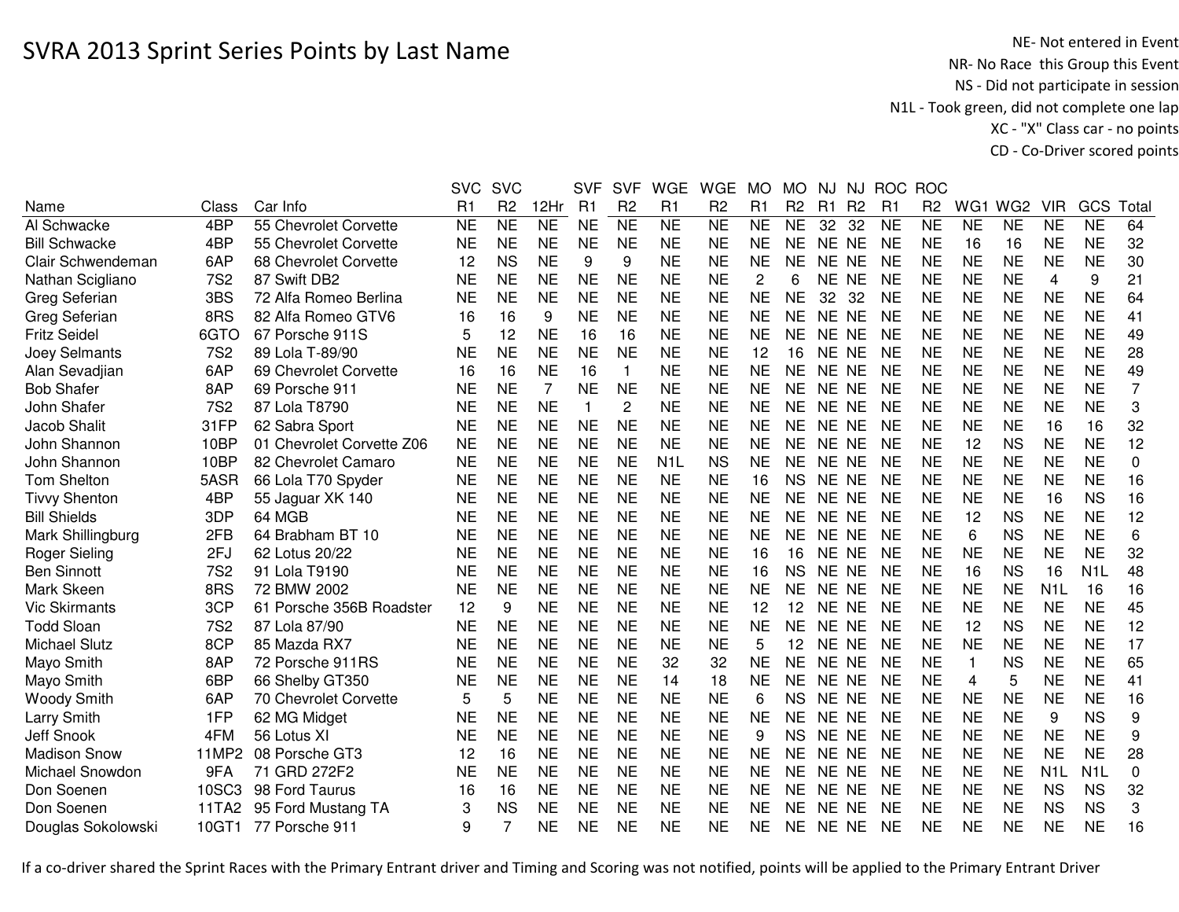NE- Not entered in Event<br>NR- No Race this Group this Event NS - Did not participate in session N1L - Took green, did not complete one lap XC - "X" Class car - no pointsCD - Co-Driver scored points

|                      |            |                           | <b>SVC</b>     | <b>SVC</b>     |                | <b>SVF</b>     | <b>SVF</b>      | <b>WGE</b>       | <b>WGE</b>     | <b>MO</b> | <b>MO</b>      | NJ        | NJ             | <b>ROC</b> | <b>ROC</b>     |              |                 |                  |                  |             |
|----------------------|------------|---------------------------|----------------|----------------|----------------|----------------|-----------------|------------------|----------------|-----------|----------------|-----------|----------------|------------|----------------|--------------|-----------------|------------------|------------------|-------------|
| Name                 | Class      | Car Info                  | R <sub>1</sub> | R <sub>2</sub> | 12Hr           | R <sub>1</sub> | R <sub>2</sub>  | R1               | R <sub>2</sub> | R1        | R <sub>2</sub> | R1        | R <sub>2</sub> | R1         | R <sub>2</sub> | WG1          | WG <sub>2</sub> | <b>VIR</b>       | GCS              | Total       |
| Al Schwacke          | 4BP        | 55 Chevrolet Corvette     | <b>NE</b>      | N <sub>E</sub> | N <sub>E</sub> | <b>NE</b>      | $\overline{NE}$ | <b>NE</b>        | <b>NE</b>      | <b>NE</b> | <b>NE</b>      | 32        | 32             | <b>NE</b>  | <b>NE</b>      | <b>NE</b>    | <b>NE</b>       | <b>NE</b>        | <b>NE</b>        | 64          |
| <b>Bill Schwacke</b> | 4BP        | 55 Chevrolet Corvette     | <b>NE</b>      | <b>NE</b>      | <b>NE</b>      | <b>NE</b>      | <b>NE</b>       | <b>NE</b>        | <b>NE</b>      | <b>NE</b> | <b>NE</b>      | <b>NE</b> | <b>NE</b>      | <b>NE</b>  | <b>NE</b>      | 16           | 16              | <b>NE</b>        | <b>NE</b>        | 32          |
| Clair Schwendeman    | 6AP        | 68 Chevrolet Corvette     | 12             | <b>NS</b>      | <b>NE</b>      | 9              | 9               | <b>NE</b>        | <b>NE</b>      | <b>NE</b> | <b>NE</b>      | <b>NE</b> | <b>NE</b>      | <b>NE</b>  | <b>NE</b>      | <b>NE</b>    | <b>NE</b>       | <b>NE</b>        | <b>NE</b>        | 30          |
| Nathan Scigliano     | <b>7S2</b> | 87 Swift DB2              | <b>NE</b>      | <b>NE</b>      | <b>NE</b>      | <b>NE</b>      | <b>NE</b>       | <b>NE</b>        | <b>NE</b>      | 2         | 6              | NE NE     |                | <b>NE</b>  | <b>NE</b>      | <b>NE</b>    | <b>NE</b>       | 4                | 9                | 21          |
| Greg Seferian        | 3BS        | 72 Alfa Romeo Berlina     | <b>NE</b>      | <b>NE</b>      | <b>NE</b>      | <b>NE</b>      | <b>NE</b>       | <b>NE</b>        | <b>NE</b>      | <b>NE</b> | <b>NE</b>      | 32        | 32             | <b>NE</b>  | <b>NE</b>      | <b>NE</b>    | <b>NE</b>       | <b>NE</b>        | <b>NE</b>        | 64          |
| Greg Seferian        | 8RS        | 82 Alfa Romeo GTV6        | 16             | 16             | 9              | <b>NE</b>      | <b>NE</b>       | <b>NE</b>        | <b>NE</b>      | <b>NE</b> | <b>NE</b>      | <b>NE</b> | <b>NE</b>      | <b>NE</b>  | <b>NE</b>      | <b>NE</b>    | <b>NE</b>       | <b>NE</b>        | <b>NE</b>        | 41          |
| <b>Fritz Seidel</b>  | 6GTO       | 67 Porsche 911S           | 5              | 12             | <b>NE</b>      | 16             | 16              | <b>NE</b>        | <b>NE</b>      | <b>NE</b> | <b>NE</b>      | NE NE     |                | <b>NE</b>  | <b>NE</b>      | <b>NE</b>    | <b>NE</b>       | <b>NE</b>        | <b>NE</b>        | 49          |
| Joey Selmants        | <b>7S2</b> | 89 Lola T-89/90           | <b>NE</b>      | <b>NE</b>      | <b>NE</b>      | <b>NE</b>      | <b>NE</b>       | <b>NE</b>        | <b>NE</b>      | 12        | 16             | NE NE     |                | <b>NE</b>  | <b>NE</b>      | <b>NE</b>    | <b>NE</b>       | <b>NE</b>        | <b>NE</b>        | 28          |
| Alan Sevadjian       | 6AP        | 69 Chevrolet Corvette     | 16             | 16             | <b>NE</b>      | 16             | $\mathbf{1}$    | <b>NE</b>        | <b>NE</b>      | <b>NE</b> | <b>NE</b>      | <b>NE</b> | <b>NE</b>      | <b>NE</b>  | <b>NE</b>      | <b>NE</b>    | <b>NE</b>       | <b>NE</b>        | <b>NE</b>        | 49          |
| <b>Bob Shafer</b>    | 8AP        | 69 Porsche 911            | <b>NE</b>      | <b>NE</b>      | 7              | <b>NE</b>      | <b>NE</b>       | <b>NE</b>        | <b>NE</b>      | <b>NE</b> | <b>NE</b>      | <b>NE</b> | <b>NE</b>      | <b>NE</b>  | <b>NE</b>      | <b>NE</b>    | <b>NE</b>       | <b>NE</b>        | <b>NE</b>        | 7           |
| John Shafer          | <b>7S2</b> | 87 Lola T8790             | <b>NE</b>      | <b>NE</b>      | <b>NE</b>      | $\overline{1}$ | $\overline{c}$  | <b>NE</b>        | <b>NE</b>      | <b>NE</b> | <b>NE</b>      | <b>NE</b> | <b>NE</b>      | <b>NE</b>  | <b>NE</b>      | <b>NE</b>    | <b>NE</b>       | <b>NE</b>        | <b>NE</b>        | 3           |
| Jacob Shalit         | 31FP       | 62 Sabra Sport            | <b>NE</b>      | <b>NE</b>      | <b>NE</b>      | <b>NE</b>      | <b>NE</b>       | <b>NE</b>        | <b>NE</b>      | <b>NE</b> | <b>NE</b>      | NE.       | <b>NE</b>      | <b>NE</b>  | <b>NE</b>      | <b>NE</b>    | <b>NE</b>       | 16               | 16               | 32          |
| John Shannon         | 10BP       | 01 Chevrolet Corvette Z06 | <b>NE</b>      | <b>NE</b>      | <b>NE</b>      | <b>NE</b>      | <b>NE</b>       | <b>NE</b>        | <b>NE</b>      | <b>NE</b> | <b>NE</b>      | <b>NE</b> | <b>NE</b>      | <b>NE</b>  | <b>NE</b>      | 12           | <b>NS</b>       | <b>NE</b>        | <b>NE</b>        | 12          |
| John Shannon         | 10BP       | 82 Chevrolet Camaro       | <b>NE</b>      | <b>NE</b>      | <b>NE</b>      | <b>NE</b>      | <b>NE</b>       | N <sub>1</sub> L | <b>NS</b>      | <b>NE</b> | <b>NE</b>      | NE.       | <b>NE</b>      | <b>NE</b>  | <b>NE</b>      | <b>NE</b>    | <b>NE</b>       | <b>NE</b>        | <b>NE</b>        | 0           |
| <b>Tom Shelton</b>   | 5ASR       | 66 Lola T70 Spyder        | <b>NE</b>      | <b>NE</b>      | <b>NE</b>      | <b>NE</b>      | <b>NE</b>       | <b>NE</b>        | <b>NE</b>      | 16        | <b>NS</b>      | NE.       | <b>NE</b>      | <b>NE</b>  | <b>NE</b>      | <b>NE</b>    | <b>NE</b>       | <b>NE</b>        | <b>NE</b>        | 16          |
| <b>Tivvy Shenton</b> | 4BP        | 55 Jaguar XK 140          | <b>NE</b>      | <b>NE</b>      | <b>NE</b>      | <b>NE</b>      | <b>NE</b>       | <b>NE</b>        | <b>NE</b>      | <b>NE</b> | <b>NE</b>      | <b>NE</b> | <b>NE</b>      | <b>NE</b>  | <b>NE</b>      | <b>NE</b>    | <b>NE</b>       | 16               | <b>NS</b>        | 16          |
| <b>Bill Shields</b>  | 3DP        | 64 MGB                    | <b>NE</b>      | <b>NE</b>      | <b>NE</b>      | <b>NE</b>      | <b>NE</b>       | <b>NE</b>        | <b>NE</b>      | <b>NE</b> | <b>NE</b>      | <b>NE</b> | <b>NE</b>      | <b>NE</b>  | <b>NE</b>      | 12           | <b>NS</b>       | <b>NE</b>        | <b>NE</b>        | 12          |
| Mark Shillingburg    | 2FB        | 64 Brabham BT 10          | <b>NE</b>      | <b>NE</b>      | <b>NE</b>      | <b>NE</b>      | <b>NE</b>       | <b>NE</b>        | <b>NE</b>      | <b>NE</b> | <b>NE</b>      | <b>NE</b> | <b>NE</b>      | <b>NE</b>  | <b>NE</b>      | 6            | <b>NS</b>       | <b>NE</b>        | <b>NE</b>        | 6           |
| <b>Roger Sieling</b> | 2FJ        | 62 Lotus 20/22            | <b>NE</b>      | <b>NE</b>      | <b>NE</b>      | <b>NE</b>      | <b>NE</b>       | <b>NE</b>        | <b>NE</b>      | 16        | 16             | NE NE     |                | <b>NE</b>  | <b>NE</b>      | <b>NE</b>    | <b>NE</b>       | <b>NE</b>        | <b>NE</b>        | 32          |
| <b>Ben Sinnott</b>   | <b>7S2</b> | 91 Lola T9190             | <b>NE</b>      | <b>NE</b>      | <b>NE</b>      | <b>NE</b>      | <b>NE</b>       | <b>NE</b>        | <b>NE</b>      | 16        | <b>NS</b>      | NE NE     |                | <b>NE</b>  | <b>NE</b>      | 16           | <b>NS</b>       | 16               | N <sub>1</sub> L | 48          |
| Mark Skeen           | 8RS        | 72 BMW 2002               | <b>NE</b>      | <b>NE</b>      | <b>NE</b>      | <b>NE</b>      | <b>NE</b>       | <b>NE</b>        | <b>NE</b>      | <b>NE</b> | <b>NE</b>      | <b>NE</b> | <b>NE</b>      | <b>NE</b>  | <b>NE</b>      | <b>NE</b>    | <b>NE</b>       | N <sub>1</sub> L | 16               | 16          |
| <b>Vic Skirmants</b> | 3CP        | 61 Porsche 356B Roadster  | 12             | 9              | <b>NE</b>      | <b>NE</b>      | <b>NE</b>       | <b>NE</b>        | <b>NE</b>      | 12        | 12             | NE NE     |                | <b>NE</b>  | <b>NE</b>      | <b>NE</b>    | <b>NE</b>       | <b>NE</b>        | <b>NE</b>        | 45          |
| <b>Todd Sloan</b>    | <b>7S2</b> | 87 Lola 87/90             | ΝE             | <b>NE</b>      | <b>NE</b>      | <b>NE</b>      | <b>NE</b>       | <b>NE</b>        | <b>NE</b>      | <b>NE</b> | <b>NE</b>      | NE NE     |                | <b>NE</b>  | <b>NE</b>      | 12           | <b>NS</b>       | <b>NE</b>        | <b>NE</b>        | 12          |
| <b>Michael Slutz</b> | 8CP        | 85 Mazda RX7              | <b>NE</b>      | <b>NE</b>      | <b>NE</b>      | <b>NE</b>      | <b>NE</b>       | <b>NE</b>        | <b>NE</b>      | 5         | 12             | NE NE     |                | <b>NE</b>  | <b>NE</b>      | <b>NE</b>    | <b>NE</b>       | <b>NE</b>        | <b>NE</b>        | 17          |
| Mayo Smith           | 8AP        | 72 Porsche 911RS          | <b>NE</b>      | <b>NE</b>      | <b>NE</b>      | <b>NE</b>      | <b>NE</b>       | 32               | 32             | <b>NE</b> | <b>NE</b>      | <b>NE</b> | <b>NE</b>      | <b>NE</b>  | <b>NE</b>      | $\mathbf{1}$ | <b>NS</b>       | <b>NE</b>        | <b>NE</b>        | 65          |
| Mayo Smith           | 6BP        | 66 Shelby GT350           | <b>NE</b>      | <b>NE</b>      | <b>NE</b>      | <b>NE</b>      | <b>NE</b>       | 14               | 18             | <b>NE</b> | <b>NE</b>      | NE.       | <b>NE</b>      | <b>NE</b>  | <b>NE</b>      | 4            | 5               | <b>NE</b>        | <b>NE</b>        | 41          |
| Woody Smith          | 6AP        | 70 Chevrolet Corvette     | 5              | 5              | <b>NE</b>      | <b>NE</b>      | <b>NE</b>       | <b>NE</b>        | <b>NE</b>      | 6         | <b>NS</b>      | <b>NE</b> | <b>NE</b>      | <b>NE</b>  | <b>NE</b>      | <b>NE</b>    | <b>NE</b>       | <b>NE</b>        | <b>NE</b>        | 16          |
| Larry Smith          | 1FP        | 62 MG Midget              | <b>NE</b>      | <b>NE</b>      | <b>NE</b>      | <b>NE</b>      | <b>NE</b>       | <b>NE</b>        | <b>NE</b>      | <b>NE</b> | <b>NE</b>      | <b>NE</b> | <b>NE</b>      | <b>NE</b>  | <b>NE</b>      | <b>NE</b>    | <b>NE</b>       | 9                | <b>NS</b>        | 9           |
| Jeff Snook           | 4FM        | 56 Lotus XI               | NE             | <b>NE</b>      | <b>NE</b>      | <b>NE</b>      | <b>NE</b>       | <b>NE</b>        | <b>NE</b>      | 9         | <b>NS</b>      | NE.       | <b>NE</b>      | <b>NE</b>  | <b>NE</b>      | <b>NE</b>    | <b>NE</b>       | <b>NE</b>        | <b>NE</b>        | 9           |
| <b>Madison Snow</b>  | 11MP2      | 08 Porsche GT3            | 12             | 16             | <b>NE</b>      | <b>NE</b>      | <b>NE</b>       | <b>NE</b>        | <b>NE</b>      | <b>NE</b> | <b>NE</b>      | <b>NE</b> | <b>NE</b>      | <b>NE</b>  | <b>NE</b>      | <b>NE</b>    | <b>NE</b>       | <b>NE</b>        | <b>NE</b>        | 28          |
| Michael Snowdon      | 9FA        | 71 GRD 272F2              | ΝE             | <b>NE</b>      | <b>NE</b>      | <b>NE</b>      | <b>NE</b>       | <b>NE</b>        | <b>NE</b>      | <b>NE</b> | <b>NE</b>      | <b>NE</b> | <b>NE</b>      | <b>NE</b>  | <b>NE</b>      | <b>NE</b>    | <b>NE</b>       | N <sub>1</sub> L | N <sub>1</sub> L | $\mathbf 0$ |
| Don Soenen           | 10SC3      | 98 Ford Taurus            | 16             | 16             | <b>NE</b>      | <b>NE</b>      | <b>NE</b>       | <b>NE</b>        | <b>NE</b>      | <b>NE</b> | <b>NE</b>      | NE.       | <b>NE</b>      | <b>NE</b>  | <b>NE</b>      | <b>NE</b>    | <b>NE</b>       | <b>NS</b>        | <b>NS</b>        | 32          |
| Don Soenen           | 11TA2      | 95 Ford Mustang TA        | 3              | <b>NS</b>      | <b>NE</b>      | <b>NE</b>      | <b>NE</b>       | <b>NE</b>        | <b>NE</b>      | <b>NE</b> | <b>NE</b>      | <b>NE</b> | <b>NE</b>      | <b>NE</b>  | <b>NE</b>      | <b>NE</b>    | <b>NE</b>       | <b>NS</b>        | <b>NS</b>        | 3           |
| Douglas Sokolowski   | 10GT1      | 77 Porsche 911            | 9              |                | <b>NE</b>      | <b>NE</b>      | <b>NE</b>       | <b>NE</b>        | <b>NE</b>      | <b>NE</b> | <b>NE</b>      | NE NE     |                | NE         | <b>NE</b>      | <b>NE</b>    | <b>NE</b>       | NE               | <b>NE</b>        | 16          |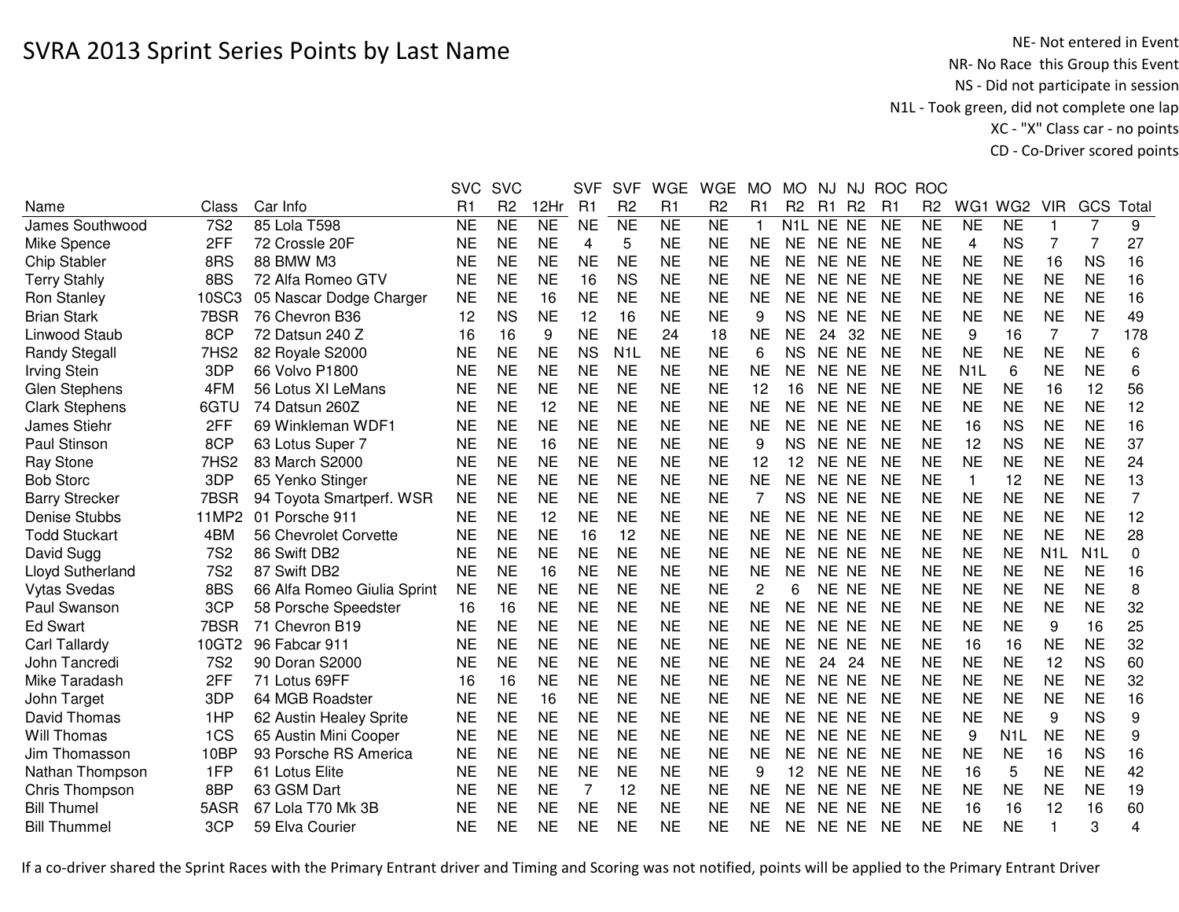NE- Not entered in Event<br>NR- No Race this Group this Event NS - Did not participate in session N1L - Took green, did not complete one lap XC - "X" Class car - no pointsCD - Co-Driver scored points

|                       |                  |                             | <b>SVC</b>     | <b>SVC</b>     |           | <b>SVF</b> | <b>SVF</b>       | <b>WGE</b>     | <b>WGE</b>     | <b>MO</b>      | <b>MO</b>      | NJ        |                | NJ ROC         | <b>ROC</b>     |                  |                  |                  |                  |       |
|-----------------------|------------------|-----------------------------|----------------|----------------|-----------|------------|------------------|----------------|----------------|----------------|----------------|-----------|----------------|----------------|----------------|------------------|------------------|------------------|------------------|-------|
| Name                  | Class            | Car Info                    | R <sub>1</sub> | R <sub>2</sub> | 12Hr      | R1         | R <sub>2</sub>   | R1             | R <sub>2</sub> | R <sub>1</sub> | R <sub>2</sub> | R1        | R <sub>2</sub> | R <sub>1</sub> | R <sub>2</sub> | WG1              | WG <sub>2</sub>  | <b>VIR</b>       | GCS              | Total |
| James Southwood       | <b>7S2</b>       | 85 Lola T598                | <b>NE</b>      | NE             | NE        | <b>NE</b>  | NE               | N <sub>E</sub> | N <sub>E</sub> | $\mathbf{1}$   |                | N1L NE NE |                | <b>NE</b>      | N <sub>E</sub> | N <sub>E</sub>   | N <sub>E</sub>   |                  | 7                | 9     |
| Mike Spence           | 2FF              | 72 Crossle 20F              | <b>NE</b>      | <b>NE</b>      | <b>NE</b> | 4          | 5                | <b>NE</b>      | <b>NE</b>      | <b>NE</b>      | <b>NE</b>      | NE NE     |                | <b>NE</b>      | <b>NE</b>      | 4                | <b>NS</b>        | 7                | 7                | 27    |
| <b>Chip Stabler</b>   | 8RS              | 88 BMW M3                   | <b>NE</b>      | <b>NE</b>      | <b>NE</b> | <b>NE</b>  | <b>NE</b>        | <b>NE</b>      | <b>NE</b>      | <b>NE</b>      | <b>NE</b>      | NE NE     |                | <b>NE</b>      | <b>NE</b>      | <b>NE</b>        | <b>NE</b>        | 16               | <b>NS</b>        | 16    |
| <b>Terry Stahly</b>   | 8BS              | 72 Alfa Romeo GTV           | NE             | <b>NE</b>      | <b>NE</b> | 16         | <b>NS</b>        | <b>NE</b>      | <b>NE</b>      | <b>NE</b>      | <b>NE</b>      | NE NE     |                | <b>NE</b>      | <b>NE</b>      | <b>NE</b>        | <b>NE</b>        | <b>NE</b>        | <b>NE</b>        | 16    |
| Ron Stanley           | 10SC3            | 05 Nascar Dodge Charger     | <b>NE</b>      | <b>NE</b>      | 16        | <b>NE</b>  | <b>NE</b>        | <b>NE</b>      | <b>NE</b>      | <b>NE</b>      | <b>NE</b>      | NE NE     |                | <b>NE</b>      | <b>NE</b>      | <b>NE</b>        | <b>NE</b>        | <b>NE</b>        | <b>NE</b>        | 16    |
| <b>Brian Stark</b>    | 7BSR             | 76 Chevron B36              | 12             | <b>NS</b>      | <b>NE</b> | 12         | 16               | <b>NE</b>      | <b>NE</b>      | 9              | <b>NS</b>      | <b>NE</b> | <b>NE</b>      | <b>NE</b>      | <b>NE</b>      | <b>NE</b>        | <b>NE</b>        | <b>NE</b>        | <b>NE</b>        | 49    |
| Linwood Staub         | 8CP              | 72 Datsun 240 Z             | 16             | 16             | 9         | <b>NE</b>  | <b>NE</b>        | 24             | 18             | <b>NE</b>      | <b>NE</b>      | 24        | 32             | <b>NE</b>      | <b>NE</b>      | 9                | 16               | $\overline{7}$   | $\overline{7}$   | 178   |
| <b>Randy Stegall</b>  | 7HS2             | 82 Royale S2000             | <b>NE</b>      | <b>NE</b>      | <b>NE</b> | <b>NS</b>  | N <sub>1</sub> L | <b>NE</b>      | <b>NE</b>      | 6              | <b>NS</b>      | <b>NE</b> | <b>NE</b>      | <b>NE</b>      | <b>NE</b>      | <b>NE</b>        | <b>NE</b>        | <b>NE</b>        | <b>NE</b>        | 6     |
| <b>Irving Stein</b>   | 3DP              | 66 Volvo P1800              | <b>NE</b>      | <b>NE</b>      | <b>NE</b> | <b>NE</b>  | <b>NE</b>        | <b>NE</b>      | <b>NE</b>      | <b>NE</b>      | <b>NE</b>      | <b>NE</b> | <b>NE</b>      | <b>NE</b>      | <b>NE</b>      | N <sub>1</sub> L | 6                | <b>NE</b>        | <b>NE</b>        | 6     |
| <b>Glen Stephens</b>  | 4FM              | 56 Lotus XI LeMans          | <b>NE</b>      | <b>NE</b>      | <b>NE</b> | <b>NE</b>  | <b>NE</b>        | <b>NE</b>      | <b>NE</b>      | 12             | 16             | <b>NE</b> | <b>NE</b>      | NE             | <b>NE</b>      | <b>NE</b>        | <b>NE</b>        | 16               | 12               | 56    |
| <b>Clark Stephens</b> | 6GTU             | 74 Datsun 260Z              | <b>NE</b>      | <b>NE</b>      | 12        | <b>NE</b>  | <b>NE</b>        | <b>NE</b>      | <b>NE</b>      | <b>NE</b>      | <b>NE</b>      | NE.       | <b>NE</b>      | <b>NE</b>      | <b>NE</b>      | <b>NE</b>        | <b>NE</b>        | <b>NE</b>        | <b>NE</b>        | 12    |
| James Stiehr          | 2FF              | 69 Winkleman WDF1           | <b>NE</b>      | <b>NE</b>      | <b>NE</b> | <b>NE</b>  | <b>NE</b>        | <b>NE</b>      | <b>NE</b>      | <b>NE</b>      | <b>NE</b>      | <b>NE</b> | <b>NE</b>      | <b>NE</b>      | <b>NE</b>      | 16               | <b>NS</b>        | <b>NE</b>        | <b>NE</b>        | 16    |
| Paul Stinson          | 8CP              | 63 Lotus Super 7            | <b>NE</b>      | <b>NE</b>      | 16        | <b>NE</b>  | <b>NE</b>        | <b>NE</b>      | <b>NE</b>      | 9              | <b>NS</b>      | <b>NE</b> | <b>NE</b>      | <b>NE</b>      | <b>NE</b>      | 12               | <b>NS</b>        | <b>NE</b>        | <b>NE</b>        | 37    |
| <b>Ray Stone</b>      | 7HS <sub>2</sub> | 83 March S2000              | <b>NE</b>      | <b>NE</b>      | <b>NE</b> | <b>NE</b>  | <b>NE</b>        | <b>NE</b>      | <b>NE</b>      | 12             | 12             | NE.       | <b>NE</b>      | NE             | <b>NE</b>      | <b>NE</b>        | <b>NE</b>        | <b>NE</b>        | <b>NE</b>        | 24    |
| <b>Bob Storc</b>      | 3DP              | 65 Yenko Stinger            | <b>NE</b>      | <b>NE</b>      | <b>NE</b> | <b>NE</b>  | <b>NE</b>        | <b>NE</b>      | <b>NE</b>      | <b>NE</b>      | <b>NE</b>      | <b>NE</b> | <b>NE</b>      | <b>NE</b>      | <b>NE</b>      | 1                | 12               | <b>NE</b>        | <b>NE</b>        | 13    |
| <b>Barry Strecker</b> | 7BSR             | 94 Toyota Smartperf. WSR    | <b>NE</b>      | <b>NE</b>      | <b>NE</b> | <b>NE</b>  | <b>NE</b>        | <b>NE</b>      | <b>NE</b>      | 7              | <b>NS</b>      | NE NE     |                | <b>NE</b>      | <b>NE</b>      | <b>NE</b>        | <b>NE</b>        | <b>NE</b>        | <b>NE</b>        | 7     |
| <b>Denise Stubbs</b>  | 11MP2            | 01 Porsche 911              | <b>NE</b>      | <b>NE</b>      | 12        | <b>NE</b>  | <b>NE</b>        | <b>NE</b>      | <b>NE</b>      | <b>NE</b>      | <b>NE</b>      | <b>NE</b> | <b>NE</b>      | <b>NE</b>      | <b>NE</b>      | <b>NE</b>        | <b>NE</b>        | <b>NE</b>        | <b>NE</b>        | 12    |
| <b>Todd Stuckart</b>  | 4BM              | 56 Chevrolet Corvette       | <b>NE</b>      | <b>NE</b>      | <b>NE</b> | 16         | 12               | <b>NE</b>      | <b>NE</b>      | <b>NE</b>      | <b>NE</b>      | NE NE     |                | <b>NE</b>      | <b>NE</b>      | <b>NE</b>        | <b>NE</b>        | <b>NE</b>        | <b>NE</b>        | 28    |
| David Sugg            | <b>7S2</b>       | 86 Swift DB2                | <b>NE</b>      | <b>NE</b>      | <b>NE</b> | <b>NE</b>  | <b>NE</b>        | <b>NE</b>      | <b>NE</b>      | <b>NE</b>      | <b>NE</b>      | NE NE     |                | <b>NE</b>      | <b>NE</b>      | <b>NE</b>        | <b>NE</b>        | N <sub>1</sub> L | N <sub>1</sub> L | 0     |
| Lloyd Sutherland      | <b>7S2</b>       | 87 Swift DB2                | <b>NE</b>      | <b>NE</b>      | 16        | <b>NE</b>  | <b>NE</b>        | <b>NE</b>      | <b>NE</b>      | <b>NE</b>      | <b>NE</b>      | <b>NE</b> | <b>NE</b>      | <b>NE</b>      | <b>NE</b>      | <b>NE</b>        | <b>NE</b>        | <b>NE</b>        | <b>NE</b>        | 16    |
| <b>Vytas Svedas</b>   | 8BS              | 66 Alfa Romeo Giulia Sprint | <b>NE</b>      | <b>NE</b>      | <b>NE</b> | <b>NE</b>  | <b>NE</b>        | <b>NE</b>      | <b>NE</b>      | 2              | 6              | <b>NE</b> | <b>NE</b>      | <b>NE</b>      | <b>NE</b>      | <b>NE</b>        | <b>NE</b>        | <b>NE</b>        | <b>NE</b>        | 8     |
| Paul Swanson          | 3CP              | 58 Porsche Speedster        | 16             | 16             | <b>NE</b> | <b>NE</b>  | <b>NE</b>        | <b>NE</b>      | <b>NE</b>      | <b>NE</b>      | <b>NE</b>      | <b>NE</b> | <b>NE</b>      | <b>NE</b>      | <b>NE</b>      | <b>NE</b>        | <b>NE</b>        | <b>NE</b>        | <b>NE</b>        | 32    |
| <b>Ed Swart</b>       | 7BSR             | 71 Chevron B19              | <b>NE</b>      | <b>NE</b>      | <b>NE</b> | <b>NE</b>  | <b>NE</b>        | <b>NE</b>      | <b>NE</b>      | <b>NE</b>      | <b>NE</b>      | <b>NE</b> | <b>NE</b>      | <b>NE</b>      | <b>NE</b>      | <b>NE</b>        | <b>NE</b>        | 9                | 16               | 25    |
| Carl Tallardy         | 10GT2            | 96 Fabcar 911               | <b>NE</b>      | <b>NE</b>      | <b>NE</b> | <b>NE</b>  | <b>NE</b>        | <b>NE</b>      | <b>NE</b>      | <b>NE</b>      | <b>NE</b>      | <b>NE</b> | <b>NE</b>      | NE             | <b>NE</b>      | 16               | 16               | <b>NE</b>        | <b>NE</b>        | 32    |
| John Tancredi         | <b>7S2</b>       | 90 Doran S2000              | <b>NE</b>      | <b>NE</b>      | <b>NE</b> | <b>NE</b>  | <b>NE</b>        | <b>NE</b>      | <b>NE</b>      | <b>NE</b>      | <b>NE</b>      | 24        | 24             | <b>NE</b>      | <b>NE</b>      | <b>NE</b>        | <b>NE</b>        | 12               | <b>NS</b>        | 60    |
| Mike Taradash         | 2FF              | 71 Lotus 69FF               | 16             | 16             | <b>NE</b> | <b>NE</b>  | <b>NE</b>        | <b>NE</b>      | <b>NE</b>      | <b>NE</b>      | <b>NE</b>      | <b>NE</b> | <b>NE</b>      | <b>NE</b>      | <b>NE</b>      | <b>NE</b>        | <b>NE</b>        | <b>NE</b>        | <b>NE</b>        | 32    |
| John Target           | 3DP              | 64 MGB Roadster             | <b>NE</b>      | <b>NE</b>      | 16        | <b>NE</b>  | <b>NE</b>        | <b>NE</b>      | <b>NE</b>      | <b>NE</b>      | <b>NE</b>      | <b>NE</b> | <b>NE</b>      | <b>NE</b>      | <b>NE</b>      | <b>NE</b>        | <b>NE</b>        | <b>NE</b>        | <b>NE</b>        | 16    |
| David Thomas          | 1HP              | 62 Austin Healey Sprite     | <b>NE</b>      | <b>NE</b>      | <b>NE</b> | <b>NE</b>  | <b>NE</b>        | <b>NE</b>      | <b>NE</b>      | <b>NE</b>      | <b>NE</b>      | <b>NE</b> | <b>NE</b>      | <b>NE</b>      | <b>NE</b>      | <b>NE</b>        | <b>NE</b>        | 9                | <b>NS</b>        | 9     |
| Will Thomas           | 1CS              | 65 Austin Mini Cooper       | <b>NE</b>      | <b>NE</b>      | <b>NE</b> | <b>NE</b>  | <b>NE</b>        | <b>NE</b>      | <b>NE</b>      | <b>NE</b>      | <b>NE</b>      | NE NE     |                | <b>NE</b>      | <b>NE</b>      | 9                | N <sub>1</sub> L | <b>NE</b>        | <b>NE</b>        | 9     |
| Jim Thomasson         | 10BP             | 93 Porsche RS America       | <b>NE</b>      | <b>NE</b>      | <b>NE</b> | <b>NE</b>  | <b>NE</b>        | <b>NE</b>      | <b>NE</b>      | <b>NE</b>      | <b>NE</b>      | NE NE     |                | <b>NE</b>      | <b>NE</b>      | <b>NE</b>        | <b>NE</b>        | 16               | <b>NS</b>        | 16    |
| Nathan Thompson       | 1FP              | 61 Lotus Elite              | <b>NE</b>      | <b>NE</b>      | <b>NE</b> | <b>NE</b>  | <b>NE</b>        | <b>NE</b>      | <b>NE</b>      | 9              | 12             | NE NE     |                | <b>NE</b>      | <b>NE</b>      | 16               | 5                | <b>NE</b>        | <b>NE</b>        | 42    |
| Chris Thompson        | 8BP              | 63 GSM Dart                 | NE             | <b>NE</b>      | <b>NE</b> | 7          | 12               | <b>NE</b>      | <b>NE</b>      | <b>NE</b>      | <b>NE</b>      | NE NE     |                | <b>NE</b>      | <b>NE</b>      | <b>NE</b>        | <b>NE</b>        | <b>NE</b>        | <b>NE</b>        | 19    |
| <b>Bill Thumel</b>    | 5ASR             | 67 Lola T70 Mk 3B           | <b>NE</b>      | <b>NE</b>      | <b>NE</b> | <b>NE</b>  | <b>NE</b>        | <b>NE</b>      | <b>NE</b>      | <b>NE</b>      | <b>NE</b>      | NE.       | <b>NE</b>      | <b>NE</b>      | <b>NE</b>      | 16               | 16               | 12               | 16               | 60    |
| <b>Bill Thummel</b>   | 3CP              | 59 Elva Courier             | <b>NE</b>      | <b>NE</b>      | <b>NE</b> | <b>NE</b>  | <b>NE</b>        | <b>NE</b>      | <b>NE</b>      | <b>NE</b>      | <b>NE</b>      | <b>NE</b> | <b>NE</b>      | <b>NE</b>      | <b>NE</b>      | <b>NE</b>        | <b>NE</b>        |                  | 3                | 4     |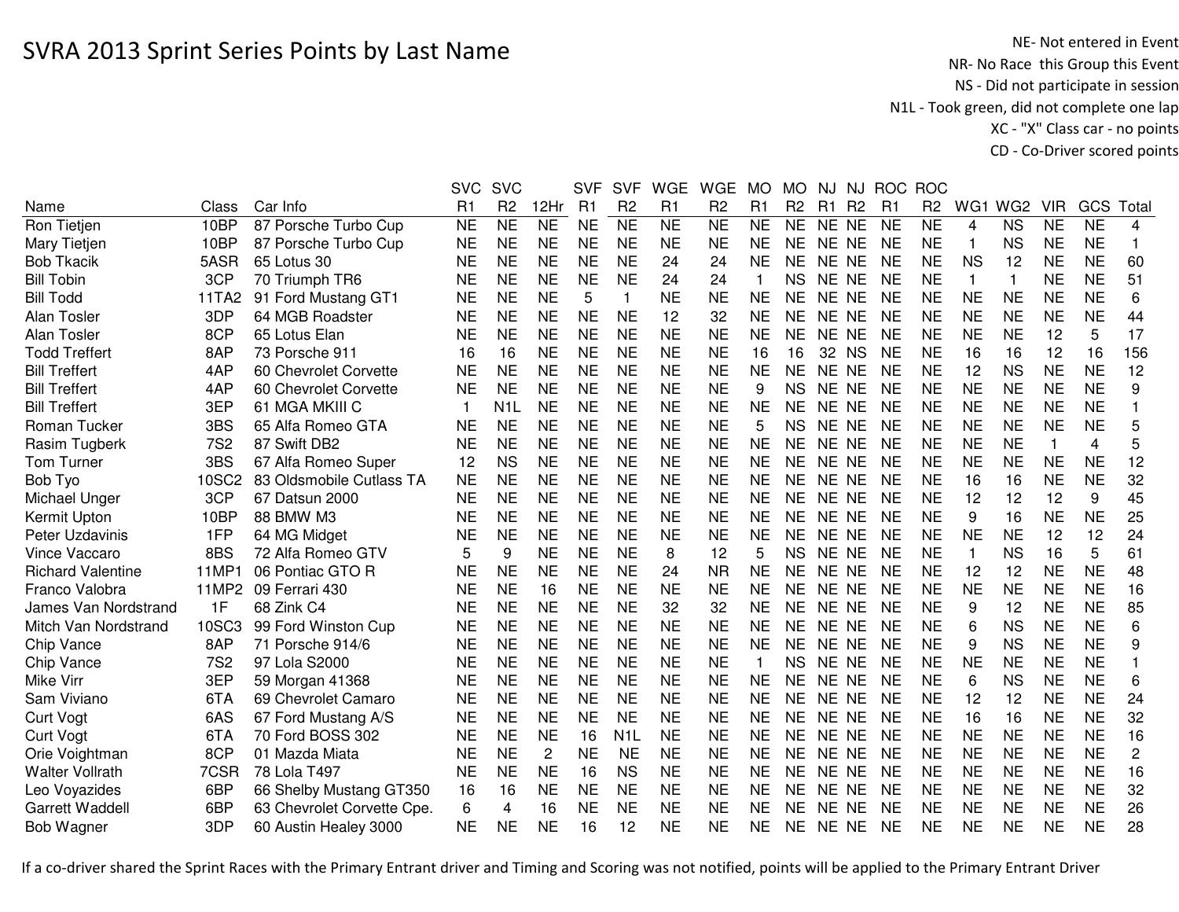|                          |            |                            | <b>SVC</b>     | <b>SVC</b>       |                 | <b>SVF</b> | <b>SVF</b>       | <b>WGE</b> | <b>WGE</b>     | <b>MO</b>    | <b>MO</b>      | NJ             | NJ.            | <b>ROC</b>     | <b>ROC</b>     |                |                 |              |           |                |
|--------------------------|------------|----------------------------|----------------|------------------|-----------------|------------|------------------|------------|----------------|--------------|----------------|----------------|----------------|----------------|----------------|----------------|-----------------|--------------|-----------|----------------|
| Name                     | Class      | Car Info                   | R1             | R <sub>2</sub>   | 12Hr            | R1         | R <sub>2</sub>   | R1         | R <sub>2</sub> | R1           | R <sub>2</sub> | R <sub>1</sub> | R <sub>2</sub> | R <sub>1</sub> | R <sub>2</sub> | WG1            | WG <sub>2</sub> | <b>VIR</b>   | GCS       | Total          |
| Ron Tietjen              | 10BP       | 87 Porsche Turbo Cup       | <b>NE</b>      | <b>NE</b>        | $\overline{NE}$ | <b>NE</b>  | NE               | <b>NE</b>  | <b>NE</b>      | <b>NE</b>    | <b>NE</b>      | NE NE          |                | <b>NE</b>      | <b>NE</b>      | $\overline{4}$ | <b>NS</b>       | <b>NE</b>    | <b>NE</b> | $\overline{4}$ |
| Mary Tietjen             | 10BP       | 87 Porsche Turbo Cup       | <b>NE</b>      | <b>NE</b>        | <b>NE</b>       | <b>NE</b>  | <b>NE</b>        | <b>NE</b>  | <b>NE</b>      | <b>NE</b>    | <b>NE</b>      | NE NE          |                | <b>NE</b>      | <b>NE</b>      | 1              | <b>NS</b>       | <b>NE</b>    | <b>NE</b> | 1              |
| <b>Bob Tkacik</b>        | 5ASR       | 65 Lotus 30                | <b>NE</b>      | <b>NE</b>        | <b>NE</b>       | <b>NE</b>  | <b>NE</b>        | 24         | 24             | <b>NE</b>    | <b>NE</b>      | NE NE          |                | <b>NE</b>      | <b>NE</b>      | <b>NS</b>      | 12              | <b>NE</b>    | <b>NE</b> | 60             |
| <b>Bill Tobin</b>        | 3CP        | 70 Triumph TR6             | <b>NE</b>      | <b>NE</b>        | <b>NE</b>       | <b>NE</b>  | <b>NE</b>        | 24         | 24             | 1            | <b>NS</b>      | NE NE          |                | <b>NE</b>      | <b>NE</b>      | 1              | 1               | <b>NE</b>    | <b>NE</b> | 51             |
| <b>Bill Todd</b>         | 11TA2      | 91 Ford Mustang GT1        | <b>NE</b>      | <b>NE</b>        | <b>NE</b>       | 5          | 1                | <b>NE</b>  | <b>NE</b>      | <b>NE</b>    | <b>NE</b>      | NE NE          |                | <b>NE</b>      | <b>NE</b>      | <b>NE</b>      | <b>NE</b>       | <b>NE</b>    | <b>NE</b> | 6              |
| Alan Tosler              | 3DP        | 64 MGB Roadster            | NE             | <b>NE</b>        | <b>NE</b>       | <b>NE</b>  | <b>NE</b>        | 12         | 32             | <b>NE</b>    | NE.            | NE NE          |                | <b>NE</b>      | <b>NE</b>      | <b>NE</b>      | <b>NE</b>       | <b>NE</b>    | <b>NE</b> | 44             |
| <b>Alan Tosler</b>       | 8CP        | 65 Lotus Elan              | <b>NE</b>      | <b>NE</b>        | <b>NE</b>       | <b>NE</b>  | <b>NE</b>        | <b>NE</b>  | <b>NE</b>      | <b>NE</b>    | <b>NE</b>      | NE NE          |                | <b>NE</b>      | <b>NE</b>      | <b>NE</b>      | <b>NE</b>       | 12           | 5         | 17             |
| <b>Todd Treffert</b>     | 8AP        | 73 Porsche 911             | 16             | 16               | <b>NE</b>       | <b>NE</b>  | <b>NE</b>        | <b>NE</b>  | <b>NE</b>      | 16           | 16             | 32             | <b>NS</b>      | <b>NE</b>      | <b>NE</b>      | 16             | 16              | 12           | 16        | 156            |
| <b>Bill Treffert</b>     | 4AP        | 60 Chevrolet Corvette      | <b>NE</b>      | <b>NE</b>        | <b>NE</b>       | <b>NE</b>  | <b>NE</b>        | <b>NE</b>  | <b>NE</b>      | <b>NE</b>    | <b>NE</b>      | NE NE          |                | <b>NE</b>      | <b>NE</b>      | 12             | <b>NS</b>       | <b>NE</b>    | <b>NE</b> | 12             |
| <b>Bill Treffert</b>     | 4AP        | 60 Chevrolet Corvette      | <b>NE</b>      | <b>NE</b>        | <b>NE</b>       | <b>NE</b>  | <b>NE</b>        | <b>NE</b>  | <b>NE</b>      | 9            | <b>NS</b>      | NE NE          |                | <b>NE</b>      | <b>NE</b>      | <b>NE</b>      | <b>NE</b>       | <b>NE</b>    | <b>NE</b> | 9              |
| <b>Bill Treffert</b>     | 3EP        | 61 MGA MKIII C             | $\overline{1}$ | N <sub>1</sub> L | <b>NE</b>       | <b>NE</b>  | <b>NE</b>        | <b>NE</b>  | <b>NE</b>      | <b>NE</b>    | <b>NE</b>      | NE NE          |                | <b>NE</b>      | <b>NE</b>      | <b>NE</b>      | <b>NE</b>       | <b>NE</b>    | <b>NE</b> |                |
| Roman Tucker             | 3BS        | 65 Alfa Romeo GTA          | <b>NE</b>      | <b>NE</b>        | <b>NE</b>       | <b>NE</b>  | <b>NE</b>        | <b>NE</b>  | <b>NE</b>      | 5            | <b>NS</b>      | NE NE          |                | <b>NE</b>      | <b>NE</b>      | <b>NE</b>      | <b>NE</b>       | <b>NE</b>    | <b>NE</b> | 5              |
| Rasim Tugberk            | <b>7S2</b> | 87 Swift DB2               | <b>NE</b>      | <b>NE</b>        | <b>NE</b>       | <b>NE</b>  | <b>NE</b>        | <b>NE</b>  | <b>NE</b>      | <b>NE</b>    | NE             | NE NE          |                | <b>NE</b>      | <b>NE</b>      | <b>NE</b>      | <b>NE</b>       | $\mathbf{1}$ | 4         | 5              |
| Tom Turner               | 3BS        | 67 Alfa Romeo Super        | 12             | <b>NS</b>        | <b>NE</b>       | <b>NE</b>  | <b>NE</b>        | <b>NE</b>  | <b>NE</b>      | <b>NE</b>    | <b>NE</b>      | NE NE          |                | <b>NE</b>      | <b>NE</b>      | <b>NE</b>      | <b>NE</b>       | NE           | <b>NE</b> | 12             |
| Bob Tyo                  | 10SC2      | 83 Oldsmobile Cutlass TA   | <b>NE</b>      | <b>NE</b>        | <b>NE</b>       | <b>NE</b>  | <b>NE</b>        | <b>NE</b>  | <b>NE</b>      | <b>NE</b>    | <b>NE</b>      | NE NE          |                | <b>NE</b>      | <b>NE</b>      | 16             | 16              | <b>NE</b>    | <b>NE</b> | 32             |
| Michael Unger            | 3CP        | 67 Datsun 2000             | <b>NE</b>      | <b>NE</b>        | <b>NE</b>       | <b>NE</b>  | <b>NE</b>        | <b>NE</b>  | <b>NE</b>      | <b>NE</b>    | <b>NE</b>      | NE NE          |                | <b>NE</b>      | <b>NE</b>      | 12             | 12              | 12           | 9         | 45             |
| Kermit Upton             | 10BP       | 88 BMW M3                  | <b>NE</b>      | <b>NE</b>        | <b>NE</b>       | <b>NE</b>  | <b>NE</b>        | <b>NE</b>  | <b>NE</b>      | <b>NE</b>    | <b>NE</b>      | NE NE          |                | <b>NE</b>      | <b>NE</b>      | 9              | 16              | <b>NE</b>    | <b>NE</b> | 25             |
| Peter Uzdavinis          | 1FP        | 64 MG Midget               | <b>NE</b>      | <b>NE</b>        | <b>NE</b>       | <b>NE</b>  | <b>NE</b>        | <b>NE</b>  | <b>NE</b>      | <b>NE</b>    | <b>NE</b>      | NE NE          |                | <b>NE</b>      | <b>NE</b>      | <b>NE</b>      | <b>NE</b>       | 12           | 12        | 24             |
| Vince Vaccaro            | 8BS        | 72 Alfa Romeo GTV          | 5              | 9                | <b>NE</b>       | <b>NE</b>  | <b>NE</b>        | 8          | 12             | 5            | <b>NS</b>      | NE NE          |                | <b>NE</b>      | <b>NE</b>      | 1              | <b>NS</b>       | 16           | 5         | 61             |
| <b>Richard Valentine</b> | 11MP1      | 06 Pontiac GTO R           | <b>NE</b>      | <b>NE</b>        | <b>NE</b>       | <b>NE</b>  | <b>NE</b>        | 24         | <b>NR</b>      | <b>NE</b>    | <b>NE</b>      | NE NE          |                | <b>NE</b>      | <b>NE</b>      | 12             | 12              | <b>NE</b>    | <b>NE</b> | 48             |
| Franco Valobra           | 11MP2      | 09 Ferrari 430             | <b>NE</b>      | <b>NE</b>        | 16              | <b>NE</b>  | <b>NE</b>        | <b>NE</b>  | <b>NE</b>      | <b>NE</b>    | <b>NE</b>      | NE NE          |                | <b>NE</b>      | <b>NE</b>      | <b>NE</b>      | <b>NE</b>       | <b>NE</b>    | <b>NE</b> | 16             |
| James Van Nordstrand     | 1F         | 68 Zink C4                 | <b>NE</b>      | <b>NE</b>        | <b>NE</b>       | <b>NE</b>  | <b>NE</b>        | 32         | 32             | <b>NE</b>    | <b>NE</b>      | NE NE          |                | <b>NE</b>      | <b>NE</b>      | 9              | 12              | <b>NE</b>    | <b>NE</b> | 85             |
| Mitch Van Nordstrand     | 10SC3      | 99 Ford Winston Cup        | <b>NE</b>      | <b>NE</b>        | <b>NE</b>       | <b>NE</b>  | <b>NE</b>        | <b>NE</b>  | <b>NE</b>      | <b>NE</b>    | <b>NE</b>      | NE NE          |                | <b>NE</b>      | <b>NE</b>      | 6              | <b>NS</b>       | <b>NE</b>    | <b>NE</b> | 6              |
| Chip Vance               | 8AP        | 71 Porsche 914/6           | <b>NE</b>      | <b>NE</b>        | <b>NE</b>       | <b>NE</b>  | <b>NE</b>        | <b>NE</b>  | <b>NE</b>      | <b>NE</b>    | <b>NE</b>      | NE NE          |                | <b>NE</b>      | <b>NE</b>      | 9              | <b>NS</b>       | <b>NE</b>    | <b>NE</b> | 9              |
| Chip Vance               | <b>7S2</b> | 97 Lola S2000              | <b>NE</b>      | <b>NE</b>        | <b>NE</b>       | <b>NE</b>  | <b>NE</b>        | <b>NE</b>  | <b>NE</b>      | $\mathbf{1}$ | <b>NS</b>      | NE NE          |                | <b>NE</b>      | <b>NE</b>      | <b>NE</b>      | <b>NE</b>       | <b>NE</b>    | <b>NE</b> |                |
| <b>Mike Virr</b>         | 3EP        | 59 Morgan 41368            | <b>NE</b>      | <b>NE</b>        | <b>NE</b>       | <b>NE</b>  | <b>NE</b>        | <b>NE</b>  | <b>NE</b>      | <b>NE</b>    | <b>NE</b>      | NE NE          |                | <b>NE</b>      | <b>NE</b>      | 6              | <b>NS</b>       | <b>NE</b>    | <b>NE</b> | 6              |
| Sam Viviano              | 6TA        | 69 Chevrolet Camaro        | <b>NE</b>      | <b>NE</b>        | <b>NE</b>       | <b>NE</b>  | <b>NE</b>        | <b>NE</b>  | <b>NE</b>      | <b>NE</b>    | <b>NE</b>      | NE NE          |                | <b>NE</b>      | <b>NE</b>      | 12             | 12              | <b>NE</b>    | <b>NE</b> | 24             |
| <b>Curt Vogt</b>         | 6AS        | 67 Ford Mustang A/S        | <b>NE</b>      | <b>NE</b>        | <b>NE</b>       | <b>NE</b>  | <b>NE</b>        | <b>NE</b>  | <b>NE</b>      | <b>NE</b>    | <b>NE</b>      | NE NE          |                | <b>NE</b>      | <b>NE</b>      | 16             | 16              | <b>NE</b>    | <b>NE</b> | 32             |
| <b>Curt Vogt</b>         | 6TA        | 70 Ford BOSS 302           | <b>NE</b>      | <b>NE</b>        | <b>NE</b>       | 16         | N <sub>1</sub> L | <b>NE</b>  | <b>NE</b>      | <b>NE</b>    | <b>NE</b>      | NE NE          |                | <b>NE</b>      | <b>NE</b>      | <b>NE</b>      | <b>NE</b>       | <b>NE</b>    | <b>NE</b> | 16             |
| Orie Voightman           | 8CP        | 01 Mazda Miata             | <b>NE</b>      | <b>NE</b>        | 2               | <b>NE</b>  | <b>NE</b>        | <b>NE</b>  | <b>NE</b>      | <b>NE</b>    | <b>NE</b>      | NE NE          |                | <b>NE</b>      | <b>NE</b>      | <b>NE</b>      | <b>NE</b>       | <b>NE</b>    | <b>NE</b> | $\overline{c}$ |
| <b>Walter Vollrath</b>   | 7CSR       | 78 Lola T497               | <b>NE</b>      | <b>NE</b>        | <b>NE</b>       | 16         | <b>NS</b>        | <b>NE</b>  | <b>NE</b>      | <b>NE</b>    | <b>NE</b>      | NE NE          |                | <b>NE</b>      | <b>NE</b>      | <b>NE</b>      | <b>NE</b>       | <b>NE</b>    | <b>NE</b> | 16             |
| Leo Voyazides            | 6BP        | 66 Shelby Mustang GT350    | 16             | 16               | <b>NE</b>       | <b>NE</b>  | <b>NE</b>        | <b>NE</b>  | <b>NE</b>      | <b>NE</b>    | <b>NE</b>      | NE NE          |                | <b>NE</b>      | <b>NE</b>      | <b>NE</b>      | <b>NE</b>       | <b>NE</b>    | <b>NE</b> | 32             |
| <b>Garrett Waddell</b>   | 6BP        | 63 Chevrolet Corvette Cpe. | 6              | 4                | 16              | <b>NE</b>  | <b>NE</b>        | <b>NE</b>  | <b>NE</b>      | <b>NE</b>    | <b>NE</b>      | NE NE          |                | NE             | <b>NE</b>      | <b>NE</b>      | <b>NE</b>       | NE           | <b>NE</b> | 26             |
| Bob Wagner               | 3DP        | 60 Austin Healey 3000      | <b>NE</b>      | <b>NE</b>        | <b>NE</b>       | 16         | 12               | <b>NE</b>  | NE             | <b>NE</b>    | NE             | NE NE          |                | NE             | NE             | <b>NE</b>      | <b>NE</b>       | NE           | <b>NE</b> | 28             |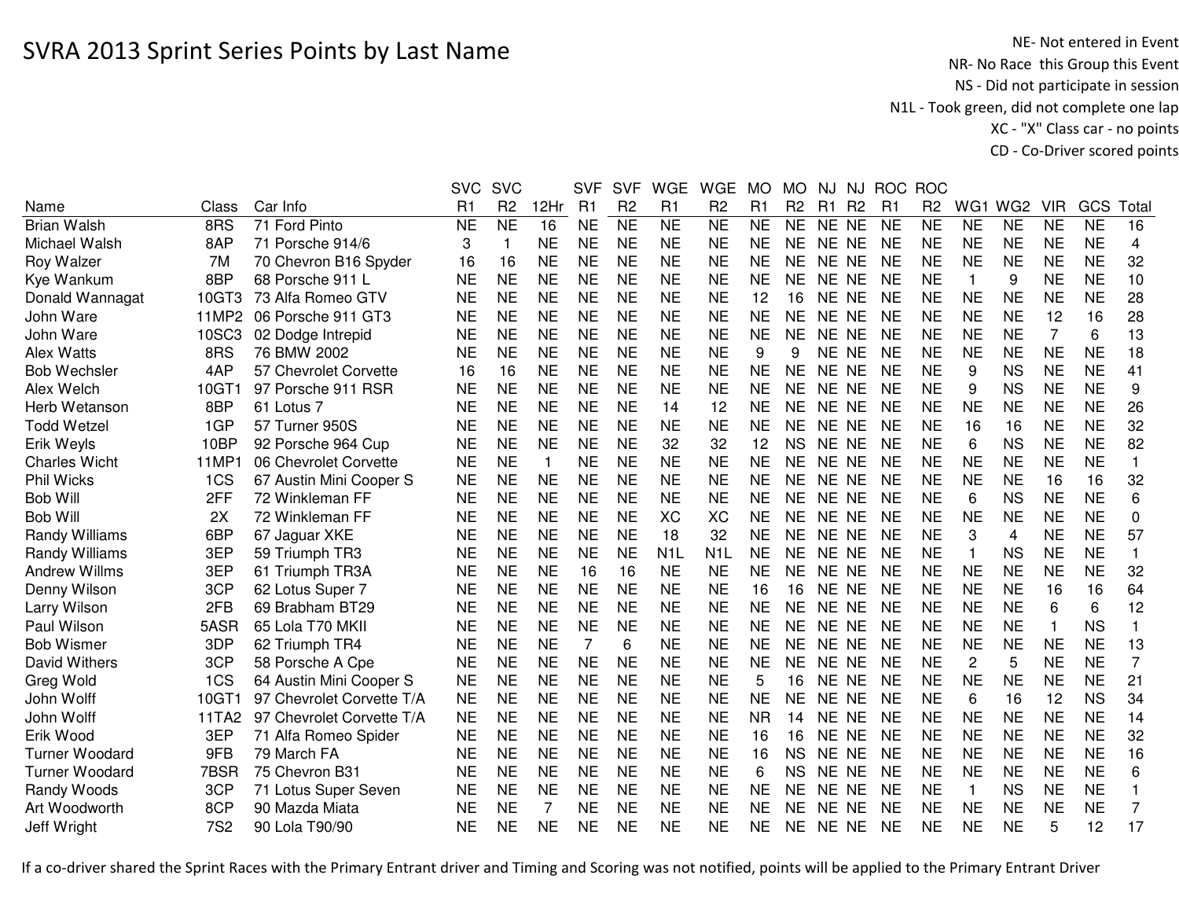NE- Not entered in Event<br>NR- No Race this Group this Event NS - Did not participate in session N1L - Took green, did not complete one lap XC - "X" Class car - no pointsCD - Co-Driver scored points

|                       |                 |                           | <b>SVC</b>     | <b>SVC</b>             |              | <b>SVF</b>     | <b>SVF</b>     | <b>WGE</b>             | <b>WGE</b>       | <b>MO</b> | <b>MO</b>      | NJ             | NJ             | <b>ROC</b>     | <b>ROC</b>     |                |                 |              |           |                |
|-----------------------|-----------------|---------------------------|----------------|------------------------|--------------|----------------|----------------|------------------------|------------------|-----------|----------------|----------------|----------------|----------------|----------------|----------------|-----------------|--------------|-----------|----------------|
| Name                  | Class           | Car Info                  | R <sub>1</sub> | R <sub>2</sub>         | 12Hr         | R <sub>1</sub> | R <sub>2</sub> | R1                     | R <sub>2</sub>   | R1        | R <sub>2</sub> | R <sub>1</sub> | R <sub>2</sub> | R <sub>1</sub> | R <sub>2</sub> | WG1            | WG <sub>2</sub> | <b>VIR</b>   | GCS       | Total          |
| <b>Brian Walsh</b>    | 8RS             | 71 Ford Pinto             | <b>NE</b>      | $\overline{\text{NE}}$ | 16           | <b>NE</b>      | N <sub>E</sub> | $\overline{\text{NE}}$ | NE               | <b>NE</b> | <b>NE</b>      | NE NE          |                | <b>NE</b>      | <b>NE</b>      | <b>NE</b>      | <b>NE</b>       | <b>NE</b>    | <b>NE</b> | 16             |
| Michael Walsh         | 8AP             | 71 Porsche 914/6          | 3              | $\mathbf 1$            | <b>NE</b>    | <b>NE</b>      | <b>NE</b>      | <b>NE</b>              | <b>NE</b>        | <b>NE</b> | <b>NE</b>      | NE NE          |                | <b>NE</b>      | <b>NE</b>      | <b>NE</b>      | <b>NE</b>       | <b>NE</b>    | <b>NE</b> | 4              |
| Roy Walzer            | 7M              | 70 Chevron B16 Spyder     | 16             | 16                     | <b>NE</b>    | <b>NE</b>      | <b>NE</b>      | <b>NE</b>              | <b>NE</b>        | <b>NE</b> | <b>NE</b>      | NE NE          |                | <b>NE</b>      | <b>NE</b>      | <b>NE</b>      | <b>NE</b>       | <b>NE</b>    | <b>NE</b> | 32             |
| Kye Wankum            | 8BP             | 68 Porsche 911 L          | <b>NE</b>      | <b>NE</b>              | <b>NE</b>    | <b>NE</b>      | <b>NE</b>      | <b>NE</b>              | <b>NE</b>        | <b>NE</b> | <b>NE</b>      | NE NE          |                | <b>NE</b>      | <b>NE</b>      | 1              | 9               | <b>NE</b>    | <b>NE</b> | 10             |
| Donald Wannagat       | 10GT3           | 73 Alfa Romeo GTV         | <b>NE</b>      | <b>NE</b>              | <b>NE</b>    | <b>NE</b>      | <b>NE</b>      | <b>NE</b>              | <b>NE</b>        | 12        | 16             | NE NE          |                | <b>NE</b>      | <b>NE</b>      | <b>NE</b>      | <b>NE</b>       | <b>NE</b>    | <b>NE</b> | 28             |
| John Ware             | 11MP2           | 06 Porsche 911 GT3        | <b>NE</b>      | <b>NE</b>              | <b>NE</b>    | <b>NE</b>      | <b>NE</b>      | <b>NE</b>              | <b>NE</b>        | <b>NE</b> | <b>NE</b>      | NE NE          |                | <b>NE</b>      | <b>NE</b>      | <b>NE</b>      | <b>NE</b>       | 12           | 16        | 28             |
| John Ware             | 10SC3           | 02 Dodge Intrepid         | <b>NE</b>      | <b>NE</b>              | <b>NE</b>    | <b>NE</b>      | <b>NE</b>      | <b>NE</b>              | <b>NE</b>        | <b>NE</b> | <b>NE</b>      | NE NE          |                | <b>NE</b>      | <b>NE</b>      | <b>NE</b>      | <b>NE</b>       | 7            | 6         | 13             |
| Alex Watts            | 8RS             | 76 BMW 2002               | <b>NE</b>      | <b>NE</b>              | <b>NE</b>    | <b>NE</b>      | <b>NE</b>      | <b>NE</b>              | <b>NE</b>        | 9         | 9              | NE NE          |                | <b>NE</b>      | <b>NE</b>      | <b>NE</b>      | <b>NE</b>       | <b>NE</b>    | <b>NE</b> | 18             |
| <b>Bob Wechsler</b>   | 4AP             | 57 Chevrolet Corvette     | 16             | 16                     | <b>NE</b>    | <b>NE</b>      | <b>NE</b>      | <b>NE</b>              | <b>NE</b>        | <b>NE</b> | <b>NE</b>      | NE NE          |                | <b>NE</b>      | <b>NE</b>      | 9              | <b>NS</b>       | <b>NE</b>    | <b>NE</b> | 41             |
| Alex Welch            | 10GT1           | 97 Porsche 911 RSR        | <b>NE</b>      | <b>NE</b>              | <b>NE</b>    | <b>NE</b>      | <b>NE</b>      | <b>NE</b>              | <b>NE</b>        | <b>NE</b> | <b>NE</b>      | NE NE          |                | <b>NE</b>      | <b>NE</b>      | 9              | <b>NS</b>       | <b>NE</b>    | <b>NE</b> | 9              |
| Herb Wetanson         | 8BP             | 61 Lotus 7                | <b>NE</b>      | <b>NE</b>              | <b>NE</b>    | <b>NE</b>      | <b>NE</b>      | 14                     | 12               | <b>NE</b> | <b>NE</b>      | NE NE          |                | <b>NE</b>      | <b>NE</b>      | <b>NE</b>      | <b>NE</b>       | <b>NE</b>    | <b>NE</b> | 26             |
| <b>Todd Wetzel</b>    | 1GP             | 57 Turner 950S            | <b>NE</b>      | <b>NE</b>              | <b>NE</b>    | <b>NE</b>      | <b>NE</b>      | <b>NE</b>              | <b>NE</b>        | <b>NE</b> | <b>NE</b>      | NE NE          |                | <b>NE</b>      | <b>NE</b>      | 16             | 16              | <b>NE</b>    | <b>NE</b> | 32             |
| Erik Weyls            | 10BP            | 92 Porsche 964 Cup        | <b>NE</b>      | <b>NE</b>              | <b>NE</b>    | <b>NE</b>      | <b>NE</b>      | 32                     | 32               | 12        | <b>NS</b>      | NE NE          |                | <b>NE</b>      | <b>NE</b>      | 6              | <b>NS</b>       | <b>NE</b>    | <b>NE</b> | 82             |
| <b>Charles Wicht</b>  | 11MP1           | 06 Chevrolet Corvette     | <b>NE</b>      | <b>NE</b>              | $\mathbf{1}$ | <b>NE</b>      | <b>NE</b>      | <b>NE</b>              | <b>NE</b>        | <b>NE</b> | <b>NE</b>      | NE NE          |                | <b>NE</b>      | <b>NE</b>      | <b>NE</b>      | <b>NE</b>       | <b>NE</b>    | <b>NE</b> | $\mathbf{1}$   |
| <b>Phil Wicks</b>     | 1CS             | 67 Austin Mini Cooper S   | <b>NE</b>      | <b>NE</b>              | <b>NE</b>    | <b>NE</b>      | <b>NE</b>      | <b>NE</b>              | <b>NE</b>        | <b>NE</b> | <b>NE</b>      | NE NE          |                | <b>NE</b>      | <b>NE</b>      | <b>NE</b>      | <b>NE</b>       | 16           | 16        | 32             |
| <b>Bob Will</b>       | 2FF             | 72 Winkleman FF           | <b>NE</b>      | <b>NE</b>              | <b>NE</b>    | <b>NE</b>      | <b>NE</b>      | <b>NE</b>              | <b>NE</b>        | <b>NE</b> | <b>NE</b>      | NE NE          |                | <b>NE</b>      | <b>NE</b>      | 6              | <b>NS</b>       | <b>NE</b>    | <b>NE</b> | 6              |
| <b>Bob Will</b>       | 2X              | 72 Winkleman FF           | <b>NE</b>      | <b>NE</b>              | <b>NE</b>    | <b>NE</b>      | <b>NE</b>      | <b>XC</b>              | <b>XC</b>        | <b>NE</b> | <b>NE</b>      | NE NE          |                | <b>NE</b>      | <b>NE</b>      | <b>NE</b>      | <b>NE</b>       | <b>NE</b>    | <b>NE</b> | $\mathbf 0$    |
| <b>Randy Williams</b> | 6BP             | 67 Jaguar XKE             | <b>NE</b>      | <b>NE</b>              | <b>NE</b>    | <b>NE</b>      | <b>NE</b>      | 18                     | 32               | <b>NE</b> | <b>NE</b>      | NE NE          |                | <b>NE</b>      | <b>NE</b>      | 3              | 4               | <b>NE</b>    | <b>NE</b> | 57             |
| Randy Williams        | 3EP             | 59 Triumph TR3            | <b>NE</b>      | <b>NE</b>              | <b>NE</b>    | <b>NE</b>      | <b>NE</b>      | N <sub>1</sub> L       | N <sub>1</sub> L | <b>NE</b> | <b>NE</b>      | NE NE          |                | <b>NE</b>      | <b>NE</b>      | 1              | <b>NS</b>       | <b>NE</b>    | <b>NE</b> | $\mathbf{1}$   |
| <b>Andrew Willms</b>  | 3EP             | 61 Triumph TR3A           | <b>NE</b>      | <b>NE</b>              | <b>NE</b>    | 16             | 16             | <b>NE</b>              | <b>NE</b>        | <b>NE</b> | <b>NE</b>      | NE NE          |                | <b>NE</b>      | <b>NE</b>      | <b>NE</b>      | <b>NE</b>       | <b>NE</b>    | <b>NE</b> | 32             |
| Denny Wilson          | 3CP             | 62 Lotus Super 7          | <b>NE</b>      | <b>NE</b>              | <b>NE</b>    | <b>NE</b>      | <b>NE</b>      | <b>NE</b>              | <b>NE</b>        | 16        | 16             | NE NE          |                | <b>NE</b>      | <b>NE</b>      | <b>NE</b>      | <b>NE</b>       | 16           | 16        | 64             |
| Larry Wilson          | 2FB             | 69 Brabham BT29           | <b>NE</b>      | <b>NE</b>              | <b>NE</b>    | <b>NE</b>      | <b>NE</b>      | <b>NE</b>              | <b>NE</b>        | <b>NE</b> | <b>NE</b>      | NE NE          |                | <b>NE</b>      | <b>NE</b>      | <b>NE</b>      | <b>NE</b>       | 6            | 6         | 12             |
| Paul Wilson           | 5ASR            | 65 Lola T70 MKII          | <b>NE</b>      | <b>NE</b>              | <b>NE</b>    | <b>NE</b>      | <b>NE</b>      | <b>NE</b>              | <b>NE</b>        | <b>NE</b> | <b>NE</b>      | NE NE          |                | <b>NE</b>      | <b>NE</b>      | <b>NE</b>      | <b>NE</b>       | $\mathbf{1}$ | <b>NS</b> | 1              |
| <b>Bob Wismer</b>     | 3DP             | 62 Triumph TR4            | <b>NE</b>      | <b>NE</b>              | <b>NE</b>    | $\overline{7}$ | 6              | <b>NE</b>              | <b>NE</b>        | <b>NE</b> | <b>NE</b>      | NE NE          |                | <b>NE</b>      | <b>NE</b>      | <b>NE</b>      | <b>NE</b>       | <b>NE</b>    | <b>NE</b> | 13             |
| David Withers         | 3CP             | 58 Porsche A Cpe          | <b>NE</b>      | <b>NE</b>              | <b>NE</b>    | <b>NE</b>      | <b>NE</b>      | <b>NE</b>              | <b>NE</b>        | <b>NE</b> | <b>NE</b>      | NE NE          |                | <b>NE</b>      | <b>NE</b>      | $\overline{c}$ | 5               | <b>NE</b>    | <b>NE</b> | $\overline{7}$ |
| Greg Wold             | 1CS             | 64 Austin Mini Cooper S   | <b>NE</b>      | <b>NE</b>              | <b>NE</b>    | <b>NE</b>      | <b>NE</b>      | <b>NE</b>              | <b>NE</b>        | 5         | 16             | NE NE          |                | <b>NE</b>      | <b>NE</b>      | <b>NE</b>      | <b>NE</b>       | <b>NE</b>    | <b>NE</b> | 21             |
| John Wolff            | 10GT1           | 97 Chevrolet Corvette T/A | <b>NE</b>      | <b>NE</b>              | <b>NE</b>    | <b>NE</b>      | <b>NE</b>      | <b>NE</b>              | <b>NE</b>        | <b>NE</b> | <b>NE</b>      | NE.            | <b>NE</b>      | <b>NE</b>      | <b>NE</b>      | 6              | 16              | 12           | <b>NS</b> | 34             |
| John Wolff            | 11TA2           | 97 Chevrolet Corvette T/A | <b>NE</b>      | <b>NE</b>              | <b>NE</b>    | <b>NE</b>      | <b>NE</b>      | <b>NE</b>              | <b>NE</b>        | <b>NR</b> | 14             | NE NE          |                | NE             | <b>NE</b>      | <b>NE</b>      | <b>NE</b>       | <b>NE</b>    | <b>NE</b> | 14             |
| Erik Wood             | 3EP             | 71 Alfa Romeo Spider      | NE             | <b>NE</b>              | <b>NE</b>    | <b>NE</b>      | <b>NE</b>      | <b>NE</b>              | <b>NE</b>        | 16        | 16             | NE NE          |                | <b>NE</b>      | <b>NE</b>      | <b>NE</b>      | <b>NE</b>       | <b>NE</b>    | <b>NE</b> | 32             |
| <b>Turner Woodard</b> | 9FB             | 79 March FA               | <b>NE</b>      | <b>NE</b>              | <b>NE</b>    | <b>NE</b>      | <b>NE</b>      | <b>NE</b>              | <b>NE</b>        | 16        | <b>NS</b>      | NE NE          |                | <b>NE</b>      | <b>NE</b>      | <b>NE</b>      | <b>NE</b>       | <b>NE</b>    | <b>NE</b> | 16             |
| <b>Turner Woodard</b> | 7BSR            | 75 Chevron B31            | <b>NE</b>      | <b>NE</b>              | <b>NE</b>    | <b>NE</b>      | <b>NE</b>      | <b>NE</b>              | <b>NE</b>        | 6         | <b>NS</b>      | NE NE          |                | <b>NE</b>      | <b>NE</b>      | <b>NE</b>      | <b>NE</b>       | <b>NE</b>    | <b>NE</b> | 6              |
| Randy Woods           | 3CP             | 71 Lotus Super Seven      | <b>NE</b>      | <b>NE</b>              | <b>NE</b>    | <b>NE</b>      | <b>NE</b>      | <b>NE</b>              | <b>NE</b>        | <b>NE</b> | <b>NE</b>      | NE NE          |                | <b>NE</b>      | <b>NE</b>      | 1              | <b>NS</b>       | <b>NE</b>    | <b>NE</b> |                |
| Art Woodworth         | 8CP             | 90 Mazda Miata            | NE             | <b>NE</b>              | 7            | <b>NE</b>      | <b>NE</b>      | <b>NE</b>              | <b>NE</b>        | <b>NE</b> | <b>NE</b>      | NE NE          |                | <b>NE</b>      | <b>NE</b>      | <b>NE</b>      | <b>NE</b>       | <b>NE</b>    | <b>NE</b> | 7              |
| Jeff Wright           | 7S <sub>2</sub> | 90 Lola T90/90            | NE             | <b>NE</b>              | <b>NE</b>    | <b>NE</b>      | <b>NE</b>      | <b>NE</b>              | <b>NE</b>        | <b>NE</b> | <b>NE</b>      | NE NE          |                | <b>NE</b>      | <b>NE</b>      | <b>NE</b>      | <b>NE</b>       | 5            | 12        | 17             |